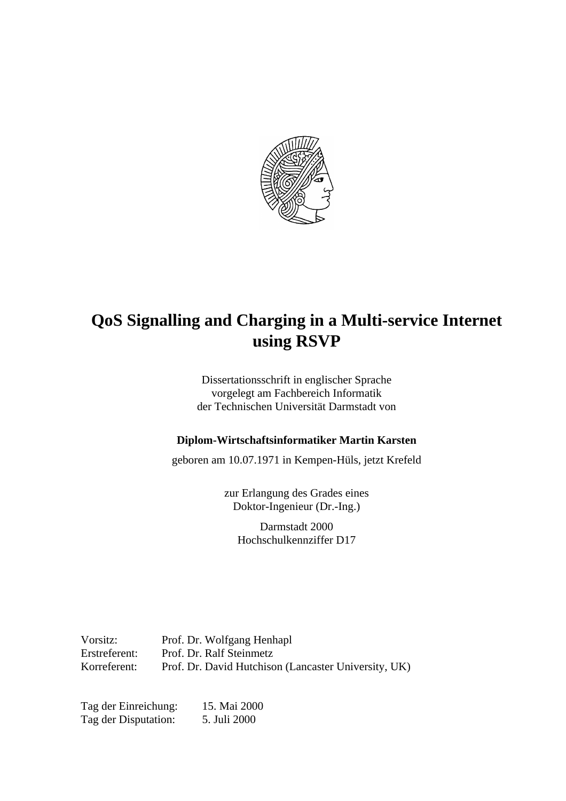<span id="page-0-0"></span>

## **QoS Signalling and Charging in a Multi-service Internet using RSVP**

Dissertationsschrift in englischer Sprache vorgelegt am Fachbereich Informatik der Technischen Universität Darmstadt von

#### **Diplom-Wirtschaftsinformatiker Martin Karsten**

geboren am 10.07.1971 in Kempen-Hüls, jetzt Krefeld

zur Erlangung des Grades eines Doktor-Ingenieur (Dr.-Ing.)

Darmstadt 2000 Hochschulkennziffer D17

Vorsitz: Prof. Dr. Wolfgang Henhapl Erstreferent: Prof. Dr. Ralf Steinmetz Korreferent: Prof. Dr. David Hutchison (Lancaster University, UK)

Tag der Einreichung: 15. Mai 2000 Tag der Disputation: 5. Juli 2000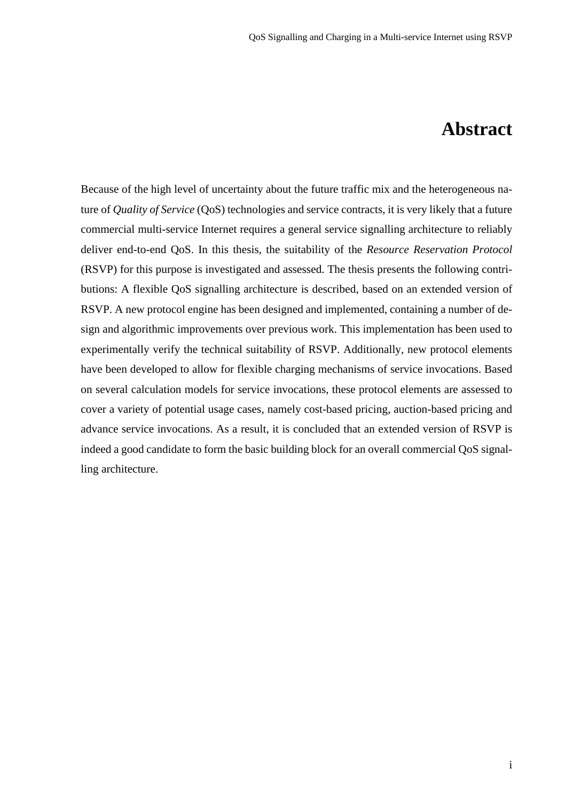### **Abstract**

<span id="page-2-0"></span>Because of the high level of uncertainty about the future traffic mix and the heterogeneous nature of *Quality of Service* (QoS) technologies and service contracts, it is very likely that a future commercial multi-service Internet requires a general service signalling architecture to reliably deliver end-to-end QoS. In this thesis, the suitability of the *Resource Reservation Protocol* (RSVP) for this purpose is investigated and assessed. The thesis presents the following contributions: A flexible QoS signalling architecture is described, based on an extended version of RSVP. A new protocol engine has been designed and implemented, containing a number of design and algorithmic improvements over previous work. This implementation has been used to experimentally verify the technical suitability of RSVP. Additionally, new protocol elements have been developed to allow for flexible charging mechanisms of service invocations. Based on several calculation models for service invocations, these protocol elements are assessed to cover a variety of potential usage cases, namely cost-based pricing, auction-based pricing and advance service invocations. As a result, it is concluded that an extended version of RSVP is indeed a good candidate to form the basic building block for an overall commercial QoS signalling architecture.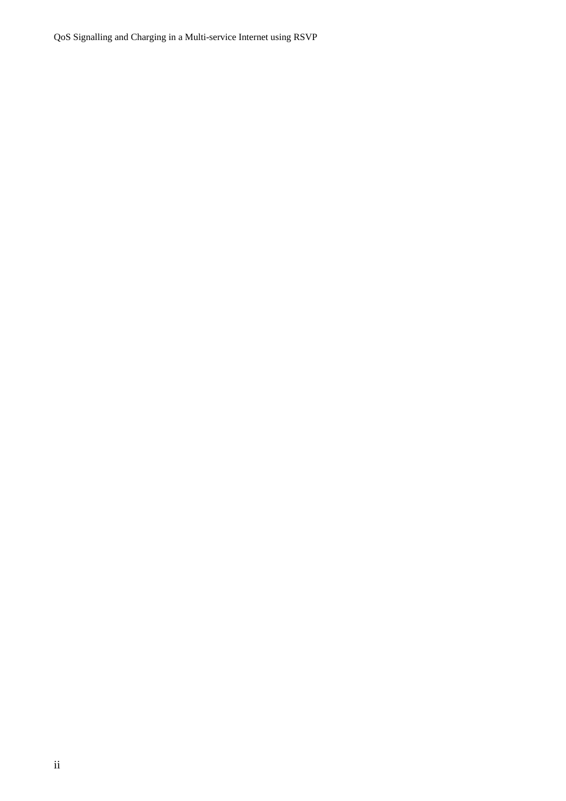[QoS Signalling and Charging in a Multi-service Internet using RSVP](#page-0-0)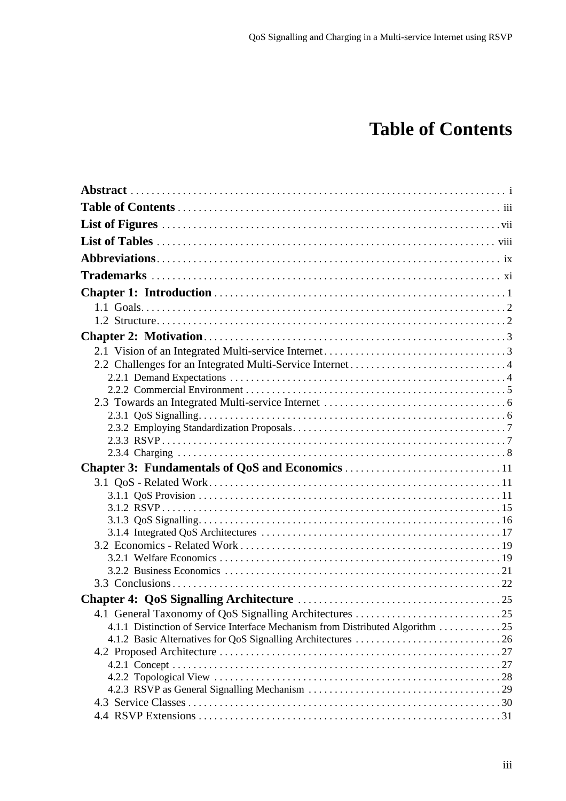## **Table of Contents**

| 4.1.1 Distinction of Service Interface Mechanism from Distributed Algorithm 25 |
|--------------------------------------------------------------------------------|
|                                                                                |
|                                                                                |
|                                                                                |
|                                                                                |
|                                                                                |
|                                                                                |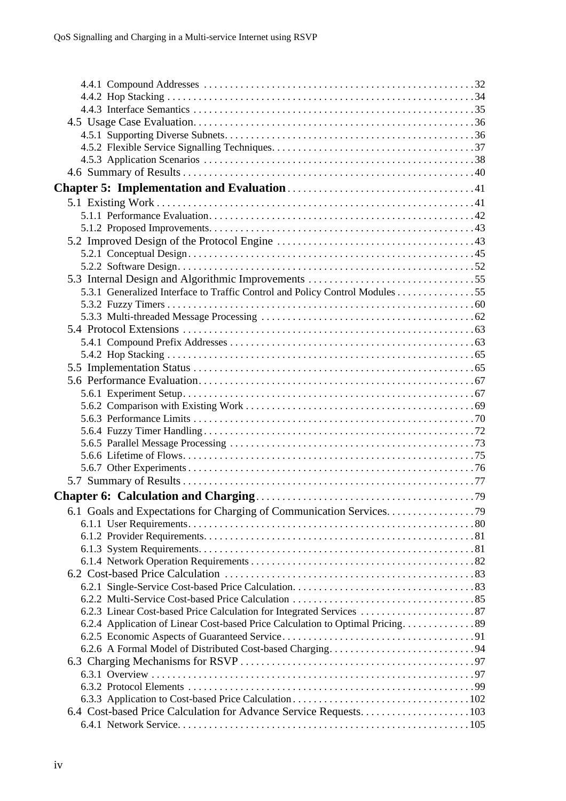| 5.3.1 Generalized Interface to Traffic Control and Policy Control Modules 55 |  |
|------------------------------------------------------------------------------|--|
|                                                                              |  |
|                                                                              |  |
|                                                                              |  |
|                                                                              |  |
|                                                                              |  |
|                                                                              |  |
|                                                                              |  |
|                                                                              |  |
|                                                                              |  |
|                                                                              |  |
|                                                                              |  |
|                                                                              |  |
|                                                                              |  |
|                                                                              |  |
|                                                                              |  |
|                                                                              |  |
|                                                                              |  |
|                                                                              |  |
|                                                                              |  |
|                                                                              |  |
|                                                                              |  |
|                                                                              |  |
|                                                                              |  |
|                                                                              |  |
|                                                                              |  |
|                                                                              |  |
|                                                                              |  |
|                                                                              |  |
|                                                                              |  |
|                                                                              |  |
|                                                                              |  |
|                                                                              |  |
|                                                                              |  |
|                                                                              |  |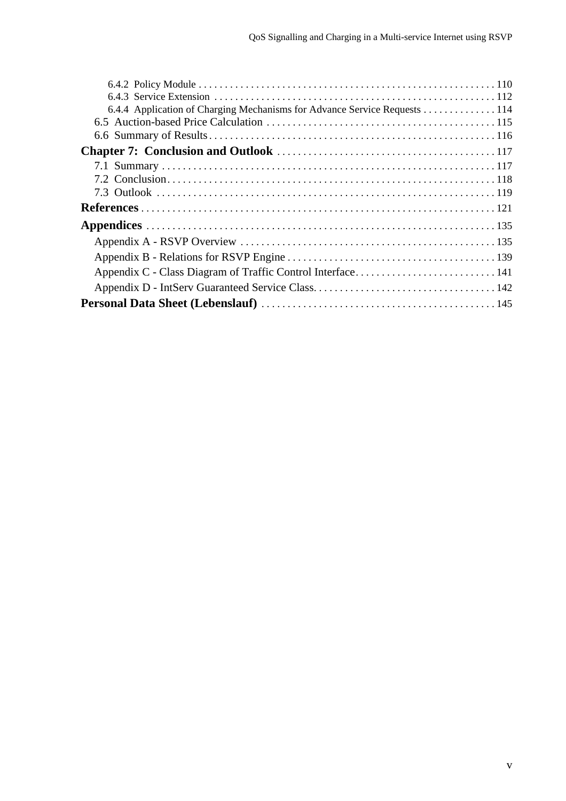| 6.4.4 Application of Charging Mechanisms for Advance Service Requests 114 |  |
|---------------------------------------------------------------------------|--|
|                                                                           |  |
|                                                                           |  |
|                                                                           |  |
|                                                                           |  |
|                                                                           |  |
|                                                                           |  |
|                                                                           |  |
|                                                                           |  |
|                                                                           |  |
|                                                                           |  |
|                                                                           |  |
|                                                                           |  |
|                                                                           |  |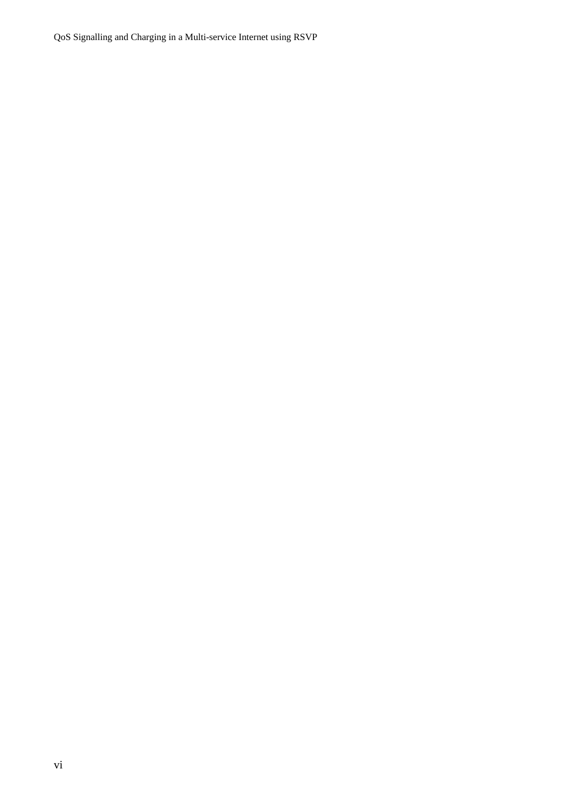[QoS Signalling and Charging in a Multi-service Internet using RSVP](#page-0-0)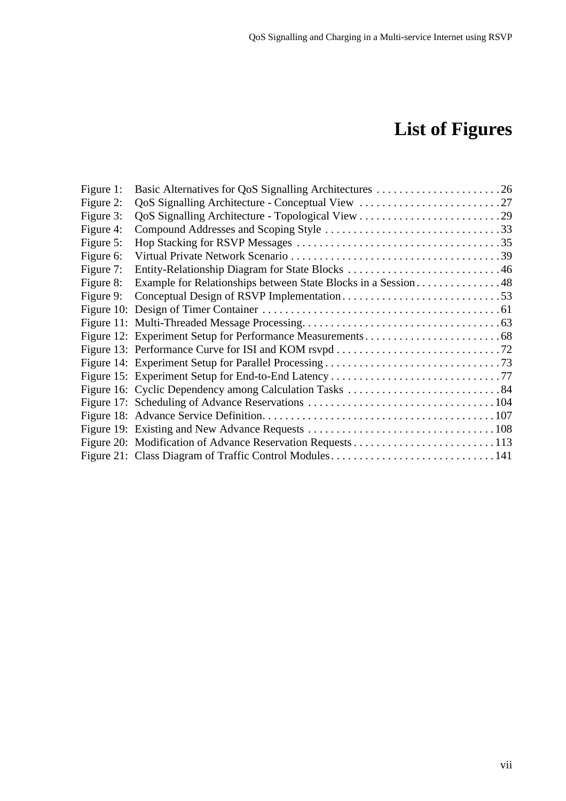# **List of Figures**

<span id="page-8-0"></span>

| Figure 1: | Basic Alternatives for QoS Signalling Architectures 26        |  |
|-----------|---------------------------------------------------------------|--|
| Figure 2: | QoS Signalling Architecture - Conceptual View 27              |  |
| Figure 3: | QoS Signalling Architecture - Topological View 29             |  |
| Figure 4: |                                                               |  |
| Figure 5: |                                                               |  |
| Figure 6: |                                                               |  |
| Figure 7: | Entity-Relationship Diagram for State Blocks 46               |  |
| Figure 8: | Example for Relationships between State Blocks in a Session48 |  |
| Figure 9: |                                                               |  |
|           |                                                               |  |
|           |                                                               |  |
|           |                                                               |  |
|           |                                                               |  |
|           |                                                               |  |
|           |                                                               |  |
|           |                                                               |  |
|           |                                                               |  |
|           |                                                               |  |
|           |                                                               |  |
|           |                                                               |  |
|           | Figure 21: Class Diagram of Traffic Control Modules141        |  |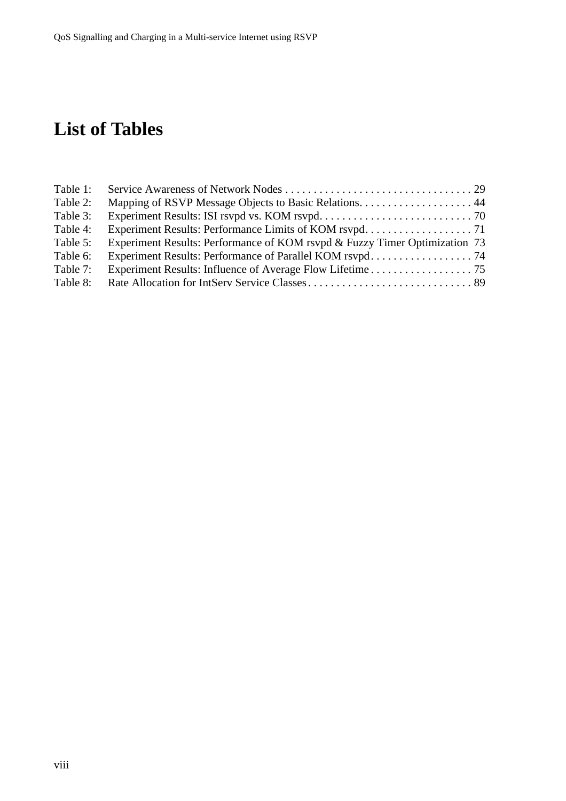# <span id="page-9-0"></span>**List of Tables**

| Table 1: |                                                                            |
|----------|----------------------------------------------------------------------------|
| Table 2: |                                                                            |
| Table 3: |                                                                            |
| Table 4: |                                                                            |
| Table 5: | Experiment Results: Performance of KOM rsvpd & Fuzzy Timer Optimization 73 |
| Table 6: |                                                                            |
| Table 7: |                                                                            |
| Table 8: |                                                                            |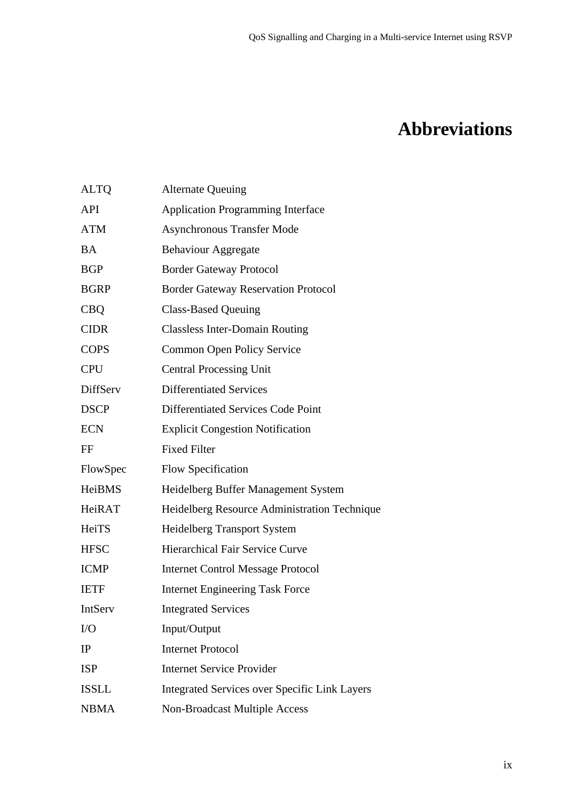## **Abbreviations**

<span id="page-10-0"></span>

| <b>ALTQ</b>     | <b>Alternate Queuing</b>                             |
|-----------------|------------------------------------------------------|
| API             | <b>Application Programming Interface</b>             |
| ATM             | <b>Asynchronous Transfer Mode</b>                    |
| <b>BA</b>       | <b>Behaviour Aggregate</b>                           |
| <b>BGP</b>      | <b>Border Gateway Protocol</b>                       |
| <b>BGRP</b>     | <b>Border Gateway Reservation Protocol</b>           |
| <b>CBQ</b>      | <b>Class-Based Queuing</b>                           |
| <b>CIDR</b>     | <b>Classless Inter-Domain Routing</b>                |
| <b>COPS</b>     | Common Open Policy Service                           |
| <b>CPU</b>      | <b>Central Processing Unit</b>                       |
| <b>DiffServ</b> | <b>Differentiated Services</b>                       |
| <b>DSCP</b>     | Differentiated Services Code Point                   |
| <b>ECN</b>      | <b>Explicit Congestion Notification</b>              |
| FF              | <b>Fixed Filter</b>                                  |
| FlowSpec        | Flow Specification                                   |
| HeiBMS          | Heidelberg Buffer Management System                  |
| HeiRAT          | Heidelberg Resource Administration Technique         |
| HeiTS           | Heidelberg Transport System                          |
| <b>HFSC</b>     | <b>Hierarchical Fair Service Curve</b>               |
| <b>ICMP</b>     | <b>Internet Control Message Protocol</b>             |
| <b>IETF</b>     | <b>Internet Engineering Task Force</b>               |
| IntServ         | <b>Integrated Services</b>                           |
| I/O             | Input/Output                                         |
| IP              | <b>Internet Protocol</b>                             |
| <b>ISP</b>      | <b>Internet Service Provider</b>                     |
| <b>ISSLL</b>    | <b>Integrated Services over Specific Link Layers</b> |
| NBMA            | <b>Non-Broadcast Multiple Access</b>                 |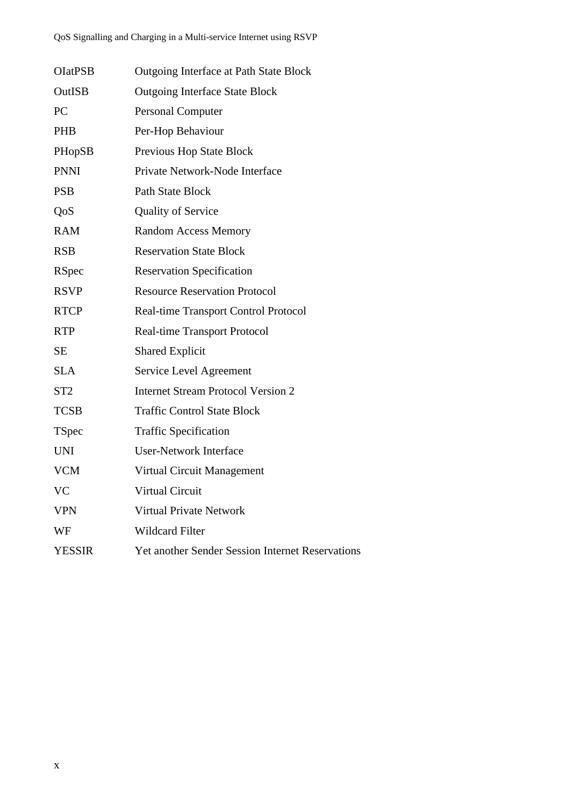| <b>OIatPSB</b>  | Outgoing Interface at Path State Block           |
|-----------------|--------------------------------------------------|
| OutISB          | <b>Outgoing Interface State Block</b>            |
| <b>PC</b>       | <b>Personal Computer</b>                         |
| PHB             | Per-Hop Behaviour                                |
| PHopSB          | Previous Hop State Block                         |
| <b>PNNI</b>     | Private Network-Node Interface                   |
| <b>PSB</b>      | Path State Block                                 |
| QoS             | <b>Quality of Service</b>                        |
| <b>RAM</b>      | <b>Random Access Memory</b>                      |
| <b>RSB</b>      | <b>Reservation State Block</b>                   |
| RSpec           | <b>Reservation Specification</b>                 |
| <b>RSVP</b>     | <b>Resource Reservation Protocol</b>             |
| <b>RTCP</b>     | Real-time Transport Control Protocol             |
| <b>RTP</b>      | <b>Real-time Transport Protocol</b>              |
| <b>SE</b>       | <b>Shared Explicit</b>                           |
| <b>SLA</b>      | Service Level Agreement                          |
| ST <sub>2</sub> | <b>Internet Stream Protocol Version 2</b>        |
| <b>TCSB</b>     | <b>Traffic Control State Block</b>               |
| <b>TSpec</b>    | <b>Traffic Specification</b>                     |
| <b>UNI</b>      | <b>User-Network Interface</b>                    |
| <b>VCM</b>      | Virtual Circuit Management                       |
| <b>VC</b>       | <b>Virtual Circuit</b>                           |
| <b>VPN</b>      | <b>Virtual Private Network</b>                   |
| WF              | <b>Wildcard Filter</b>                           |
| <b>YESSIR</b>   | Yet another Sender Session Internet Reservations |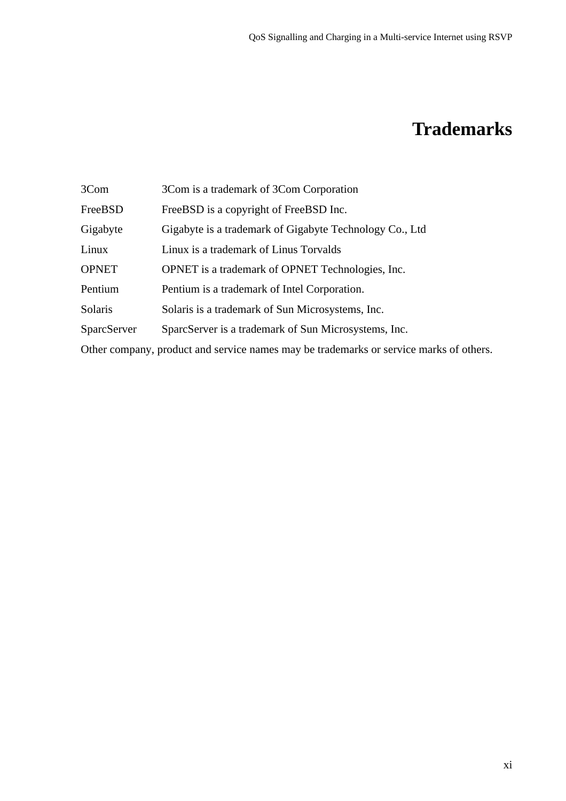## **Trademarks**

<span id="page-12-0"></span>

| 3Com                                                                                   | 3Com is a trademark of 3Com Corporation                 |  |
|----------------------------------------------------------------------------------------|---------------------------------------------------------|--|
| FreeBSD                                                                                | FreeBSD is a copyright of FreeBSD Inc.                  |  |
| Gigabyte                                                                               | Gigabyte is a trademark of Gigabyte Technology Co., Ltd |  |
| Linux                                                                                  | Linux is a trademark of Linus Torvalds                  |  |
| <b>OPNET</b>                                                                           | OPNET is a trademark of OPNET Technologies, Inc.        |  |
| Pentium                                                                                | Pentium is a trademark of Intel Corporation.            |  |
| Solaris                                                                                | Solaris is a trademark of Sun Microsystems, Inc.        |  |
| <b>SparcServer</b>                                                                     | SparcServer is a trademark of Sun Microsystems, Inc.    |  |
| Other company, product and service names may be trademarks or service marks of others. |                                                         |  |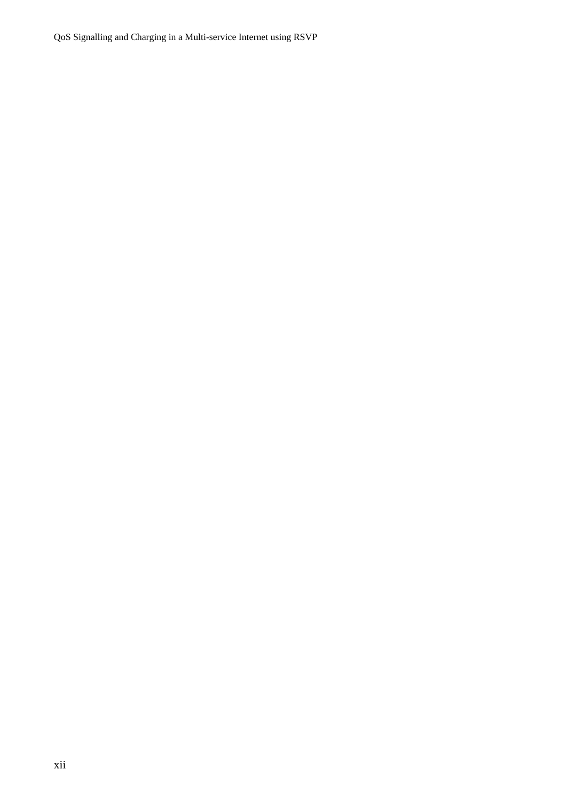[QoS Signalling and Charging in a Multi-service Internet using RSVP](#page-0-0)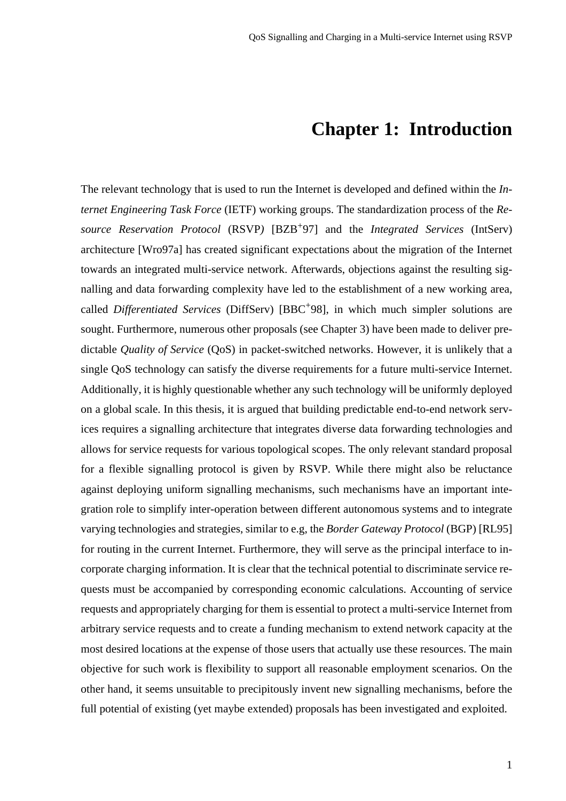### **Chapter 1: Introduction**

<span id="page-14-0"></span>The relevant technology that is used to run the Internet is developed and defined within the *Internet Engineering Task Force* (IETF) working groups. The standardization process of the *Resource Reservation Protocol* (RSVP*)* [BZB+97] and the *Integrated Services* (IntServ) architecture [Wro97a] has created significant expectations about the migration of the Internet towards an integrated multi-service network. Afterwards, objections against the resulting signalling and data forwarding complexity have led to the establishment of a new working area, called *Differentiated Services* (DiffServ) [BBC<sup>+</sup>98], in which much simpler solutions are sought. Furthermore, numerous other proposals (see [Chapter 3](#page-24-0)) have been made to deliver predictable *Quality of Service* (QoS) in packet-switched networks. However, it is unlikely that a single QoS technology can satisfy the diverse requirements for a future multi-service Internet. Additionally, it is highly questionable whether any such technology will be uniformly deployed on a global scale. In this thesis, it is argued that building predictable end-to-end network services requires a signalling architecture that integrates diverse data forwarding technologies and allows for service requests for various topological scopes. The only relevant standard proposal for a flexible signalling protocol is given by RSVP. While there might also be reluctance against deploying uniform signalling mechanisms, such mechanisms have an important integration role to simplify inter-operation between different autonomous systems and to integrate varying technologies and strategies, similar to e.g, the *Border Gateway Protocol* (BGP) [RL95] for routing in the current Internet. Furthermore, they will serve as the principal interface to incorporate charging information. It is clear that the technical potential to discriminate service requests must be accompanied by corresponding economic calculations. Accounting of service requests and appropriately charging for them is essential to protect a multi-service Internet from arbitrary service requests and to create a funding mechanism to extend network capacity at the most desired locations at the expense of those users that actually use these resources. The main objective for such work is flexibility to support all reasonable employment scenarios. On the other hand, it seems unsuitable to precipitously invent new signalling mechanisms, before the full potential of existing (yet maybe extended) proposals has been investigated and exploited.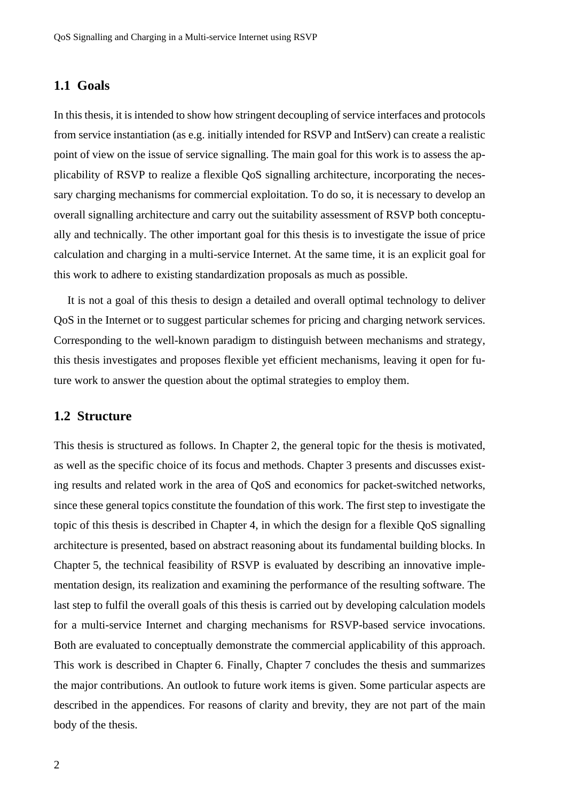#### <span id="page-15-0"></span>**1.1 Goals**

In this thesis, it is intended to show how stringent decoupling of service interfaces and protocols from service instantiation (as e.g. initially intended for RSVP and IntServ) can create a realistic point of view on the issue of service signalling. The main goal for this work is to assess the applicability of RSVP to realize a flexible QoS signalling architecture, incorporating the necessary charging mechanisms for commercial exploitation. To do so, it is necessary to develop an overall signalling architecture and carry out the suitability assessment of RSVP both conceptually and technically. The other important goal for this thesis is to investigate the issue of price calculation and charging in a multi-service Internet. At the same time, it is an explicit goal for this work to adhere to existing standardization proposals as much as possible.

It is not a goal of this thesis to design a detailed and overall optimal technology to deliver QoS in the Internet or to suggest particular schemes for pricing and charging network services. Corresponding to the well-known paradigm to distinguish between mechanisms and strategy, this thesis investigates and proposes flexible yet efficient mechanisms, leaving it open for future work to answer the question about the optimal strategies to employ them.

#### **1.2 Structure**

This thesis is structured as follows. In [Chapter 2,](#page-16-0) the general topic for the thesis is motivated, as well as the specific choice of its focus and method[s. Chapter](#page-24-0) 3 presents and discusses existing results and related work in the area of QoS and economics for packet-switched networks, since these general topics constitute the foundation of this work. The first step to investigate the topic of this thesis is described in [Chapter 4,](#page-38-0) in which the design for a flexible QoS signalling architecture is presented, based on abstract reasoning about its fundamental building blocks. In [Chapter 5,](#page-54-0) the technical feasibility of RSVP is evaluated by describing an innovative implementation design, its realization and examining the performance of the resulting software. The last step to fulfil the overall goals of this thesis is carried out by developing calculation models for a multi-service Internet and charging mechanisms for RSVP-based service invocations. Both are evaluated to conceptually demonstrate the commercial applicability of this approach. This work is described in [Chapter 6](#page-92-0). Finally, [Chapter 7](#page-130-0) concludes the thesis and summarizes the major contributions. An outlook to future work items is given. Some particular aspects are described in the appendices. For reasons of clarity and brevity, they are not part of the main body of the thesis.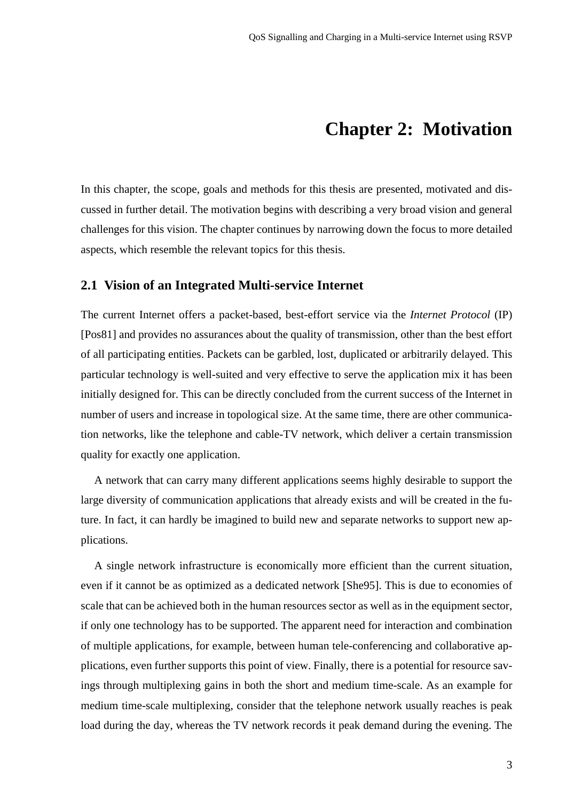### **Chapter 2: Motivation**

<span id="page-16-0"></span>In this chapter, the scope, goals and methods for this thesis are presented, motivated and discussed in further detail. The motivation begins with describing a very broad vision and general challenges for this vision. The chapter continues by narrowing down the focus to more detailed aspects, which resemble the relevant topics for this thesis.

#### **2.1 Vision of an Integrated Multi-service Internet**

The current Internet offers a packet-based, best-effort service via the *Internet Protocol* (IP) [Pos81] and provides no assurances about the quality of transmission, other than the best effort of all participating entities. Packets can be garbled, lost, duplicated or arbitrarily delayed. This particular technology is well-suited and very effective to serve the application mix it has been initially designed for. This can be directly concluded from the current success of the Internet in number of users and increase in topological size. At the same time, there are other communication networks, like the telephone and cable-TV network, which deliver a certain transmission quality for exactly one application.

A network that can carry many different applications seems highly desirable to support the large diversity of communication applications that already exists and will be created in the future. In fact, it can hardly be imagined to build new and separate networks to support new applications.

A single network infrastructure is economically more efficient than the current situation, even if it cannot be as optimized as a dedicated network [She95]. This is due to economies of scale that can be achieved both in the human resources sector as well as in the equipment sector, if only one technology has to be supported. The apparent need for interaction and combination of multiple applications, for example, between human tele-conferencing and collaborative applications, even further supports this point of view. Finally, there is a potential for resource savings through multiplexing gains in both the short and medium time-scale. As an example for medium time-scale multiplexing, consider that the telephone network usually reaches is peak load during the day, whereas the TV network records it peak demand during the evening. The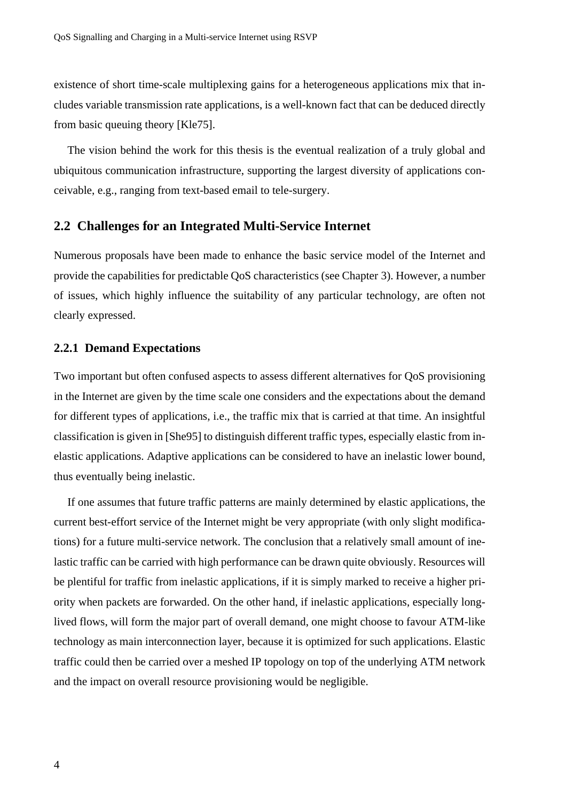<span id="page-17-0"></span>existence of short time-scale multiplexing gains for a heterogeneous applications mix that includes variable transmission rate applications, is a well-known fact that can be deduced directly from basic queuing theory [Kle75].

The vision behind the work for this thesis is the eventual realization of a truly global and ubiquitous communication infrastructure, supporting the largest diversity of applications conceivable, e.g., ranging from text-based email to tele-surgery.

#### **2.2 Challenges for an Integrated Multi-Service Internet**

Numerous proposals have been made to enhance the basic service model of the Internet and provide the capabilities for predictable QoS characteristics (see [Chapter 3\)](#page-24-0). However, a number of issues, which highly influence the suitability of any particular technology, are often not clearly expressed.

#### **2.2.1 Demand Expectations**

Two important but often confused aspects to assess different alternatives for QoS provisioning in the Internet are given by the time scale one considers and the expectations about the demand for different types of applications, i.e., the traffic mix that is carried at that time. An insightful classification is given in [She95] to distinguish different traffic types, especially elastic from inelastic applications. Adaptive applications can be considered to have an inelastic lower bound, thus eventually being inelastic.

If one assumes that future traffic patterns are mainly determined by elastic applications, the current best-effort service of the Internet might be very appropriate (with only slight modifications) for a future multi-service network. The conclusion that a relatively small amount of inelastic traffic can be carried with high performance can be drawn quite obviously. Resources will be plentiful for traffic from inelastic applications, if it is simply marked to receive a higher priority when packets are forwarded. On the other hand, if inelastic applications, especially longlived flows, will form the major part of overall demand, one might choose to favour ATM-like technology as main interconnection layer, because it is optimized for such applications. Elastic traffic could then be carried over a meshed IP topology on top of the underlying ATM network and the impact on overall resource provisioning would be negligible.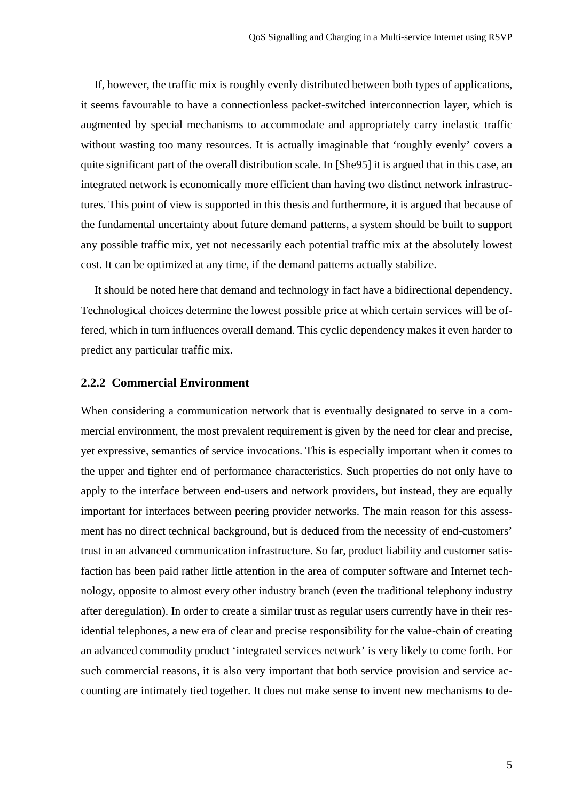<span id="page-18-0"></span>If, however, the traffic mix is roughly evenly distributed between both types of applications, it seems favourable to have a connectionless packet-switched interconnection layer, which is augmented by special mechanisms to accommodate and appropriately carry inelastic traffic without wasting too many resources. It is actually imaginable that 'roughly evenly' covers a quite significant part of the overall distribution scale. In [She95] it is argued that in this case, an integrated network is economically more efficient than having two distinct network infrastructures. This point of view is supported in this thesis and furthermore, it is argued that because of the fundamental uncertainty about future demand patterns, a system should be built to support any possible traffic mix, yet not necessarily each potential traffic mix at the absolutely lowest cost. It can be optimized at any time, if the demand patterns actually stabilize.

It should be noted here that demand and technology in fact have a bidirectional dependency. Technological choices determine the lowest possible price at which certain services will be offered, which in turn influences overall demand. This cyclic dependency makes it even harder to predict any particular traffic mix.

#### **2.2.2 Commercial Environment**

When considering a communication network that is eventually designated to serve in a commercial environment, the most prevalent requirement is given by the need for clear and precise, yet expressive, semantics of service invocations. This is especially important when it comes to the upper and tighter end of performance characteristics. Such properties do not only have to apply to the interface between end-users and network providers, but instead, they are equally important for interfaces between peering provider networks. The main reason for this assessment has no direct technical background, but is deduced from the necessity of end-customers' trust in an advanced communication infrastructure. So far, product liability and customer satisfaction has been paid rather little attention in the area of computer software and Internet technology, opposite to almost every other industry branch (even the traditional telephony industry after deregulation). In order to create a similar trust as regular users currently have in their residential telephones, a new era of clear and precise responsibility for the value-chain of creating an advanced commodity product 'integrated services network' is very likely to come forth. For such commercial reasons, it is also very important that both service provision and service accounting are intimately tied together. It does not make sense to invent new mechanisms to de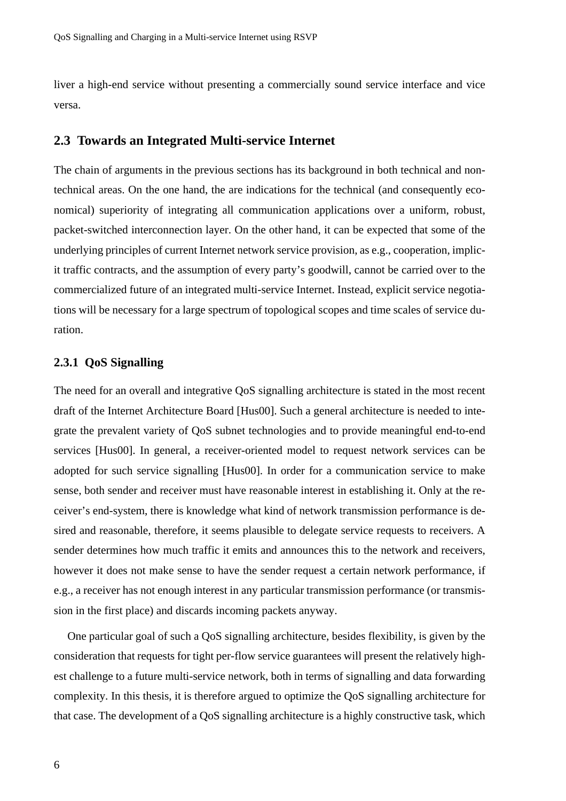<span id="page-19-0"></span>liver a high-end service without presenting a commercially sound service interface and vice versa.

#### **2.3 Towards an Integrated Multi-service Internet**

The chain of arguments in the previous sections has its background in both technical and nontechnical areas. On the one hand, the are indications for the technical (and consequently economical) superiority of integrating all communication applications over a uniform, robust, packet-switched interconnection layer. On the other hand, it can be expected that some of the underlying principles of current Internet network service provision, as e.g., cooperation, implicit traffic contracts, and the assumption of every party's goodwill, cannot be carried over to the commercialized future of an integrated multi-service Internet. Instead, explicit service negotiations will be necessary for a large spectrum of topological scopes and time scales of service duration.

#### **2.3.1 QoS Signalling**

The need for an overall and integrative QoS signalling architecture is stated in the most recent draft of the Internet Architecture Board [Hus00]. Such a general architecture is needed to integrate the prevalent variety of QoS subnet technologies and to provide meaningful end-to-end services [Hus00]. In general, a receiver-oriented model to request network services can be adopted for such service signalling [Hus00]. In order for a communication service to make sense, both sender and receiver must have reasonable interest in establishing it. Only at the receiver's end-system, there is knowledge what kind of network transmission performance is desired and reasonable, therefore, it seems plausible to delegate service requests to receivers. A sender determines how much traffic it emits and announces this to the network and receivers, however it does not make sense to have the sender request a certain network performance, if e.g., a receiver has not enough interest in any particular transmission performance (or transmission in the first place) and discards incoming packets anyway.

One particular goal of such a QoS signalling architecture, besides flexibility, is given by the consideration that requests for tight per-flow service guarantees will present the relatively highest challenge to a future multi-service network, both in terms of signalling and data forwarding complexity. In this thesis, it is therefore argued to optimize the QoS signalling architecture for that case. The development of a QoS signalling architecture is a highly constructive task, which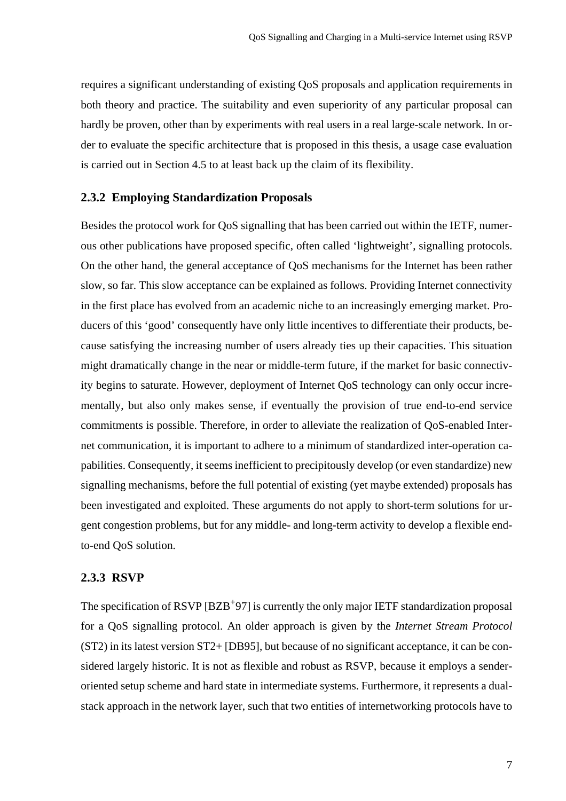<span id="page-20-0"></span>requires a significant understanding of existing QoS proposals and application requirements in both theory and practice. The suitability and even superiority of any particular proposal can hardly be proven, other than by experiments with real users in a real large-scale network. In order to evaluate the specific architecture that is proposed in this thesis, a usage case evaluation is carried out in [Section 4.5](#page-49-0) to at least back up the claim of its flexibility.

#### **2.3.2 Employing Standardization Proposals**

Besides the protocol work for QoS signalling that has been carried out within the IETF, numerous other publications have proposed specific, often called 'lightweight', signalling protocols. On the other hand, the general acceptance of QoS mechanisms for the Internet has been rather slow, so far. This slow acceptance can be explained as follows. Providing Internet connectivity in the first place has evolved from an academic niche to an increasingly emerging market. Producers of this 'good' consequently have only little incentives to differentiate their products, because satisfying the increasing number of users already ties up their capacities. This situation might dramatically change in the near or middle-term future, if the market for basic connectivity begins to saturate. However, deployment of Internet QoS technology can only occur incrementally, but also only makes sense, if eventually the provision of true end-to-end service commitments is possible. Therefore, in order to alleviate the realization of QoS-enabled Internet communication, it is important to adhere to a minimum of standardized inter-operation capabilities. Consequently, it seems inefficient to precipitously develop (or even standardize) new signalling mechanisms, before the full potential of existing (yet maybe extended) proposals has been investigated and exploited. These arguments do not apply to short-term solutions for urgent congestion problems, but for any middle- and long-term activity to develop a flexible endto-end QoS solution.

#### **2.3.3 RSVP**

The specification of RSVP [BZB<sup>+</sup>97] is currently the only major IETF standardization proposal for a QoS signalling protocol. An older approach is given by the *Internet Stream Protocol* (ST2) in its latest version ST2+ [DB95], but because of no significant acceptance, it can be considered largely historic. It is not as flexible and robust as RSVP, because it employs a senderoriented setup scheme and hard state in intermediate systems. Furthermore, it represents a dualstack approach in the network layer, such that two entities of internetworking protocols have to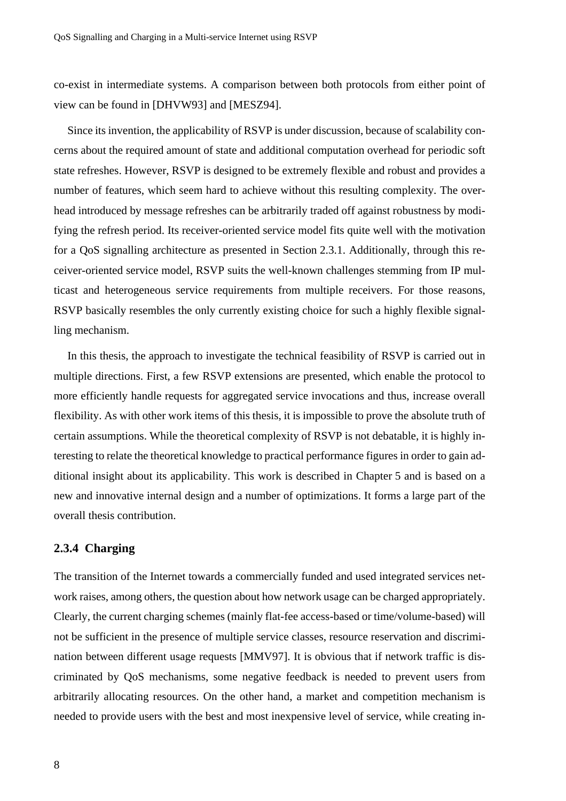<span id="page-21-0"></span>co-exist in intermediate systems. A comparison between both protocols from either point of view can be found in [DHVW93] and [MESZ94].

Since its invention, the applicability of RSVP is under discussion, because of scalability concerns about the required amount of state and additional computation overhead for periodic soft state refreshes. However, RSVP is designed to be extremely flexible and robust and provides a number of features, which seem hard to achieve without this resulting complexity. The overhead introduced by message refreshes can be arbitrarily traded off against robustness by modifying the refresh period. Its receiver-oriented service model fits quite well with the motivation for a QoS signalling architecture as presented in [Section 2.3.1](#page-19-0). Additionally, through this receiver-oriented service model, RSVP suits the well-known challenges stemming from IP multicast and heterogeneous service requirements from multiple receivers. For those reasons, RSVP basically resembles the only currently existing choice for such a highly flexible signalling mechanism.

In this thesis, the approach to investigate the technical feasibility of RSVP is carried out in multiple directions. First, a few RSVP extensions are presented, which enable the protocol to more efficiently handle requests for aggregated service invocations and thus, increase overall flexibility. As with other work items of this thesis, it is impossible to prove the absolute truth of certain assumptions. While the theoretical complexity of RSVP is not debatable, it is highly interesting to relate the theoretical knowledge to practical performance figures in order to gain additional insight about its applicability. This work is described in [Chapter 5](#page-54-0) and is based on a new and innovative internal design and a number of optimizations. It forms a large part of the overall thesis contribution.

#### **2.3.4 Charging**

The transition of the Internet towards a commercially funded and used integrated services network raises, among others, the question about how network usage can be charged appropriately. Clearly, the current charging schemes (mainly flat-fee access-based or time/volume-based) will not be sufficient in the presence of multiple service classes, resource reservation and discrimination between different usage requests [MMV97]. It is obvious that if network traffic is discriminated by QoS mechanisms, some negative feedback is needed to prevent users from arbitrarily allocating resources. On the other hand, a market and competition mechanism is needed to provide users with the best and most inexpensive level of service, while creating in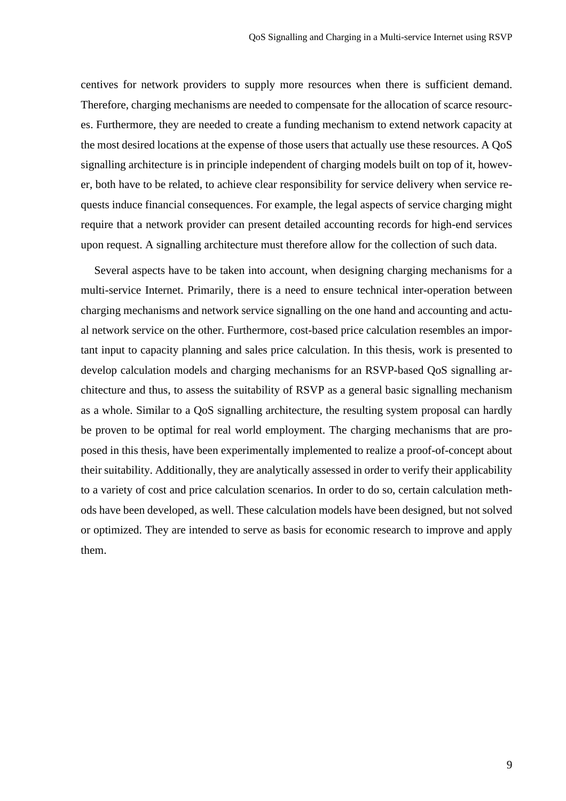centives for network providers to supply more resources when there is sufficient demand. Therefore, charging mechanisms are needed to compensate for the allocation of scarce resources. Furthermore, they are needed to create a funding mechanism to extend network capacity at the most desired locations at the expense of those users that actually use these resources. A QoS signalling architecture is in principle independent of charging models built on top of it, however, both have to be related, to achieve clear responsibility for service delivery when service requests induce financial consequences. For example, the legal aspects of service charging might require that a network provider can present detailed accounting records for high-end services upon request. A signalling architecture must therefore allow for the collection of such data.

Several aspects have to be taken into account, when designing charging mechanisms for a multi-service Internet. Primarily, there is a need to ensure technical inter-operation between charging mechanisms and network service signalling on the one hand and accounting and actual network service on the other. Furthermore, cost-based price calculation resembles an important input to capacity planning and sales price calculation. In this thesis, work is presented to develop calculation models and charging mechanisms for an RSVP-based QoS signalling architecture and thus, to assess the suitability of RSVP as a general basic signalling mechanism as a whole. Similar to a QoS signalling architecture, the resulting system proposal can hardly be proven to be optimal for real world employment. The charging mechanisms that are proposed in this thesis, have been experimentally implemented to realize a proof-of-concept about their suitability. Additionally, they are analytically assessed in order to verify their applicability to a variety of cost and price calculation scenarios. In order to do so, certain calculation methods have been developed, as well. These calculation models have been designed, but not solved or optimized. They are intended to serve as basis for economic research to improve and apply them.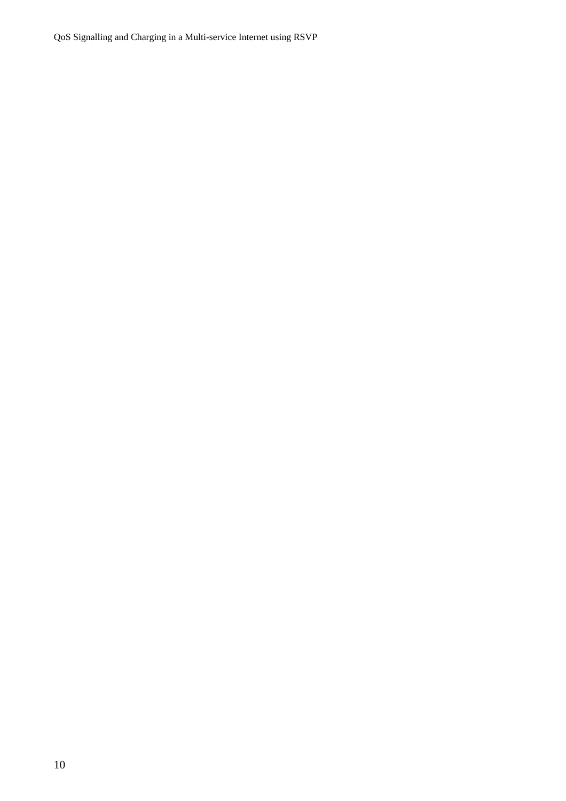[QoS Signalling and Charging in a Multi-service Internet using RSVP](#page-0-0)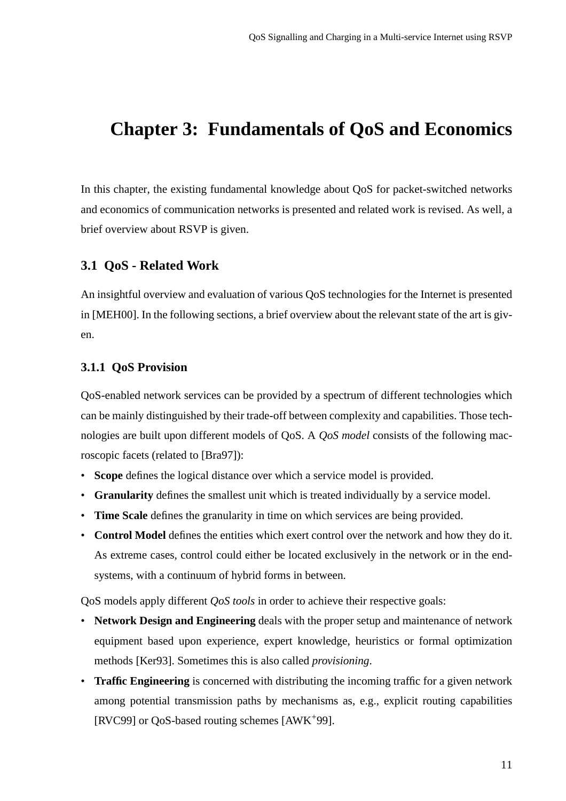## <span id="page-24-0"></span>**Chapter 3: Fundamentals of QoS and Economics**

In this chapter, the existing fundamental knowledge about QoS for packet-switched networks and economics of communication networks is presented and related work is revised. As well, a brief overview about RSVP is given.

#### **3.1 QoS - Related Work**

An insightful overview and evaluation of various QoS technologies for the Internet is presented in [MEH00]. In the following sections, a brief overview about the relevant state of the art is given.

#### **3.1.1 QoS Provision**

QoS-enabled network services can be provided by a spectrum of different technologies which can be mainly distinguished by their trade-off between complexity and capabilities. Those technologies are built upon different models of QoS. A *QoS model* consists of the following macroscopic facets (related to [Bra97]):

- **Scope** defines the logical distance over which a service model is provided.
- **Granularity** defines the smallest unit which is treated individually by a service model.
- **Time Scale** defines the granularity in time on which services are being provided.
- **Control Model** defines the entities which exert control over the network and how they do it. As extreme cases, control could either be located exclusively in the network or in the endsystems, with a continuum of hybrid forms in between.

QoS models apply different *QoS tools* in order to achieve their respective goals:

- **Network Design and Engineering** deals with the proper setup and maintenance of network equipment based upon experience, expert knowledge, heuristics or formal optimization methods [Ker93]. Sometimes this is also called *provisioning*.
- **Traffic Engineering** is concerned with distributing the incoming traffic for a given network among potential transmission paths by mechanisms as, e.g., explicit routing capabilities [RVC99] or QoS-based routing schemes [AWK+99].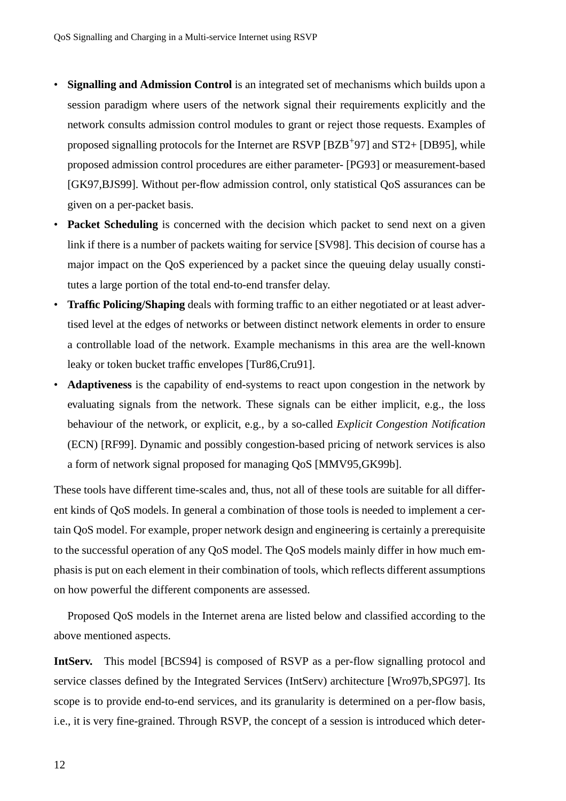- **Signalling and Admission Control** is an integrated set of mechanisms which builds upon a session paradigm where users of the network signal their requirements explicitly and the network consults admission control modules to grant or reject those requests. Examples of proposed signalling protocols for the Internet are RSVP  $[{\rm BZB}^{+97}]$  and  $ST2+$  [DB95], while proposed admission control procedures are either parameter- [PG93] or measurement-based [GK97,BJS99]. Without per-flow admission control, only statistical QoS assurances can be given on a per-packet basis.
- **Packet Scheduling** is concerned with the decision which packet to send next on a given link if there is a number of packets waiting for service [SV98]. This decision of course has a major impact on the QoS experienced by a packet since the queuing delay usually constitutes a large portion of the total end-to-end transfer delay.
- **Traffic Policing/Shaping** deals with forming traffic to an either negotiated or at least advertised level at the edges of networks or between distinct network elements in order to ensure a controllable load of the network. Example mechanisms in this area are the well-known leaky or token bucket traffic envelopes [Tur86,Cru91].
- **Adaptiveness** is the capability of end-systems to react upon congestion in the network by evaluating signals from the network. These signals can be either implicit, e.g., the loss behaviour of the network, or explicit, e.g., by a so-called *Explicit Congestion Notification* (ECN) [RF99]. Dynamic and possibly congestion-based pricing of network services is also a form of network signal proposed for managing QoS [MMV95,GK99b].

These tools have different time-scales and, thus, not all of these tools are suitable for all different kinds of QoS models. In general a combination of those tools is needed to implement a certain QoS model. For example, proper network design and engineering is certainly a prerequisite to the successful operation of any QoS model. The QoS models mainly differ in how much emphasis is put on each element in their combination of tools, which reflects different assumptions on how powerful the different components are assessed.

Proposed QoS models in the Internet arena are listed below and classified according to the above mentioned aspects.

**IntServ.** This model [BCS94] is composed of RSVP as a per-flow signalling protocol and service classes defined by the Integrated Services (IntServ) architecture [Wro97b,SPG97]. Its scope is to provide end-to-end services, and its granularity is determined on a per-flow basis, i.e., it is very fine-grained. Through RSVP, the concept of a session is introduced which deter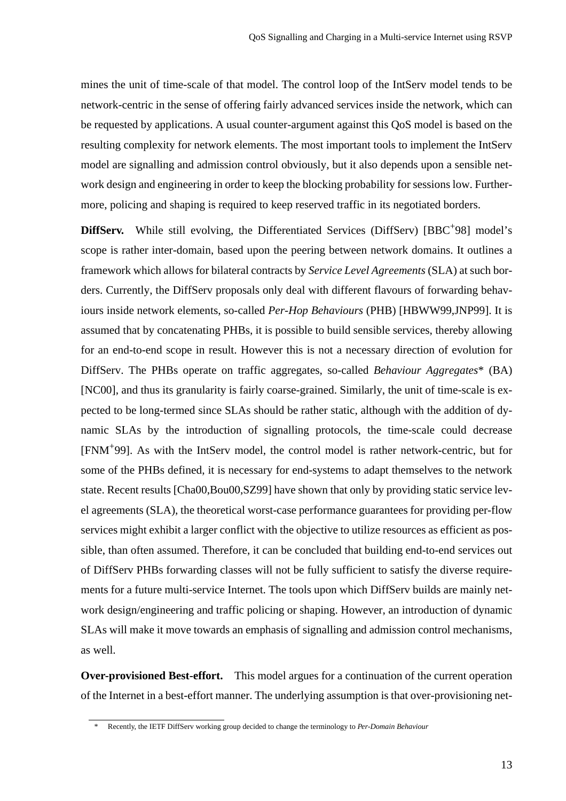mines the unit of time-scale of that model. The control loop of the IntServ model tends to be network-centric in the sense of offering fairly advanced services inside the network, which can be requested by applications. A usual counter-argument against this QoS model is based on the resulting complexity for network elements. The most important tools to implement the IntServ model are signalling and admission control obviously, but it also depends upon a sensible network design and engineering in order to keep the blocking probability for sessions low. Furthermore, policing and shaping is required to keep reserved traffic in its negotiated borders.

**DiffServ.** While still evolving, the Differentiated Services (DiffServ) [BBC<sup>+</sup>98] model's scope is rather inter-domain, based upon the peering between network domains. It outlines a framework which allows for bilateral contracts by *Service Level Agreements* (SLA) at such borders. Currently, the DiffServ proposals only deal with different flavours of forwarding behaviours inside network elements, so-called *Per-Hop Behaviours* (PHB) [HBWW99,JNP99]. It is assumed that by concatenating PHBs, it is possible to build sensible services, thereby allowing for an end-to-end scope in result. However this is not a necessary direction of evolution for DiffServ. The PHBs operate on traffic aggregates, so-called *Behaviour Aggregates*\* (BA) [NC00], and thus its granularity is fairly coarse-grained. Similarly, the unit of time-scale is expected to be long-termed since SLAs should be rather static, although with the addition of dynamic SLAs by the introduction of signalling protocols, the time-scale could decrease [FNM+99]. As with the IntServ model, the control model is rather network-centric, but for some of the PHBs defined, it is necessary for end-systems to adapt themselves to the network state. Recent results [Cha00,Bou00,SZ99] have shown that only by providing static service level agreements (SLA), the theoretical worst-case performance guarantees for providing per-flow services might exhibit a larger conflict with the objective to utilize resources as efficient as possible, than often assumed. Therefore, it can be concluded that building end-to-end services out of DiffServ PHBs forwarding classes will not be fully sufficient to satisfy the diverse requirements for a future multi-service Internet. The tools upon which DiffServ builds are mainly network design/engineering and traffic policing or shaping. However, an introduction of dynamic SLAs will make it move towards an emphasis of signalling and admission control mechanisms, as well.

**Over-provisioned Best-effort.** This model argues for a continuation of the current operation of the Internet in a best-effort manner. The underlying assumption is that over-provisioning net-

<sup>\*</sup> Recently, the IETF DiffServ working group decided to change the terminology to *Per-Domain Behaviour*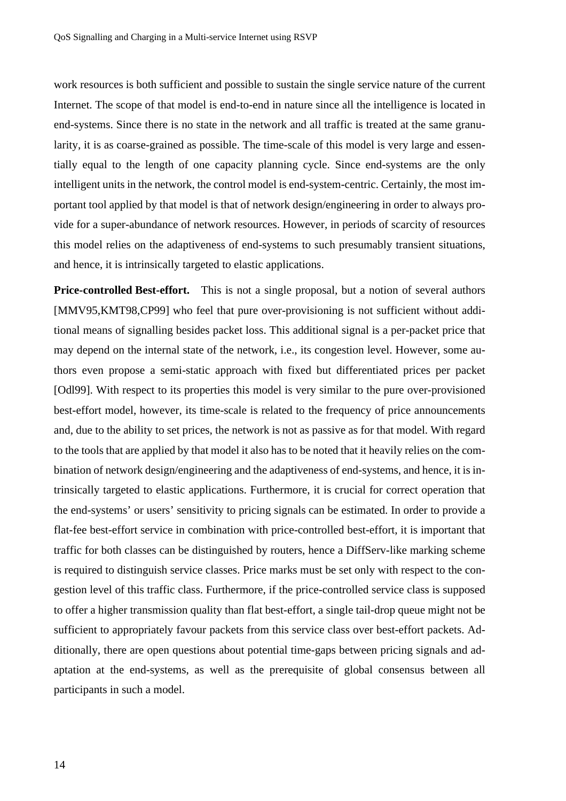work resources is both sufficient and possible to sustain the single service nature of the current Internet. The scope of that model is end-to-end in nature since all the intelligence is located in end-systems. Since there is no state in the network and all traffic is treated at the same granularity, it is as coarse-grained as possible. The time-scale of this model is very large and essentially equal to the length of one capacity planning cycle. Since end-systems are the only intelligent units in the network, the control model is end-system-centric. Certainly, the most important tool applied by that model is that of network design/engineering in order to always provide for a super-abundance of network resources. However, in periods of scarcity of resources this model relies on the adaptiveness of end-systems to such presumably transient situations, and hence, it is intrinsically targeted to elastic applications.

**Price-controlled Best-effort.** This is not a single proposal, but a notion of several authors [MMV95,KMT98,CP99] who feel that pure over-provisioning is not sufficient without additional means of signalling besides packet loss. This additional signal is a per-packet price that may depend on the internal state of the network, i.e., its congestion level. However, some authors even propose a semi-static approach with fixed but differentiated prices per packet [Odl99]. With respect to its properties this model is very similar to the pure over-provisioned best-effort model, however, its time-scale is related to the frequency of price announcements and, due to the ability to set prices, the network is not as passive as for that model. With regard to the tools that are applied by that model it also has to be noted that it heavily relies on the combination of network design/engineering and the adaptiveness of end-systems, and hence, it is intrinsically targeted to elastic applications. Furthermore, it is crucial for correct operation that the end-systems' or users' sensitivity to pricing signals can be estimated. In order to provide a flat-fee best-effort service in combination with price-controlled best-effort, it is important that traffic for both classes can be distinguished by routers, hence a DiffServ-like marking scheme is required to distinguish service classes. Price marks must be set only with respect to the congestion level of this traffic class. Furthermore, if the price-controlled service class is supposed to offer a higher transmission quality than flat best-effort, a single tail-drop queue might not be sufficient to appropriately favour packets from this service class over best-effort packets. Additionally, there are open questions about potential time-gaps between pricing signals and adaptation at the end-systems, as well as the prerequisite of global consensus between all participants in such a model.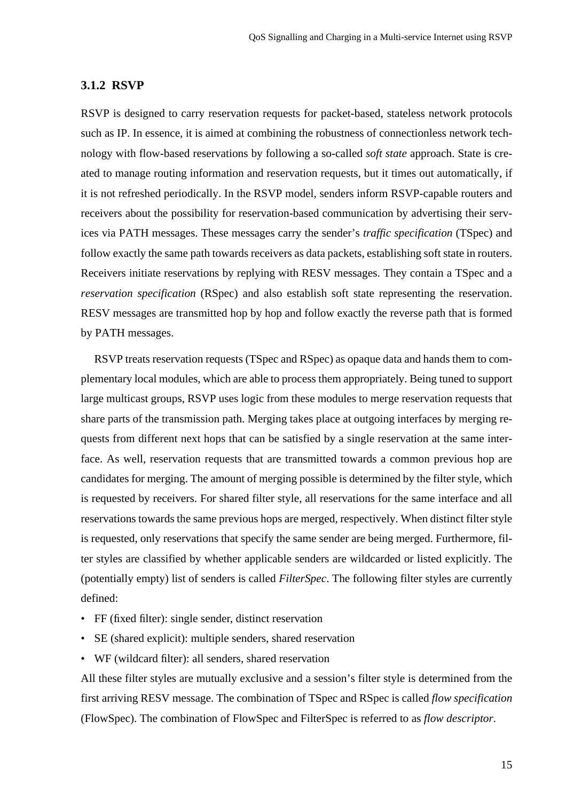#### <span id="page-28-0"></span>**3.1.2 RSVP**

RSVP is designed to carry reservation requests for packet-based, stateless network protocols such as IP. In essence, it is aimed at combining the robustness of connectionless network technology with flow-based reservations by following a so-called *soft state* approach. State is created to manage routing information and reservation requests, but it times out automatically, if it is not refreshed periodically. In the RSVP model, senders inform RSVP-capable routers and receivers about the possibility for reservation-based communication by advertising their services via PATH messages. These messages carry the sender's *traffic specification* (TSpec) and follow exactly the same path towards receivers as data packets, establishing soft state in routers. Receivers initiate reservations by replying with RESV messages. They contain a TSpec and a *reservation specification* (RSpec) and also establish soft state representing the reservation. RESV messages are transmitted hop by hop and follow exactly the reverse path that is formed by PATH messages.

RSVP treats reservation requests (TSpec and RSpec) as opaque data and hands them to complementary local modules, which are able to process them appropriately. Being tuned to support large multicast groups, RSVP uses logic from these modules to merge reservation requests that share parts of the transmission path. Merging takes place at outgoing interfaces by merging requests from different next hops that can be satisfied by a single reservation at the same interface. As well, reservation requests that are transmitted towards a common previous hop are candidates for merging. The amount of merging possible is determined by the filter style, which is requested by receivers. For shared filter style, all reservations for the same interface and all reservations towards the same previous hops are merged, respectively. When distinct filter style is requested, only reservations that specify the same sender are being merged. Furthermore, filter styles are classified by whether applicable senders are wildcarded or listed explicitly. The (potentially empty) list of senders is called *FilterSpec*. The following filter styles are currently defined:

- FF (fixed filter): single sender, distinct reservation
- SE (shared explicit): multiple senders, shared reservation
- WF (wildcard filter): all senders, shared reservation

All these filter styles are mutually exclusive and a session's filter style is determined from the first arriving RESV message. The combination of TSpec and RSpec is called *flow specification* (FlowSpec). The combination of FlowSpec and FilterSpec is referred to as *flow descriptor*.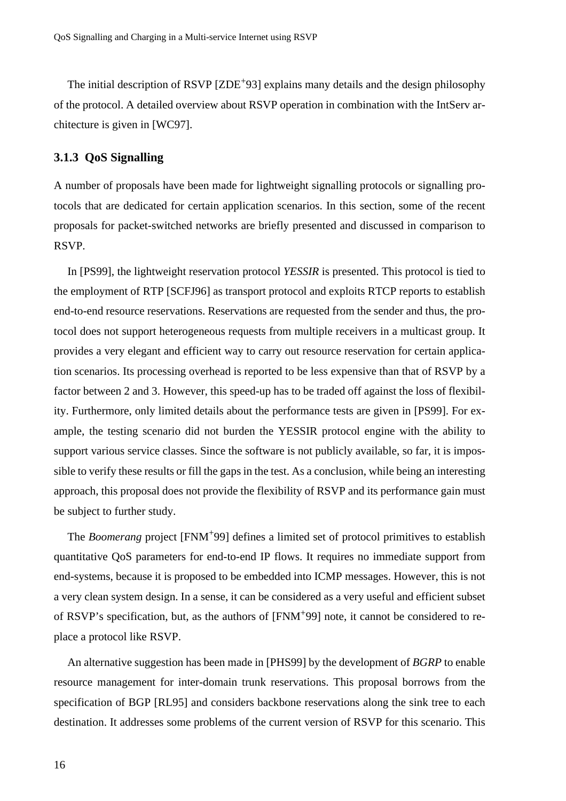<span id="page-29-0"></span>The initial description of RSVP [ZDE<sup>+</sup>93] explains many details and the design philosophy of the protocol. A detailed overview about RSVP operation in combination with the IntServ architecture is given in [WC97].

#### **3.1.3 QoS Signalling**

A number of proposals have been made for lightweight signalling protocols or signalling protocols that are dedicated for certain application scenarios. In this section, some of the recent proposals for packet-switched networks are briefly presented and discussed in comparison to RSVP.

In [PS99], the lightweight reservation protocol *YESSIR* is presented. This protocol is tied to the employment of RTP [SCFJ96] as transport protocol and exploits RTCP reports to establish end-to-end resource reservations. Reservations are requested from the sender and thus, the protocol does not support heterogeneous requests from multiple receivers in a multicast group. It provides a very elegant and efficient way to carry out resource reservation for certain application scenarios. Its processing overhead is reported to be less expensive than that of RSVP by a factor between 2 and 3. However, this speed-up has to be traded off against the loss of flexibility. Furthermore, only limited details about the performance tests are given in [PS99]. For example, the testing scenario did not burden the YESSIR protocol engine with the ability to support various service classes. Since the software is not publicly available, so far, it is impossible to verify these results or fill the gaps in the test. As a conclusion, while being an interesting approach, this proposal does not provide the flexibility of RSVP and its performance gain must be subject to further study.

The *Boomerang* project [FNM+99] defines a limited set of protocol primitives to establish quantitative QoS parameters for end-to-end IP flows. It requires no immediate support from end-systems, because it is proposed to be embedded into ICMP messages. However, this is not a very clean system design. In a sense, it can be considered as a very useful and efficient subset of RSVP's specification, but, as the authors of [FNM+99] note, it cannot be considered to replace a protocol like RSVP.

An alternative suggestion has been made in [PHS99] by the development of *BGRP* to enable resource management for inter-domain trunk reservations. This proposal borrows from the specification of BGP [RL95] and considers backbone reservations along the sink tree to each destination. It addresses some problems of the current version of RSVP for this scenario. This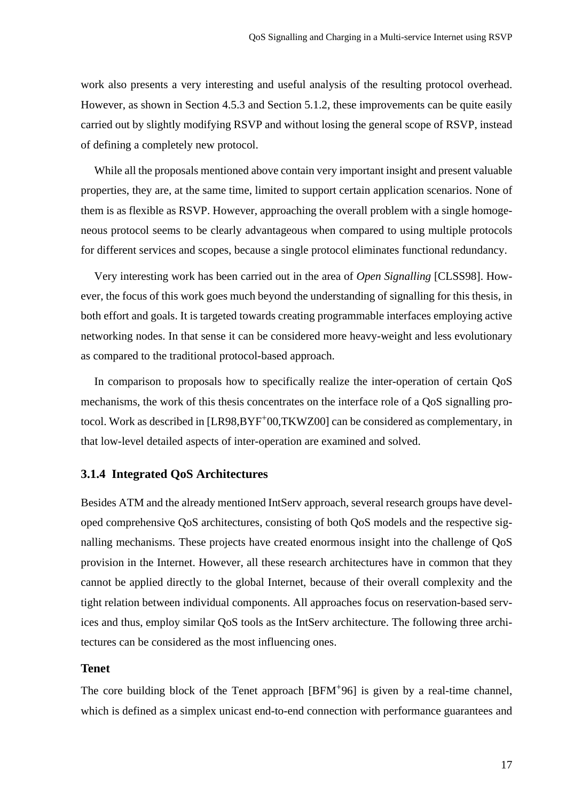<span id="page-30-0"></span>work also presents a very interesting and useful analysis of the resulting protocol overhead. However, as shown in [Section 4.5.3](#page-51-0) and [Section 5.1.2](#page-56-0), these improvements can be quite easily carried out by slightly modifying RSVP and without losing the general scope of RSVP, instead of defining a completely new protocol.

While all the proposals mentioned above contain very important insight and present valuable properties, they are, at the same time, limited to support certain application scenarios. None of them is as flexible as RSVP. However, approaching the overall problem with a single homogeneous protocol seems to be clearly advantageous when compared to using multiple protocols for different services and scopes, because a single protocol eliminates functional redundancy.

Very interesting work has been carried out in the area of *Open Signalling* [CLSS98]. However, the focus of this work goes much beyond the understanding of signalling for this thesis, in both effort and goals. It is targeted towards creating programmable interfaces employing active networking nodes. In that sense it can be considered more heavy-weight and less evolutionary as compared to the traditional protocol-based approach.

In comparison to proposals how to specifically realize the inter-operation of certain QoS mechanisms, the work of this thesis concentrates on the interface role of a QoS signalling protocol. Work as described in [LR98,BYF<sup>+</sup>00,TKWZ00] can be considered as complementary, in that low-level detailed aspects of inter-operation are examined and solved.

#### **3.1.4 Integrated QoS Architectures**

Besides ATM and the already mentioned IntServ approach, several research groups have developed comprehensive QoS architectures, consisting of both QoS models and the respective signalling mechanisms. These projects have created enormous insight into the challenge of QoS provision in the Internet. However, all these research architectures have in common that they cannot be applied directly to the global Internet, because of their overall complexity and the tight relation between individual components. All approaches focus on reservation-based services and thus, employ similar QoS tools as the IntServ architecture. The following three architectures can be considered as the most influencing ones.

#### **Tenet**

The core building block of the Tenet approach [BFM<sup>+</sup>96] is given by a real-time channel, which is defined as a simplex unicast end-to-end connection with performance guarantees and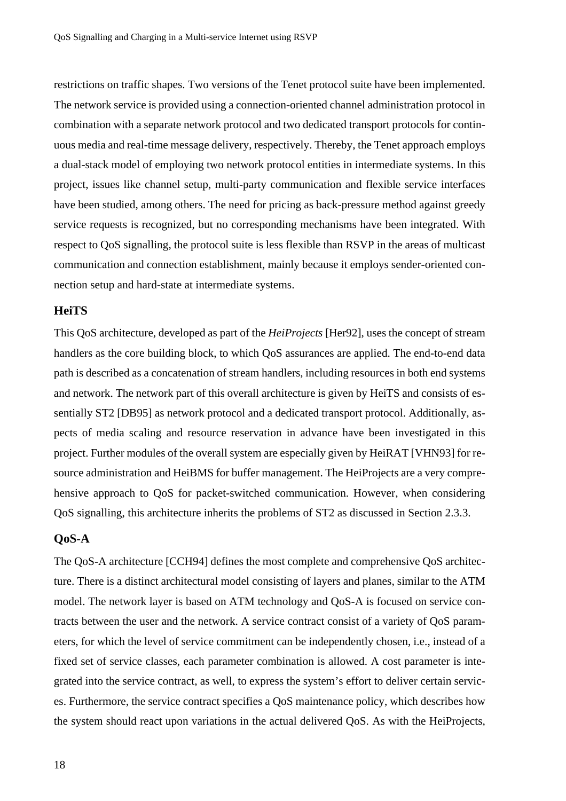restrictions on traffic shapes. Two versions of the Tenet protocol suite have been implemented. The network service is provided using a connection-oriented channel administration protocol in combination with a separate network protocol and two dedicated transport protocols for continuous media and real-time message delivery, respectively. Thereby, the Tenet approach employs a dual-stack model of employing two network protocol entities in intermediate systems. In this project, issues like channel setup, multi-party communication and flexible service interfaces have been studied, among others. The need for pricing as back-pressure method against greedy service requests is recognized, but no corresponding mechanisms have been integrated. With respect to QoS signalling, the protocol suite is less flexible than RSVP in the areas of multicast communication and connection establishment, mainly because it employs sender-oriented connection setup and hard-state at intermediate systems.

#### **HeiTS**

This QoS architecture, developed as part of the *HeiProjects* [Her92], uses the concept of stream handlers as the core building block, to which QoS assurances are applied. The end-to-end data path is described as a concatenation of stream handlers, including resources in both end systems and network. The network part of this overall architecture is given by HeiTS and consists of essentially ST2 [DB95] as network protocol and a dedicated transport protocol. Additionally, aspects of media scaling and resource reservation in advance have been investigated in this project. Further modules of the overall system are especially given by HeiRAT [VHN93] for resource administration and HeiBMS for buffer management. The HeiProjects are a very comprehensive approach to QoS for packet-switched communication. However, when considering QoS signalling, this architecture inherits the problems of ST2 as discussed in Se[ction 2.3.3.](#page-20-0)

#### **QoS-A**

The QoS-A architecture [CCH94] defines the most complete and comprehensive QoS architecture. There is a distinct architectural model consisting of layers and planes, similar to the ATM model. The network layer is based on ATM technology and QoS-A is focused on service contracts between the user and the network. A service contract consist of a variety of QoS parameters, for which the level of service commitment can be independently chosen, i.e., instead of a fixed set of service classes, each parameter combination is allowed. A cost parameter is integrated into the service contract, as well, to express the system's effort to deliver certain services. Furthermore, the service contract specifies a QoS maintenance policy, which describes how the system should react upon variations in the actual delivered QoS. As with the HeiProjects,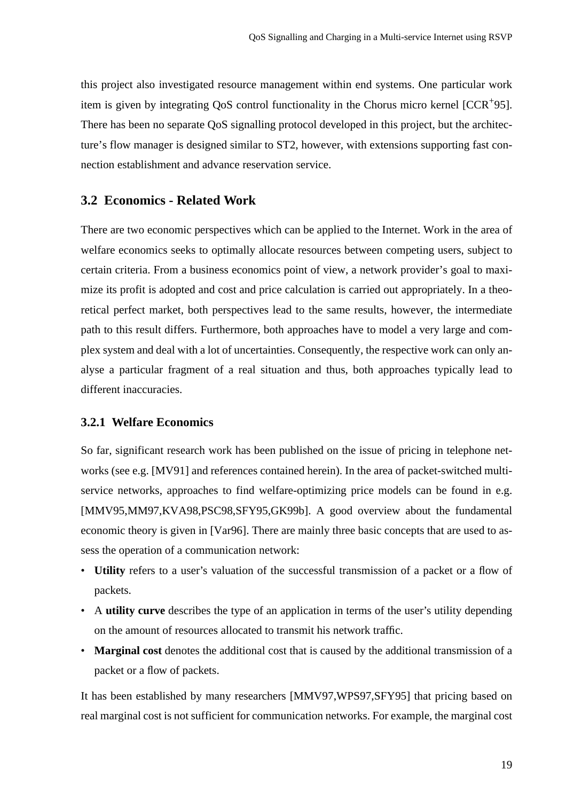<span id="page-32-0"></span>this project also investigated resource management within end systems. One particular work item is given by integrating QoS control functionality in the Chorus micro kernel [CCR+95]. There has been no separate QoS signalling protocol developed in this project, but the architecture's flow manager is designed similar to ST2, however, with extensions supporting fast connection establishment and advance reservation service.

#### **3.2 Economics - Related Work**

There are two economic perspectives which can be applied to the Internet. Work in the area of welfare economics seeks to optimally allocate resources between competing users, subject to certain criteria. From a business economics point of view, a network provider's goal to maximize its profit is adopted and cost and price calculation is carried out appropriately. In a theoretical perfect market, both perspectives lead to the same results, however, the intermediate path to this result differs. Furthermore, both approaches have to model a very large and complex system and deal with a lot of uncertainties. Consequently, the respective work can only analyse a particular fragment of a real situation and thus, both approaches typically lead to different inaccuracies.

#### **3.2.1 Welfare Economics**

So far, significant research work has been published on the issue of pricing in telephone networks (see e.g. [MV91] and references contained herein). In the area of packet-switched multiservice networks, approaches to find welfare-optimizing price models can be found in e.g. [MMV95,MM97,KVA98,PSC98,SFY95,GK99b]. A good overview about the fundamental economic theory is given in [Var96]. There are mainly three basic concepts that are used to assess the operation of a communication network:

- **Utility** refers to a user's valuation of the successful transmission of a packet or a flow of packets.
- A **utility curve** describes the type of an application in terms of the user's utility depending on the amount of resources allocated to transmit his network traffic.
- **Marginal cost** denotes the additional cost that is caused by the additional transmission of a packet or a flow of packets.

It has been established by many researchers [MMV97,WPS97,SFY95] that pricing based on real marginal cost is not sufficient for communication networks. For example, the marginal cost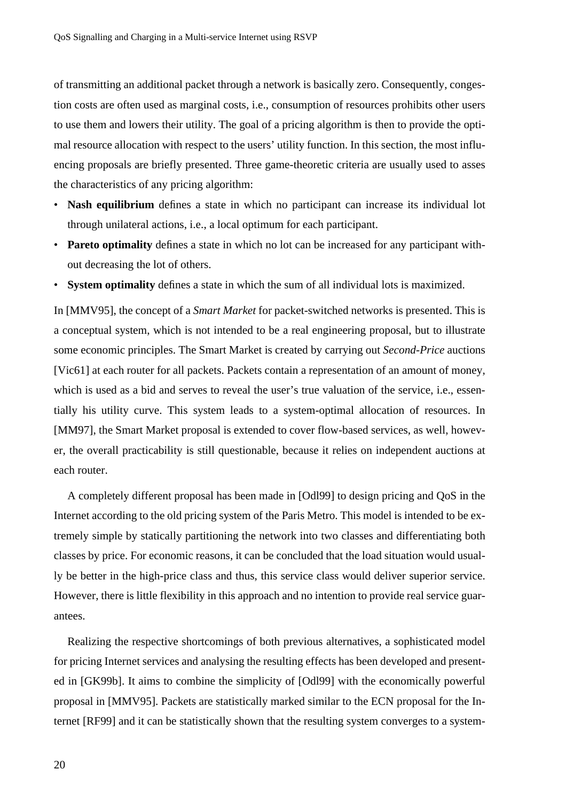of transmitting an additional packet through a network is basically zero. Consequently, congestion costs are often used as marginal costs, i.e., consumption of resources prohibits other users to use them and lowers their utility. The goal of a pricing algorithm is then to provide the optimal resource allocation with respect to the users' utility function. In this section, the most influencing proposals are briefly presented. Three game-theoretic criteria are usually used to asses the characteristics of any pricing algorithm:

- **Nash equilibrium** defines a state in which no participant can increase its individual lot through unilateral actions, i.e., a local optimum for each participant.
- **Pareto optimality** defines a state in which no lot can be increased for any participant without decreasing the lot of others.
- **System optimality** defines a state in which the sum of all individual lots is maximized.

In [MMV95], the concept of a *Smart Market* for packet-switched networks is presented. This is a conceptual system, which is not intended to be a real engineering proposal, but to illustrate some economic principles. The Smart Market is created by carrying out *Second-Price* auctions [Vic61] at each router for all packets. Packets contain a representation of an amount of money, which is used as a bid and serves to reveal the user's true valuation of the service, i.e., essentially his utility curve. This system leads to a system-optimal allocation of resources. In [MM97], the Smart Market proposal is extended to cover flow-based services, as well, however, the overall practicability is still questionable, because it relies on independent auctions at each router.

A completely different proposal has been made in [Odl99] to design pricing and QoS in the Internet according to the old pricing system of the Paris Metro. This model is intended to be extremely simple by statically partitioning the network into two classes and differentiating both classes by price. For economic reasons, it can be concluded that the load situation would usually be better in the high-price class and thus, this service class would deliver superior service. However, there is little flexibility in this approach and no intention to provide real service guarantees.

Realizing the respective shortcomings of both previous alternatives, a sophisticated model for pricing Internet services and analysing the resulting effects has been developed and presented in [GK99b]. It aims to combine the simplicity of [Odl99] with the economically powerful proposal in [MMV95]. Packets are statistically marked similar to the ECN proposal for the Internet [RF99] and it can be statistically shown that the resulting system converges to a system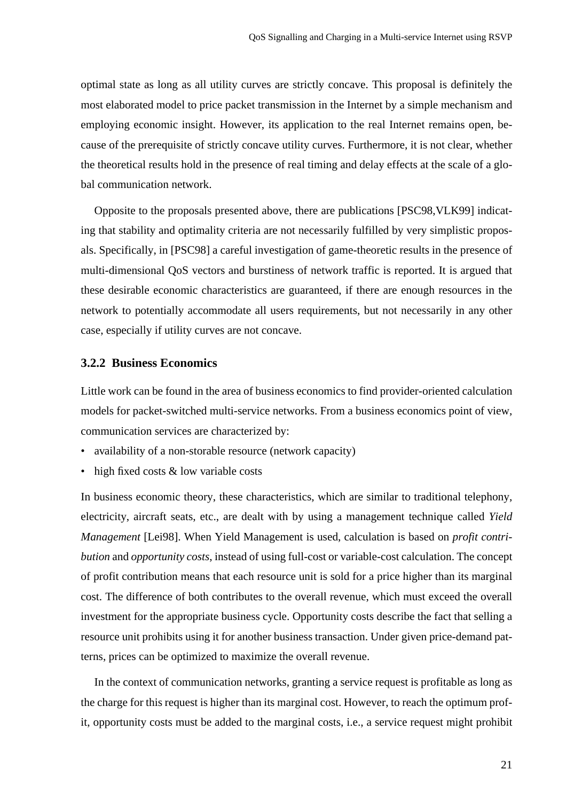<span id="page-34-0"></span>optimal state as long as all utility curves are strictly concave. This proposal is definitely the most elaborated model to price packet transmission in the Internet by a simple mechanism and employing economic insight. However, its application to the real Internet remains open, because of the prerequisite of strictly concave utility curves. Furthermore, it is not clear, whether the theoretical results hold in the presence of real timing and delay effects at the scale of a global communication network.

Opposite to the proposals presented above, there are publications [PSC98,VLK99] indicating that stability and optimality criteria are not necessarily fulfilled by very simplistic proposals. Specifically, in [PSC98] a careful investigation of game-theoretic results in the presence of multi-dimensional QoS vectors and burstiness of network traffic is reported. It is argued that these desirable economic characteristics are guaranteed, if there are enough resources in the network to potentially accommodate all users requirements, but not necessarily in any other case, especially if utility curves are not concave.

#### **3.2.2 Business Economics**

Little work can be found in the area of business economics to find provider-oriented calculation models for packet-switched multi-service networks. From a business economics point of view, communication services are characterized by:

- availability of a non-storable resource (network capacity)
- high fixed costs & low variable costs

In business economic theory, these characteristics, which are similar to traditional telephony, electricity, aircraft seats, etc., are dealt with by using a management technique called *Yield Management* [Lei98]. When Yield Management is used, calculation is based on *profit contribution* and *opportunity costs*, instead of using full-cost or variable-cost calculation. The concept of profit contribution means that each resource unit is sold for a price higher than its marginal cost. The difference of both contributes to the overall revenue, which must exceed the overall investment for the appropriate business cycle. Opportunity costs describe the fact that selling a resource unit prohibits using it for another business transaction. Under given price-demand patterns, prices can be optimized to maximize the overall revenue.

In the context of communication networks, granting a service request is profitable as long as the charge for this request is higher than its marginal cost. However, to reach the optimum profit, opportunity costs must be added to the marginal costs, i.e., a service request might prohibit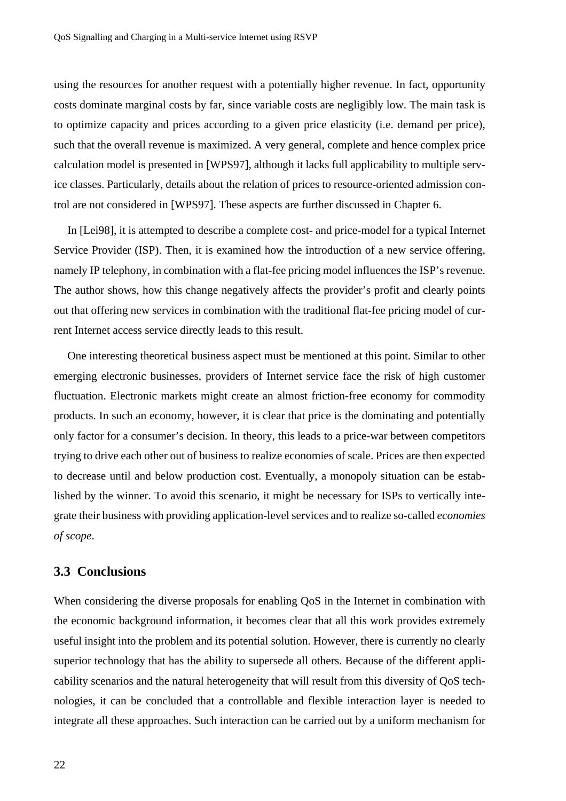<span id="page-35-0"></span>using the resources for another request with a potentially higher revenue. In fact, opportunity costs dominate marginal costs by far, since variable costs are negligibly low. The main task is to optimize capacity and prices according to a given price elasticity (i.e. demand per price), such that the overall revenue is maximized. A very general, complete and hence complex price calculation model is presented in [WPS97], although it lacks full applicability to multiple service classes. Particularly, details about the relation of prices to resource-oriented admission control are not considered in [WPS97]. These aspects are further discussed in Cha[pter 6.](#page-92-0)

In [Lei98], it is attempted to describe a complete cost- and price-model for a typical Internet Service Provider (ISP). Then, it is examined how the introduction of a new service offering, namely IP telephony, in combination with a flat-fee pricing model influences the ISP's revenue. The author shows, how this change negatively affects the provider's profit and clearly points out that offering new services in combination with the traditional flat-fee pricing model of current Internet access service directly leads to this result.

One interesting theoretical business aspect must be mentioned at this point. Similar to other emerging electronic businesses, providers of Internet service face the risk of high customer fluctuation. Electronic markets might create an almost friction-free economy for commodity products. In such an economy, however, it is clear that price is the dominating and potentially only factor for a consumer's decision. In theory, this leads to a price-war between competitors trying to drive each other out of business to realize economies of scale. Prices are then expected to decrease until and below production cost. Eventually, a monopoly situation can be established by the winner. To avoid this scenario, it might be necessary for ISPs to vertically integrate their business with providing application-level services and to realize so-called *economies of scope*.

#### **3.3 Conclusions**

When considering the diverse proposals for enabling QoS in the Internet in combination with the economic background information, it becomes clear that all this work provides extremely useful insight into the problem and its potential solution. However, there is currently no clearly superior technology that has the ability to supersede all others. Because of the different applicability scenarios and the natural heterogeneity that will result from this diversity of QoS technologies, it can be concluded that a controllable and flexible interaction layer is needed to integrate all these approaches. Such interaction can be carried out by a uniform mechanism for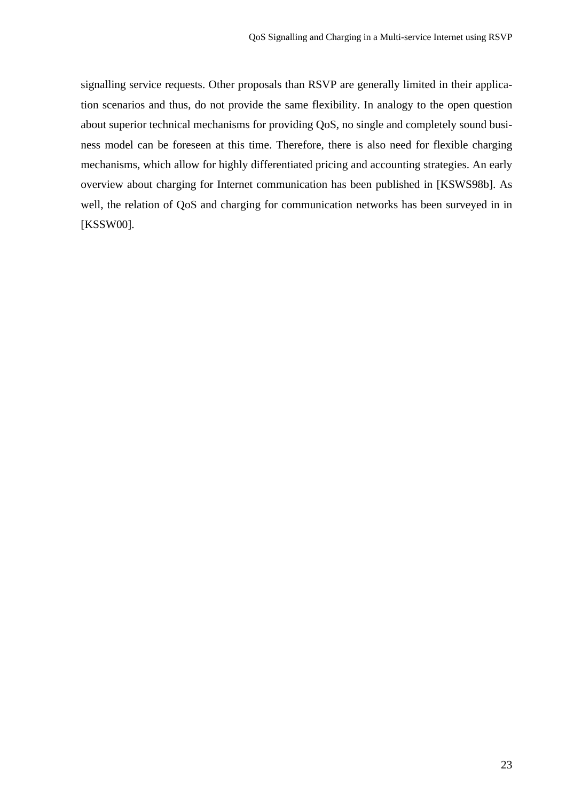signalling service requests. Other proposals than RSVP are generally limited in their application scenarios and thus, do not provide the same flexibility. In analogy to the open question about superior technical mechanisms for providing QoS, no single and completely sound business model can be foreseen at this time. Therefore, there is also need for flexible charging mechanisms, which allow for highly differentiated pricing and accounting strategies. An early overview about charging for Internet communication has been published in [KSWS98b]. As well, the relation of QoS and charging for communication networks has been surveyed in in [KSSW00].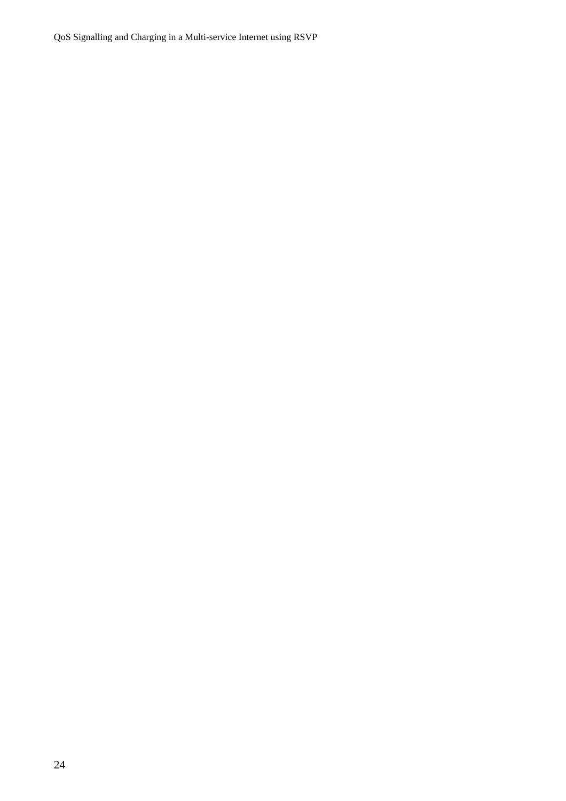[QoS Signalling and Charging in a Multi-service Internet using RSVP](#page-0-0)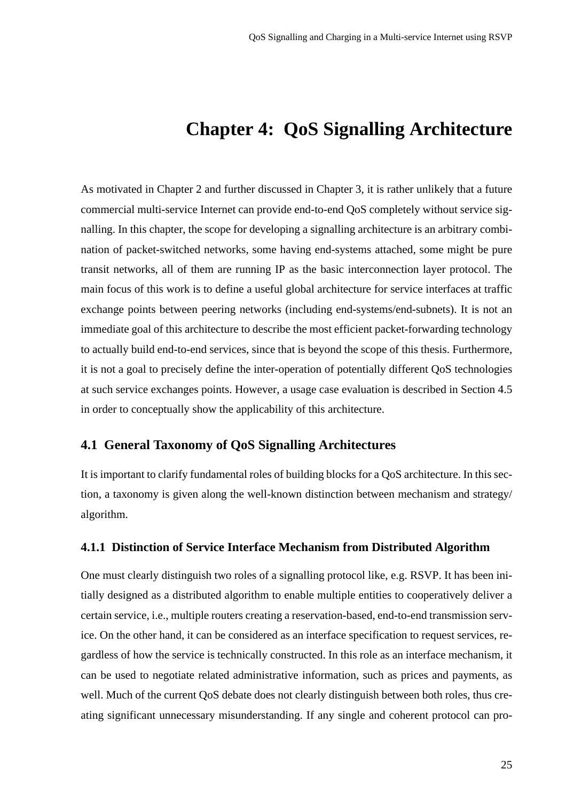# **Chapter 4: QoS Signalling Architecture**

<span id="page-38-0"></span>As motivated in [Chapter 2](#page-16-0) and further discussed in [Chapter 3,](#page-24-0) it is rather unlikely that a future commercial multi-service Internet can provide end-to-end QoS completely without service signalling. In this chapter, the scope for developing a signalling architecture is an arbitrary combination of packet-switched networks, some having end-systems attached, some might be pure transit networks, all of them are running IP as the basic interconnection layer protocol. The main focus of this work is to define a useful global architecture for service interfaces at traffic exchange points between peering networks (including end-systems/end-subnets). It is not an immediate goal of this architecture to describe the most efficient packet-forwarding technology to actually build end-to-end services, since that is beyond the scope of this thesis. Furthermore, it is not a goal to precisely define the inter-operation of potentially different QoS technologies at such service exchanges points. However, a usage case evaluation is described in [Section 4.5](#page-49-0) in order to conceptually show the applicability of this architecture.

## **4.1 General Taxonomy of QoS Signalling Architectures**

It is important to clarify fundamental roles of building blocks for a QoS architecture. In this section, a taxonomy is given along the well-known distinction between mechanism and strategy/ algorithm.

## **4.1.1 Distinction of Service Interface Mechanism from Distributed Algorithm**

One must clearly distinguish two roles of a signalling protocol like, e.g. RSVP. It has been initially designed as a distributed algorithm to enable multiple entities to cooperatively deliver a certain service, i.e., multiple routers creating a reservation-based, end-to-end transmission service. On the other hand, it can be considered as an interface specification to request services, regardless of how the service is technically constructed. In this role as an interface mechanism, it can be used to negotiate related administrative information, such as prices and payments, as well. Much of the current QoS debate does not clearly distinguish between both roles, thus creating significant unnecessary misunderstanding. If any single and coherent protocol can pro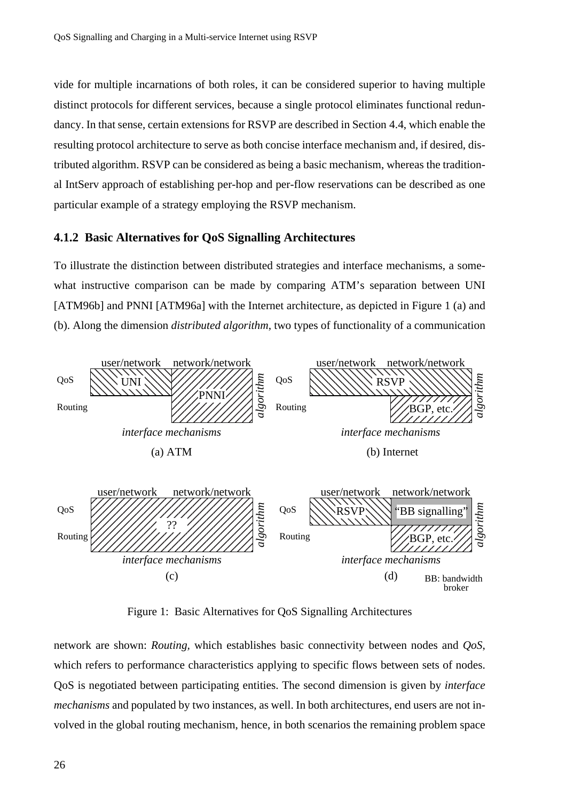<span id="page-39-0"></span>vide for multiple incarnations of both roles, it can be considered superior to having multiple distinct protocols for different services, because a single protocol eliminates functional redundancy. In that sense, certain extensions for RSVP are described in [Section 4.4,](#page-44-0) which enable the resulting protocol architecture to serve as both concise interface mechanism and, if desired, distributed algorithm. RSVP can be considered as being a basic mechanism, whereas the traditional IntServ approach of establishing per-hop and per-flow reservations can be described as one particular example of a strategy employing the RSVP mechanism.

## **4.1.2 Basic Alternatives for QoS Signalling Architectures**

To illustrate the distinction between distributed strategies and interface mechanisms, a somewhat instructive comparison can be made by comparing ATM's separation between UNI [ATM96b] and PNNI [ATM96a] with the Internet architecture, as depicted in Figure 1 (a) and (b). Along the dimension *distributed algorithm*, two types of functionality of a communication



Figure 1: Basic Alternatives for QoS Signalling Architectures

network are shown: *Routing,* which establishes basic connectivity between nodes and *QoS*, which refers to performance characteristics applying to specific flows between sets of nodes. QoS is negotiated between participating entities. The second dimension is given by *interface mechanisms* and populated by two instances, as well. In both architectures, end users are not involved in the global routing mechanism, hence, in both scenarios the remaining problem space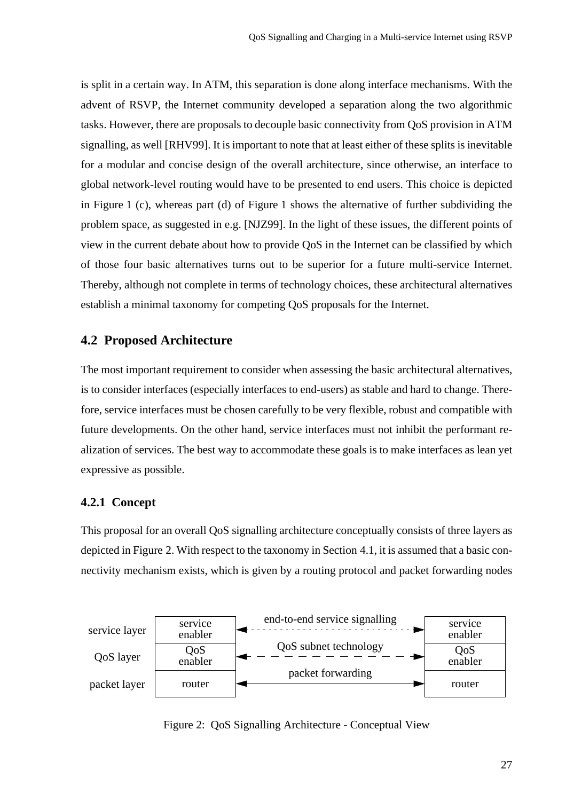is split in a certain way. In ATM, this separation is done along interface mechanisms. With the advent of RSVP, the Internet community developed a separation along the two algorithmic tasks. However, there are proposals to decouple basic connectivity from QoS provision in ATM signalling, as well [RHV99]. It is important to note that at least either of these splits is inevitable for a modular and concise design of the overall architecture, since otherwise, an interface to global network-level routing would have to be presented to end users. This choice is depicted in [Figure 1](#page-39-0) (c), whereas part (d) of [Figure 1](#page-39-0) shows the alternative of further subdividing the problem space, as suggested in e.g. [NJZ99]. In the light of these issues, the different points of view in the current debate about how to provide QoS in the Internet can be classified by which of those four basic alternatives turns out to be superior for a future multi-service Internet. Thereby, although not complete in terms of technology choices, these architectural alternatives establish a minimal taxonomy for competing QoS proposals for the Internet.

## **4.2 Proposed Architecture**

The most important requirement to consider when assessing the basic architectural alternatives, is to consider interfaces (especially interfaces to end-users) as stable and hard to change. Therefore, service interfaces must be chosen carefully to be very flexible, robust and compatible with future developments. On the other hand, service interfaces must not inhibit the performant realization of services. The best way to accommodate these goals is to make interfaces as lean yet expressive as possible.

## **4.2.1 Concept**

This proposal for an overall QoS signalling architecture conceptually consists of three layers as depicted in Figure 2. With respect to the taxonomy in [Section 4.1](#page-38-0), it is assumed that a basic connectivity mechanism exists, which is given by a routing protocol and packet forwarding nodes



Figure 2: QoS Signalling Architecture - Conceptual View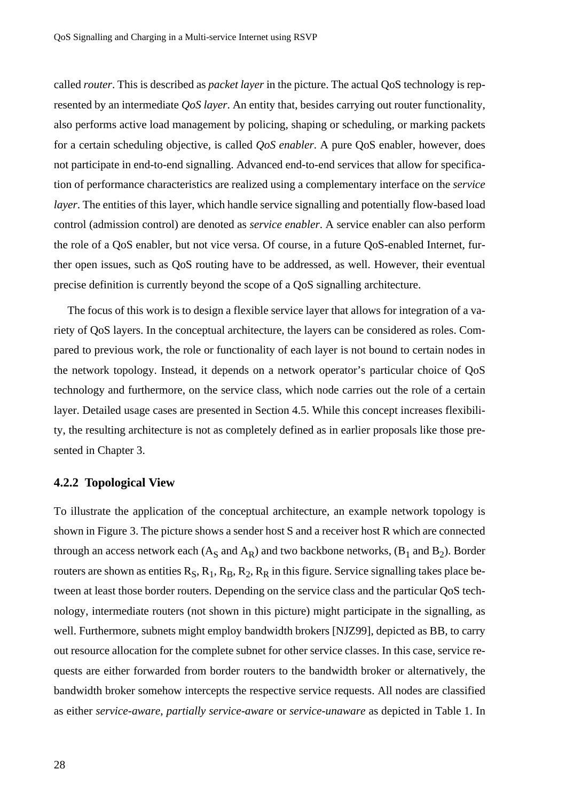called *router*. This is described as *packet layer* in the picture. The actual QoS technology is represented by an intermediate *QoS layer*. An entity that, besides carrying out router functionality, also performs active load management by policing, shaping or scheduling, or marking packets for a certain scheduling objective, is called *QoS enabler*. A pure QoS enabler, however, does not participate in end-to-end signalling. Advanced end-to-end services that allow for specification of performance characteristics are realized using a complementary interface on the *service layer*. The entities of this layer, which handle service signalling and potentially flow-based load control (admission control) are denoted as *service enabler*. A service enabler can also perform the role of a QoS enabler, but not vice versa. Of course, in a future QoS-enabled Internet, further open issues, such as QoS routing have to be addressed, as well. However, their eventual precise definition is currently beyond the scope of a QoS signalling architecture.

The focus of this work is to design a flexible service layer that allows for integration of a variety of QoS layers. In the conceptual architecture, the layers can be considered as roles. Compared to previous work, the role or functionality of each layer is not bound to certain nodes in the network topology. Instead, it depends on a network operator's particular choice of QoS technology and furthermore, on the service class, which node carries out the role of a certain layer. Detailed usage cases are presented in [Section 4.5.](#page-49-0) While this concept increases flexibility, the resulting architecture is not as completely defined as in earlier proposals like those presented in [Chapter 3.](#page-24-0)

#### **4.2.2 Topological View**

To illustrate the application of the conceptual architecture, an example network topology is shown in [Figure 3](#page-42-0). The picture shows a sender host S and a receiver host R which are connected through an access network each  $(A_S \text{ and } A_R)$  and two backbone networks,  $(B_1 \text{ and } B_2)$ . Border routers are shown as entities  $R_S$ ,  $R_1$ ,  $R_B$ ,  $R_2$ ,  $R_R$  in this figure. Service signalling takes place between at least those border routers. Depending on the service class and the particular QoS technology, intermediate routers (not shown in this picture) might participate in the signalling, as well. Furthermore, subnets might employ bandwidth brokers [NJZ99], depicted as BB, to carry out resource allocation for the complete subnet for other service classes. In this case, service requests are either forwarded from border routers to the bandwidth broker or alternatively, the bandwidth broker somehow intercepts the respective service requests. All nodes are classified as either *service-aware*, *partially service-aware* or *service-unaware* as depicted in [Table 1.](#page-42-0) In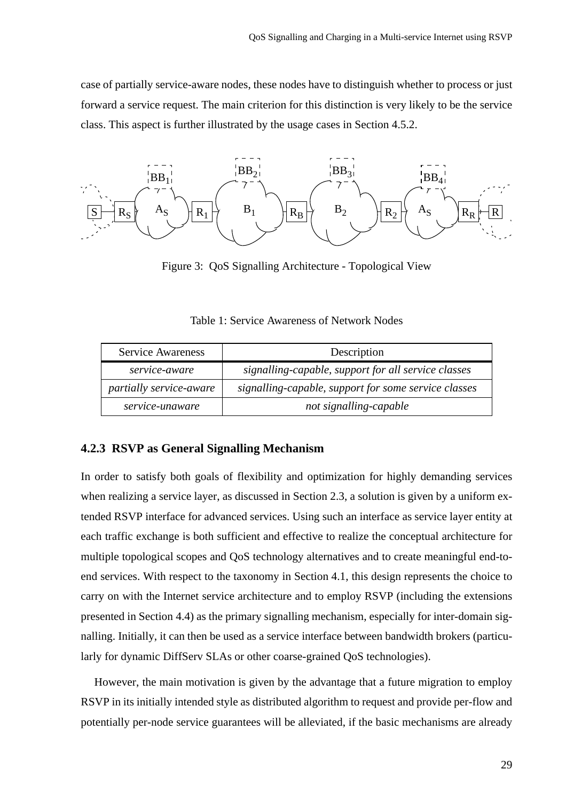<span id="page-42-0"></span>case of partially service-aware nodes, these nodes have to distinguish whether to process or just forward a service request. The main criterion for this distinction is very likely to be the service class. This aspect is further illustrated by the usage cases in Sec[tion 4.5.2.](#page-50-0)



Figure 3: QoS Signalling Architecture - Topological View

Table 1: Service Awareness of Network Nodes

| <b>Service Awareness</b> | Description                                          |
|--------------------------|------------------------------------------------------|
| service-aware            | signalling-capable, support for all service classes  |
| partially service-aware  | signalling-capable, support for some service classes |
| service-unaware          | not signalling-capable                               |

## **4.2.3 RSVP as General Signalling Mechanism**

In order to satisfy both goals of flexibility and optimization for highly demanding services when realizing a service layer, as discussed in [Section 2.3,](#page-19-0) a solution is given by a uniform extended RSVP interface for advanced services. Using such an interface as service layer entity at each traffic exchange is both sufficient and effective to realize the conceptual architecture for multiple topological scopes and QoS technology alternatives and to create meaningful end-toend services. With respect to the taxonomy in [Section 4.1](#page-38-0), this design represents the choice to carry on with the Internet service architecture and to employ RSVP (including the extensions presented in [Section 4.4\)](#page-44-0) as the primary signalling mechanism, especially for inter-domain signalling. Initially, it can then be used as a service interface between bandwidth brokers (particularly for dynamic DiffServ SLAs or other coarse-grained QoS technologies).

However, the main motivation is given by the advantage that a future migration to employ RSVP in its initially intended style as distributed algorithm to request and provide per-flow and potentially per-node service guarantees will be alleviated, if the basic mechanisms are already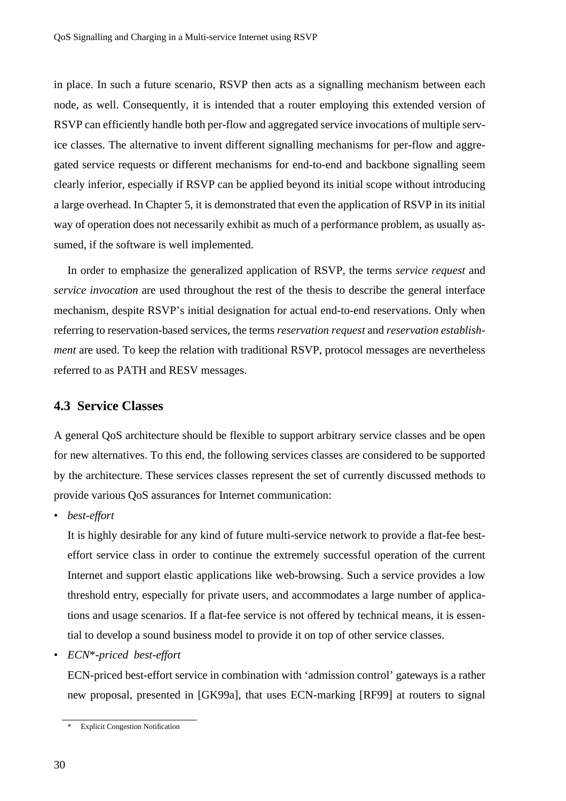in place. In such a future scenario, RSVP then acts as a signalling mechanism between each node, as well. Consequently, it is intended that a router employing this extended version of RSVP can efficiently handle both per-flow and aggregated service invocations of multiple service classes. The alternative to invent different signalling mechanisms for per-flow and aggregated service requests or different mechanisms for end-to-end and backbone signalling seem clearly inferior, especially if RSVP can be applied beyond its initial scope without introducing a large overhead. In [Chapter 5](#page-54-0), it is demonstrated that even the application of RSVP in its initial way of operation does not necessarily exhibit as much of a performance problem, as usually assumed, if the software is well implemented.

In order to emphasize the generalized application of RSVP, the terms *service request* and *service invocation* are used throughout the rest of the thesis to describe the general interface mechanism, despite RSVP's initial designation for actual end-to-end reservations. Only when referring to reservation-based services, the terms *reservation request* and *reservation establishment* are used. To keep the relation with traditional RSVP, protocol messages are nevertheless referred to as PATH and RESV messages.

## **4.3 Service Classes**

A general QoS architecture should be flexible to support arbitrary service classes and be open for new alternatives. To this end, the following services classes are considered to be supported by the architecture. These services classes represent the set of currently discussed methods to provide various QoS assurances for Internet communication:

• *best-effort*

It is highly desirable for any kind of future multi-service network to provide a flat-fee besteffort service class in order to continue the extremely successful operation of the current Internet and support elastic applications like web-browsing. Such a service provides a low threshold entry, especially for private users, and accommodates a large number of applications and usage scenarios. If a flat-fee service is not offered by technical means, it is essential to develop a sound business model to provide it on top of other service classes.

• *ECN*\**-priced best-effort*

ECN-priced best-effort service in combination with 'admission control' gateways is a rather new proposal, presented in [GK99a], that uses ECN-marking [RF99] at routers to signal

**Explicit Congestion Notification**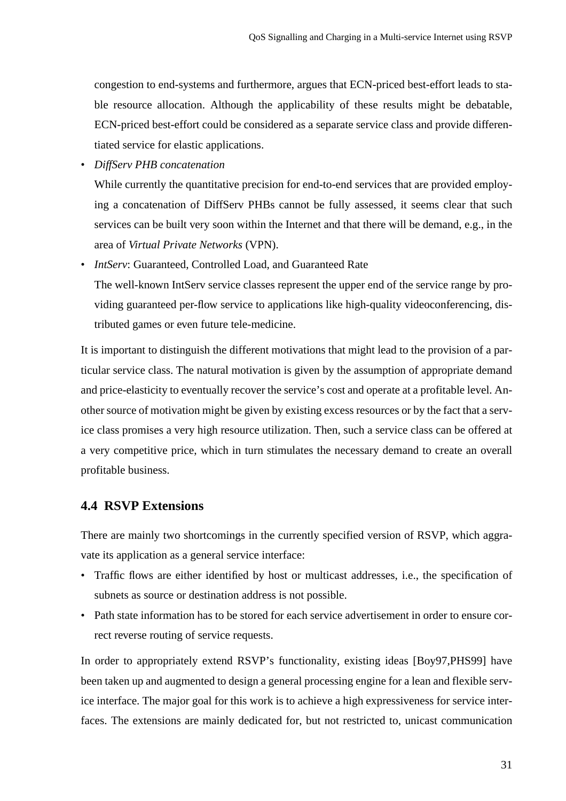<span id="page-44-0"></span>congestion to end-systems and furthermore, argues that ECN-priced best-effort leads to stable resource allocation. Although the applicability of these results might be debatable, ECN-priced best-effort could be considered as a separate service class and provide differentiated service for elastic applications.

• *DiffServ PHB concatenation*

While currently the quantitative precision for end-to-end services that are provided employing a concatenation of DiffServ PHBs cannot be fully assessed, it seems clear that such services can be built very soon within the Internet and that there will be demand, e.g., in the area of *Virtual Private Networks* (VPN).

• *IntServ*: Guaranteed, Controlled Load, and Guaranteed Rate The well-known IntServ service classes represent the upper end of the service range by providing guaranteed per-flow service to applications like high-quality videoconferencing, distributed games or even future tele-medicine.

It is important to distinguish the different motivations that might lead to the provision of a particular service class. The natural motivation is given by the assumption of appropriate demand and price-elasticity to eventually recover the service's cost and operate at a profitable level. Another source of motivation might be given by existing excess resources or by the fact that a service class promises a very high resource utilization. Then, such a service class can be offered at a very competitive price, which in turn stimulates the necessary demand to create an overall profitable business.

## **4.4 RSVP Extensions**

There are mainly two shortcomings in the currently specified version of RSVP, which aggravate its application as a general service interface:

- Traffic flows are either identified by host or multicast addresses, i.e., the specification of subnets as source or destination address is not possible.
- Path state information has to be stored for each service advertisement in order to ensure correct reverse routing of service requests.

In order to appropriately extend RSVP's functionality, existing ideas [Boy97,PHS99] have been taken up and augmented to design a general processing engine for a lean and flexible service interface. The major goal for this work is to achieve a high expressiveness for service interfaces. The extensions are mainly dedicated for, but not restricted to, unicast communication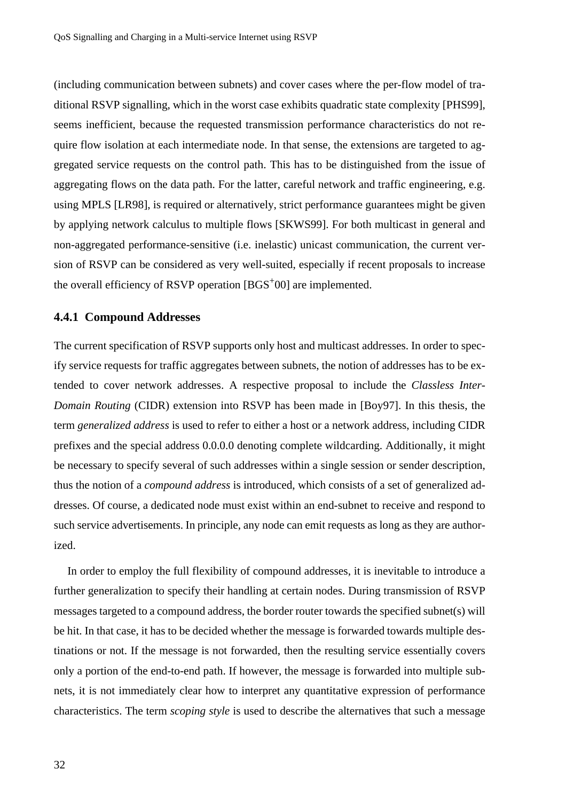<span id="page-45-0"></span>(including communication between subnets) and cover cases where the per-flow model of traditional RSVP signalling, which in the worst case exhibits quadratic state complexity [PHS99], seems inefficient, because the requested transmission performance characteristics do not require flow isolation at each intermediate node. In that sense, the extensions are targeted to aggregated service requests on the control path. This has to be distinguished from the issue of aggregating flows on the data path. For the latter, careful network and traffic engineering, e.g. using MPLS [LR98], is required or alternatively, strict performance guarantees might be given by applying network calculus to multiple flows [SKWS99]. For both multicast in general and non-aggregated performance-sensitive (i.e. inelastic) unicast communication, the current version of RSVP can be considered as very well-suited, especially if recent proposals to increase the overall efficiency of RSVP operation  $[BGS^+00]$  are implemented.

## **4.4.1 Compound Addresses**

The current specification of RSVP supports only host and multicast addresses. In order to specify service requests for traffic aggregates between subnets, the notion of addresses has to be extended to cover network addresses. A respective proposal to include the *Classless Inter-Domain Routing* (CIDR) extension into RSVP has been made in [Boy97]. In this thesis, the term *generalized address* is used to refer to either a host or a network address, including CIDR prefixes and the special address 0.0.0.0 denoting complete wildcarding. Additionally, it might be necessary to specify several of such addresses within a single session or sender description, thus the notion of a *compound address* is introduced, which consists of a set of generalized addresses. Of course, a dedicated node must exist within an end-subnet to receive and respond to such service advertisements. In principle, any node can emit requests as long as they are authorized.

In order to employ the full flexibility of compound addresses, it is inevitable to introduce a further generalization to specify their handling at certain nodes. During transmission of RSVP messages targeted to a compound address, the border router towards the specified subnet(s) will be hit. In that case, it has to be decided whether the message is forwarded towards multiple destinations or not. If the message is not forwarded, then the resulting service essentially covers only a portion of the end-to-end path. If however, the message is forwarded into multiple subnets, it is not immediately clear how to interpret any quantitative expression of performance characteristics. The term *scoping style* is used to describe the alternatives that such a message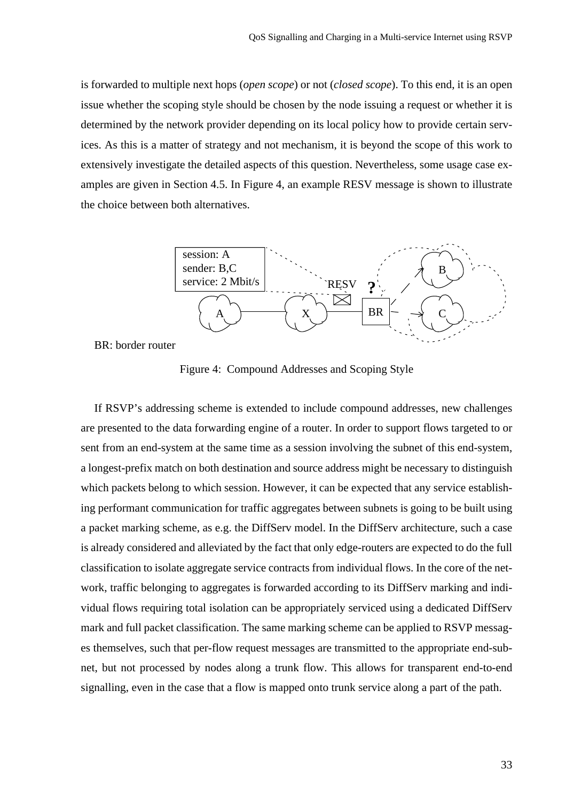is forwarded to multiple next hops (*open scope*) or not (*closed scope*). To this end, it is an open issue whether the scoping style should be chosen by the node issuing a request or whether it is determined by the network provider depending on its local policy how to provide certain services. As this is a matter of strategy and not mechanism, it is beyond the scope of this work to extensively investigate the detailed aspects of this question. Nevertheless, some usage case examples are given in [Section 4.5](#page-49-0). In Figure 4, an example RESV message is shown to illustrate the choice between both alternatives.



BR: border router

Figure 4: Compound Addresses and Scoping Style

If RSVP's addressing scheme is extended to include compound addresses, new challenges are presented to the data forwarding engine of a router. In order to support flows targeted to or sent from an end-system at the same time as a session involving the subnet of this end-system, a longest-prefix match on both destination and source address might be necessary to distinguish which packets belong to which session. However, it can be expected that any service establishing performant communication for traffic aggregates between subnets is going to be built using a packet marking scheme, as e.g. the DiffServ model. In the DiffServ architecture, such a case is already considered and alleviated by the fact that only edge-routers are expected to do the full classification to isolate aggregate service contracts from individual flows. In the core of the network, traffic belonging to aggregates is forwarded according to its DiffServ marking and individual flows requiring total isolation can be appropriately serviced using a dedicated DiffServ mark and full packet classification. The same marking scheme can be applied to RSVP messages themselves, such that per-flow request messages are transmitted to the appropriate end-subnet, but not processed by nodes along a trunk flow. This allows for transparent end-to-end signalling, even in the case that a flow is mapped onto trunk service along a part of the path.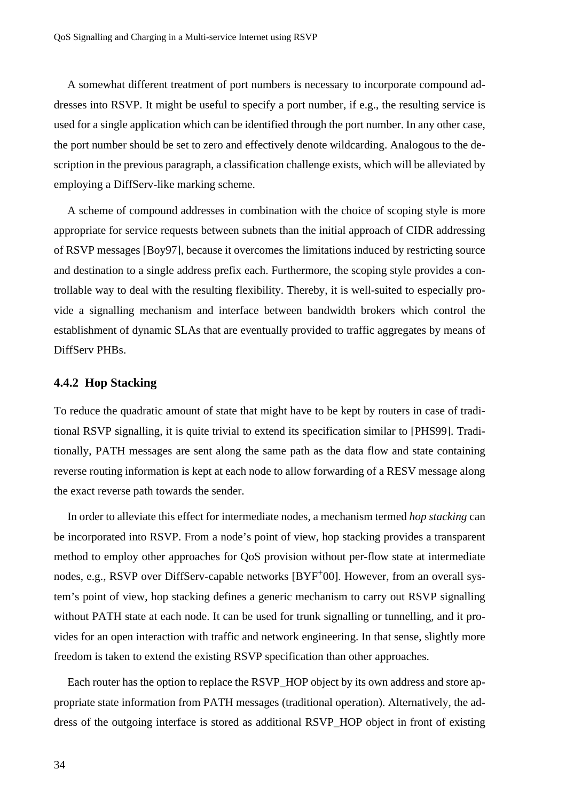A somewhat different treatment of port numbers is necessary to incorporate compound addresses into RSVP. It might be useful to specify a port number, if e.g., the resulting service is used for a single application which can be identified through the port number. In any other case, the port number should be set to zero and effectively denote wildcarding. Analogous to the description in the previous paragraph, a classification challenge exists, which will be alleviated by employing a DiffServ-like marking scheme.

A scheme of compound addresses in combination with the choice of scoping style is more appropriate for service requests between subnets than the initial approach of CIDR addressing of RSVP messages [Boy97], because it overcomes the limitations induced by restricting source and destination to a single address prefix each. Furthermore, the scoping style provides a controllable way to deal with the resulting flexibility. Thereby, it is well-suited to especially provide a signalling mechanism and interface between bandwidth brokers which control the establishment of dynamic SLAs that are eventually provided to traffic aggregates by means of DiffServ PHBs.

#### **4.4.2 Hop Stacking**

To reduce the quadratic amount of state that might have to be kept by routers in case of traditional RSVP signalling, it is quite trivial to extend its specification similar to [PHS99]. Traditionally, PATH messages are sent along the same path as the data flow and state containing reverse routing information is kept at each node to allow forwarding of a RESV message along the exact reverse path towards the sender.

In order to alleviate this effect for intermediate nodes, a mechanism termed *hop stacking* can be incorporated into RSVP. From a node's point of view, hop stacking provides a transparent method to employ other approaches for QoS provision without per-flow state at intermediate nodes, e.g., RSVP over DiffServ-capable networks [BYF<sup>+</sup>00]. However, from an overall system's point of view, hop stacking defines a generic mechanism to carry out RSVP signalling without PATH state at each node. It can be used for trunk signalling or tunnelling, and it provides for an open interaction with traffic and network engineering. In that sense, slightly more freedom is taken to extend the existing RSVP specification than other approaches.

Each router has the option to replace the RSVP\_HOP object by its own address and store appropriate state information from PATH messages (traditional operation). Alternatively, the address of the outgoing interface is stored as additional RSVP\_HOP object in front of existing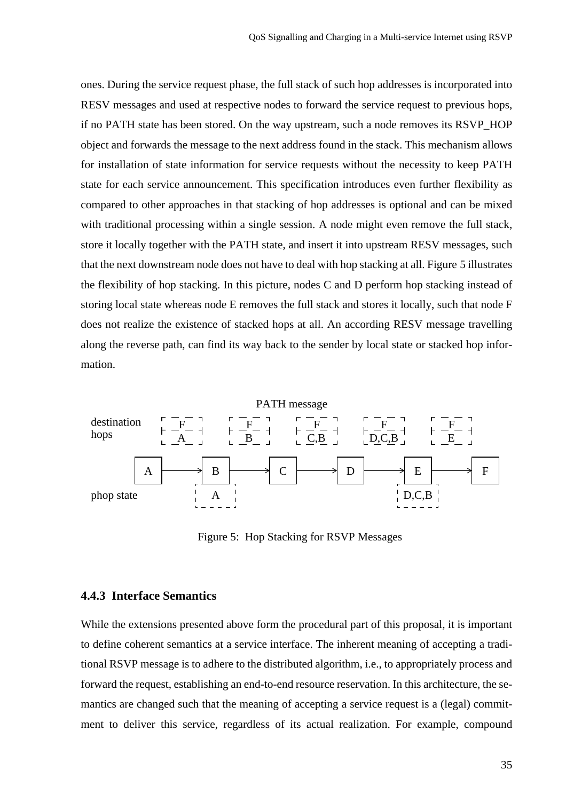ones. During the service request phase, the full stack of such hop addresses is incorporated into RESV messages and used at respective nodes to forward the service request to previous hops, if no PATH state has been stored. On the way upstream, such a node removes its RSVP\_HOP object and forwards the message to the next address found in the stack. This mechanism allows for installation of state information for service requests without the necessity to keep PATH state for each service announcement. This specification introduces even further flexibility as compared to other approaches in that stacking of hop addresses is optional and can be mixed with traditional processing within a single session. A node might even remove the full stack, store it locally together with the PATH state, and insert it into upstream RESV messages, such that the next downstream node does not have to deal with hop stacking at all. Figure 5 illustrates the flexibility of hop stacking. In this picture, nodes C and D perform hop stacking instead of storing local state whereas node E removes the full stack and stores it locally, such that node F does not realize the existence of stacked hops at all. An according RESV message travelling along the reverse path, can find its way back to the sender by local state or stacked hop information.



Figure 5: Hop Stacking for RSVP Messages

#### **4.4.3 Interface Semantics**

While the extensions presented above form the procedural part of this proposal, it is important to define coherent semantics at a service interface. The inherent meaning of accepting a traditional RSVP message is to adhere to the distributed algorithm, i.e., to appropriately process and forward the request, establishing an end-to-end resource reservation. In this architecture, the semantics are changed such that the meaning of accepting a service request is a (legal) commitment to deliver this service, regardless of its actual realization. For example, compound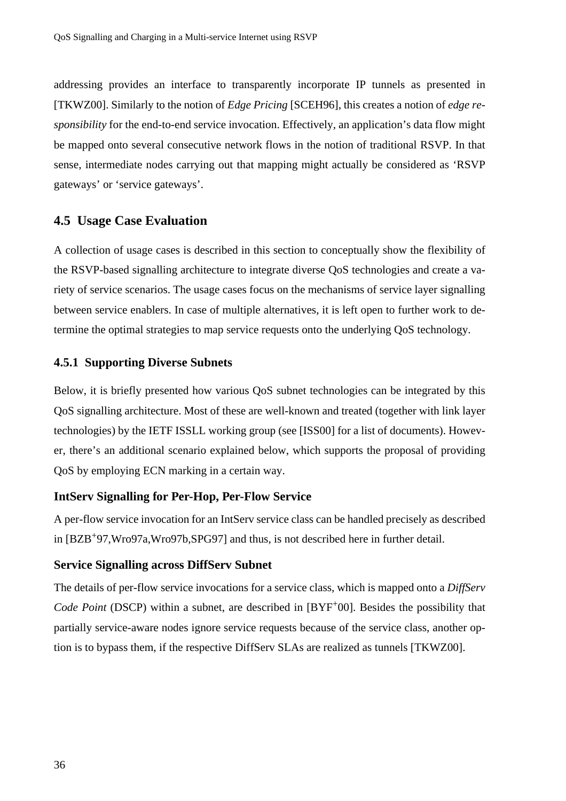<span id="page-49-0"></span>addressing provides an interface to transparently incorporate IP tunnels as presented in [TKWZ00]. Similarly to the notion of *Edge Pricing* [SCEH96], this creates a notion of *edge responsibility* for the end-to-end service invocation. Effectively, an application's data flow might be mapped onto several consecutive network flows in the notion of traditional RSVP. In that sense, intermediate nodes carrying out that mapping might actually be considered as 'RSVP gateways' or 'service gateways'.

## **4.5 Usage Case Evaluation**

A collection of usage cases is described in this section to conceptually show the flexibility of the RSVP-based signalling architecture to integrate diverse QoS technologies and create a variety of service scenarios. The usage cases focus on the mechanisms of service layer signalling between service enablers. In case of multiple alternatives, it is left open to further work to determine the optimal strategies to map service requests onto the underlying QoS technology.

## **4.5.1 Supporting Diverse Subnets**

Below, it is briefly presented how various QoS subnet technologies can be integrated by this QoS signalling architecture. Most of these are well-known and treated (together with link layer technologies) by the IETF ISSLL working group (see [ISS00] for a list of documents). However, there's an additional scenario explained below, which supports the proposal of providing QoS by employing ECN marking in a certain way.

## **IntServ Signalling for Per-Hop, Per-Flow Service**

A per-flow service invocation for an IntServ service class can be handled precisely as described in [BZB+97,Wro97a,Wro97b,SPG97] and thus, is not described here in further detail.

## **Service Signalling across DiffServ Subnet**

The details of per-flow service invocations for a service class, which is mapped onto a *DiffServ Code Point* (DSCP) within a subnet, are described in [BYF<sup>+</sup>00]. Besides the possibility that partially service-aware nodes ignore service requests because of the service class, another option is to bypass them, if the respective DiffServ SLAs are realized as tunnels [TKWZ00].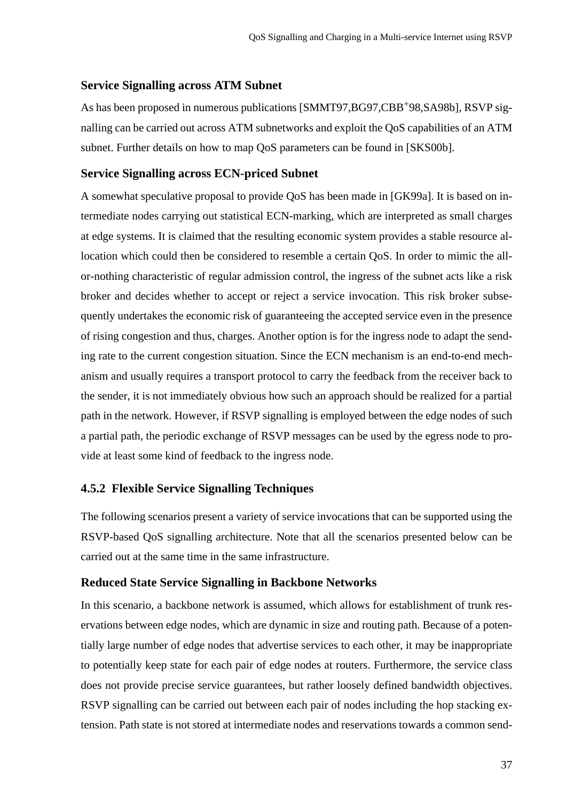## <span id="page-50-0"></span>**Service Signalling across ATM Subnet**

As has been proposed in numerous publications [SMMT97,BG97,CBB+98,SA98b], RSVP signalling can be carried out across ATM subnetworks and exploit the QoS capabilities of an ATM subnet. Further details on how to map QoS parameters can be found in [SKS00b].

## **Service Signalling across ECN-priced Subnet**

A somewhat speculative proposal to provide QoS has been made in [GK99a]. It is based on intermediate nodes carrying out statistical ECN-marking, which are interpreted as small charges at edge systems. It is claimed that the resulting economic system provides a stable resource allocation which could then be considered to resemble a certain QoS. In order to mimic the allor-nothing characteristic of regular admission control, the ingress of the subnet acts like a risk broker and decides whether to accept or reject a service invocation. This risk broker subsequently undertakes the economic risk of guaranteeing the accepted service even in the presence of rising congestion and thus, charges. Another option is for the ingress node to adapt the sending rate to the current congestion situation. Since the ECN mechanism is an end-to-end mechanism and usually requires a transport protocol to carry the feedback from the receiver back to the sender, it is not immediately obvious how such an approach should be realized for a partial path in the network. However, if RSVP signalling is employed between the edge nodes of such a partial path, the periodic exchange of RSVP messages can be used by the egress node to provide at least some kind of feedback to the ingress node.

## **4.5.2 Flexible Service Signalling Techniques**

The following scenarios present a variety of service invocations that can be supported using the RSVP-based QoS signalling architecture. Note that all the scenarios presented below can be carried out at the same time in the same infrastructure.

## **Reduced State Service Signalling in Backbone Networks**

In this scenario, a backbone network is assumed, which allows for establishment of trunk reservations between edge nodes, which are dynamic in size and routing path. Because of a potentially large number of edge nodes that advertise services to each other, it may be inappropriate to potentially keep state for each pair of edge nodes at routers. Furthermore, the service class does not provide precise service guarantees, but rather loosely defined bandwidth objectives. RSVP signalling can be carried out between each pair of nodes including the hop stacking extension. Path state is not stored at intermediate nodes and reservations towards a common send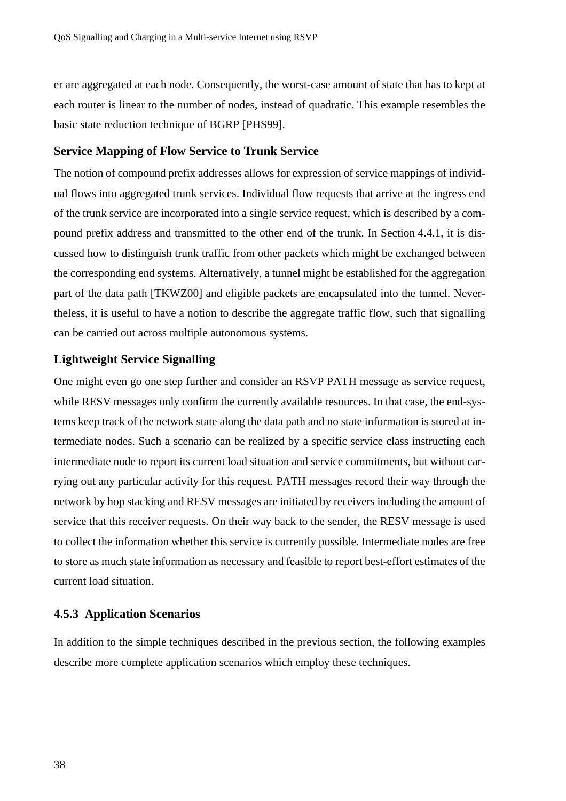er are aggregated at each node. Consequently, the worst-case amount of state that has to kept at each router is linear to the number of nodes, instead of quadratic. This example resembles the basic state reduction technique of BGRP [PHS99].

## **Service Mapping of Flow Service to Trunk Service**

The notion of compound prefix addresses allows for expression of service mappings of individual flows into aggregated trunk services. Individual flow requests that arrive at the ingress end of the trunk service are incorporated into a single service request, which is described by a compound prefix address and transmitted to the other end of the trunk. In [Section 4.4.1](#page-45-0), it is discussed how to distinguish trunk traffic from other packets which might be exchanged between the corresponding end systems. Alternatively, a tunnel might be established for the aggregation part of the data path [TKWZ00] and eligible packets are encapsulated into the tunnel. Nevertheless, it is useful to have a notion to describe the aggregate traffic flow, such that signalling can be carried out across multiple autonomous systems.

## **Lightweight Service Signalling**

One might even go one step further and consider an RSVP PATH message as service request, while RESV messages only confirm the currently available resources. In that case, the end-systems keep track of the network state along the data path and no state information is stored at intermediate nodes. Such a scenario can be realized by a specific service class instructing each intermediate node to report its current load situation and service commitments, but without carrying out any particular activity for this request. PATH messages record their way through the network by hop stacking and RESV messages are initiated by receivers including the amount of service that this receiver requests. On their way back to the sender, the RESV message is used to collect the information whether this service is currently possible. Intermediate nodes are free to store as much state information as necessary and feasible to report best-effort estimates of the current load situation.

## **4.5.3 Application Scenarios**

In addition to the simple techniques described in the previous section, the following examples describe more complete application scenarios which employ these techniques.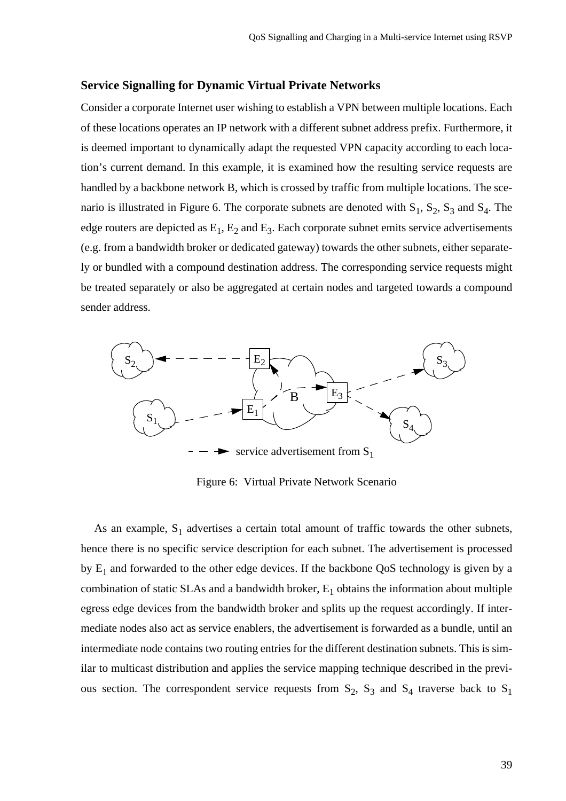#### **Service Signalling for Dynamic Virtual Private Networks**

Consider a corporate Internet user wishing to establish a VPN between multiple locations. Each of these locations operates an IP network with a different subnet address prefix. Furthermore, it is deemed important to dynamically adapt the requested VPN capacity according to each location's current demand. In this example, it is examined how the resulting service requests are handled by a backbone network B, which is crossed by traffic from multiple locations. The scenario is illustrated in Figure 6. The corporate subnets are denoted with  $S_1$ ,  $S_2$ ,  $S_3$  and  $S_4$ . The edge routers are depicted as  $E_1$ ,  $E_2$  and  $E_3$ . Each corporate subnet emits service advertisements (e.g. from a bandwidth broker or dedicated gateway) towards the other subnets, either separately or bundled with a compound destination address. The corresponding service requests might be treated separately or also be aggregated at certain nodes and targeted towards a compound sender address.



Figure 6: Virtual Private Network Scenario

As an example,  $S_1$  advertises a certain total amount of traffic towards the other subnets, hence there is no specific service description for each subnet. The advertisement is processed by  $E_1$  and forwarded to the other edge devices. If the backbone QoS technology is given by a combination of static SLAs and a bandwidth broker,  $E_1$  obtains the information about multiple egress edge devices from the bandwidth broker and splits up the request accordingly. If intermediate nodes also act as service enablers, the advertisement is forwarded as a bundle, until an intermediate node contains two routing entries for the different destination subnets. This is similar to multicast distribution and applies the service mapping technique described in the previous section. The correspondent service requests from  $S_2$ ,  $S_3$  and  $S_4$  traverse back to  $S_1$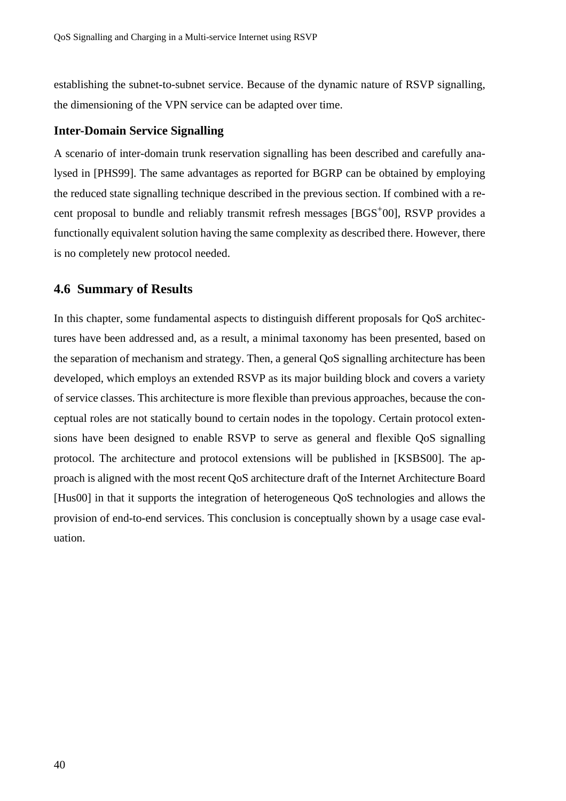establishing the subnet-to-subnet service. Because of the dynamic nature of RSVP signalling, the dimensioning of the VPN service can be adapted over time.

#### **Inter-Domain Service Signalling**

A scenario of inter-domain trunk reservation signalling has been described and carefully analysed in [PHS99]. The same advantages as reported for BGRP can be obtained by employing the reduced state signalling technique described in the previous section. If combined with a recent proposal to bundle and reliably transmit refresh messages [BGS+00], RSVP provides a functionally equivalent solution having the same complexity as described there. However, there is no completely new protocol needed.

## **4.6 Summary of Results**

In this chapter, some fundamental aspects to distinguish different proposals for QoS architectures have been addressed and, as a result, a minimal taxonomy has been presented, based on the separation of mechanism and strategy. Then, a general QoS signalling architecture has been developed, which employs an extended RSVP as its major building block and covers a variety of service classes. This architecture is more flexible than previous approaches, because the conceptual roles are not statically bound to certain nodes in the topology. Certain protocol extensions have been designed to enable RSVP to serve as general and flexible QoS signalling protocol. The architecture and protocol extensions will be published in [KSBS00]. The approach is aligned with the most recent QoS architecture draft of the Internet Architecture Board [Hus00] in that it supports the integration of heterogeneous QoS technologies and allows the provision of end-to-end services. This conclusion is conceptually shown by a usage case evaluation.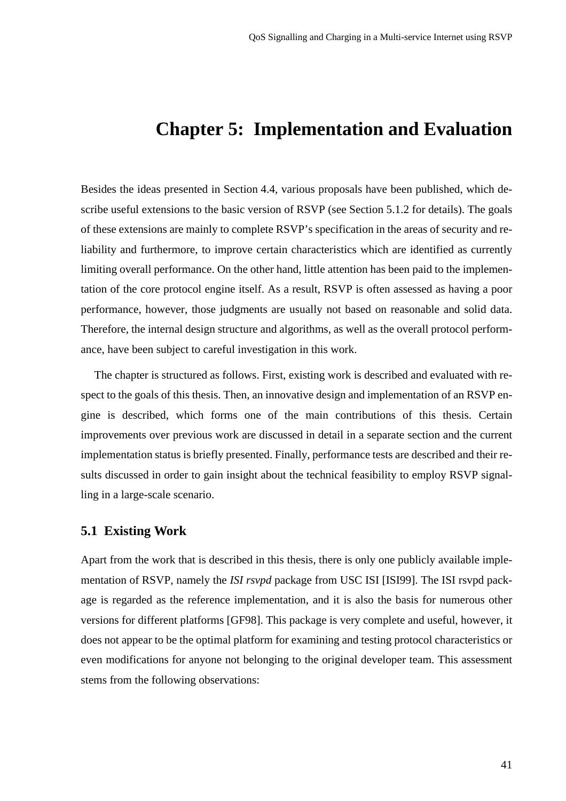# <span id="page-54-0"></span>**Chapter 5: Implementation and Evaluation**

Besides the ideas presented in [Section 4.4,](#page-44-0) various proposals have been published, which describe useful extensions to the basic version of RSVP (see [Section 5.1.2](#page-56-0) for details). The goals of these extensions are mainly to complete RSVP's specification in the areas of security and reliability and furthermore, to improve certain characteristics which are identified as currently limiting overall performance. On the other hand, little attention has been paid to the implementation of the core protocol engine itself. As a result, RSVP is often assessed as having a poor performance, however, those judgments are usually not based on reasonable and solid data. Therefore, the internal design structure and algorithms, as well as the overall protocol performance, have been subject to careful investigation in this work.

The chapter is structured as follows. First, existing work is described and evaluated with respect to the goals of this thesis. Then, an innovative design and implementation of an RSVP engine is described, which forms one of the main contributions of this thesis. Certain improvements over previous work are discussed in detail in a separate section and the current implementation status is briefly presented. Finally, performance tests are described and their results discussed in order to gain insight about the technical feasibility to employ RSVP signalling in a large-scale scenario.

## **5.1 Existing Work**

Apart from the work that is described in this thesis, there is only one publicly available implementation of RSVP, namely the *ISI rsvpd* package from USC ISI [ISI99]. The ISI rsvpd package is regarded as the reference implementation, and it is also the basis for numerous other versions for different platforms [GF98]. This package is very complete and useful, however, it does not appear to be the optimal platform for examining and testing protocol characteristics or even modifications for anyone not belonging to the original developer team. This assessment stems from the following observations: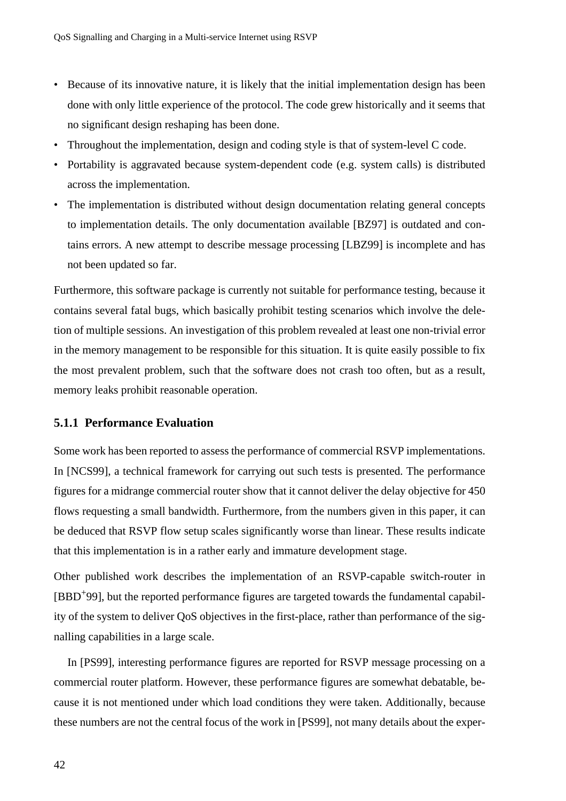- Because of its innovative nature, it is likely that the initial implementation design has been done with only little experience of the protocol. The code grew historically and it seems that no significant design reshaping has been done.
- Throughout the implementation, design and coding style is that of system-level C code.
- Portability is aggravated because system-dependent code (e.g. system calls) is distributed across the implementation.
- The implementation is distributed without design documentation relating general concepts to implementation details. The only documentation available [BZ97] is outdated and contains errors. A new attempt to describe message processing [LBZ99] is incomplete and has not been updated so far.

Furthermore, this software package is currently not suitable for performance testing, because it contains several fatal bugs, which basically prohibit testing scenarios which involve the deletion of multiple sessions. An investigation of this problem revealed at least one non-trivial error in the memory management to be responsible for this situation. It is quite easily possible to fix the most prevalent problem, such that the software does not crash too often, but as a result, memory leaks prohibit reasonable operation.

## **5.1.1 Performance Evaluation**

Some work has been reported to assess the performance of commercial RSVP implementations. In [NCS99], a technical framework for carrying out such tests is presented. The performance figures for a midrange commercial router show that it cannot deliver the delay objective for 450 flows requesting a small bandwidth. Furthermore, from the numbers given in this paper, it can be deduced that RSVP flow setup scales significantly worse than linear. These results indicate that this implementation is in a rather early and immature development stage.

Other published work describes the implementation of an RSVP-capable switch-router in [BBD+99], but the reported performance figures are targeted towards the fundamental capability of the system to deliver QoS objectives in the first-place, rather than performance of the signalling capabilities in a large scale.

In [PS99], interesting performance figures are reported for RSVP message processing on a commercial router platform. However, these performance figures are somewhat debatable, because it is not mentioned under which load conditions they were taken. Additionally, because these numbers are not the central focus of the work in [PS99], not many details about the exper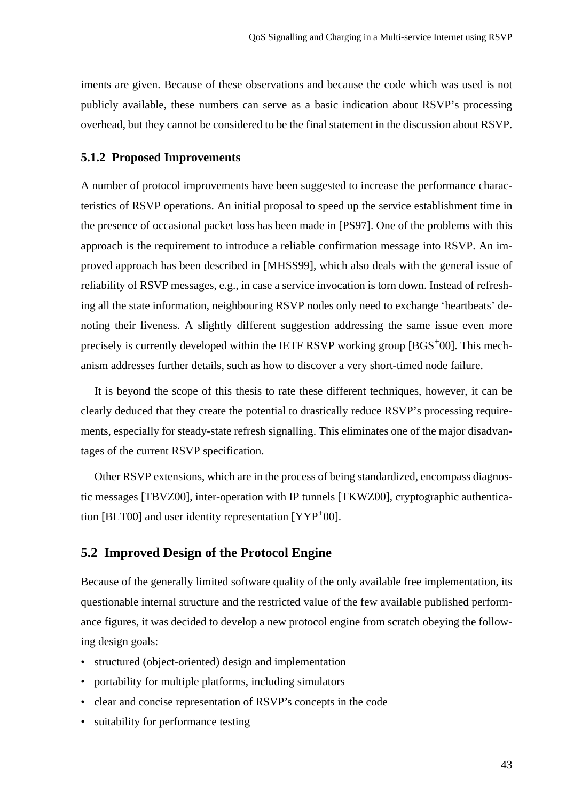<span id="page-56-0"></span>iments are given. Because of these observations and because the code which was used is not publicly available, these numbers can serve as a basic indication about RSVP's processing overhead, but they cannot be considered to be the final statement in the discussion about RSVP.

#### **5.1.2 Proposed Improvements**

A number of protocol improvements have been suggested to increase the performance characteristics of RSVP operations. An initial proposal to speed up the service establishment time in the presence of occasional packet loss has been made in [PS97]. One of the problems with this approach is the requirement to introduce a reliable confirmation message into RSVP. An improved approach has been described in [MHSS99], which also deals with the general issue of reliability of RSVP messages, e.g., in case a service invocation is torn down. Instead of refreshing all the state information, neighbouring RSVP nodes only need to exchange 'heartbeats' denoting their liveness. A slightly different suggestion addressing the same issue even more precisely is currently developed within the IETF RSVP working group [BGS<sup>+</sup>00]. This mechanism addresses further details, such as how to discover a very short-timed node failure.

It is beyond the scope of this thesis to rate these different techniques, however, it can be clearly deduced that they create the potential to drastically reduce RSVP's processing requirements, especially for steady-state refresh signalling. This eliminates one of the major disadvantages of the current RSVP specification.

Other RSVP extensions, which are in the process of being standardized, encompass diagnostic messages [TBVZ00], inter-operation with IP tunnels [TKWZ00], cryptographic authentication [BLT00] and user identity representation  $[YYP<sup>+</sup>00]$ .

## **5.2 Improved Design of the Protocol Engine**

Because of the generally limited software quality of the only available free implementation, its questionable internal structure and the restricted value of the few available published performance figures, it was decided to develop a new protocol engine from scratch obeying the following design goals:

- structured (object-oriented) design and implementation
- portability for multiple platforms, including simulators
- clear and concise representation of RSVP's concepts in the code
- suitability for performance testing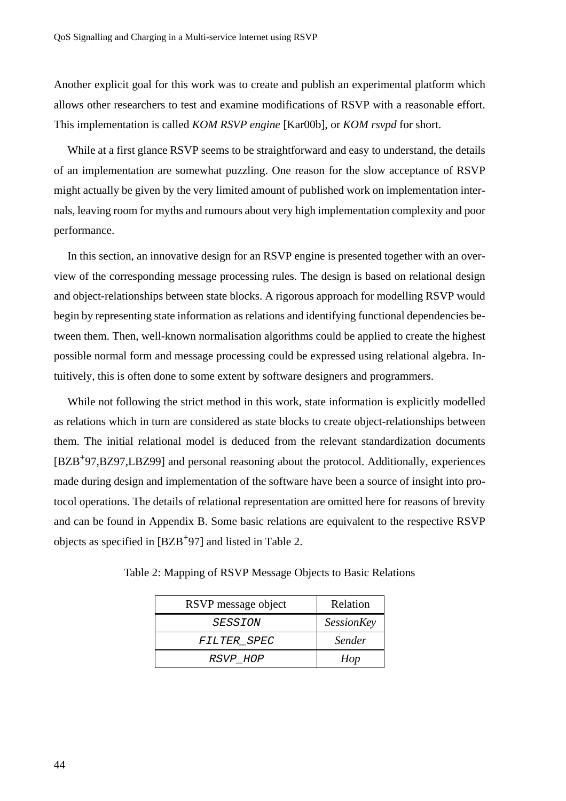Another explicit goal for this work was to create and publish an experimental platform which allows other researchers to test and examine modifications of RSVP with a reasonable effort. This implementation is called *KOM RSVP engine* [Kar00b], or *KOM rsvpd* for short.

While at a first glance RSVP seems to be straightforward and easy to understand, the details of an implementation are somewhat puzzling. One reason for the slow acceptance of RSVP might actually be given by the very limited amount of published work on implementation internals, leaving room for myths and rumours about very high implementation complexity and poor performance.

In this section, an innovative design for an RSVP engine is presented together with an overview of the corresponding message processing rules. The design is based on relational design and object-relationships between state blocks. A rigorous approach for modelling RSVP would begin by representing state information as relations and identifying functional dependencies between them. Then, well-known normalisation algorithms could be applied to create the highest possible normal form and message processing could be expressed using relational algebra. Intuitively, this is often done to some extent by software designers and programmers.

While not following the strict method in this work, state information is explicitly modelled as relations which in turn are considered as state blocks to create object-relationships between them. The initial relational model is deduced from the relevant standardization documents [BZB+97,BZ97,LBZ99] and personal reasoning about the protocol. Additionally, experiences made during design and implementation of the software have been a source of insight into protocol operations. The details of relational representation are omitted here for reasons of brevity and can be found i[n Appendix B](#page-152-0). Some basic relations are equivalent to the respective RSVP objects as specified in [BZB+97] and listed in Table 2.

Table 2: Mapping of RSVP Message Objects to Basic Relations

| RSVP message object | Relation          |
|---------------------|-------------------|
| SESSION             | <b>SessionKey</b> |
| FILTER SPEC         | Sender            |
| RSVP HOP            | Hop               |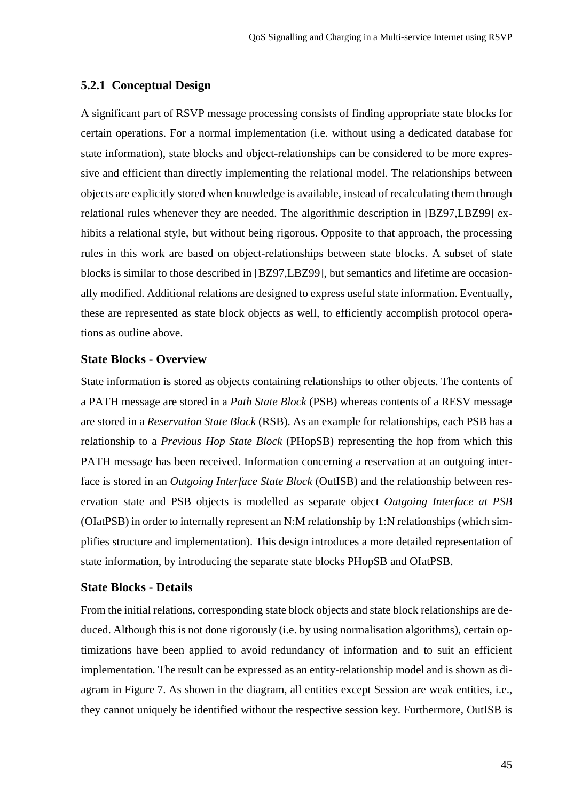## **5.2.1 Conceptual Design**

A significant part of RSVP message processing consists of finding appropriate state blocks for certain operations. For a normal implementation (i.e. without using a dedicated database for state information), state blocks and object-relationships can be considered to be more expressive and efficient than directly implementing the relational model. The relationships between objects are explicitly stored when knowledge is available, instead of recalculating them through relational rules whenever they are needed. The algorithmic description in [BZ97,LBZ99] exhibits a relational style, but without being rigorous. Opposite to that approach, the processing rules in this work are based on object-relationships between state blocks. A subset of state blocks is similar to those described in [BZ97,LBZ99], but semantics and lifetime are occasionally modified. Additional relations are designed to express useful state information. Eventually, these are represented as state block objects as well, to efficiently accomplish protocol operations as outline above.

## **State Blocks - Overview**

State information is stored as objects containing relationships to other objects. The contents of a PATH message are stored in a *Path State Block* (PSB) whereas contents of a RESV message are stored in a *Reservation State Block* (RSB). As an example for relationships, each PSB has a relationship to a *Previous Hop State Block* (PHopSB) representing the hop from which this PATH message has been received. Information concerning a reservation at an outgoing interface is stored in an *Outgoing Interface State Block* (OutISB) and the relationship between reservation state and PSB objects is modelled as separate object *Outgoing Interface at PSB* (OIatPSB) in order to internally represent an N:M relationship by 1:N relationships (which simplifies structure and implementation). This design introduces a more detailed representation of state information, by introducing the separate state blocks PHopSB and OIatPSB.

## **State Blocks - Details**

From the initial relations, corresponding state block objects and state block relationships are deduced. Although this is not done rigorously (i.e. by using normalisation algorithms), certain optimizations have been applied to avoid redundancy of information and to suit an efficient implementation. The result can be expressed as an entity-relationship model and is shown as diagram in [Figure 7](#page-59-0). As shown in the diagram, all entities except Session are weak entities, i.e., they cannot uniquely be identified without the respective session key. Furthermore, OutISB is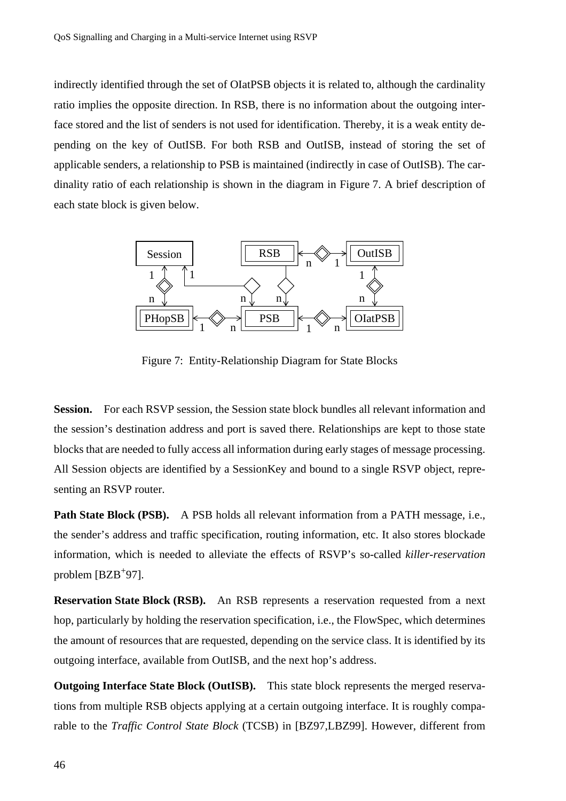<span id="page-59-0"></span>indirectly identified through the set of OIatPSB objects it is related to, although the cardinality ratio implies the opposite direction. In RSB, there is no information about the outgoing interface stored and the list of senders is not used for identification. Thereby, it is a weak entity depending on the key of OutISB. For both RSB and OutISB, instead of storing the set of applicable senders, a relationship to PSB is maintained (indirectly in case of OutISB). The cardinality ratio of each relationship is shown in the diagram in Figure 7. A brief description of each state block is given below.



Figure 7: Entity-Relationship Diagram for State Blocks

**Session.** For each RSVP session, the Session state block bundles all relevant information and the session's destination address and port is saved there. Relationships are kept to those state blocks that are needed to fully access all information during early stages of message processing. All Session objects are identified by a SessionKey and bound to a single RSVP object, representing an RSVP router.

**Path State Block (PSB).** A PSB holds all relevant information from a PATH message, i.e., the sender's address and traffic specification, routing information, etc. It also stores blockade information, which is needed to alleviate the effects of RSVP's so-called *killer-reservation* problem  $[ BZB^+97]$ .

**Reservation State Block (RSB).** An RSB represents a reservation requested from a next hop, particularly by holding the reservation specification, i.e., the FlowSpec, which determines the amount of resources that are requested, depending on the service class. It is identified by its outgoing interface, available from OutISB, and the next hop's address.

**Outgoing Interface State Block (OutISB).** This state block represents the merged reservations from multiple RSB objects applying at a certain outgoing interface. It is roughly comparable to the *Traffic Control State Block* (TCSB) in [BZ97,LBZ99]. However, different from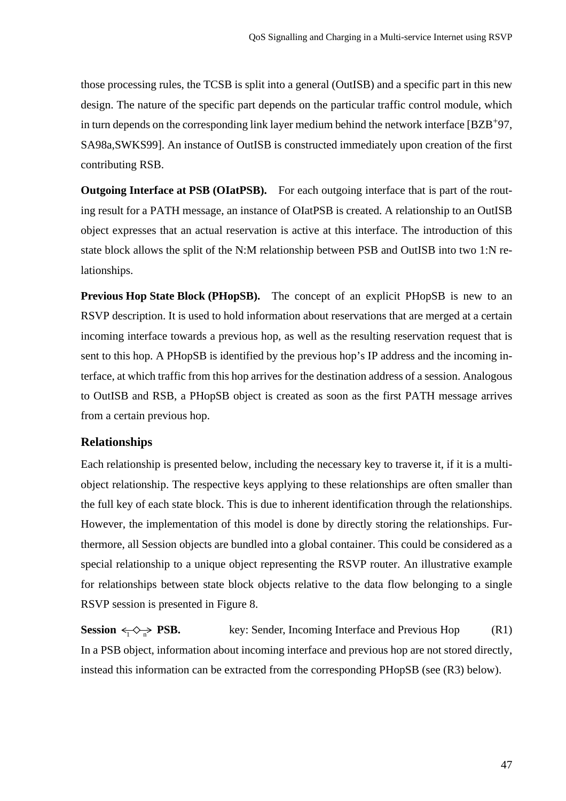<span id="page-60-0"></span>those processing rules, the TCSB is split into a general (OutISB) and a specific part in this new design. The nature of the specific part depends on the particular traffic control module, which in turn depends on the corresponding link layer medium behind the network interface  $[{\rm BZB}^+97]$ , SA98a,SWKS99]. An instance of OutISB is constructed immediately upon creation of the first contributing RSB.

**Outgoing Interface at PSB (OIatPSB).** For each outgoing interface that is part of the routing result for a PATH message, an instance of OIatPSB is created. A relationship to an OutISB object expresses that an actual reservation is active at this interface. The introduction of this state block allows the split of the N:M relationship between PSB and OutISB into two 1:N relationships.

**Previous Hop State Block (PHopSB).** The concept of an explicit PHopSB is new to an RSVP description. It is used to hold information about reservations that are merged at a certain incoming interface towards a previous hop, as well as the resulting reservation request that is sent to this hop. A PHopSB is identified by the previous hop's IP address and the incoming interface, at which traffic from this hop arrives for the destination address of a session. Analogous to OutISB and RSB, a PHopSB object is created as soon as the first PATH message arrives from a certain previous hop.

## **Relationships**

Each relationship is presented below, including the necessary key to traverse it, if it is a multiobject relationship. The respective keys applying to these relationships are often smaller than the full key of each state block. This is due to inherent identification through the relationships. However, the implementation of this model is done by directly storing the relationships. Furthermore, all Session objects are bundled into a global container. This could be considered as a special relationship to a unique object representing the RSVP router. An illustrative example for relationships between state block objects relative to the data flow belonging to a single RSVP session is presented in F[igure 8.](#page-61-0)

key: Sender, Incoming Interface and Previous Hop (R1) In a PSB object, information about incoming interface and previous hop are not stored directly, instead this information can be extracted from the corresponding PHopSB (see ([R3\) be](#page-61-0)low). Session  $\iff$  PSB.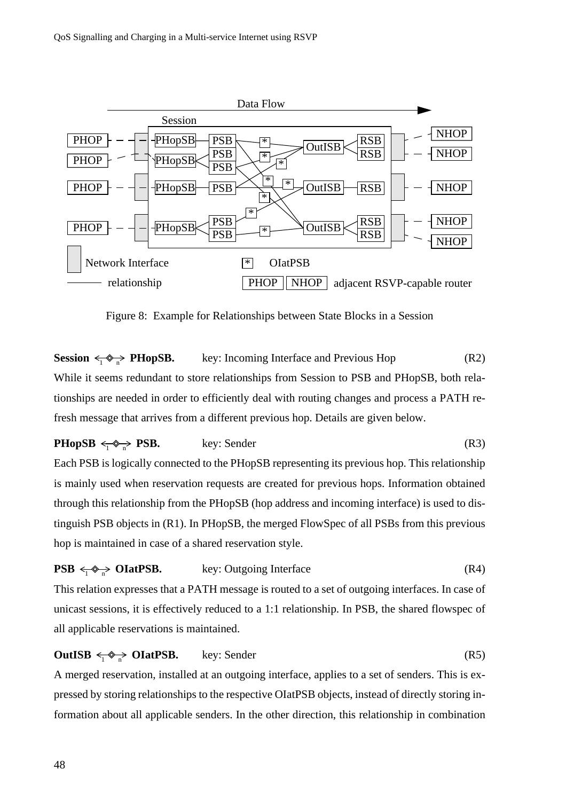<span id="page-61-0"></span>

Figure 8: Example for Relationships between State Blocks in a Session

key: Incoming Interface and Previous Hop (R2) While it seems redundant to store relationships from Session to PSB and PHopSB, both relationships are needed in order to efficiently deal with routing changes and process a PATH refresh message that arrives from a different previous hop. Details are given below. **Session**  $\iff$  **PHopSB.** 

**PHopSB**  $\leftarrow_{1} \otimes_{n} \rightarrow$  **PSB.** key: Sender (R3)

Each PSB is logically connected to the PHopSB representing its previous hop. This relationship is mainly used when reservation requests are created for previous hops. Information obtained through this relationship from the PHopSB (hop address and incoming interface) is used to distinguish PSB objects in [\(R1\).](#page-60-0) In PHopSB, the merged FlowSpec of all PSBs from this previous hop is maintained in case of a shared reservation style.

# **PSB**  $\leftarrow_{1} \otimes_{n}$  **OIatPSB.** key: Outgoing Interface (R4)

This relation expresses that a PATH message is routed to a set of outgoing interfaces. In case of unicast sessions, it is effectively reduced to a 1:1 relationship. In PSB, the shared flowspec of all applicable reservations is maintained.

# **OutISB**  $\leftarrow_{n} \otimes \rightarrow$  **OIatPSB.** key: Sender (R5)

A merged reservation, installed at an outgoing interface, applies to a set of senders. This is expressed by storing relationships to the respective OIatPSB objects, instead of directly storing information about all applicable senders. In the other direction, this relationship in combination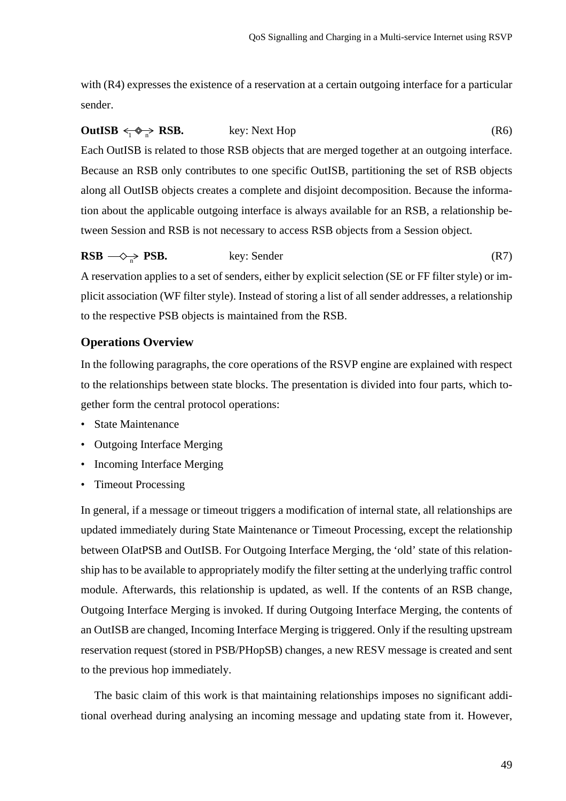<span id="page-62-0"></span>with [\(R4\)](#page-61-0) expresses the existence of a reservation at a certain outgoing interface for a particular sender.

## **OutISB**  $\leftarrow_{n} \otimes \rightarrow \text{RSB.}$  key: Next Hop (R6)

Each OutISB is related to those RSB objects that are merged together at an outgoing interface. Because an RSB only contributes to one specific OutISB, partitioning the set of RSB objects along all OutISB objects creates a complete and disjoint decomposition. Because the information about the applicable outgoing interface is always available for an RSB, a relationship between Session and RSB is not necessary to access RSB objects from a Session object.

$$
\text{RSB} \longrightarrow_{\text{n}} \text{PSB.} \qquad \text{key:Sender} \tag{R7}
$$

A reservation applies to a set of senders, either by explicit selection (SE or FF filter style) or implicit association (WF filter style). Instead of storing a list of all sender addresses, a relationship to the respective PSB objects is maintained from the RSB.

## **Operations Overview**

In the following paragraphs, the core operations of the RSVP engine are explained with respect to the relationships between state blocks. The presentation is divided into four parts, which together form the central protocol operations:

- State Maintenance
- Outgoing Interface Merging
- Incoming Interface Merging
- Timeout Processing

In general, if a message or timeout triggers a modification of internal state, all relationships are updated immediately during State Maintenance or Timeout Processing, except the relationship between OIatPSB and OutISB. For Outgoing Interface Merging, the 'old' state of this relationship has to be available to appropriately modify the filter setting at the underlying traffic control module. Afterwards, this relationship is updated, as well. If the contents of an RSB change, Outgoing Interface Merging is invoked. If during Outgoing Interface Merging, the contents of an OutISB are changed, Incoming Interface Merging is triggered. Only if the resulting upstream reservation request (stored in PSB/PHopSB) changes, a new RESV message is created and sent to the previous hop immediately.

The basic claim of this work is that maintaining relationships imposes no significant additional overhead during analysing an incoming message and updating state from it. However,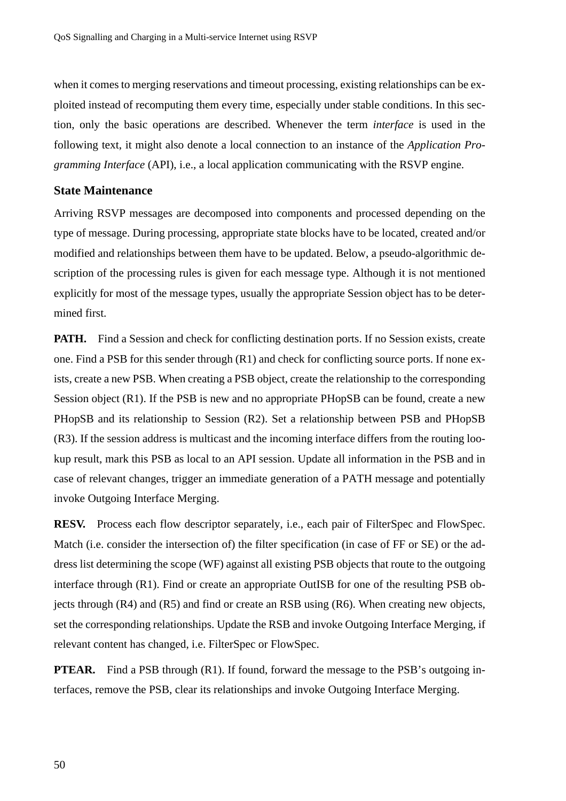when it comes to merging reservations and timeout processing, existing relationships can be exploited instead of recomputing them every time, especially under stable conditions. In this section, only the basic operations are described. Whenever the term *interface* is used in the following text, it might also denote a local connection to an instance of the *Application Programming Interface* (API), i.e., a local application communicating with the RSVP engine.

#### **State Maintenance**

Arriving RSVP messages are decomposed into components and processed depending on the type of message. During processing, appropriate state blocks have to be located, created and/or modified and relationships between them have to be updated. Below, a pseudo-algorithmic description of the processing rules is given for each message type. Although it is not mentioned explicitly for most of the message types, usually the appropriate Session object has to be determined first.

**PATH.** Find a Session and check for conflicting destination ports. If no Session exists, create one. Find a PSB for this sender through [\(R1\) a](#page-60-0)nd check for conflicting source ports. If none exists, create a new PSB. When creating a PSB object, create the relationship to the corresponding Session object [\(R1\).](#page-60-0) If the PSB is new and no appropriate PHopSB can be found, create a new PHopSB and its relationship to Session [\(R2\).](#page-61-0) Set a relationship between PSB and PHopSB [\(R3\).](#page-61-0) If the session address is multicast and the incoming interface differs from the routing lookup result, mark this PSB as local to an API session. Update all information in the PSB and in case of relevant changes, trigger an immediate generation of a PATH message and potentially invoke Outgoing Interface Merging.

**RESV.** Process each flow descriptor separately, i.e., each pair of FilterSpec and FlowSpec. Match (i.e. consider the intersection of) the filter specification (in case of FF or SE) or the address list determining the scope (WF) against all existing PSB objects that route to the outgoing interface through [\(R1\).](#page-60-0) Find or create an appropriate OutISB for one of the resulting PSB objects through [\(R4\)](#page-61-0) and [\(R5\)](#page-61-0) and find or create an RSB using [\(R6\)](#page-62-0). When creating new objects, set the corresponding relationships. Update the RSB and invoke Outgoing Interface Merging, if relevant content has changed, i.e. FilterSpec or FlowSpec.

**PTEAR.** Find a PSB through [\(R1\).](#page-60-0) If found, forward the message to the PSB's outgoing interfaces, remove the PSB, clear its relationships and invoke Outgoing Interface Merging.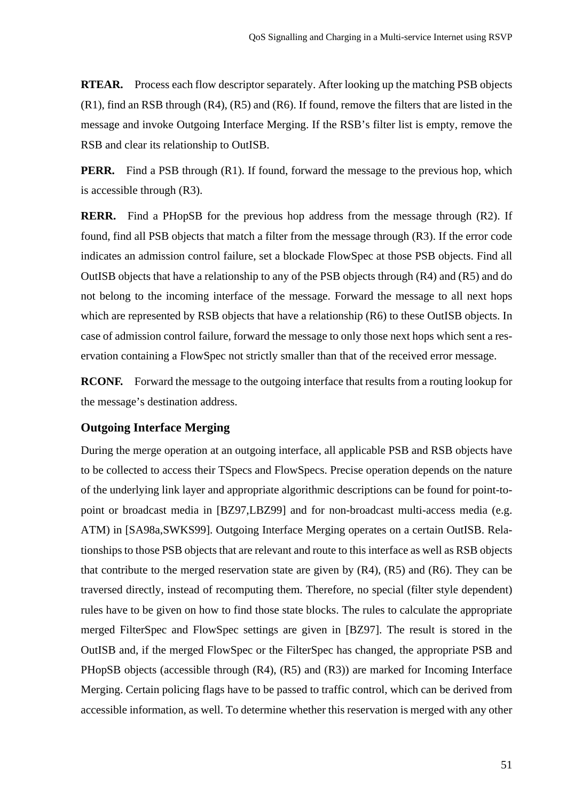**RTEAR.** Process each flow descriptor separately. After looking up the matching PSB objects [\(R1\),](#page-60-0) find an RSB through [\(R4\)](#page-61-0), [\(R5\)](#page-61-0) and [\(R6\).](#page-62-0) If found, remove the filters that are listed in the message and invoke Outgoing Interface Merging. If the RSB's filter list is empty, remove the RSB and clear its relationship to OutISB.

**PERR.** Find a PSB through [\(R1\).](#page-60-0) If found, forward the message to the previous hop, which is accessible through ([R3\).](#page-61-0)

**RERR.** Find a PHopSB for the previous hop address from the message through [\(R2\).](#page-61-0) If found, find all PSB objects that match a filter from the message through [\(R3\).](#page-61-0) If the error code indicates an admission control failure, set a blockade FlowSpec at those PSB objects. Find all OutISB objects that have a relationship to any of the PSB objects through [\(R4\)](#page-61-0) and [\(R5\)](#page-61-0) and do not belong to the incoming interface of the message. Forward the message to all next hops which are represented by RSB objects that have a relationship [\(R6\)](#page-62-0) to these OutISB objects. In case of admission control failure, forward the message to only those next hops which sent a reservation containing a FlowSpec not strictly smaller than that of the received error message.

**RCONF.** Forward the message to the outgoing interface that results from a routing lookup for the message's destination address.

## **Outgoing Interface Merging**

During the merge operation at an outgoing interface, all applicable PSB and RSB objects have to be collected to access their TSpecs and FlowSpecs. Precise operation depends on the nature of the underlying link layer and appropriate algorithmic descriptions can be found for point-topoint or broadcast media in [BZ97,LBZ99] and for non-broadcast multi-access media (e.g. ATM) in [SA98a,SWKS99]. Outgoing Interface Merging operates on a certain OutISB. Relationships to those PSB objects that are relevant and route to this interface as well as RSB objects that contribute to the merged reservation state are given by [\(R4\),](#page-61-0) [\(R5\)](#page-61-0) and [\(R6\).](#page-62-0) They can be traversed directly, instead of recomputing them. Therefore, no special (filter style dependent) rules have to be given on how to find those state blocks. The rules to calculate the appropriate merged FilterSpec and FlowSpec settings are given in [BZ97]. The result is stored in the OutISB and, if the merged FlowSpec or the FilterSpec has changed, the appropriate PSB and PHopSB objects (accessible through [\(R4\),](#page-61-0) [\(R5\) a](#page-61-0)nd [\(R3\)\)](#page-61-0) are marked for Incoming Interface Merging. Certain policing flags have to be passed to traffic control, which can be derived from accessible information, as well. To determine whether this reservation is merged with any other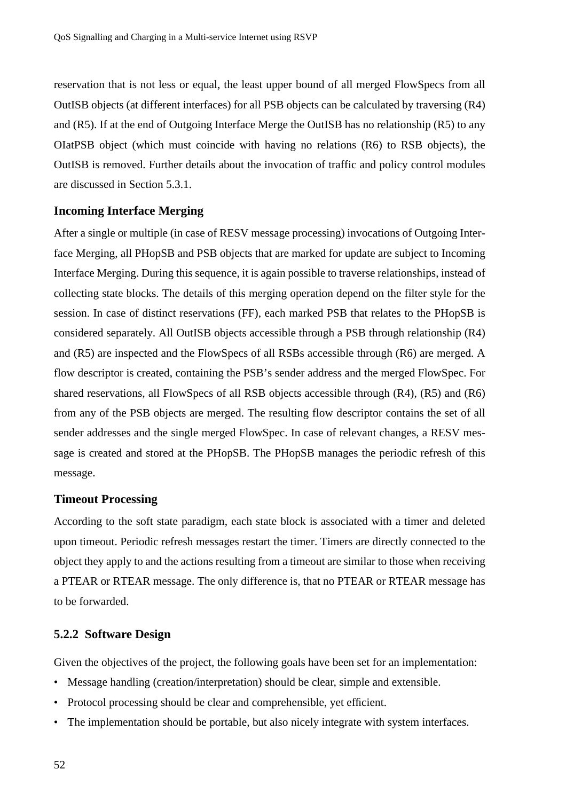reservation that is not less or equal, the least upper bound of all merged FlowSpecs from all OutISB objects (at different interfaces) for all PSB objects can be calculated by traversing [\(R4\)](#page-61-0) and [\(R5\).](#page-61-0) If at the end of Outgoing Interface Merge the OutISB has no relationship [\(R5\)](#page-61-0) to any OIatPSB object (which must coincide with having no relations [\(R6\)](#page-62-0) to RSB objects), the OutISB is removed. Further details about the invocation of traffic and policy control modules are discussed in [Section 5.3.1.](#page-68-0)

## **Incoming Interface Merging**

After a single or multiple (in case of RESV message processing) invocations of Outgoing Interface Merging, all PHopSB and PSB objects that are marked for update are subject to Incoming Interface Merging. During this sequence, it is again possible to traverse relationships, instead of collecting state blocks. The details of this merging operation depend on the filter style for the session. In case of distinct reservations (FF), each marked PSB that relates to the PHopSB is considered separately. All OutISB objects accessible through a PSB through relationship [\(R4\)](#page-61-0) and [\(R5\)](#page-61-0) are inspected and the FlowSpecs of all RSBs accessible through [\(R6\)](#page-62-0) are merged. A flow descriptor is created, containing the PSB's sender address and the merged FlowSpec. For shared reservations, all FlowSpecs of all RSB objects accessible through [\(R4\), \(R5\)](#page-61-0) and [\(R6\)](#page-62-0) from any of the PSB objects are merged. The resulting flow descriptor contains the set of all sender addresses and the single merged FlowSpec. In case of relevant changes, a RESV message is created and stored at the PHopSB. The PHopSB manages the periodic refresh of this message.

## **Timeout Processing**

According to the soft state paradigm, each state block is associated with a timer and deleted upon timeout. Periodic refresh messages restart the timer. Timers are directly connected to the object they apply to and the actions resulting from a timeout are similar to those when receiving a PTEAR or RTEAR message. The only difference is, that no PTEAR or RTEAR message has to be forwarded.

## **5.2.2 Software Design**

Given the objectives of the project, the following goals have been set for an implementation:

- Message handling (creation/interpretation) should be clear, simple and extensible.
- Protocol processing should be clear and comprehensible, yet efficient.
- The implementation should be portable, but also nicely integrate with system interfaces.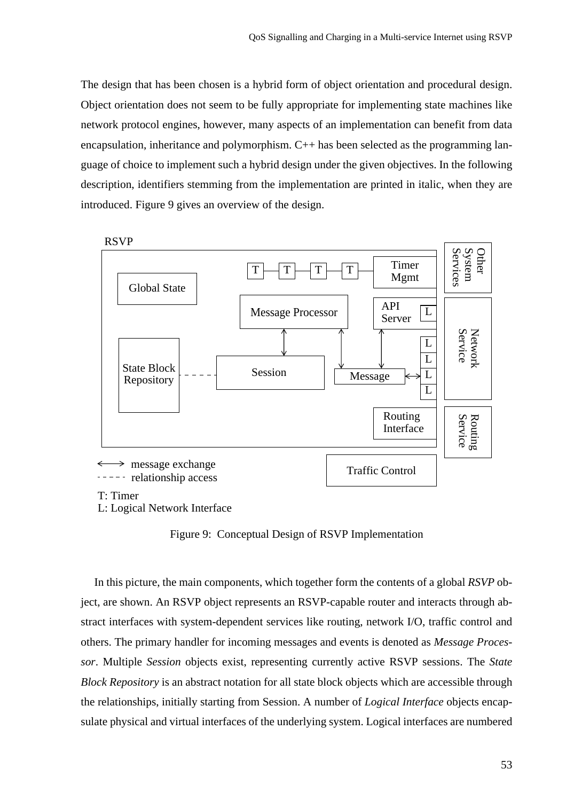The design that has been chosen is a hybrid form of object orientation and procedural design. Object orientation does not seem to be fully appropriate for implementing state machines like network protocol engines, however, many aspects of an implementation can benefit from data encapsulation, inheritance and polymorphism.  $C_{++}$  has been selected as the programming language of choice to implement such a hybrid design under the given objectives. In the following description, identifiers stemming from the implementation are printed in italic, when they are introduced. Figure 9 gives an overview of the design.



L: Logical Network Interface

Figure 9: Conceptual Design of RSVP Implementation

In this picture, the main components, which together form the contents of a global *RSVP* object, are shown. An RSVP object represents an RSVP-capable router and interacts through abstract interfaces with system-dependent services like routing, network I/O, traffic control and others. The primary handler for incoming messages and events is denoted as *Message Processor*. Multiple *Session* objects exist, representing currently active RSVP sessions. The *State Block Repository* is an abstract notation for all state block objects which are accessible through the relationships, initially starting from Session. A number of *Logical Interface* objects encapsulate physical and virtual interfaces of the underlying system. Logical interfaces are numbered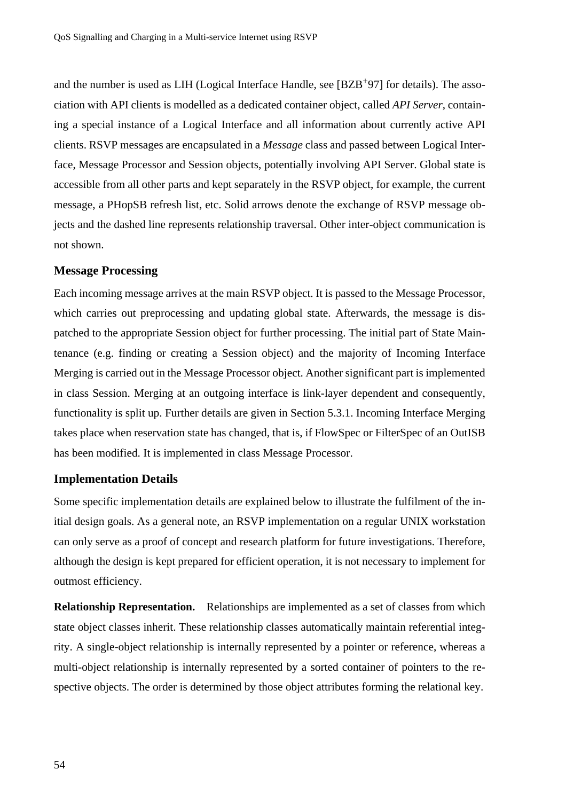and the number is used as LIH (Logical Interface Handle, see [BZB+97] for details). The association with API clients is modelled as a dedicated container object, called *API Server*, containing a special instance of a Logical Interface and all information about currently active API clients. RSVP messages are encapsulated in a *Message* class and passed between Logical Interface, Message Processor and Session objects, potentially involving API Server. Global state is accessible from all other parts and kept separately in the RSVP object, for example, the current message, a PHopSB refresh list, etc. Solid arrows denote the exchange of RSVP message objects and the dashed line represents relationship traversal. Other inter-object communication is not shown.

## **Message Processing**

Each incoming message arrives at the main RSVP object. It is passed to the Message Processor, which carries out preprocessing and updating global state. Afterwards, the message is dispatched to the appropriate Session object for further processing. The initial part of State Maintenance (e.g. finding or creating a Session object) and the majority of Incoming Interface Merging is carried out in the Message Processor object. Another significant part is implemented in class Session. Merging at an outgoing interface is link-layer dependent and consequently, functionality is split up. Further details are given in [Section 5.3.1.](#page-68-0) Incoming Interface Merging takes place when reservation state has changed, that is, if FlowSpec or FilterSpec of an OutISB has been modified. It is implemented in class Message Processor.

## **Implementation Details**

Some specific implementation details are explained below to illustrate the fulfilment of the initial design goals. As a general note, an RSVP implementation on a regular UNIX workstation can only serve as a proof of concept and research platform for future investigations. Therefore, although the design is kept prepared for efficient operation, it is not necessary to implement for outmost efficiency.

**Relationship Representation.** Relationships are implemented as a set of classes from which state object classes inherit. These relationship classes automatically maintain referential integrity. A single-object relationship is internally represented by a pointer or reference, whereas a multi-object relationship is internally represented by a sorted container of pointers to the respective objects. The order is determined by those object attributes forming the relational key.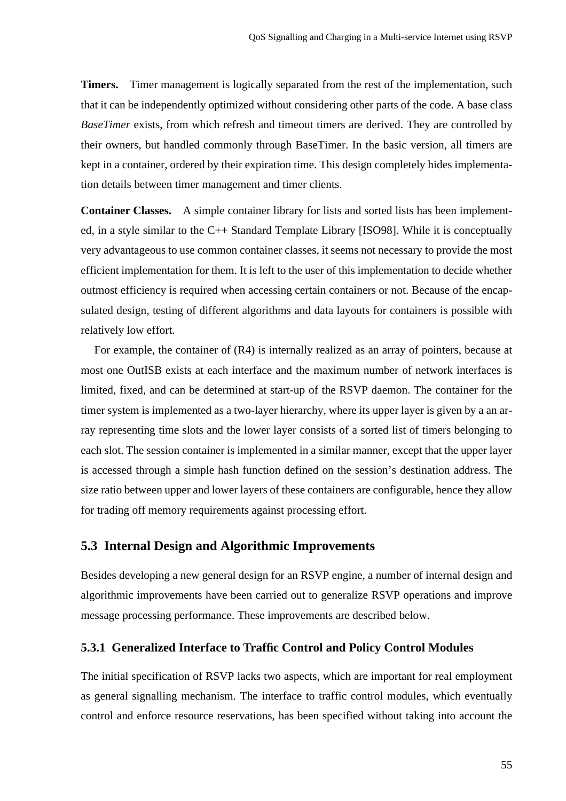<span id="page-68-0"></span>**Timers.** Timer management is logically separated from the rest of the implementation, such that it can be independently optimized without considering other parts of the code. A base class *BaseTimer* exists, from which refresh and timeout timers are derived. They are controlled by their owners, but handled commonly through BaseTimer. In the basic version, all timers are kept in a container, ordered by their expiration time. This design completely hides implementation details between timer management and timer clients.

**Container Classes.** A simple container library for lists and sorted lists has been implemented, in a style similar to the C++ Standard Template Library [ISO98]. While it is conceptually very advantageous to use common container classes, it seems not necessary to provide the most efficient implementation for them. It is left to the user of this implementation to decide whether outmost efficiency is required when accessing certain containers or not. Because of the encapsulated design, testing of different algorithms and data layouts for containers is possible with relatively low effort.

For example, the container of [\(R4\)](#page-61-0) is internally realized as an array of pointers, because at most one OutISB exists at each interface and the maximum number of network interfaces is limited, fixed, and can be determined at start-up of the RSVP daemon. The container for the timer system is implemented as a two-layer hierarchy, where its upper layer is given by a an array representing time slots and the lower layer consists of a sorted list of timers belonging to each slot. The session container is implemented in a similar manner, except that the upper layer is accessed through a simple hash function defined on the session's destination address. The size ratio between upper and lower layers of these containers are configurable, hence they allow for trading off memory requirements against processing effort.

## **5.3 Internal Design and Algorithmic Improvements**

Besides developing a new general design for an RSVP engine, a number of internal design and algorithmic improvements have been carried out to generalize RSVP operations and improve message processing performance. These improvements are described below.

#### **5.3.1 Generalized Interface to Traffic Control and Policy Control Modules**

The initial specification of RSVP lacks two aspects, which are important for real employment as general signalling mechanism. The interface to traffic control modules, which eventually control and enforce resource reservations, has been specified without taking into account the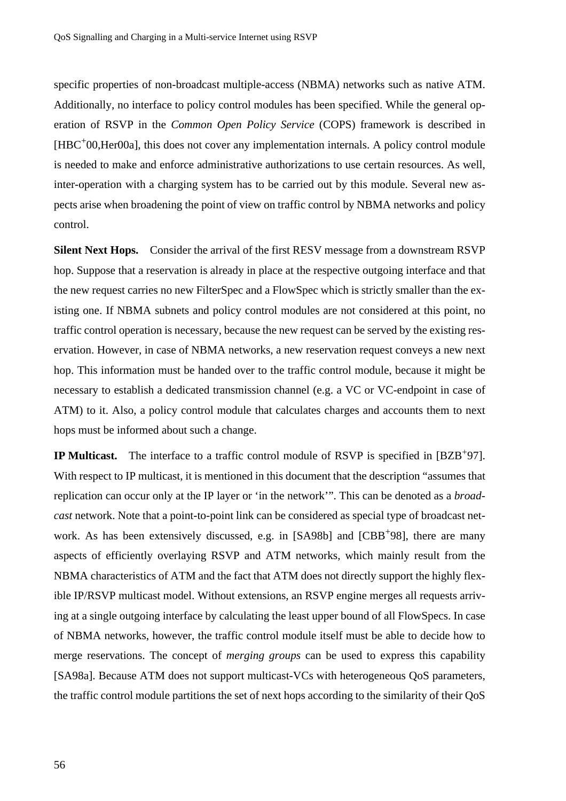specific properties of non-broadcast multiple-access (NBMA) networks such as native ATM. Additionally, no interface to policy control modules has been specified. While the general operation of RSVP in the *Common Open Policy Service* (COPS) framework is described in  $[HBC<sup>+</sup>00, Her00a]$ , this does not cover any implementation internals. A policy control module is needed to make and enforce administrative authorizations to use certain resources. As well, inter-operation with a charging system has to be carried out by this module. Several new aspects arise when broadening the point of view on traffic control by NBMA networks and policy control.

**Silent Next Hops.** Consider the arrival of the first RESV message from a downstream RSVP hop. Suppose that a reservation is already in place at the respective outgoing interface and that the new request carries no new FilterSpec and a FlowSpec which is strictly smaller than the existing one. If NBMA subnets and policy control modules are not considered at this point, no traffic control operation is necessary, because the new request can be served by the existing reservation. However, in case of NBMA networks, a new reservation request conveys a new next hop. This information must be handed over to the traffic control module, because it might be necessary to establish a dedicated transmission channel (e.g. a VC or VC-endpoint in case of ATM) to it. Also, a policy control module that calculates charges and accounts them to next hops must be informed about such a change.

**IP Multicast.** The interface to a traffic control module of RSVP is specified in [BZB<sup>+</sup>97]. With respect to IP multicast, it is mentioned in this document that the description "assumes that replication can occur only at the IP layer or 'in the network'". This can be denoted as a *broadcast* network. Note that a point-to-point link can be considered as special type of broadcast network. As has been extensively discussed, e.g. in [SA98b] and [CBB<sup>+</sup>98], there are many aspects of efficiently overlaying RSVP and ATM networks, which mainly result from the NBMA characteristics of ATM and the fact that ATM does not directly support the highly flexible IP/RSVP multicast model. Without extensions, an RSVP engine merges all requests arriving at a single outgoing interface by calculating the least upper bound of all FlowSpecs. In case of NBMA networks, however, the traffic control module itself must be able to decide how to merge reservations. The concept of *merging groups* can be used to express this capability [SA98a]. Because ATM does not support multicast-VCs with heterogeneous QoS parameters, the traffic control module partitions the set of next hops according to the similarity of their QoS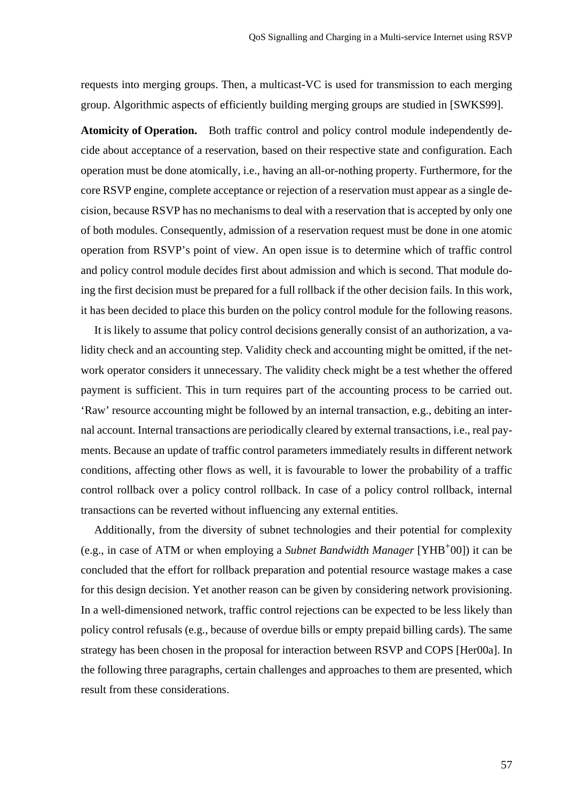requests into merging groups. Then, a multicast-VC is used for transmission to each merging group. Algorithmic aspects of efficiently building merging groups are studied in [SWKS99].

**Atomicity of Operation.** Both traffic control and policy control module independently decide about acceptance of a reservation, based on their respective state and configuration. Each operation must be done atomically, i.e., having an all-or-nothing property. Furthermore, for the core RSVP engine, complete acceptance or rejection of a reservation must appear as a single decision, because RSVP has no mechanisms to deal with a reservation that is accepted by only one of both modules. Consequently, admission of a reservation request must be done in one atomic operation from RSVP's point of view. An open issue is to determine which of traffic control and policy control module decides first about admission and which is second. That module doing the first decision must be prepared for a full rollback if the other decision fails. In this work, it has been decided to place this burden on the policy control module for the following reasons.

It is likely to assume that policy control decisions generally consist of an authorization, a validity check and an accounting step. Validity check and accounting might be omitted, if the network operator considers it unnecessary. The validity check might be a test whether the offered payment is sufficient. This in turn requires part of the accounting process to be carried out. 'Raw' resource accounting might be followed by an internal transaction, e.g., debiting an internal account. Internal transactions are periodically cleared by external transactions, i.e., real payments. Because an update of traffic control parameters immediately results in different network conditions, affecting other flows as well, it is favourable to lower the probability of a traffic control rollback over a policy control rollback. In case of a policy control rollback, internal transactions can be reverted without influencing any external entities.

Additionally, from the diversity of subnet technologies and their potential for complexity (e.g., in case of ATM or when employing a *Subnet Bandwidth Manager* [YHB+00]) it can be concluded that the effort for rollback preparation and potential resource wastage makes a case for this design decision. Yet another reason can be given by considering network provisioning. In a well-dimensioned network, traffic control rejections can be expected to be less likely than policy control refusals (e.g., because of overdue bills or empty prepaid billing cards). The same strategy has been chosen in the proposal for interaction between RSVP and COPS [Her00a]. In the following three paragraphs, certain challenges and approaches to them are presented, which result from these considerations.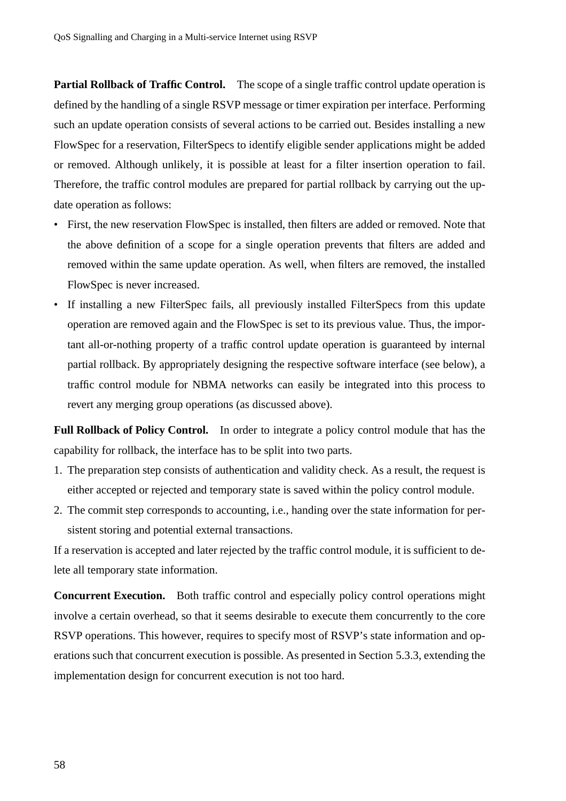**Partial Rollback of Traffic Control.** The scope of a single traffic control update operation is defined by the handling of a single RSVP message or timer expiration per interface. Performing such an update operation consists of several actions to be carried out. Besides installing a new FlowSpec for a reservation, FilterSpecs to identify eligible sender applications might be added or removed. Although unlikely, it is possible at least for a filter insertion operation to fail. Therefore, the traffic control modules are prepared for partial rollback by carrying out the update operation as follows:

- First, the new reservation FlowSpec is installed, then filters are added or removed. Note that the above definition of a scope for a single operation prevents that filters are added and removed within the same update operation. As well, when filters are removed, the installed FlowSpec is never increased.
- If installing a new FilterSpec fails, all previously installed FilterSpecs from this update operation are removed again and the FlowSpec is set to its previous value. Thus, the important all-or-nothing property of a traffic control update operation is guaranteed by internal partial rollback. By appropriately designing the respective software interface (see below), a traffic control module for NBMA networks can easily be integrated into this process to revert any merging group operations (as discussed above).

**Full Rollback of Policy Control.** In order to integrate a policy control module that has the capability for rollback, the interface has to be split into two parts.

- 1. The preparation step consists of authentication and validity check. As a result, the request is either accepted or rejected and temporary state is saved within the policy control module.
- 2. The commit step corresponds to accounting, i.e., handing over the state information for persistent storing and potential external transactions.

If a reservation is accepted and later rejected by the traffic control module, it is sufficient to delete all temporary state information.

**Concurrent Execution.** Both traffic control and especially policy control operations might involve a certain overhead, so that it seems desirable to execute them concurrently to the core RSVP operations. This however, requires to specify most of RSVP's state information and operations such that concurrent execution is possible. As presented in [Section 5.3.3,](#page-75-0) extending the implementation design for concurrent execution is not too hard.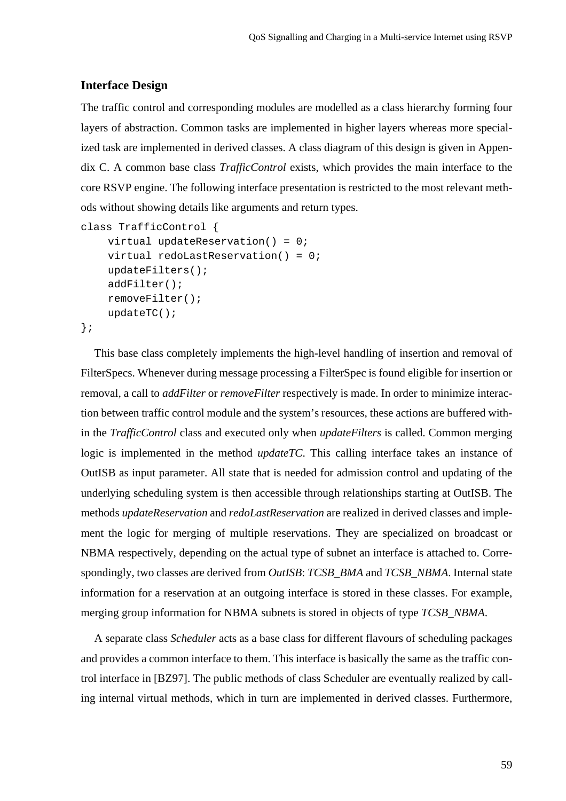## **Interface Design**

The traffic control and corresponding modules are modelled as a class hierarchy forming four layers of abstraction. Common tasks are implemented in higher layers whereas more specialized task are implemented in derived classes. A class diagram of this design is given in [Appen](#page-154-0)[dix C](#page-154-0). A common base class *TrafficControl* exists, which provides the main interface to the core RSVP engine. The following interface presentation is restricted to the most relevant methods without showing details like arguments and return types.

```
class TrafficControl {
    virtual updateReservation() = 0;
    virtual redoLastReservation() = 0iupdateFilters();
    addFilter();
    removeFilter();
    updateTC();
};
```
This base class completely implements the high-level handling of insertion and removal of FilterSpecs. Whenever during message processing a FilterSpec is found eligible for insertion or removal, a call to *addFilter* or *removeFilter* respectively is made. In order to minimize interaction between traffic control module and the system's resources, these actions are buffered within the *TrafficControl* class and executed only when *updateFilters* is called. Common merging logic is implemented in the method *updateTC*. This calling interface takes an instance of OutISB as input parameter. All state that is needed for admission control and updating of the underlying scheduling system is then accessible through relationships starting at OutISB. The methods *updateReservation* and *redoLastReservation* are realized in derived classes and implement the logic for merging of multiple reservations. They are specialized on broadcast or NBMA respectively, depending on the actual type of subnet an interface is attached to. Correspondingly, two classes are derived from *OutISB*: *TCSB\_BMA* and *TCSB\_NBMA*. Internal state information for a reservation at an outgoing interface is stored in these classes. For example, merging group information for NBMA subnets is stored in objects of type *TCSB\_NBMA*.

A separate class *Scheduler* acts as a base class for different flavours of scheduling packages and provides a common interface to them. This interface is basically the same as the traffic control interface in [BZ97]. The public methods of class Scheduler are eventually realized by calling internal virtual methods, which in turn are implemented in derived classes. Furthermore,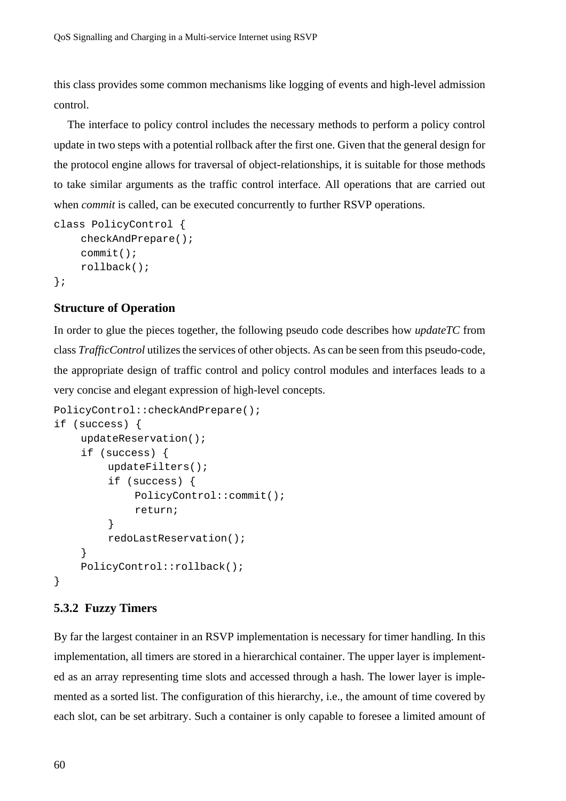this class provides some common mechanisms like logging of events and high-level admission control.

The interface to policy control includes the necessary methods to perform a policy control update in two steps with a potential rollback after the first one. Given that the general design for the protocol engine allows for traversal of object-relationships, it is suitable for those methods to take similar arguments as the traffic control interface. All operations that are carried out when *commit* is called, can be executed concurrently to further RSVP operations.

```
class PolicyControl {
    checkAndPrepare();
    commit();
    rollback();
};
```
## **Structure of Operation**

In order to glue the pieces together, the following pseudo code describes how *updateTC* from class *TrafficControl* utilizes the services of other objects. As can be seen from this pseudo-code, the appropriate design of traffic control and policy control modules and interfaces leads to a very concise and elegant expression of high-level concepts.

```
PolicyControl::checkAndPrepare();
if (success) {
    updateReservation();
    if (success) {
         updateFilters();
         if (success) {
             PolicyControl::commit();
             return;
         }
         redoLastReservation();
    }
    PolicyControl::rollback();
}
```
# **5.3.2 Fuzzy Timers**

By far the largest container in an RSVP implementation is necessary for timer handling. In this implementation, all timers are stored in a hierarchical container. The upper layer is implemented as an array representing time slots and accessed through a hash. The lower layer is implemented as a sorted list. The configuration of this hierarchy, i.e., the amount of time covered by each slot, can be set arbitrary. Such a container is only capable to foresee a limited amount of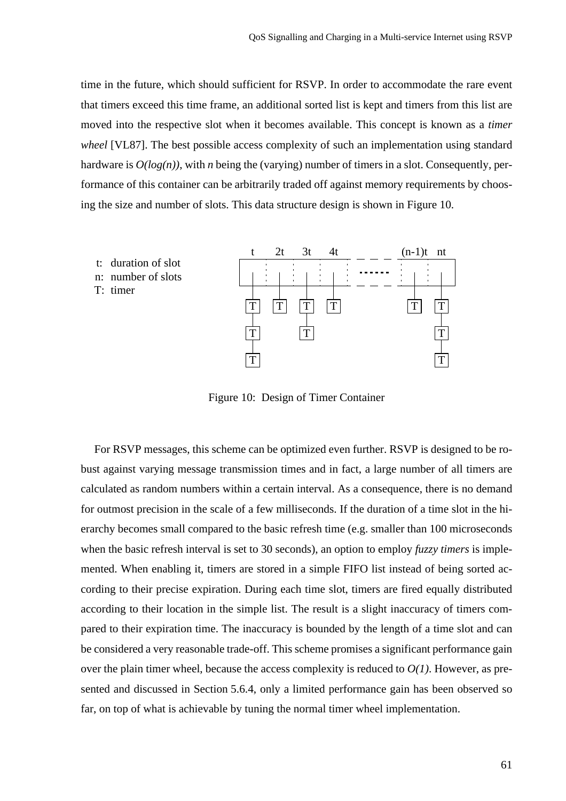time in the future, which should sufficient for RSVP. In order to accommodate the rare event that timers exceed this time frame, an additional sorted list is kept and timers from this list are moved into the respective slot when it becomes available. This concept is known as a *timer wheel* [VL87]. The best possible access complexity of such an implementation using standard hardware is  $O(log(n))$ , with *n* being the (varying) number of timers in a slot. Consequently, performance of this container can be arbitrarily traded off against memory requirements by choosing the size and number of slots. This data structure design is shown in Figure 10.



Figure 10: Design of Timer Container

For RSVP messages, this scheme can be optimized even further. RSVP is designed to be robust against varying message transmission times and in fact, a large number of all timers are calculated as random numbers within a certain interval. As a consequence, there is no demand for outmost precision in the scale of a few milliseconds. If the duration of a time slot in the hierarchy becomes small compared to the basic refresh time (e.g. smaller than 100 microseconds when the basic refresh interval is set to 30 seconds), an option to employ *fuzzy timers* is implemented. When enabling it, timers are stored in a simple FIFO list instead of being sorted according to their precise expiration. During each time slot, timers are fired equally distributed according to their location in the simple list. The result is a slight inaccuracy of timers compared to their expiration time. The inaccuracy is bounded by the length of a time slot and can be considered a very reasonable trade-off. This scheme promises a significant performance gain over the plain timer wheel, because the access complexity is reduced to  $O(1)$ . However, as presented and discussed in [Section 5.6.4,](#page-85-0) only a limited performance gain has been observed so far, on top of what is achievable by tuning the normal timer wheel implementation.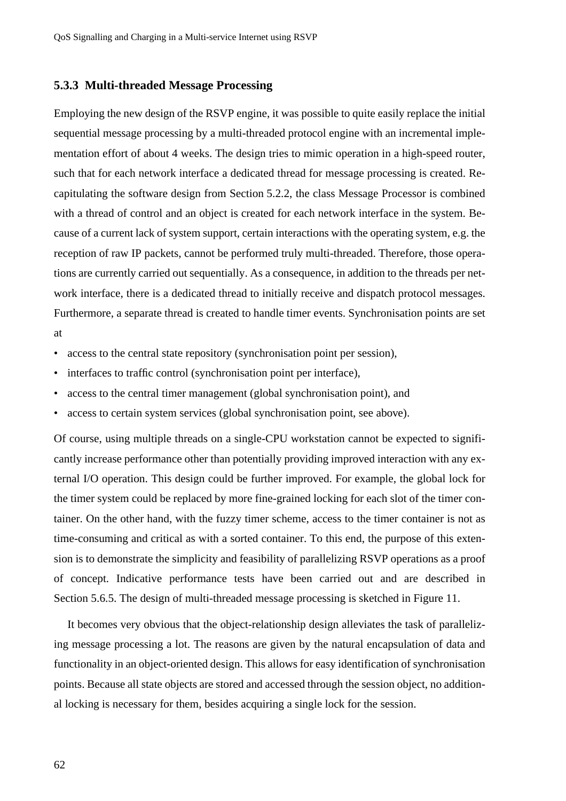### <span id="page-75-0"></span>**5.3.3 Multi-threaded Message Processing**

Employing the new design of the RSVP engine, it was possible to quite easily replace the initial sequential message processing by a multi-threaded protocol engine with an incremental implementation effort of about 4 weeks. The design tries to mimic operation in a high-speed router, such that for each network interface a dedicated thread for message processing is created. Recapitulating the software design from [Section 5.2.2](#page-65-0), the class Message Processor is combined with a thread of control and an object is created for each network interface in the system. Because of a current lack of system support, certain interactions with the operating system, e.g. the reception of raw IP packets, cannot be performed truly multi-threaded. Therefore, those operations are currently carried out sequentially. As a consequence, in addition to the threads per network interface, there is a dedicated thread to initially receive and dispatch protocol messages. Furthermore, a separate thread is created to handle timer events. Synchronisation points are set at

- access to the central state repository (synchronisation point per session),
- interfaces to traffic control (synchronisation point per interface),
- access to the central timer management (global synchronisation point), and
- access to certain system services (global synchronisation point, see above).

Of course, using multiple threads on a single-CPU workstation cannot be expected to significantly increase performance other than potentially providing improved interaction with any external I/O operation. This design could be further improved. For example, the global lock for the timer system could be replaced by more fine-grained locking for each slot of the timer container. On the other hand, with the fuzzy timer scheme, access to the timer container is not as time-consuming and critical as with a sorted container. To this end, the purpose of this extension is to demonstrate the simplicity and feasibility of parallelizing RSVP operations as a proof of concept. Indicative performance tests have been carried out and are described in [Section 5.6.5.](#page-86-0) The design of multi-threaded message processing is sketched in Fig[ure 11.](#page-76-0)

It becomes very obvious that the object-relationship design alleviates the task of parallelizing message processing a lot. The reasons are given by the natural encapsulation of data and functionality in an object-oriented design. This allows for easy identification of synchronisation points. Because all state objects are stored and accessed through the session object, no additional locking is necessary for them, besides acquiring a single lock for the session.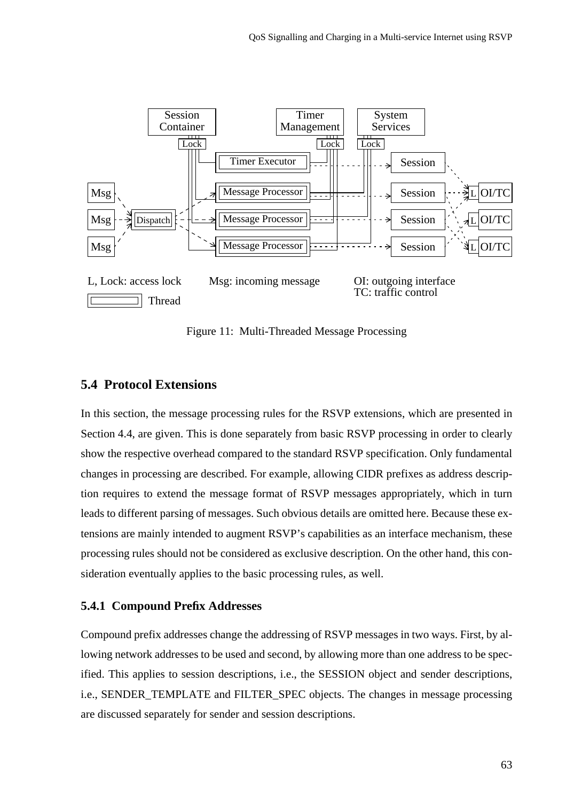<span id="page-76-0"></span>

Figure 11: Multi-Threaded Message Processing

# **5.4 Protocol Extensions**

In this section, the message processing rules for the RSVP extensions, which are presented in [Section 4.4,](#page-44-0) are given. This is done separately from basic RSVP processing in order to clearly show the respective overhead compared to the standard RSVP specification. Only fundamental changes in processing are described. For example, allowing CIDR prefixes as address description requires to extend the message format of RSVP messages appropriately, which in turn leads to different parsing of messages. Such obvious details are omitted here. Because these extensions are mainly intended to augment RSVP's capabilities as an interface mechanism, these processing rules should not be considered as exclusive description. On the other hand, this consideration eventually applies to the basic processing rules, as well.

### **5.4.1 Compound Prefix Addresses**

Compound prefix addresses change the addressing of RSVP messages in two ways. First, by allowing network addresses to be used and second, by allowing more than one address to be specified. This applies to session descriptions, i.e., the SESSION object and sender descriptions, i.e., SENDER\_TEMPLATE and FILTER\_SPEC objects. The changes in message processing are discussed separately for sender and session descriptions.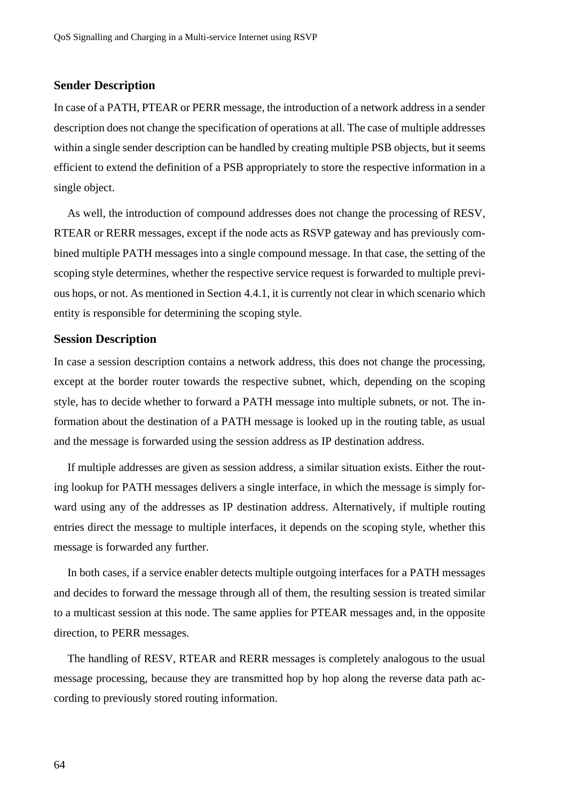### **Sender Description**

In case of a PATH, PTEAR or PERR message, the introduction of a network address in a sender description does not change the specification of operations at all. The case of multiple addresses within a single sender description can be handled by creating multiple PSB objects, but it seems efficient to extend the definition of a PSB appropriately to store the respective information in a single object.

As well, the introduction of compound addresses does not change the processing of RESV, RTEAR or RERR messages, except if the node acts as RSVP gateway and has previously combined multiple PATH messages into a single compound message. In that case, the setting of the scoping style determines, whether the respective service request is forwarded to multiple previous hops, or not. As mentioned in [Section 4.4.1,](#page-45-0) it is currently not clear in which scenario which entity is responsible for determining the scoping style.

### **Session Description**

In case a session description contains a network address, this does not change the processing, except at the border router towards the respective subnet, which, depending on the scoping style, has to decide whether to forward a PATH message into multiple subnets, or not. The information about the destination of a PATH message is looked up in the routing table, as usual and the message is forwarded using the session address as IP destination address.

If multiple addresses are given as session address, a similar situation exists. Either the routing lookup for PATH messages delivers a single interface, in which the message is simply forward using any of the addresses as IP destination address. Alternatively, if multiple routing entries direct the message to multiple interfaces, it depends on the scoping style, whether this message is forwarded any further.

In both cases, if a service enabler detects multiple outgoing interfaces for a PATH messages and decides to forward the message through all of them, the resulting session is treated similar to a multicast session at this node. The same applies for PTEAR messages and, in the opposite direction, to PERR messages.

The handling of RESV, RTEAR and RERR messages is completely analogous to the usual message processing, because they are transmitted hop by hop along the reverse data path according to previously stored routing information.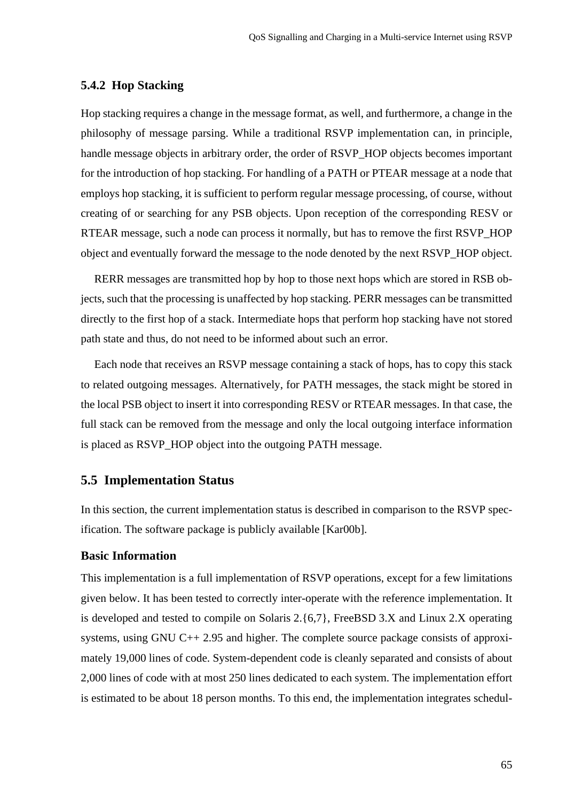## **5.4.2 Hop Stacking**

Hop stacking requires a change in the message format, as well, and furthermore, a change in the philosophy of message parsing. While a traditional RSVP implementation can, in principle, handle message objects in arbitrary order, the order of RSVP\_HOP objects becomes important for the introduction of hop stacking. For handling of a PATH or PTEAR message at a node that employs hop stacking, it is sufficient to perform regular message processing, of course, without creating of or searching for any PSB objects. Upon reception of the corresponding RESV or RTEAR message, such a node can process it normally, but has to remove the first RSVP\_HOP object and eventually forward the message to the node denoted by the next RSVP\_HOP object.

RERR messages are transmitted hop by hop to those next hops which are stored in RSB objects, such that the processing is unaffected by hop stacking. PERR messages can be transmitted directly to the first hop of a stack. Intermediate hops that perform hop stacking have not stored path state and thus, do not need to be informed about such an error.

Each node that receives an RSVP message containing a stack of hops, has to copy this stack to related outgoing messages. Alternatively, for PATH messages, the stack might be stored in the local PSB object to insert it into corresponding RESV or RTEAR messages. In that case, the full stack can be removed from the message and only the local outgoing interface information is placed as RSVP\_HOP object into the outgoing PATH message.

# **5.5 Implementation Status**

In this section, the current implementation status is described in comparison to the RSVP specification. The software package is publicly available [Kar00b].

# **Basic Information**

This implementation is a full implementation of RSVP operations, except for a few limitations given below. It has been tested to correctly inter-operate with the reference implementation. It is developed and tested to compile on Solaris 2.{6,7}, FreeBSD 3.X and Linux 2.X operating systems, using GNU C++ 2.95 and higher. The complete source package consists of approximately 19,000 lines of code. System-dependent code is cleanly separated and consists of about 2,000 lines of code with at most 250 lines dedicated to each system. The implementation effort is estimated to be about 18 person months. To this end, the implementation integrates schedul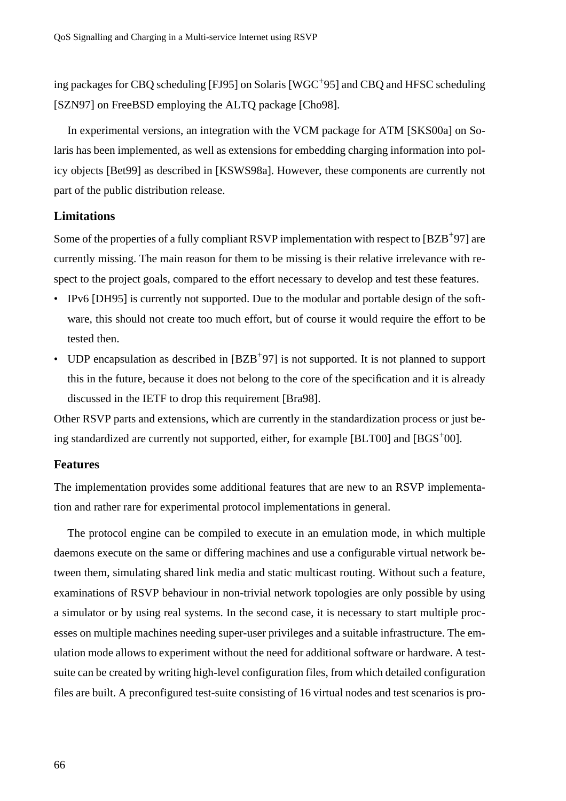ing packages for CBQ scheduling [FJ95] on Solaris [WGC+95] and CBQ and HFSC scheduling [SZN97] on FreeBSD employing the ALTQ package [Cho98].

In experimental versions, an integration with the VCM package for ATM [SKS00a] on Solaris has been implemented, as well as extensions for embedding charging information into policy objects [Bet99] as described in [KSWS98a]. However, these components are currently not part of the public distribution release.

## **Limitations**

Some of the properties of a fully compliant RSVP implementation with respect to [BZB<sup>+</sup>97] are currently missing. The main reason for them to be missing is their relative irrelevance with respect to the project goals, compared to the effort necessary to develop and test these features.

- IPv6 [DH95] is currently not supported. Due to the modular and portable design of the software, this should not create too much effort, but of course it would require the effort to be tested then.
- UDP encapsulation as described in  $[0.7B<sup>+</sup>97]$  is not supported. It is not planned to support this in the future, because it does not belong to the core of the specification and it is already discussed in the IETF to drop this requirement [Bra98].

Other RSVP parts and extensions, which are currently in the standardization process or just being standardized are currently not supported, either, for example [BLT00] and [BGS<sup>+</sup>00].

## **Features**

The implementation provides some additional features that are new to an RSVP implementation and rather rare for experimental protocol implementations in general.

The protocol engine can be compiled to execute in an emulation mode, in which multiple daemons execute on the same or differing machines and use a configurable virtual network between them, simulating shared link media and static multicast routing. Without such a feature, examinations of RSVP behaviour in non-trivial network topologies are only possible by using a simulator or by using real systems. In the second case, it is necessary to start multiple processes on multiple machines needing super-user privileges and a suitable infrastructure. The emulation mode allows to experiment without the need for additional software or hardware. A testsuite can be created by writing high-level configuration files, from which detailed configuration files are built. A preconfigured test-suite consisting of 16 virtual nodes and test scenarios is pro-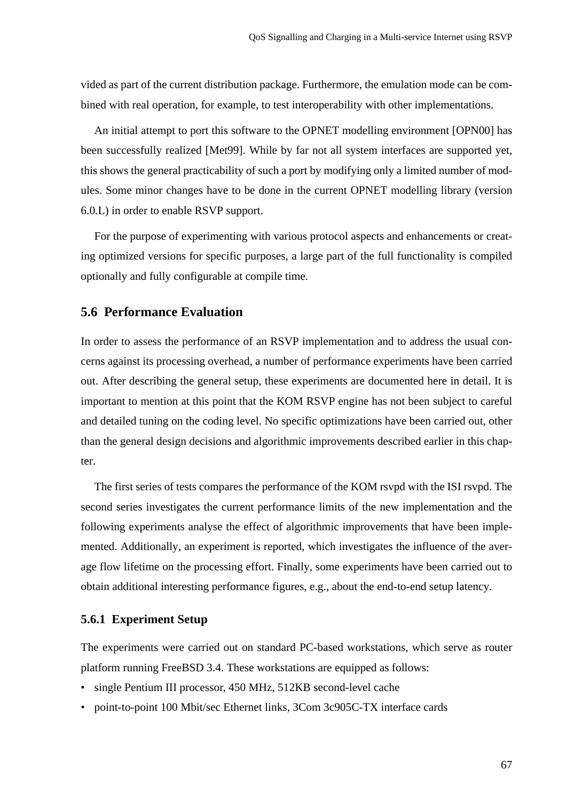<span id="page-80-0"></span>vided as part of the current distribution package. Furthermore, the emulation mode can be combined with real operation, for example, to test interoperability with other implementations.

An initial attempt to port this software to the OPNET modelling environment [OPN00] has been successfully realized [Met99]. While by far not all system interfaces are supported yet, this shows the general practicability of such a port by modifying only a limited number of modules. Some minor changes have to be done in the current OPNET modelling library (version 6.0.L) in order to enable RSVP support.

For the purpose of experimenting with various protocol aspects and enhancements or creating optimized versions for specific purposes, a large part of the full functionality is compiled optionally and fully configurable at compile time.

# **5.6 Performance Evaluation**

In order to assess the performance of an RSVP implementation and to address the usual concerns against its processing overhead, a number of performance experiments have been carried out. After describing the general setup, these experiments are documented here in detail. It is important to mention at this point that the KOM RSVP engine has not been subject to careful and detailed tuning on the coding level. No specific optimizations have been carried out, other than the general design decisions and algorithmic improvements described earlier in this chapter.

The first series of tests compares the performance of the KOM rsvpd with the ISI rsvpd. The second series investigates the current performance limits of the new implementation and the following experiments analyse the effect of algorithmic improvements that have been implemented. Additionally, an experiment is reported, which investigates the influence of the average flow lifetime on the processing effort. Finally, some experiments have been carried out to obtain additional interesting performance figures, e.g., about the end-to-end setup latency.

# **5.6.1 Experiment Setup**

The experiments were carried out on standard PC-based workstations, which serve as router platform running FreeBSD 3.4. These workstations are equipped as follows:

- single Pentium III processor, 450 MHz, 512KB second-level cache
- point-to-point 100 Mbit/sec Ethernet links, 3Com 3c905C-TX interface cards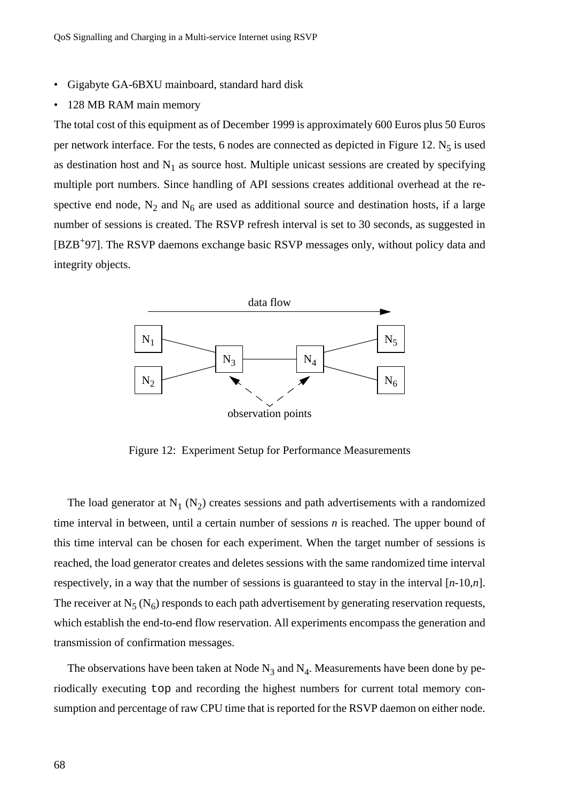- <span id="page-81-0"></span>• Gigabyte GA-6BXU mainboard, standard hard disk
- 128 MB RAM main memory

The total cost of this equipment as of December 1999 is approximately 600 Euros plus 50 Euros per network interface. For the tests, 6 nodes are connected as depicted in Figure 12.  $N_5$  is used as destination host and  $N_1$  as source host. Multiple unicast sessions are created by specifying multiple port numbers. Since handling of API sessions creates additional overhead at the respective end node,  $N_2$  and  $N_6$  are used as additional source and destination hosts, if a large number of sessions is created. The RSVP refresh interval is set to 30 seconds, as suggested in [BZB+97]. The RSVP daemons exchange basic RSVP messages only, without policy data and integrity objects.



Figure 12: Experiment Setup for Performance Measurements

The load generator at  $N_1$  (N<sub>2</sub>) creates sessions and path advertisements with a randomized time interval in between, until a certain number of sessions *n* is reached. The upper bound of this time interval can be chosen for each experiment. When the target number of sessions is reached, the load generator creates and deletes sessions with the same randomized time interval respectively, in a way that the number of sessions is guaranteed to stay in the interval [*n*-10,*n*]. The receiver at  $N_5$  ( $N_6$ ) responds to each path advertisement by generating reservation requests, which establish the end-to-end flow reservation. All experiments encompass the generation and transmission of confirmation messages.

The observations have been taken at Node  $N_3$  and  $N_4$ . Measurements have been done by periodically executing top and recording the highest numbers for current total memory consumption and percentage of raw CPU time that is reported for the RSVP daemon on either node.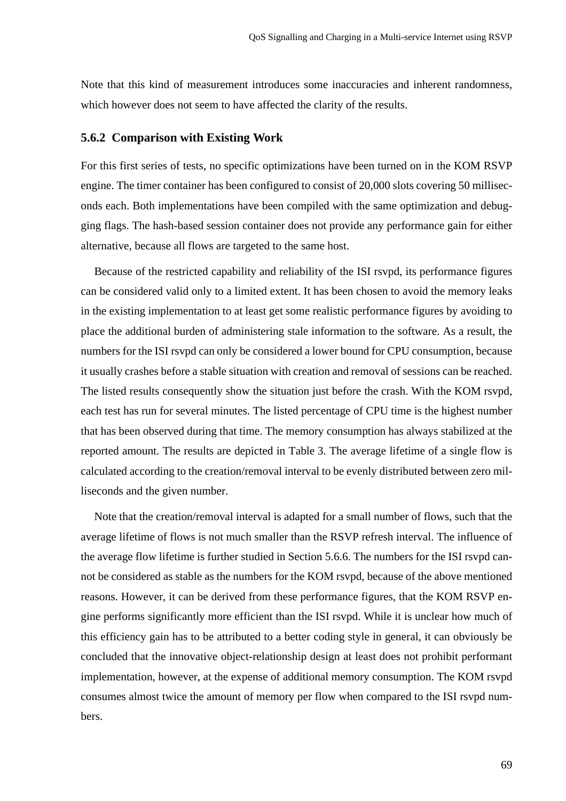Note that this kind of measurement introduces some inaccuracies and inherent randomness, which however does not seem to have affected the clarity of the results.

### **5.6.2 Comparison with Existing Work**

For this first series of tests, no specific optimizations have been turned on in the KOM RSVP engine. The timer container has been configured to consist of 20,000 slots covering 50 milliseconds each. Both implementations have been compiled with the same optimization and debugging flags. The hash-based session container does not provide any performance gain for either alternative, because all flows are targeted to the same host.

Because of the restricted capability and reliability of the ISI rsvpd, its performance figures can be considered valid only to a limited extent. It has been chosen to avoid the memory leaks in the existing implementation to at least get some realistic performance figures by avoiding to place the additional burden of administering stale information to the software. As a result, the numbers for the ISI rsvpd can only be considered a lower bound for CPU consumption, because it usually crashes before a stable situation with creation and removal of sessions can be reached. The listed results consequently show the situation just before the crash. With the KOM rsvpd, each test has run for several minutes. The listed percentage of CPU time is the highest number that has been observed during that time. The memory consumption has always stabilized at the reported amount. The results are depicted in [Table 3.](#page-83-0) The average lifetime of a single flow is calculated according to the creation/removal interval to be evenly distributed between zero milliseconds and the given number.

Note that the creation/removal interval is adapted for a small number of flows, such that the average lifetime of flows is not much smaller than the RSVP refresh interval. The influence of the average flow lifetime is further studied in [Section 5.6.6](#page-88-0). The numbers for the ISI rsvpd cannot be considered as stable as the numbers for the KOM rsvpd, because of the above mentioned reasons. However, it can be derived from these performance figures, that the KOM RSVP engine performs significantly more efficient than the ISI rsvpd. While it is unclear how much of this efficiency gain has to be attributed to a better coding style in general, it can obviously be concluded that the innovative object-relationship design at least does not prohibit performant implementation, however, at the expense of additional memory consumption. The KOM rsvpd consumes almost twice the amount of memory per flow when compared to the ISI rsvpd numbers.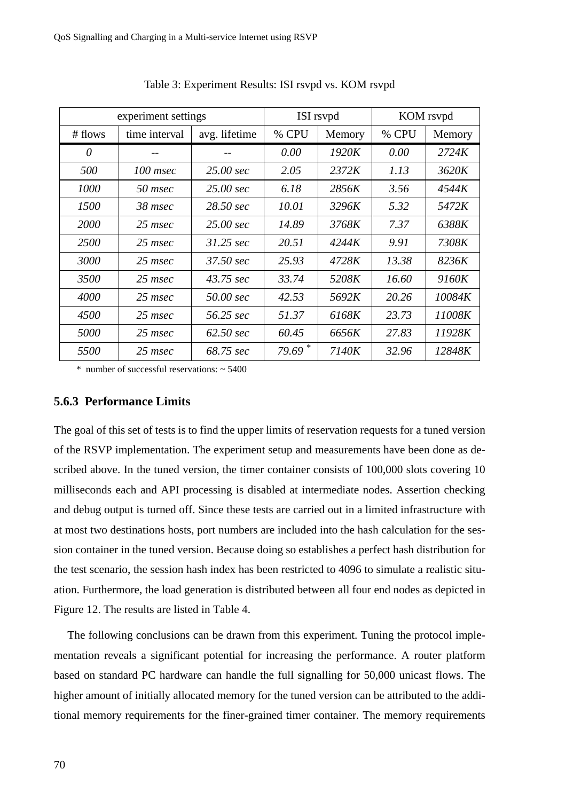<span id="page-83-0"></span>

| experiment settings |               | ISI rsvpd           |           | KOM rsvpd |       |        |
|---------------------|---------------|---------------------|-----------|-----------|-------|--------|
| # flows             | time interval | avg. lifetime       | % CPU     | Memory    | % CPU | Memory |
| 0                   |               |                     | 0.00      | 1920K     | 0.00  | 2724K  |
| 500                 | 100 msec      | $25.00$ sec         | 2.05      | 2372K     | 1.13  | 3620K  |
| 1000                | 50 msec       | $25.00 \text{ sec}$ | 6.18      | 2856K     | 3.56  | 4544K  |
| 1500                | 38 msec       | 28.50 sec           | 10.01     | 3296K     | 5.32  | 5472K  |
| 2000                | $25$ msec     | $25.00 \text{ sec}$ | 14.89     | 3768K     | 7.37  | 6388K  |
| 2500                | $25$ msec     | $31.25$ sec         | 20.51     | 4244K     | 9.91  | 7308K  |
| 3000                | $25$ msec     | 37.50 sec           | 25.93     | 4728K     | 13.38 | 8236K  |
| 3500                | 25 msec       | $43.75 \text{ sec}$ | 33.74     | 5208K     | 16.60 | 9160K  |
| 4000                | 25 msec       | 50.00 sec           | 42.53     | 5692K     | 20.26 | 10084K |
| 4500                | $25$ msec     | 56.25 sec           | 51.37     | 6168K     | 23.73 | 11008K |
| 5000                | 25 msec       | 62.50 sec           | 60.45     | 6656K     | 27.83 | 11928K |
| 5500                | $25$ msec     | 68.75 sec           | 79.69 $*$ | 7140K     | 32.96 | 12848K |

Table 3: Experiment Results: ISI rsvpd vs. KOM rsvpd

 $*$  number of successful reservations:  $\sim$  5400

### **5.6.3 Performance Limits**

The goal of this set of tests is to find the upper limits of reservation requests for a tuned version of the RSVP implementation. The experiment setup and measurements have been done as described above. In the tuned version, the timer container consists of 100,000 slots covering 10 milliseconds each and API processing is disabled at intermediate nodes. Assertion checking and debug output is turned off. Since these tests are carried out in a limited infrastructure with at most two destinations hosts, port numbers are included into the hash calculation for the session container in the tuned version. Because doing so establishes a perfect hash distribution for the test scenario, the session hash index has been restricted to 4096 to simulate a realistic situation. Furthermore, the load generation is distributed between all four end nodes as depicted in [Figure 12.](#page-81-0) The results are listed in T[able 4.](#page-84-0)

The following conclusions can be drawn from this experiment. Tuning the protocol implementation reveals a significant potential for increasing the performance. A router platform based on standard PC hardware can handle the full signalling for 50,000 unicast flows. The higher amount of initially allocated memory for the tuned version can be attributed to the additional memory requirements for the finer-grained timer container. The memory requirements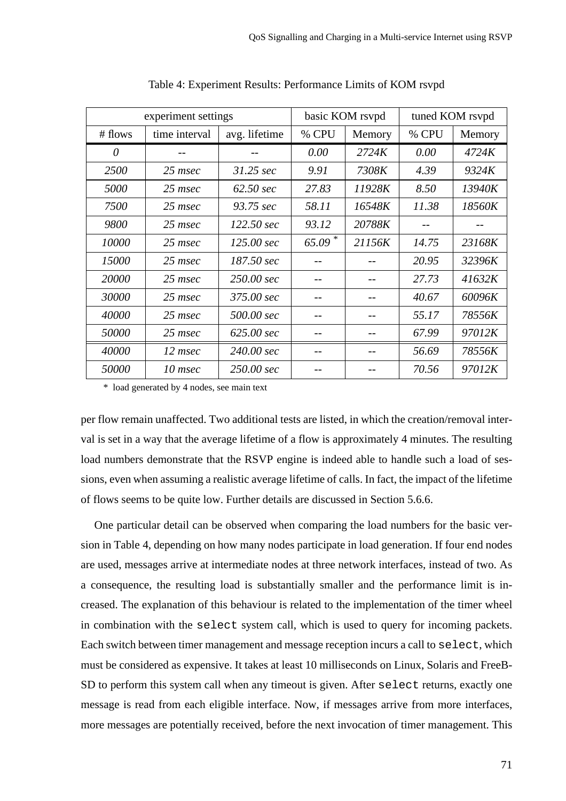<span id="page-84-0"></span>

| experiment settings |               | basic KOM rsvpd      |          | tuned KOM rsvpd |       |        |
|---------------------|---------------|----------------------|----------|-----------------|-------|--------|
| # flows             | time interval | avg. lifetime        | % CPU    | Memory          | % CPU | Memory |
| 0                   |               |                      | 0.00     | 2724K           | 0.00  | 4724K  |
| 2500                | 25 msec       | $31.25$ sec          | 9.91     | 7308K           | 4.39  | 9324K  |
| 5000                | $25$ msec     | 62.50 sec            | 27.83    | 11928K          | 8.50  | 13940K |
| 7500                | 25 msec       | 93.75 sec            | 58.11    | 16548K          | 11.38 | 18560K |
| 9800                | 25 msec       | $122.50 \text{ sec}$ | 93.12    | 20788K          |       |        |
| 10000               | 25 msec       | $125.00 \text{ sec}$ | $65.09*$ | 21156K          | 14.75 | 23168K |
| 15000               | $25$ msec     | 187.50 sec           |          |                 | 20.95 | 32396K |
| 20000               | $25$ msec     | 250.00 sec           |          |                 | 27.73 | 41632K |
| 30000               | 25 msec       | 375.00 sec           |          |                 | 40.67 | 60096K |
| 40000               | 25 msec       | 500.00 sec           |          |                 | 55.17 | 78556K |
| 50000               | $25$ msec     | 625.00 sec           |          |                 | 67.99 | 97012K |
| 40000               | 12 msec       | 240.00 sec           |          |                 | 56.69 | 78556K |
| 50000               | 10 msec       | 250.00 sec           |          |                 | 70.56 | 97012K |

Table 4: Experiment Results: Performance Limits of KOM rsvpd

\* load generated by 4 nodes, see main text

per flow remain unaffected. Two additional tests are listed, in which the creation/removal interval is set in a way that the average lifetime of a flow is approximately 4 minutes. The resulting load numbers demonstrate that the RSVP engine is indeed able to handle such a load of sessions, even when assuming a realistic average lifetime of calls. In fact, the impact of the lifetime of flows seems to be quite low. Further details are discussed in Se[ction 5.6.6.](#page-88-0)

One particular detail can be observed when comparing the load numbers for the basic version in Table 4, depending on how many nodes participate in load generation. If four end nodes are used, messages arrive at intermediate nodes at three network interfaces, instead of two. As a consequence, the resulting load is substantially smaller and the performance limit is increased. The explanation of this behaviour is related to the implementation of the timer wheel in combination with the select system call, which is used to query for incoming packets. Each switch between timer management and message reception incurs a call to select, which must be considered as expensive. It takes at least 10 milliseconds on Linux, Solaris and FreeB-SD to perform this system call when any timeout is given. After select returns, exactly one message is read from each eligible interface. Now, if messages arrive from more interfaces, more messages are potentially received, before the next invocation of timer management. This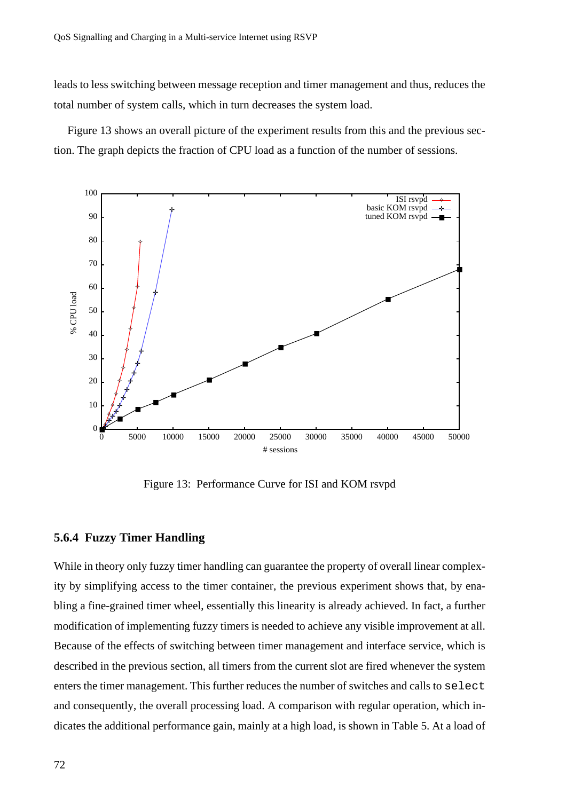<span id="page-85-0"></span>leads to less switching between message reception and timer management and thus, reduces the total number of system calls, which in turn decreases the system load.

Figure 13 shows an overall picture of the experiment results from this and the previous section. The graph depicts the fraction of CPU load as a function of the number of sessions.



Figure 13: Performance Curve for ISI and KOM rsvpd

# **5.6.4 Fuzzy Timer Handling**

While in theory only fuzzy timer handling can guarantee the property of overall linear complexity by simplifying access to the timer container, the previous experiment shows that, by enabling a fine-grained timer wheel, essentially this linearity is already achieved. In fact, a further modification of implementing fuzzy timers is needed to achieve any visible improvement at all. Because of the effects of switching between timer management and interface service, which is described in the previous section, all timers from the current slot are fired whenever the system enters the timer management. This further reduces the number of switches and calls to select and consequently, the overall processing load. A comparison with regular operation, which indicates the additional performance gain, mainly at a high load, is shown in [Table 5.](#page-86-0) At a load of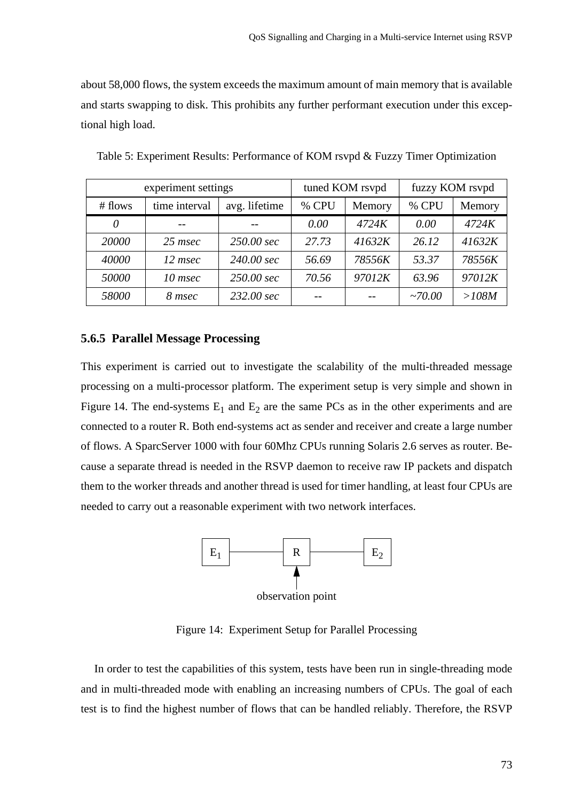<span id="page-86-0"></span>about 58,000 flows, the system exceeds the maximum amount of main memory that is available and starts swapping to disk. This prohibits any further performant execution under this exceptional high load.

| experiment settings |               | tuned KOM rsvpd |       | fuzzy KOM rsvpd |       |        |
|---------------------|---------------|-----------------|-------|-----------------|-------|--------|
| # flows             | time interval | avg. lifetime   | % CPU | Memory          | % CPU | Memory |
| 0                   |               |                 | 0.00  | 4724K           | 0.00  | 4724K  |
| 20000               | $25$ msec     | 250.00 sec      | 27.73 | 41632K          | 26.12 | 41632K |
| 40000               | $12$ msec     | 240.00 sec      | 56.69 | 78556K          | 53.37 | 78556K |
| 50000               | $10$ msec     | 250.00 sec      | 70.56 | 97012K          | 63.96 | 97012K |
| 58000               | 8 msec        | 232.00 sec      |       |                 | ~1000 | >108M  |

Table 5: Experiment Results: Performance of KOM rsvpd & Fuzzy Timer Optimization

# **5.6.5 Parallel Message Processing**

This experiment is carried out to investigate the scalability of the multi-threaded message processing on a multi-processor platform. The experiment setup is very simple and shown in Figure 14. The end-systems  $E_1$  and  $E_2$  are the same PCs as in the other experiments and are connected to a router R. Both end-systems act as sender and receiver and create a large number of flows. A SparcServer 1000 with four 60Mhz CPUs running Solaris 2.6 serves as router. Because a separate thread is needed in the RSVP daemon to receive raw IP packets and dispatch them to the worker threads and another thread is used for timer handling, at least four CPUs are needed to carry out a reasonable experiment with two network interfaces.



Figure 14: Experiment Setup for Parallel Processing

In order to test the capabilities of this system, tests have been run in single-threading mode and in multi-threaded mode with enabling an increasing numbers of CPUs. The goal of each test is to find the highest number of flows that can be handled reliably. Therefore, the RSVP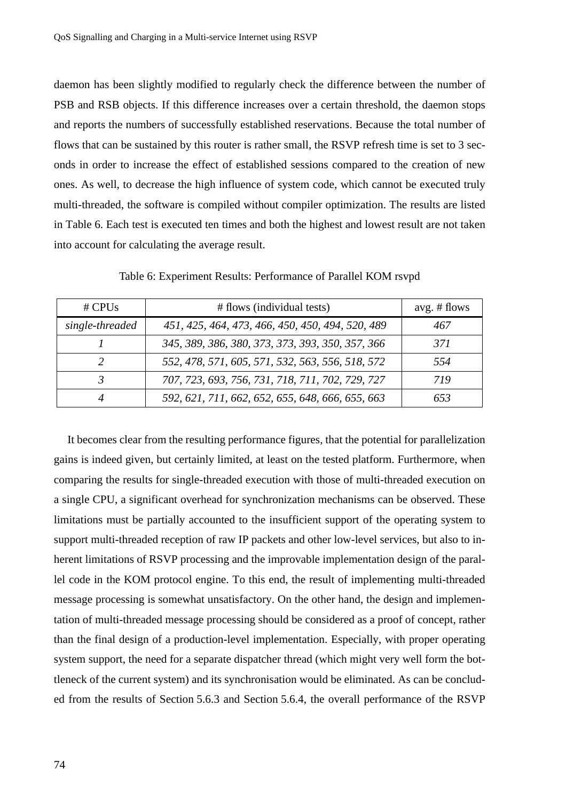daemon has been slightly modified to regularly check the difference between the number of PSB and RSB objects. If this difference increases over a certain threshold, the daemon stops and reports the numbers of successfully established reservations. Because the total number of flows that can be sustained by this router is rather small, the RSVP refresh time is set to 3 seconds in order to increase the effect of established sessions compared to the creation of new ones. As well, to decrease the high influence of system code, which cannot be executed truly multi-threaded, the software is compiled without compiler optimization. The results are listed in Table 6. Each test is executed ten times and both the highest and lowest result are not taken into account for calculating the average result.

| # $CPUs$        | # flows (individual tests)                       | avg. $\#$ flows |
|-----------------|--------------------------------------------------|-----------------|
| single-threaded | 451, 425, 464, 473, 466, 450, 450, 494, 520, 489 | 467             |
|                 | 345, 389, 386, 380, 373, 373, 393, 350, 357, 366 | 371             |
|                 | 552, 478, 571, 605, 571, 532, 563, 556, 518, 572 | 554             |
|                 | 707, 723, 693, 756, 731, 718, 711, 702, 729, 727 | 719             |
|                 | 592, 621, 711, 662, 652, 655, 648, 666, 655, 663 | 653             |

Table 6: Experiment Results: Performance of Parallel KOM rsvpd

It becomes clear from the resulting performance figures, that the potential for parallelization gains is indeed given, but certainly limited, at least on the tested platform. Furthermore, when comparing the results for single-threaded execution with those of multi-threaded execution on a single CPU, a significant overhead for synchronization mechanisms can be observed. These limitations must be partially accounted to the insufficient support of the operating system to support multi-threaded reception of raw IP packets and other low-level services, but also to inherent limitations of RSVP processing and the improvable implementation design of the parallel code in the KOM protocol engine. To this end, the result of implementing multi-threaded message processing is somewhat unsatisfactory. On the other hand, the design and implementation of multi-threaded message processing should be considered as a proof of concept, rather than the final design of a production-level implementation. Especially, with proper operating system support, the need for a separate dispatcher thread (which might very well form the bottleneck of the current system) and its synchronisation would be eliminated. As can be concluded from the results of [Section 5.6.3](#page-83-0) and [Section 5.6.4,](#page-85-0) the overall performance of the RSVP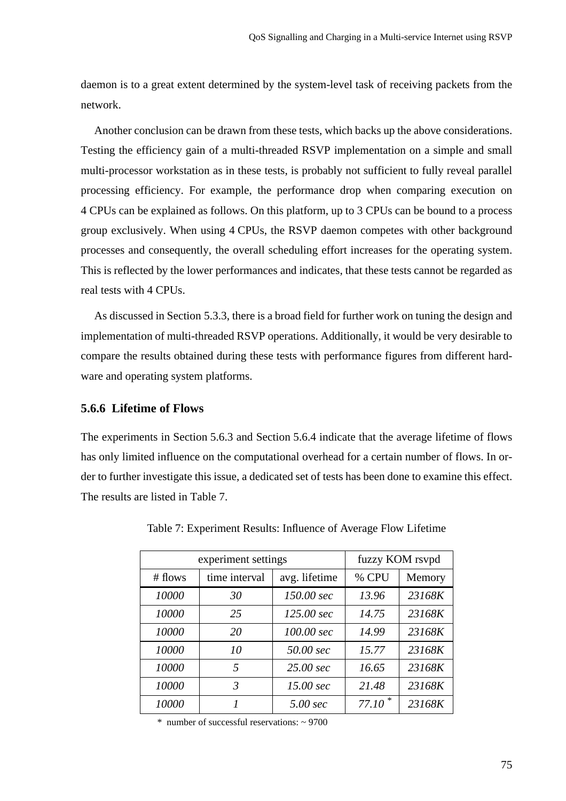<span id="page-88-0"></span>daemon is to a great extent determined by the system-level task of receiving packets from the network.

Another conclusion can be drawn from these tests, which backs up the above considerations. Testing the efficiency gain of a multi-threaded RSVP implementation on a simple and small multi-processor workstation as in these tests, is probably not sufficient to fully reveal parallel processing efficiency. For example, the performance drop when comparing execution on 4 CPUs can be explained as follows. On this platform, up to 3 CPUs can be bound to a process group exclusively. When using 4 CPUs, the RSVP daemon competes with other background processes and consequently, the overall scheduling effort increases for the operating system. This is reflected by the lower performances and indicates, that these tests cannot be regarded as real tests with 4 CPUs.

As discussed in [Section 5.3.3,](#page-75-0) there is a broad field for further work on tuning the design and implementation of multi-threaded RSVP operations. Additionally, it would be very desirable to compare the results obtained during these tests with performance figures from different hardware and operating system platforms.

# **5.6.6 Lifetime of Flows**

The experiments in [Section 5.6.3](#page-83-0) and [Section 5.6.4](#page-85-0) indicate that the average lifetime of flows has only limited influence on the computational overhead for a certain number of flows. In order to further investigate this issue, a dedicated set of tests has been done to examine this effect. The results are listed in Table 7.

|           | experiment settings | fuzzy KOM rsvpd      |       |        |
|-----------|---------------------|----------------------|-------|--------|
| $#$ flows | time interval       | avg. lifetime        | % CPU | Memory |
| 10000     | 30                  | 150.00 sec           | 13.96 | 23168K |
| 10000     | 25                  | $125.00 \text{ sec}$ | 14.75 | 23168K |
| 10000     | 20                  | 100.00 sec           | 14.99 | 23168K |
| 10000     | 10                  | 50.00 sec            | 15.77 | 23168K |
| 10000     | $\sqrt{2}$          | $25.00 \text{ sec}$  | 16.65 | 23168K |
| 10000     | 3                   | $15.00$ sec          | 21.48 | 23168K |
| 10000     | 1                   | 5.00 sec             | 77.10 | 23168K |

Table 7: Experiment Results: Influence of Average Flow Lifetime

 $*$  number of successful reservations:  $\sim$  9700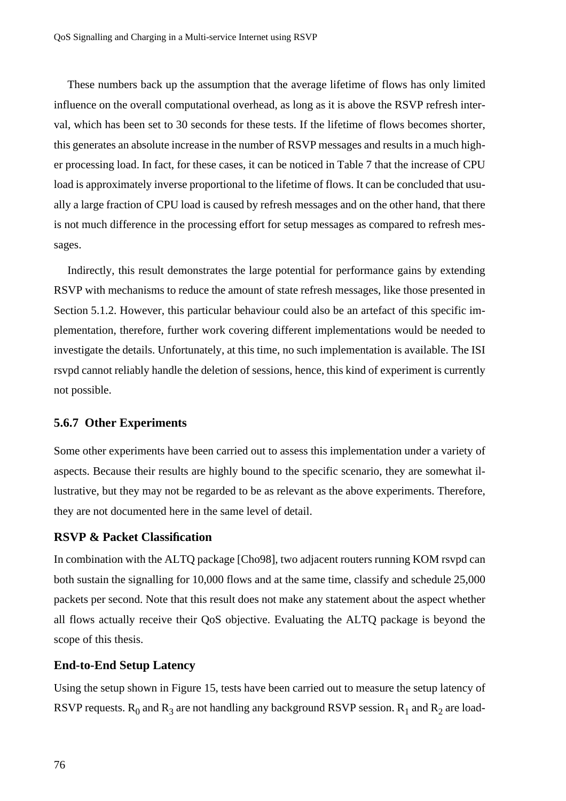These numbers back up the assumption that the average lifetime of flows has only limited influence on the overall computational overhead, as long as it is above the RSVP refresh interval, which has been set to 30 seconds for these tests. If the lifetime of flows becomes shorter, this generates an absolute increase in the number of RSVP messages and results in a much higher processing load. In fact, for these cases, it can be noticed in [Table 7](#page-88-0) that the increase of CPU load is approximately inverse proportional to the lifetime of flows. It can be concluded that usually a large fraction of CPU load is caused by refresh messages and on the other hand, that there is not much difference in the processing effort for setup messages as compared to refresh messages.

Indirectly, this result demonstrates the large potential for performance gains by extending RSVP with mechanisms to reduce the amount of state refresh messages, like those presented in [Section 5.1.2.](#page-56-0) However, this particular behaviour could also be an artefact of this specific implementation, therefore, further work covering different implementations would be needed to investigate the details. Unfortunately, at this time, no such implementation is available. The ISI rsvpd cannot reliably handle the deletion of sessions, hence, this kind of experiment is currently not possible.

# **5.6.7 Other Experiments**

Some other experiments have been carried out to assess this implementation under a variety of aspects. Because their results are highly bound to the specific scenario, they are somewhat illustrative, but they may not be regarded to be as relevant as the above experiments. Therefore, they are not documented here in the same level of detail.

# **RSVP & Packet Classification**

In combination with the ALTQ package [Cho98], two adjacent routers running KOM rsvpd can both sustain the signalling for 10,000 flows and at the same time, classify and schedule 25,000 packets per second. Note that this result does not make any statement about the aspect whether all flows actually receive their QoS objective. Evaluating the ALTQ package is beyond the scope of this thesis.

# **End-to-End Setup Latency**

Using the setup shown in [Figure 15](#page-90-0), tests have been carried out to measure the setup latency of RSVP requests.  $R_0$  and  $R_3$  are not handling any background RSVP session.  $R_1$  and  $R_2$  are load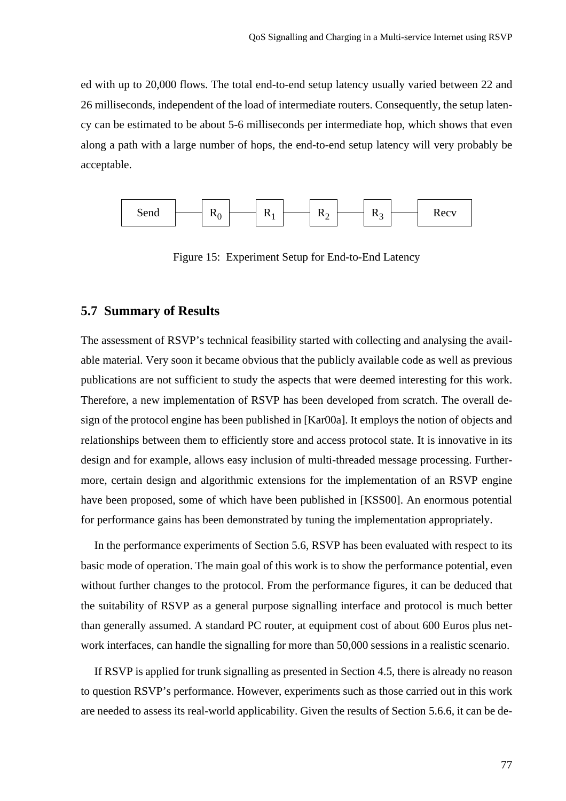<span id="page-90-0"></span>ed with up to 20,000 flows. The total end-to-end setup latency usually varied between 22 and 26 milliseconds, independent of the load of intermediate routers. Consequently, the setup latency can be estimated to be about 5-6 milliseconds per intermediate hop, which shows that even along a path with a large number of hops, the end-to-end setup latency will very probably be acceptable.



Figure 15: Experiment Setup for End-to-End Latency

# **5.7 Summary of Results**

The assessment of RSVP's technical feasibility started with collecting and analysing the available material. Very soon it became obvious that the publicly available code as well as previous publications are not sufficient to study the aspects that were deemed interesting for this work. Therefore, a new implementation of RSVP has been developed from scratch. The overall design of the protocol engine has been published in [Kar00a]. It employs the notion of objects and relationships between them to efficiently store and access protocol state. It is innovative in its design and for example, allows easy inclusion of multi-threaded message processing. Furthermore, certain design and algorithmic extensions for the implementation of an RSVP engine have been proposed, some of which have been published in [KSS00]. An enormous potential for performance gains has been demonstrated by tuning the implementation appropriately.

In the performance experiments of [Section 5.6](#page-80-0), RSVP has been evaluated with respect to its basic mode of operation. The main goal of this work is to show the performance potential, even without further changes to the protocol. From the performance figures, it can be deduced that the suitability of RSVP as a general purpose signalling interface and protocol is much better than generally assumed. A standard PC router, at equipment cost of about 600 Euros plus network interfaces, can handle the signalling for more than 50,000 sessions in a realistic scenario.

If RSVP is applied for trunk signalling as presented in [Section 4.5](#page-49-0), there is already no reason to question RSVP's performance. However, experiments such as those carried out in this work are needed to assess its real-world applicability. Given the results of [Section 5.6.6](#page-88-0), it can be de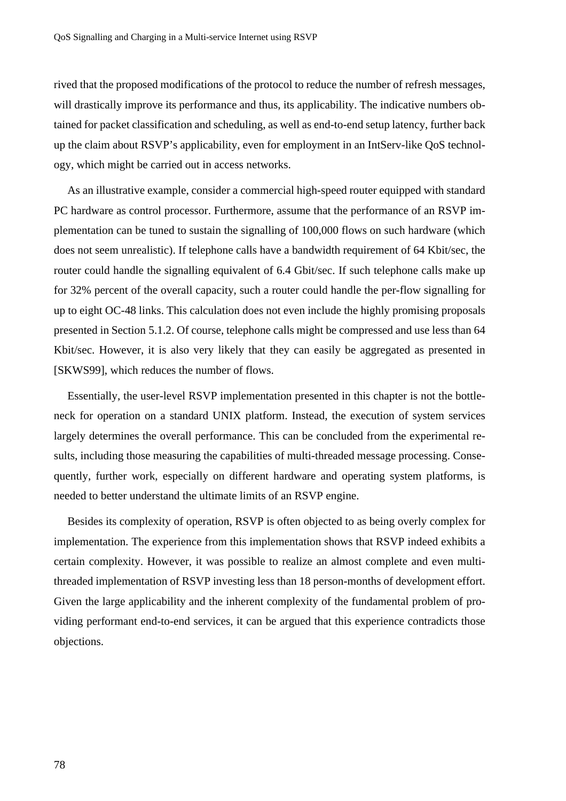rived that the proposed modifications of the protocol to reduce the number of refresh messages, will drastically improve its performance and thus, its applicability. The indicative numbers obtained for packet classification and scheduling, as well as end-to-end setup latency, further back up the claim about RSVP's applicability, even for employment in an IntServ-like QoS technology, which might be carried out in access networks.

As an illustrative example, consider a commercial high-speed router equipped with standard PC hardware as control processor. Furthermore, assume that the performance of an RSVP implementation can be tuned to sustain the signalling of 100,000 flows on such hardware (which does not seem unrealistic). If telephone calls have a bandwidth requirement of 64 Kbit/sec, the router could handle the signalling equivalent of 6.4 Gbit/sec. If such telephone calls make up for 32% percent of the overall capacity, such a router could handle the per-flow signalling for up to eight OC-48 links. This calculation does not even include the highly promising proposals presented in [Section 5.1.2](#page-56-0). Of course, telephone calls might be compressed and use less than 64 Kbit/sec. However, it is also very likely that they can easily be aggregated as presented in [SKWS99], which reduces the number of flows.

Essentially, the user-level RSVP implementation presented in this chapter is not the bottleneck for operation on a standard UNIX platform. Instead, the execution of system services largely determines the overall performance. This can be concluded from the experimental results, including those measuring the capabilities of multi-threaded message processing. Consequently, further work, especially on different hardware and operating system platforms, is needed to better understand the ultimate limits of an RSVP engine.

Besides its complexity of operation, RSVP is often objected to as being overly complex for implementation. The experience from this implementation shows that RSVP indeed exhibits a certain complexity. However, it was possible to realize an almost complete and even multithreaded implementation of RSVP investing less than 18 person-months of development effort. Given the large applicability and the inherent complexity of the fundamental problem of providing performant end-to-end services, it can be argued that this experience contradicts those objections.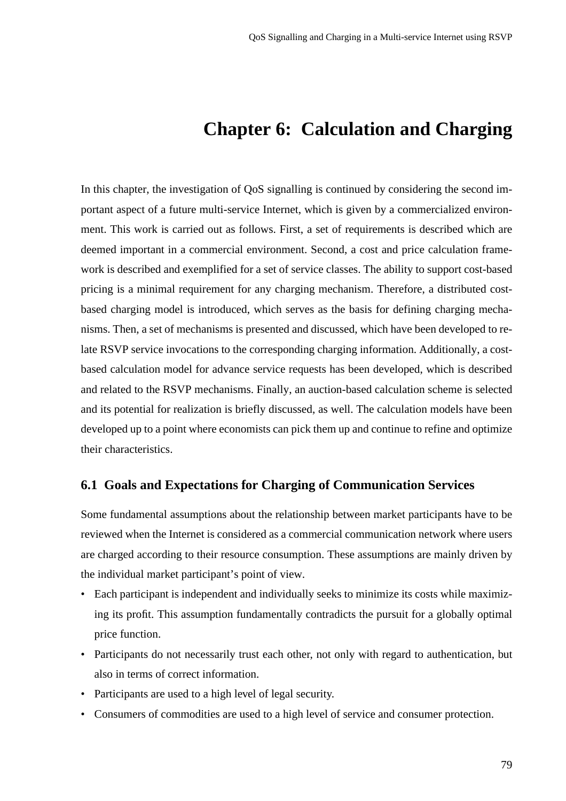# **Chapter 6: Calculation and Charging**

In this chapter, the investigation of QoS signalling is continued by considering the second important aspect of a future multi-service Internet, which is given by a commercialized environment. This work is carried out as follows. First, a set of requirements is described which are deemed important in a commercial environment. Second, a cost and price calculation framework is described and exemplified for a set of service classes. The ability to support cost-based pricing is a minimal requirement for any charging mechanism. Therefore, a distributed costbased charging model is introduced, which serves as the basis for defining charging mechanisms. Then, a set of mechanisms is presented and discussed, which have been developed to relate RSVP service invocations to the corresponding charging information. Additionally, a costbased calculation model for advance service requests has been developed, which is described and related to the RSVP mechanisms. Finally, an auction-based calculation scheme is selected and its potential for realization is briefly discussed, as well. The calculation models have been developed up to a point where economists can pick them up and continue to refine and optimize their characteristics.

# **6.1 Goals and Expectations for Charging of Communication Services**

Some fundamental assumptions about the relationship between market participants have to be reviewed when the Internet is considered as a commercial communication network where users are charged according to their resource consumption. These assumptions are mainly driven by the individual market participant's point of view.

- Each participant is independent and individually seeks to minimize its costs while maximizing its profit. This assumption fundamentally contradicts the pursuit for a globally optimal price function.
- Participants do not necessarily trust each other, not only with regard to authentication, but also in terms of correct information.
- Participants are used to a high level of legal security.
- Consumers of commodities are used to a high level of service and consumer protection.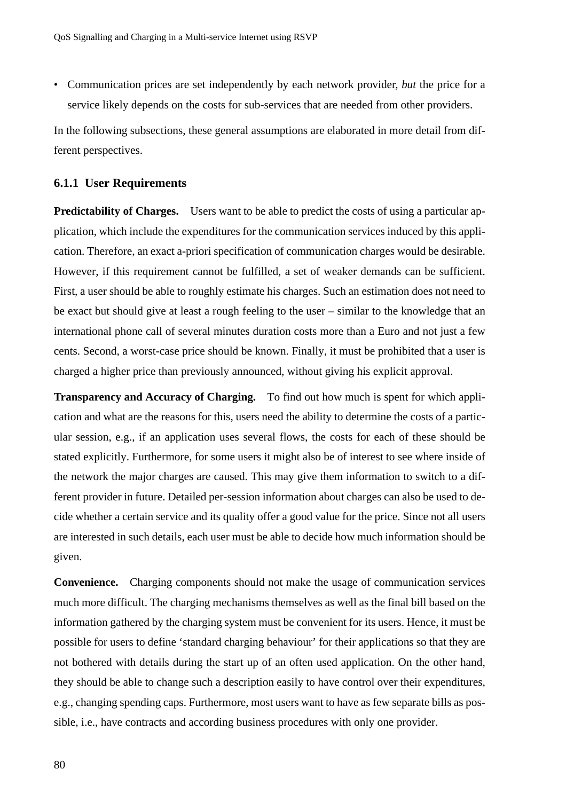• Communication prices are set independently by each network provider, *but* the price for a service likely depends on the costs for sub-services that are needed from other providers.

In the following subsections, these general assumptions are elaborated in more detail from different perspectives.

# **6.1.1 User Requirements**

**Predictability of Charges.** Users want to be able to predict the costs of using a particular application, which include the expenditures for the communication services induced by this application. Therefore, an exact a-priori specification of communication charges would be desirable. However, if this requirement cannot be fulfilled, a set of weaker demands can be sufficient. First, a user should be able to roughly estimate his charges. Such an estimation does not need to be exact but should give at least a rough feeling to the user – similar to the knowledge that an international phone call of several minutes duration costs more than a Euro and not just a few cents. Second, a worst-case price should be known. Finally, it must be prohibited that a user is charged a higher price than previously announced, without giving his explicit approval.

**Transparency and Accuracy of Charging.** To find out how much is spent for which application and what are the reasons for this, users need the ability to determine the costs of a particular session, e.g., if an application uses several flows, the costs for each of these should be stated explicitly. Furthermore, for some users it might also be of interest to see where inside of the network the major charges are caused. This may give them information to switch to a different provider in future. Detailed per-session information about charges can also be used to decide whether a certain service and its quality offer a good value for the price. Since not all users are interested in such details, each user must be able to decide how much information should be given.

**Convenience.** Charging components should not make the usage of communication services much more difficult. The charging mechanisms themselves as well as the final bill based on the information gathered by the charging system must be convenient for its users. Hence, it must be possible for users to define 'standard charging behaviour' for their applications so that they are not bothered with details during the start up of an often used application. On the other hand, they should be able to change such a description easily to have control over their expenditures, e.g., changing spending caps. Furthermore, most users want to have as few separate bills as possible, i.e., have contracts and according business procedures with only one provider.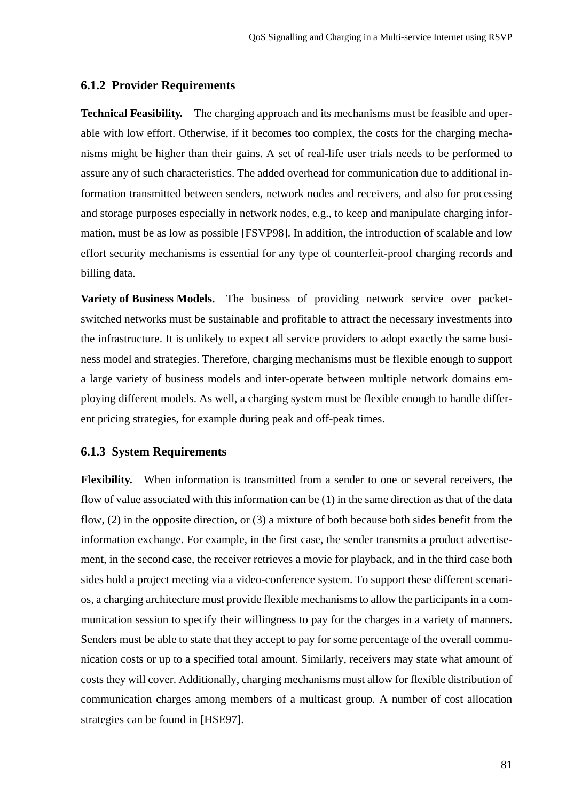## **6.1.2 Provider Requirements**

**Technical Feasibility.** The charging approach and its mechanisms must be feasible and operable with low effort. Otherwise, if it becomes too complex, the costs for the charging mechanisms might be higher than their gains. A set of real-life user trials needs to be performed to assure any of such characteristics. The added overhead for communication due to additional information transmitted between senders, network nodes and receivers, and also for processing and storage purposes especially in network nodes, e.g., to keep and manipulate charging information, must be as low as possible [FSVP98]. In addition, the introduction of scalable and low effort security mechanisms is essential for any type of counterfeit-proof charging records and billing data.

**Variety of Business Models.** The business of providing network service over packetswitched networks must be sustainable and profitable to attract the necessary investments into the infrastructure. It is unlikely to expect all service providers to adopt exactly the same business model and strategies. Therefore, charging mechanisms must be flexible enough to support a large variety of business models and inter-operate between multiple network domains employing different models. As well, a charging system must be flexible enough to handle different pricing strategies, for example during peak and off-peak times.

### **6.1.3 System Requirements**

**Flexibility.** When information is transmitted from a sender to one or several receivers, the flow of value associated with this information can be (1) in the same direction as that of the data flow, (2) in the opposite direction, or (3) a mixture of both because both sides benefit from the information exchange. For example, in the first case, the sender transmits a product advertisement, in the second case, the receiver retrieves a movie for playback, and in the third case both sides hold a project meeting via a video-conference system. To support these different scenarios, a charging architecture must provide flexible mechanisms to allow the participants in a communication session to specify their willingness to pay for the charges in a variety of manners. Senders must be able to state that they accept to pay for some percentage of the overall communication costs or up to a specified total amount. Similarly, receivers may state what amount of costs they will cover. Additionally, charging mechanisms must allow for flexible distribution of communication charges among members of a multicast group. A number of cost allocation strategies can be found in [HSE97].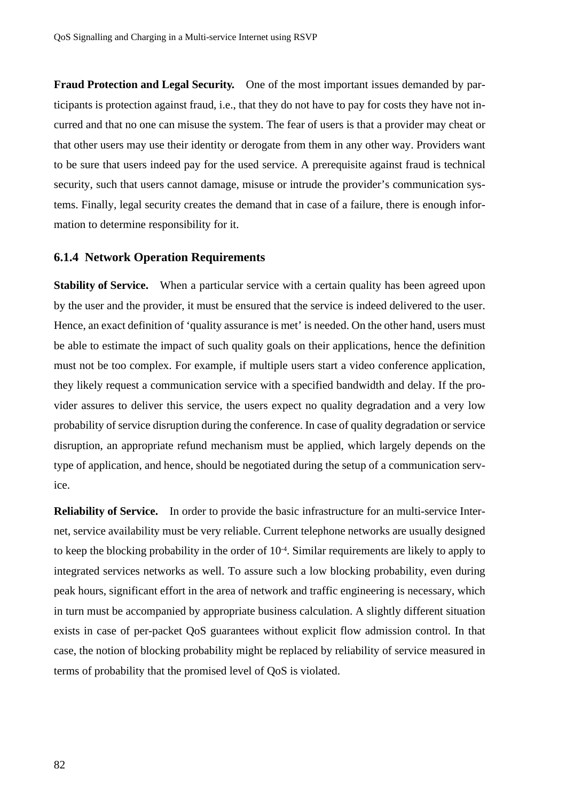**Fraud Protection and Legal Security.** One of the most important issues demanded by participants is protection against fraud, i.e., that they do not have to pay for costs they have not incurred and that no one can misuse the system. The fear of users is that a provider may cheat or that other users may use their identity or derogate from them in any other way. Providers want to be sure that users indeed pay for the used service. A prerequisite against fraud is technical security, such that users cannot damage, misuse or intrude the provider's communication systems. Finally, legal security creates the demand that in case of a failure, there is enough information to determine responsibility for it.

# **6.1.4 Network Operation Requirements**

**Stability of Service.** When a particular service with a certain quality has been agreed upon by the user and the provider, it must be ensured that the service is indeed delivered to the user. Hence, an exact definition of 'quality assurance is met' is needed. On the other hand, users must be able to estimate the impact of such quality goals on their applications, hence the definition must not be too complex. For example, if multiple users start a video conference application, they likely request a communication service with a specified bandwidth and delay. If the provider assures to deliver this service, the users expect no quality degradation and a very low probability of service disruption during the conference. In case of quality degradation or service disruption, an appropriate refund mechanism must be applied, which largely depends on the type of application, and hence, should be negotiated during the setup of a communication service.

**Reliability of Service.** In order to provide the basic infrastructure for an multi-service Internet, service availability must be very reliable. Current telephone networks are usually designed to keep the blocking probability in the order of 10-4. Similar requirements are likely to apply to integrated services networks as well. To assure such a low blocking probability, even during peak hours, significant effort in the area of network and traffic engineering is necessary, which in turn must be accompanied by appropriate business calculation. A slightly different situation exists in case of per-packet QoS guarantees without explicit flow admission control. In that case, the notion of blocking probability might be replaced by reliability of service measured in terms of probability that the promised level of QoS is violated.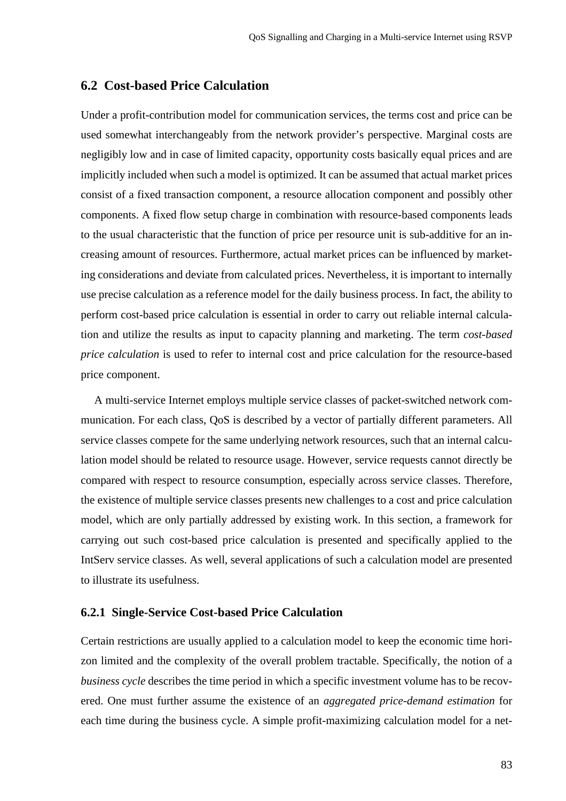# <span id="page-96-0"></span>**6.2 Cost-based Price Calculation**

Under a profit-contribution model for communication services, the terms cost and price can be used somewhat interchangeably from the network provider's perspective. Marginal costs are negligibly low and in case of limited capacity, opportunity costs basically equal prices and are implicitly included when such a model is optimized. It can be assumed that actual market prices consist of a fixed transaction component, a resource allocation component and possibly other components. A fixed flow setup charge in combination with resource-based components leads to the usual characteristic that the function of price per resource unit is sub-additive for an increasing amount of resources. Furthermore, actual market prices can be influenced by marketing considerations and deviate from calculated prices. Nevertheless, it is important to internally use precise calculation as a reference model for the daily business process. In fact, the ability to perform cost-based price calculation is essential in order to carry out reliable internal calculation and utilize the results as input to capacity planning and marketing. The term *cost-based price calculation* is used to refer to internal cost and price calculation for the resource-based price component.

A multi-service Internet employs multiple service classes of packet-switched network communication. For each class, QoS is described by a vector of partially different parameters. All service classes compete for the same underlying network resources, such that an internal calculation model should be related to resource usage. However, service requests cannot directly be compared with respect to resource consumption, especially across service classes. Therefore, the existence of multiple service classes presents new challenges to a cost and price calculation model, which are only partially addressed by existing work. In this section, a framework for carrying out such cost-based price calculation is presented and specifically applied to the IntServ service classes. As well, several applications of such a calculation model are presented to illustrate its usefulness.

## **6.2.1 Single-Service Cost-based Price Calculation**

Certain restrictions are usually applied to a calculation model to keep the economic time horizon limited and the complexity of the overall problem tractable. Specifically, the notion of a *business cycle* describes the time period in which a specific investment volume has to be recovered. One must further assume the existence of an *aggregated price-demand estimation* for each time during the business cycle. A simple profit-maximizing calculation model for a net-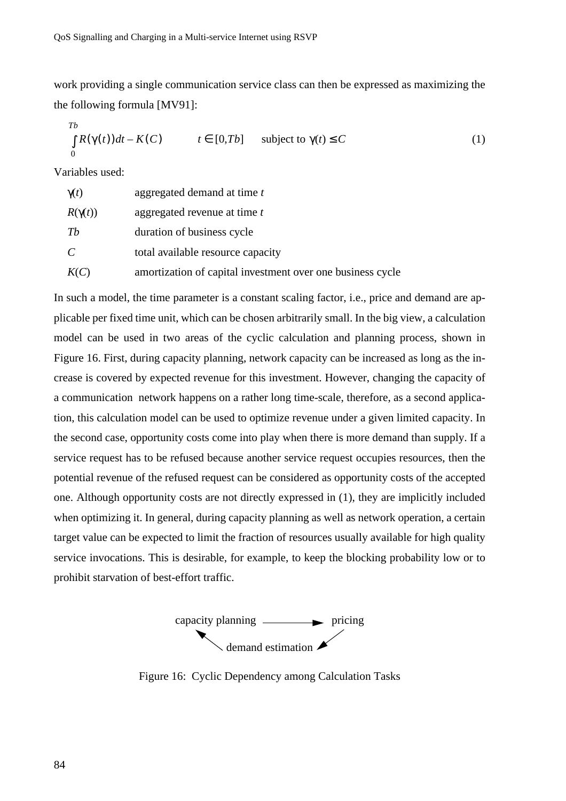work providing a single communication service class can then be expressed as maximizing the the following formula [MV91]:

$$
\int_{0}^{Tb} R(\gamma(t))dt - K(C) \qquad t \in [0,Tb] \quad \text{subject to } \gamma(t) \le C \tag{1}
$$

Variables used:

| $\gamma(t)$    | aggregated demand at time t                                |
|----------------|------------------------------------------------------------|
| $R(\gamma(t))$ | aggregated revenue at time t                               |
| Th             | duration of business cycle                                 |
| $\mathcal{C}$  | total available resource capacity                          |
| K(C)           | amortization of capital investment over one business cycle |

In such a model, the time parameter is a constant scaling factor, i.e., price and demand are applicable per fixed time unit, which can be chosen arbitrarily small. In the big view, a calculation model can be used in two areas of the cyclic calculation and planning process, shown in Figure 16. First, during capacity planning, network capacity can be increased as long as the increase is covered by expected revenue for this investment. However, changing the capacity of a communication network happens on a rather long time-scale, therefore, as a second application, this calculation model can be used to optimize revenue under a given limited capacity. In the second case, opportunity costs come into play when there is more demand than supply. If a service request has to be refused because another service request occupies resources, then the potential revenue of the refused request can be considered as opportunity costs of the accepted one. Although opportunity costs are not directly expressed in (1), they are implicitly included when optimizing it. In general, during capacity planning as well as network operation, a certain target value can be expected to limit the fraction of resources usually available for high quality service invocations. This is desirable, for example, to keep the blocking probability low or to prohibit starvation of best-effort traffic.



Figure 16: Cyclic Dependency among Calculation Tasks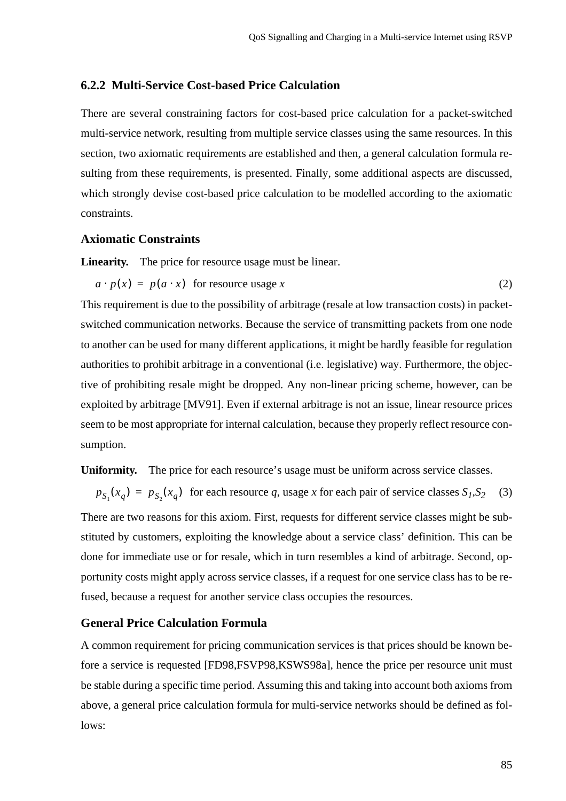### **6.2.2 Multi-Service Cost-based Price Calculation**

There are several constraining factors for cost-based price calculation for a packet-switched multi-service network, resulting from multiple service classes using the same resources. In this section, two axiomatic requirements are established and then, a general calculation formula resulting from these requirements, is presented. Finally, some additional aspects are discussed, which strongly devise cost-based price calculation to be modelled according to the axiomatic constraints.

# **Axiomatic Constraints**

**Linearity.** The price for resource usage must be linear.

$$
a \cdot p(x) = p(a \cdot x) \text{ for resource usage } x \tag{2}
$$

This requirement is due to the possibility of arbitrage (resale at low transaction costs) in packetswitched communication networks. Because the service of transmitting packets from one node to another can be used for many different applications, it might be hardly feasible for regulation authorities to prohibit arbitrage in a conventional (i.e. legislative) way. Furthermore, the objective of prohibiting resale might be dropped. Any non-linear pricing scheme, however, can be exploited by arbitrage [MV91]. Even if external arbitrage is not an issue, linear resource prices seem to be most appropriate for internal calculation, because they properly reflect resource consumption.

**Uniformity.** The price for each resource's usage must be uniform across service classes.

 $p_{S_1}(x_q) = p_{S_2}(x_q)$  for each resource q, usage x for each pair of service classes  $S_1, S_2$  (3)

There are two reasons for this axiom. First, requests for different service classes might be substituted by customers, exploiting the knowledge about a service class' definition. This can be done for immediate use or for resale, which in turn resembles a kind of arbitrage. Second, opportunity costs might apply across service classes, if a request for one service class has to be refused, because a request for another service class occupies the resources.

## **General Price Calculation Formula**

A common requirement for pricing communication services is that prices should be known before a service is requested [FD98,FSVP98,KSWS98a], hence the price per resource unit must be stable during a specific time period. Assuming this and taking into account both axioms from above, a general price calculation formula for multi-service networks should be defined as follows: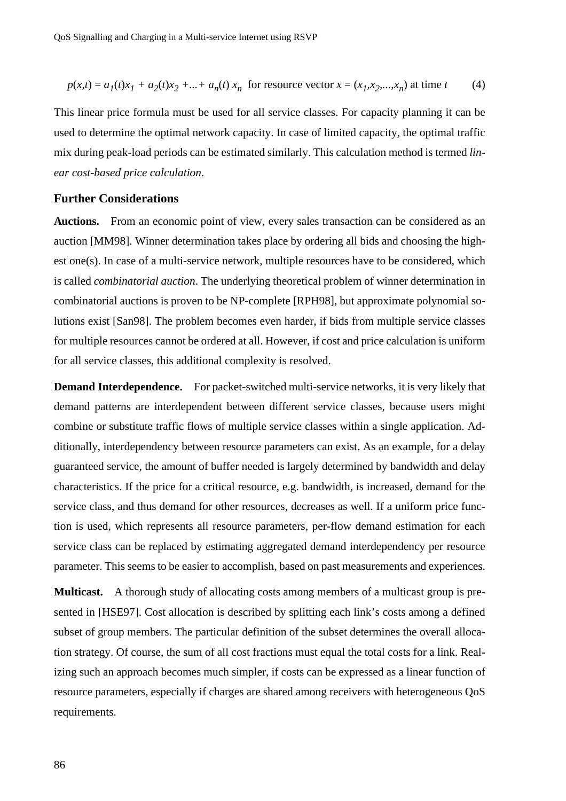$$
p(x,t) = a_1(t)x_1 + a_2(t)x_2 + ... + a_n(t)x_n
$$
 for resource vector  $x = (x_1, x_2,...,x_n)$  at time t (4)

This linear price formula must be used for all service classes. For capacity planning it can be used to determine the optimal network capacity. In case of limited capacity, the optimal traffic mix during peak-load periods can be estimated similarly. This calculation method is termed *linear cost-based price calculation*.

# **Further Considerations**

**Auctions.** From an economic point of view, every sales transaction can be considered as an auction [MM98]. Winner determination takes place by ordering all bids and choosing the highest one(s). In case of a multi-service network, multiple resources have to be considered, which is called *combinatorial auction*. The underlying theoretical problem of winner determination in combinatorial auctions is proven to be NP-complete [RPH98], but approximate polynomial solutions exist [San98]. The problem becomes even harder, if bids from multiple service classes for multiple resources cannot be ordered at all. However, if cost and price calculation is uniform for all service classes, this additional complexity is resolved.

**Demand Interdependence.** For packet-switched multi-service networks, it is very likely that demand patterns are interdependent between different service classes, because users might combine or substitute traffic flows of multiple service classes within a single application. Additionally, interdependency between resource parameters can exist. As an example, for a delay guaranteed service, the amount of buffer needed is largely determined by bandwidth and delay characteristics. If the price for a critical resource, e.g. bandwidth, is increased, demand for the service class, and thus demand for other resources, decreases as well. If a uniform price function is used, which represents all resource parameters, per-flow demand estimation for each service class can be replaced by estimating aggregated demand interdependency per resource parameter. This seems to be easier to accomplish, based on past measurements and experiences.

**Multicast.** A thorough study of allocating costs among members of a multicast group is presented in [HSE97]. Cost allocation is described by splitting each link's costs among a defined subset of group members. The particular definition of the subset determines the overall allocation strategy. Of course, the sum of all cost fractions must equal the total costs for a link. Realizing such an approach becomes much simpler, if costs can be expressed as a linear function of resource parameters, especially if charges are shared among receivers with heterogeneous QoS requirements.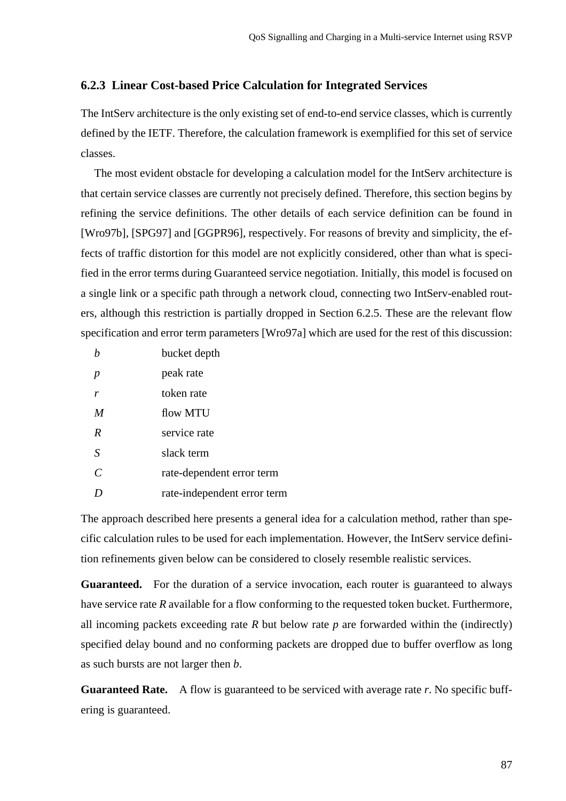# <span id="page-100-0"></span>**6.2.3 Linear Cost-based Price Calculation for Integrated Services**

The IntServ architecture is the only existing set of end-to-end service classes, which is currently defined by the IETF. Therefore, the calculation framework is exemplified for this set of service classes.

The most evident obstacle for developing a calculation model for the IntServ architecture is that certain service classes are currently not precisely defined. Therefore, this section begins by refining the service definitions. The other details of each service definition can be found in [Wro97b], [SPG97] and [GGPR96], respectively. For reasons of brevity and simplicity, the effects of traffic distortion for this model are not explicitly considered, other than what is specified in the error terms during Guaranteed service negotiation. Initially, this model is focused on a single link or a specific path through a network cloud, connecting two IntServ-enabled routers, although this restriction is partially dropped in [Section 6.2.5.](#page-104-0) These are the relevant flow specification and error term parameters [Wro97a] which are used for the rest of this discussion:

|                             | bucket depth                |
|-----------------------------|-----------------------------|
| p                           | peak rate                   |
| r                           | token rate                  |
| $\boldsymbol{M}$            | flow MTU                    |
| R                           | service rate                |
| S                           | slack term                  |
| $\mathcal{C}_{\mathcal{C}}$ | rate-dependent error term   |
|                             | rate-independent error term |

The approach described here presents a general idea for a calculation method, rather than specific calculation rules to be used for each implementation. However, the IntServ service definition refinements given below can be considered to closely resemble realistic services.

Guaranteed. For the duration of a service invocation, each router is guaranteed to always have service rate *R* available for a flow conforming to the requested token bucket. Furthermore, all incoming packets exceeding rate *R* but below rate *p* are forwarded within the (indirectly) specified delay bound and no conforming packets are dropped due to buffer overflow as long as such bursts are not larger then *b*.

**Guaranteed Rate.** A flow is guaranteed to be serviced with average rate *r*. No specific buffering is guaranteed.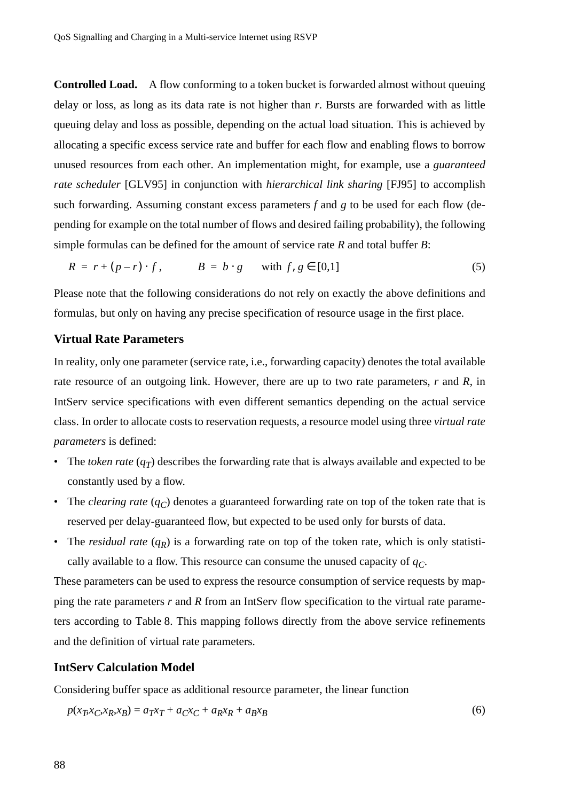<span id="page-101-0"></span>**Controlled Load.** A flow conforming to a token bucket is forwarded almost without queuing delay or loss, as long as its data rate is not higher than *r*. Bursts are forwarded with as little queuing delay and loss as possible, depending on the actual load situation. This is achieved by allocating a specific excess service rate and buffer for each flow and enabling flows to borrow unused resources from each other. An implementation might, for example, use a *guaranteed rate scheduler* [GLV95] in conjunction with *hierarchical link sharing* [FJ95] to accomplish such forwarding. Assuming constant excess parameters *f* and *g* to be used for each flow (depending for example on the total number of flows and desired failing probability), the following simple formulas can be defined for the amount of service rate *R* and total buffer *B*:

 $R = r + (p - r) \cdot f,$   $B = b \cdot g$  with  $f, g \in [0, 1]$  (5)

Please note that the following considerations do not rely on exactly the above definitions and formulas, but only on having any precise specification of resource usage in the first place.

# **Virtual Rate Parameters**

In reality, only one parameter (service rate, i.e., forwarding capacity) denotes the total available rate resource of an outgoing link. However, there are up to two rate parameters, *r* and *R*, in IntServ service specifications with even different semantics depending on the actual service class. In order to allocate costs to reservation requests, a resource model using three *virtual rate parameters* is defined:

- The *token rate*  $(q_T)$  describes the forwarding rate that is always available and expected to be constantly used by a flow.
- The *clearing rate*  $(q_C)$  denotes a guaranteed forwarding rate on top of the token rate that is reserved per delay-guaranteed flow, but expected to be used only for bursts of data.
- The *residual rate* (*q<sub>R</sub>*) is a forwarding rate on top of the token rate, which is only statistically available to a flow. This resource can consume the unused capacity of  $q_C$ .

These parameters can be used to express the resource consumption of service requests by mapping the rate parameters *r* and *R* from an IntServ flow specification to the virtual rate parameters according to [Table 8.](#page-102-0) This mapping follows directly from the above service refinements and the definition of virtual rate parameters.

# **IntServ Calculation Model**

Considering buffer space as additional resource parameter, the linear function

$$
p(x_T, x_C, x_R, x_B) = a_T x_T + a_C x_C + a_R x_R + a_B x_B
$$
\n<sup>(6)</sup>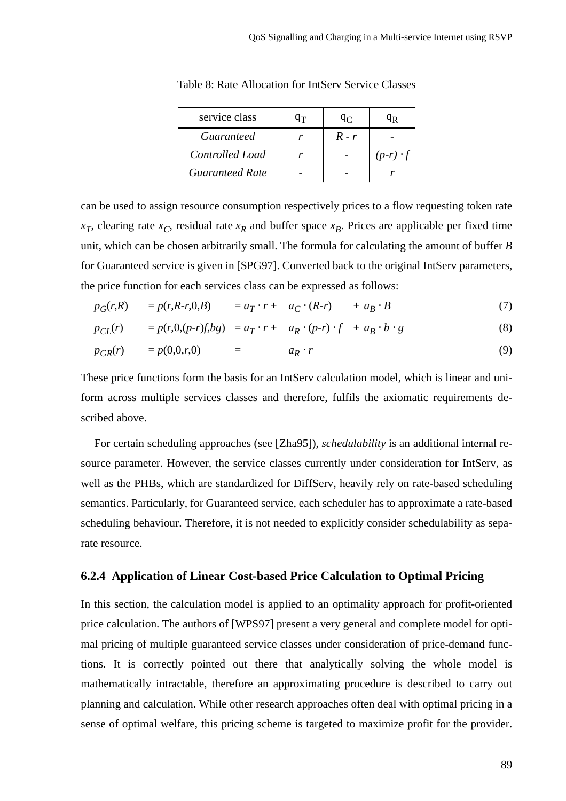| service class     | uт | $\mathsf{q}_{\mathsf{C}}$ |                 |
|-------------------|----|---------------------------|-----------------|
| <i>Guaranteed</i> |    | $R - r$                   |                 |
| Controlled Load   |    |                           | $(p-r) \cdot f$ |
| Guaranteed Rate   |    |                           |                 |

<span id="page-102-0"></span>Table 8: Rate Allocation for IntServ Service Classes

can be used to assign resource consumption respectively prices to a flow requesting token rate  $x_T$ , clearing rate  $x_C$ , residual rate  $x_R$  and buffer space  $x_R$ . Prices are applicable per fixed time unit, which can be chosen arbitrarily small. The formula for calculating the amount of buffer *B* for Guaranteed service is given in [SPG97]. Converted back to the original IntServ parameters, the price function for each services class can be expressed as follows:

$$
p_G(r,R) = p(r,R-r,0,B) = a_T \cdot r + a_C \cdot (R-r) + a_B \cdot B \tag{7}
$$

$$
p_{CL}(r) = p(r,0,(p-r)f,bg) = a_T \cdot r + a_R \cdot (p-r) \cdot f + a_B \cdot b \cdot g \tag{8}
$$

$$
p_{GR}(r) = p(0,0,r,0) = a_R \cdot r \tag{9}
$$

These price functions form the basis for an IntServ calculation model, which is linear and uniform across multiple services classes and therefore, fulfils the axiomatic requirements described above.

For certain scheduling approaches (see [Zha95]), *schedulability* is an additional internal resource parameter. However, the service classes currently under consideration for IntServ, as well as the PHBs, which are standardized for DiffServ, heavily rely on rate-based scheduling semantics. Particularly, for Guaranteed service, each scheduler has to approximate a rate-based scheduling behaviour. Therefore, it is not needed to explicitly consider schedulability as separate resource.

### **6.2.4 Application of Linear Cost-based Price Calculation to Optimal Pricing**

In this section, the calculation model is applied to an optimality approach for profit-oriented price calculation. The authors of [WPS97] present a very general and complete model for optimal pricing of multiple guaranteed service classes under consideration of price-demand functions. It is correctly pointed out there that analytically solving the whole model is mathematically intractable, therefore an approximating procedure is described to carry out planning and calculation. While other research approaches often deal with optimal pricing in a sense of optimal welfare, this pricing scheme is targeted to maximize profit for the provider.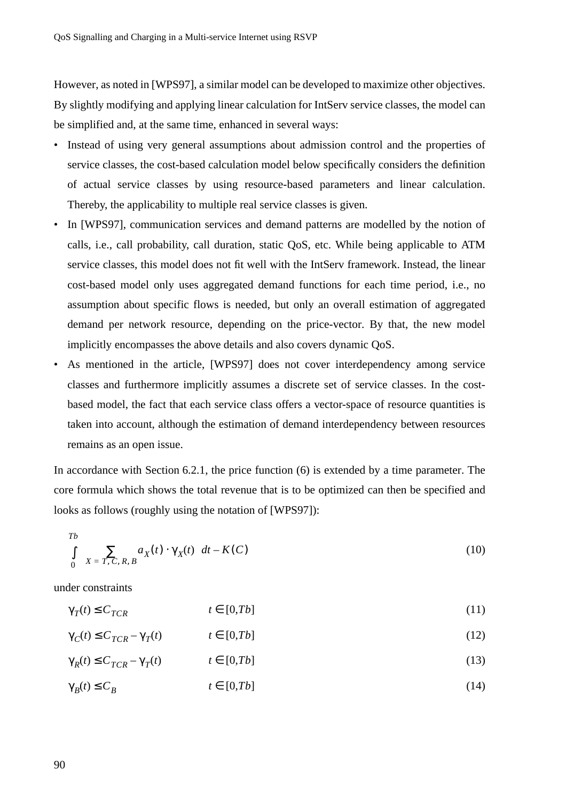<span id="page-103-0"></span>However, as noted in [WPS97], a similar model can be developed to maximize other objectives. By slightly modifying and applying linear calculation for IntServ service classes, the model can be simplified and, at the same time, enhanced in several ways:

- Instead of using very general assumptions about admission control and the properties of service classes, the cost-based calculation model below specifically considers the definition of actual service classes by using resource-based parameters and linear calculation. Thereby, the applicability to multiple real service classes is given.
- In [WPS97], communication services and demand patterns are modelled by the notion of calls, i.e., call probability, call duration, static QoS, etc. While being applicable to ATM service classes, this model does not fit well with the IntServ framework. Instead, the linear cost-based model only uses aggregated demand functions for each time period, i.e., no assumption about specific flows is needed, but only an overall estimation of aggregated demand per network resource, depending on the price-vector. By that, the new model implicitly encompasses the above details and also covers dynamic QoS.
- As mentioned in the article, [WPS97] does not cover interdependency among service classes and furthermore implicitly assumes a discrete set of service classes. In the costbased model, the fact that each service class offers a vector-space of resource quantities is taken into account, although the estimation of demand interdependency between resources remains as an open issue.

In accordance with [Section 6.2.1,](#page-96-0) the price functio[n \(6\)](#page-101-0) is extended by a time parameter. The core formula which shows the total revenue that is to be optimized can then be specified and looks as follows (roughly using the notation of [WPS97]):

$$
\int_{0}^{Tb} \left\{ \sum_{X = T, C, R, B} a_X(t) \cdot \gamma_X(t) \right\} dt - K(C)
$$
\n(10)

under constraints

$$
\gamma_T(t) \le C_{TCR} \qquad \qquad t \in [0, Tb] \tag{11}
$$

$$
\gamma_C(t) \le C_{TCR} - \gamma_T(t) \qquad \qquad t \in [0, Tb] \tag{12}
$$

$$
\gamma_R(t) \le C_{TCR} - \gamma_T(t) \qquad \qquad t \in [0, Tb] \tag{13}
$$

(14)  $\gamma_B(t) \le C_B$   $t \in [0, Tb]$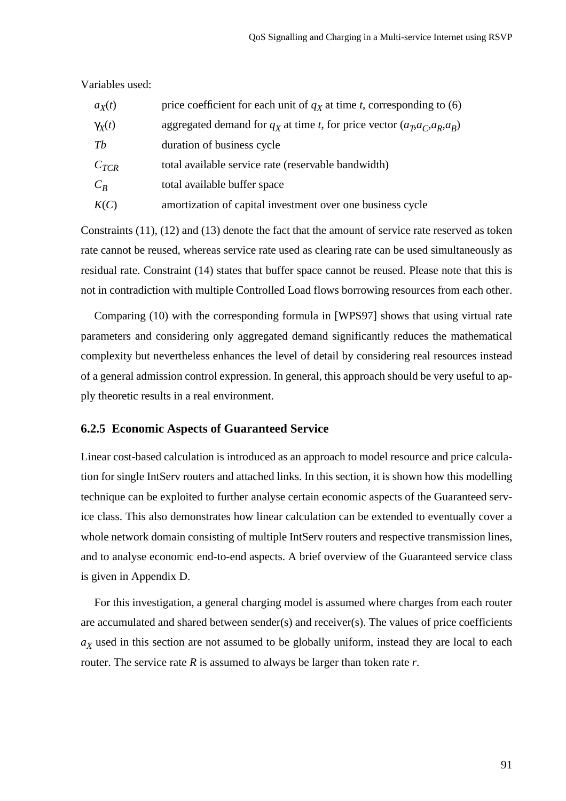<span id="page-104-0"></span>Variables used:

| $a_X(t)$      | price coefficient for each unit of $q_X$ at time t, corresponding to (6)       |
|---------------|--------------------------------------------------------------------------------|
| $\gamma_X(t)$ | aggregated demand for $q_X$ at time t, for price vector $(a_T, a_C, a_R, a_R)$ |
| Tb            | duration of business cycle                                                     |
| $C_{TCR}$     | total available service rate (reservable bandwidth)                            |
| $C_R$         | total available buffer space                                                   |
| K(C)          | amortization of capital investment over one business cycle                     |

Constraints [\(11\),](#page-103-0) [\(12\)](#page-103-0) and [\(13\)](#page-103-0) denote the fact that the amount of service rate reserved as token rate cannot be reused, whereas service rate used as clearing rate can be used simultaneously as residual rate. Constraint [\(14\)](#page-103-0) states that buffer space cannot be reused. Please note that this is not in contradiction with multiple Controlled Load flows borrowing resources from each other.

Comparing [\(10\)](#page-103-0) with the corresponding formula in [WPS97] shows that using virtual rate parameters and considering only aggregated demand significantly reduces the mathematical complexity but nevertheless enhances the level of detail by considering real resources instead of a general admission control expression. In general, this approach should be very useful to apply theoretic results in a real environment.

### **6.2.5 Economic Aspects of Guaranteed Service**

Linear cost-based calculation is introduced as an approach to model resource and price calculation for single IntServ routers and attached links. In this section, it is shown how this modelling technique can be exploited to further analyse certain economic aspects of the Guaranteed service class. This also demonstrates how linear calculation can be extended to eventually cover a whole network domain consisting of multiple IntServ routers and respective transmission lines, and to analyse economic end-to-end aspects. A brief overview of the Guaranteed service class is given in [Appendix D.](#page-155-0)

For this investigation, a general charging model is assumed where charges from each router are accumulated and shared between sender(s) and receiver(s). The values of price coefficients  $a<sub>X</sub>$  used in this section are not assumed to be globally uniform, instead they are local to each router. The service rate *R* is assumed to always be larger than token rate *r*.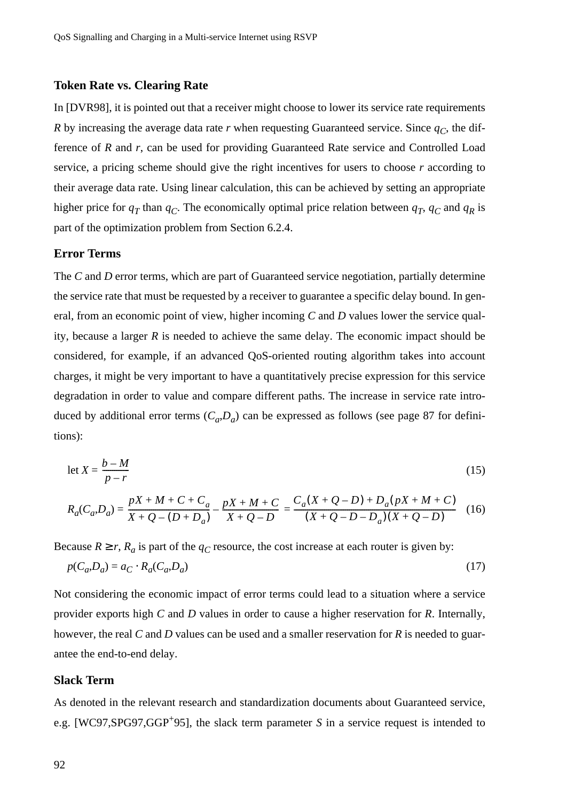### **Token Rate vs. Clearing Rate**

In [DVR98], it is pointed out that a receiver might choose to lower its service rate requirements *R* by increasing the average data rate *r* when requesting Guaranteed service. Since  $q_c$ , the difference of *R* and *r*, can be used for providing Guaranteed Rate service and Controlled Load service, a pricing scheme should give the right incentives for users to choose *r* according to their average data rate. Using linear calculation, this can be achieved by setting an appropriate higher price for  $q_T$  than  $q_C$ . The economically optimal price relation between  $q_T$ ,  $q_C$  and  $q_R$  is part of the optimization problem from [Section 6.2.4.](#page-102-0)

### **Error Terms**

The *C* and *D* error terms, which are part of Guaranteed service negotiation, partially determine the service rate that must be requested by a receiver to guarantee a specific delay bound. In general, from an economic point of view, higher incoming *C* and *D* values lower the service quality, because a larger *R* is needed to achieve the same delay. The economic impact should be considered, for example, if an advanced QoS-oriented routing algorithm takes into account charges, it might be very important to have a quantitatively precise expression for this service degradation in order to value and compare different paths. The increase in service rate introduced by additional error terms  $(C_a, D_a)$  can be expressed as follows (see [page 87](#page-100-0) for definitions):

$$
\det X = \frac{b - M}{p - r} \tag{15}
$$

$$
R_a(C_a, D_a) = \frac{pX + M + C + C_a}{X + Q - (D + D_a)} - \frac{pX + M + C}{X + Q - D} = \frac{C_a(X + Q - D) + D_a(pX + M + C)}{(X + Q - D - D_a)(X + Q - D)}
$$
(16)

Because  $R \ge r$ ,  $R_a$  is part of the  $q_C$  resource, the cost increase at each router is given by:

$$
p(C_a, D_a) = a_C \cdot R_a(C_a, D_a) \tag{17}
$$

Not considering the economic impact of error terms could lead to a situation where a service provider exports high *C* and *D* values in order to cause a higher reservation for *R*. Internally, however, the real *C* and *D* values can be used and a smaller reservation for *R* is needed to guarantee the end-to-end delay.

### **Slack Term**

As denoted in the relevant research and standardization documents about Guaranteed service, e.g. [WC97,SPG97,GGP+95], the slack term parameter *S* in a service request is intended to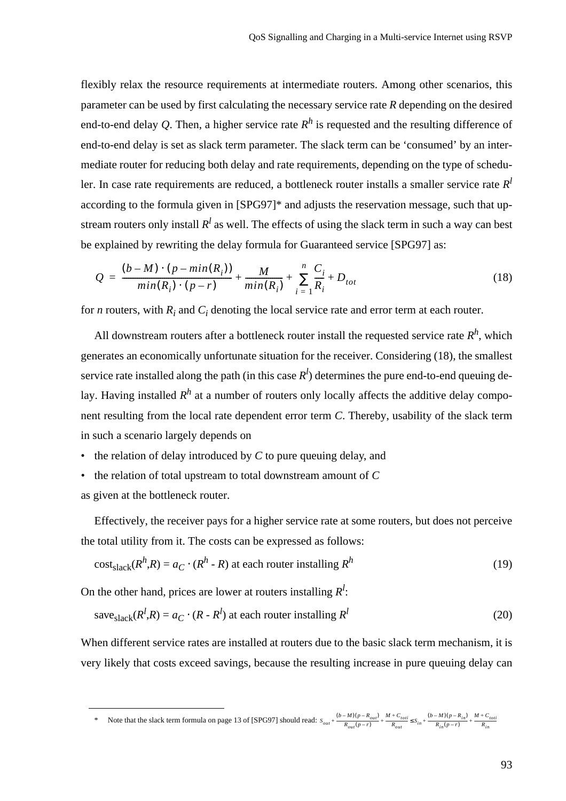<span id="page-106-0"></span>flexibly relax the resource requirements at intermediate routers. Among other scenarios, this parameter can be used by first calculating the necessary service rate *R* depending on the desired end-to-end delay *Q*. Then, a higher service rate  $R<sup>h</sup>$  is requested and the resulting difference of end-to-end delay is set as slack term parameter. The slack term can be 'consumed' by an intermediate router for reducing both delay and rate requirements, depending on the type of scheduler. In case rate requirements are reduced, a bottleneck router installs a smaller service rate *Rl* according to the formula given in [SPG97]\* and adjusts the reservation message, such that upstream routers only install  $R<sup>l</sup>$  as well. The effects of using the slack term in such a way can best be explained by rewriting the delay formula for Guaranteed service [SPG97] as:

$$
Q = \frac{(b-M) \cdot (p - min(R_i))}{min(R_i) \cdot (p-r)} + \frac{M}{min(R_i)} + \sum_{i=1}^{n} \frac{C_i}{R_i} + D_{tot}
$$
 (18)

for *n* routers, with  $R_i$  and  $C_i$  denoting the local service rate and error term at each router.

All downstream routers after a bottleneck router install the requested service rate  $R<sup>h</sup>$ , which generates an economically unfortunate situation for the receiver. Considering (18), the smallest service rate installed along the path (in this case  $R<sup>l</sup>$ ) determines the pure end-to-end queuing delay. Having installed  $R^h$  at a number of routers only locally affects the additive delay component resulting from the local rate dependent error term *C*. Thereby, usability of the slack term in such a scenario largely depends on

- the relation of delay introduced by *C* to pure queuing delay, and
- the relation of total upstream to total downstream amount of *C*

as given at the bottleneck router.

Effectively, the receiver pays for a higher service rate at some routers, but does not perceive the total utility from it. The costs can be expressed as follows:

$$
costslack(Rh, R) = aC \cdot (Rh - R)
$$
 at each router installing R<sup>h</sup> (19)

On the other hand, prices are lower at routers installing  $R^l$ :

$$
save_{slack}(R^l, R) = a_C \cdot (R - R^l) \text{ at each router installing } R^l \tag{20}
$$

When different service rates are installed at routers due to the basic slack term mechanism, it is very likely that costs exceed savings, because the resulting increase in pure queuing delay can

<sup>&</sup>lt;sup>\*</sup> Note that the slack term formula on page 13 of [SPG97] should read:  $S_{out} + \frac{(b-M)(p-R_{out})}{R_{out}(p-r)} + \frac{M+C_{toif}}{R_{out}} \leq S_{in} + \frac{(b-M)(p-R_{in})}{R_{in}(p-r)} + \frac{M+C_{toif}}{R_{in}(p-r)}$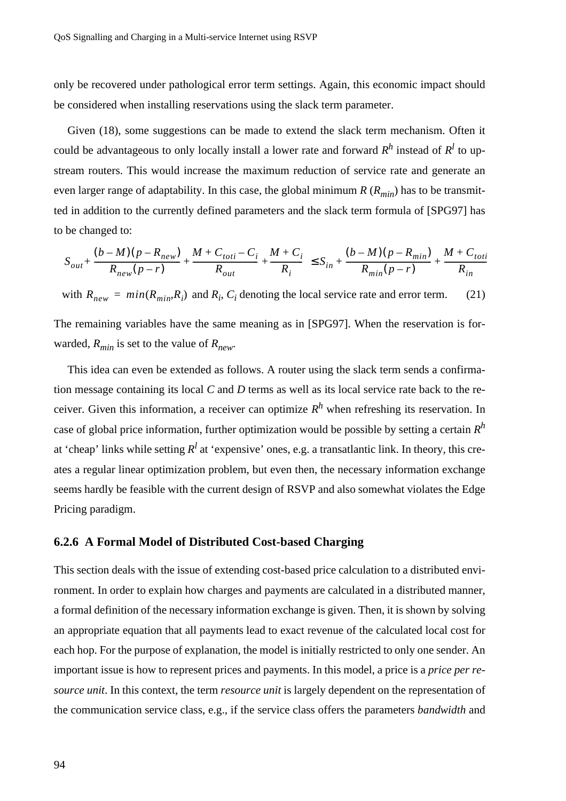only be recovered under pathological error term settings. Again, this economic impact should be considered when installing reservations using the slack term parameter.

Given [\(18\),](#page-106-0) some suggestions can be made to extend the slack term mechanism. Often it could be advantageous to only locally install a lower rate and forward  $R<sup>h</sup>$  instead of  $R<sup>l</sup>$  to upstream routers. This would increase the maximum reduction of service rate and generate an even larger range of adaptability. In this case, the global minimum  $R(R_{min})$  has to be transmitted in addition to the currently defined parameters and the slack term formula of [SPG97] has to be changed to:

$$
S_{out} + \frac{(b-M)(p-R_{new})}{R_{new}(p-r)} + \frac{M+C_{toti}-C_i}{R_{out}} + \frac{M+C_i}{R_i} \leq S_{in} + \frac{(b-M)(p-R_{min})}{R_{min}(p-r)} + \frac{M+C_{toti}}{R_{in}}
$$

with  $R_{new} = min(R_{min}, R_i)$  and  $R_i$ ,  $C_i$  denoting the local service rate and error term. (21) The remaining variables have the same meaning as in [SPG97]. When the reservation is forwarded,  $R_{min}$  is set to the value of  $R_{new}$ .

This idea can even be extended as follows. A router using the slack term sends a confirmation message containing its local *C* and *D* terms as well as its local service rate back to the receiver. Given this information, a receiver can optimize  $R<sup>h</sup>$  when refreshing its reservation. In case of global price information, further optimization would be possible by setting a certain *R<sup>h</sup>* at 'cheap' links while setting  $R<sup>l</sup>$  at 'expensive' ones, e.g. a transatlantic link. In theory, this creates a regular linear optimization problem, but even then, the necessary information exchange seems hardly be feasible with the current design of RSVP and also somewhat violates the Edge Pricing paradigm.

## **6.2.6 A Formal Model of Distributed Cost-based Charging**

This section deals with the issue of extending cost-based price calculation to a distributed environment. In order to explain how charges and payments are calculated in a distributed manner, a formal definition of the necessary information exchange is given. Then, it is shown by solving an appropriate equation that all payments lead to exact revenue of the calculated local cost for each hop. For the purpose of explanation, the model is initially restricted to only one sender. An important issue is how to represent prices and payments. In this model, a price is a *price per resource unit*. In this context, the term *resource unit* is largely dependent on the representation of the communication service class, e.g., if the service class offers the parameters *bandwidth* and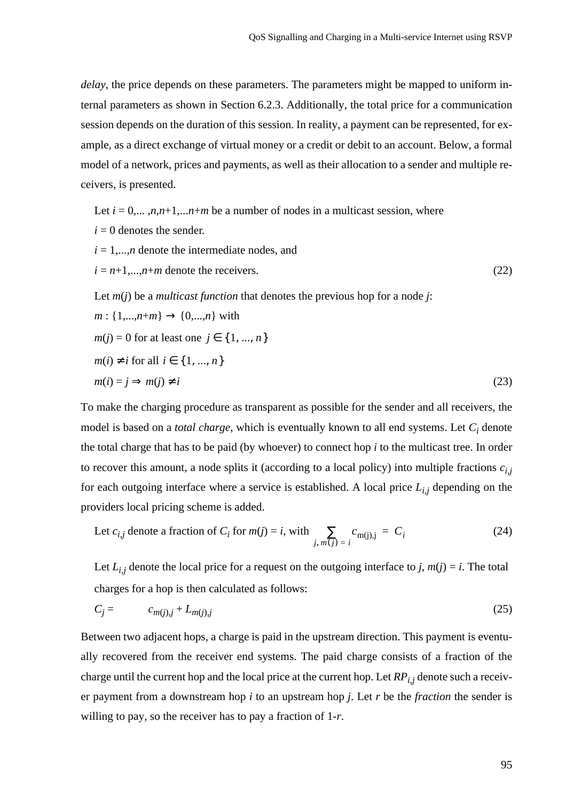<span id="page-108-0"></span>*delay*, the price depends on these parameters. The parameters might be mapped to uniform internal parameters as shown in [Section 6.2.3.](#page-100-0) Additionally, the total price for a communication session depends on the duration of this session. In reality, a payment can be represented, for example, as a direct exchange of virtual money or a credit or debit to an account. Below, a formal model of a network, prices and payments, as well as their allocation to a sender and multiple receivers, is presented.

Let  $i = 0,...,n,n+1,...n+m$  be a number of nodes in a multicast session, where

 $i = 0$  denotes the sender.

 $i = 1, \ldots, n$  denote the intermediate nodes, and

$$
i = n+1,...,n+m
$$
 denote the receivers. (22)

Let *m*(*j*) be a *multicast function* that denotes the previous hop for a node *j*:

$$
m: \{1, \ldots, n+m\} \to \{0, \ldots, n\} \text{ with}
$$
  
\n
$$
m(j) = 0 \text{ for at least one } j \in \{1, \ldots, n\}
$$
  
\n
$$
m(i) \neq i \text{ for all } i \in \{1, \ldots, n\}
$$
  
\n
$$
m(i) = j \Rightarrow m(j) \neq i
$$
\n(23)

To make the charging procedure as transparent as possible for the sender and all receivers, the model is based on a *total charge*, which is eventually known to all end systems. Let *Ci* denote the total charge that has to be paid (by whoever) to connect hop *i* to the multicast tree. In order to recover this amount, a node splits it (according to a local policy) into multiple fractions  $c_{i,j}$ for each outgoing interface where a service is established. A local price  $L_{i,j}$  depending on the providers local pricing scheme is added.

Let 
$$
c_{i,j}
$$
 denote a fraction of  $C_i$  for  $m(j) = i$ , with  $\sum_{j, m(j) = i} c_{m(j),j} = C_i$  (24)

Let  $L_{i,j}$  denote the local price for a request on the outgoing interface to *j*,  $m(j) = i$ . The total charges for a hop is then calculated as follows:

$$
C_j = c_{m(j),j} + L_{m(j),j} \tag{25}
$$

Between two adjacent hops, a charge is paid in the upstream direction. This payment is eventually recovered from the receiver end systems. The paid charge consists of a fraction of the charge until the current hop and the local price at the current hop. Let  $RP_{i,j}$  denote such a receiver payment from a downstream hop *i* to an upstream hop *j*. Let *r* be the *fraction* the sender is willing to pay, so the receiver has to pay a fraction of 1-*r*.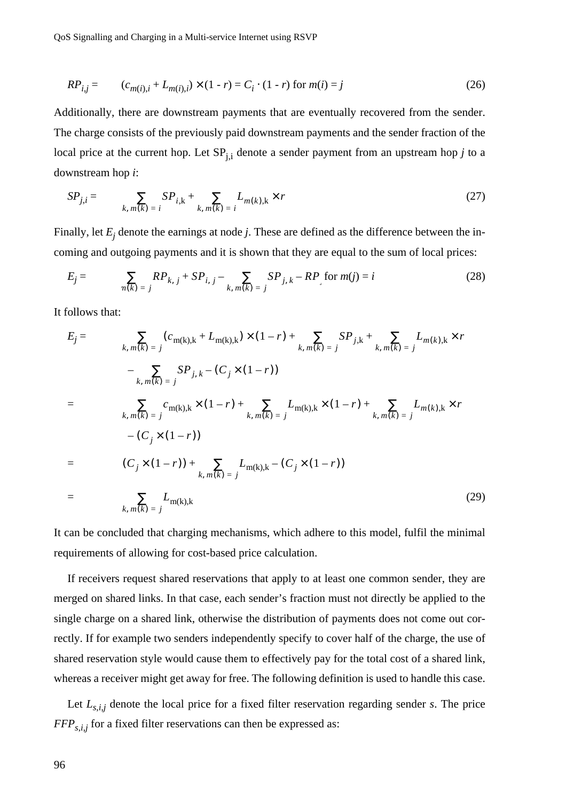<span id="page-109-0"></span>
$$
RP_{i,j} = (c_{m(i),i} + L_{m(i),i}) \times (1 - r) = C_i \cdot (1 - r) \text{ for } m(i) = j
$$
 (26)

Additionally, there are downstream payments that are eventually recovered from the sender. The charge consists of the previously paid downstream payments and the sender fraction of the local price at the current hop. Let  $SP_{i,j}$  denote a sender payment from an upstream hop *j* to a downstream hop *i*:

$$
SP_{j,i} = \sum_{k, m(k) = i} SP_{i,k} + \sum_{k, m(k) = i} L_{m(k),k} \times r
$$
 (27)

Finally, let  $E_j$  denote the earnings at node *j*. These are defined as the difference between the incoming and outgoing payments and it is shown that they are equal to the sum of local prices:

$$
E_j = \sum_{n(k) = j} RP_{k, j} + SP_{i, j} - \sum_{k, m(k) = j} SP_{j, k} - RP_{j} \text{ for } m(j) = i
$$
 (28)

It follows that:

$$
E_{j} = \sum_{k, m(k) = j} (c_{m(k),k} + L_{m(k),k}) \times (1 - r) + \sum_{k, m(k) = j} SP_{j,k} + \sum_{k, m(k) = j} L_{m(k),k} \times r
$$
  
\n
$$
- \sum_{k, m(k) = j} SP_{j,k} - (C_{j} \times (1 - r))
$$
  
\n
$$
= \sum_{k, m(k) = j} c_{m(k),k} \times (1 - r) + \sum_{k, m(k) = j} L_{m(k),k} \times (1 - r) + \sum_{k, m(k) = j} L_{m(k),k} \times r
$$
  
\n
$$
- (C_{j} \times (1 - r))
$$
  
\n
$$
= (C_{j} \times (1 - r)) + \sum_{k, m(k) = j} L_{m(k),k} - (C_{j} \times (1 - r))
$$
  
\n
$$
= \sum_{k, m(k) = j} L_{m(k),k}
$$
  
\n(29)

It can be concluded that charging mechanisms, which adhere to this model, fulfil the minimal requirements of allowing for cost-based price calculation.

If receivers request shared reservations that apply to at least one common sender, they are merged on shared links. In that case, each sender's fraction must not directly be applied to the single charge on a shared link, otherwise the distribution of payments does not come out correctly. If for example two senders independently specify to cover half of the charge, the use of shared reservation style would cause them to effectively pay for the total cost of a shared link, whereas a receiver might get away for free. The following definition is used to handle this case.

Let  $L_{s,i,j}$  denote the local price for a fixed filter reservation regarding sender *s*. The price *FFPs*,*i*,*<sup>j</sup>* for a fixed filter reservations can then be expressed as: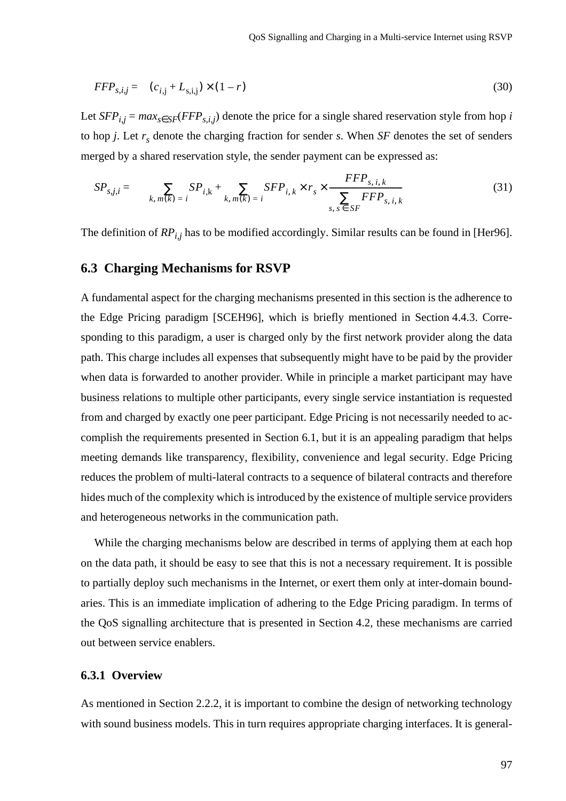<span id="page-110-0"></span>
$$
FFP_{s,i,j} = (c_{i,j} + L_{s,i,j}) \times (1 - r)
$$
\n(30)

Let  $SFP_{i,j} = max_{s \in SF}(FFP_{s,i,j})$  denote the price for a single shared reservation style from hop *i* to hop *j*. Let  $r_s$  denote the charging fraction for sender *s*. When *SF* denotes the set of senders merged by a shared reservation style, the sender payment can be expressed as:

$$
SP_{s,j,i} = \sum_{k, m(k) = i} SP_{i,k} + \sum_{k, m(k) = i} SFP_{i,k} \times r_s \times \frac{FFP_{s,i,k}}{\sum_{s, s \in SF} FFP_{s,i,k}}
$$
(31)

The definition of *RP*<sub>*i,j*</sub> has to be modified accordingly. Similar results can be found in [Her96].

# **6.3 Charging Mechanisms for RSVP**

A fundamental aspect for the charging mechanisms presented in this section is the adherence to the Edge Pricing paradigm [SCEH96], which is briefly mentioned in [Section 4.4.3](#page-48-0). Corresponding to this paradigm, a user is charged only by the first network provider along the data path. This charge includes all expenses that subsequently might have to be paid by the provider when data is forwarded to another provider. While in principle a market participant may have business relations to multiple other participants, every single service instantiation is requested from and charged by exactly one peer participant. Edge Pricing is not necessarily needed to accomplish the requirements presented in [Section 6.1,](#page-92-0) but it is an appealing paradigm that helps meeting demands like transparency, flexibility, convenience and legal security. Edge Pricing reduces the problem of multi-lateral contracts to a sequence of bilateral contracts and therefore hides much of the complexity which is introduced by the existence of multiple service providers and heterogeneous networks in the communication path.

While the charging mechanisms below are described in terms of applying them at each hop on the data path, it should be easy to see that this is not a necessary requirement. It is possible to partially deploy such mechanisms in the Internet, or exert them only at inter-domain boundaries. This is an immediate implication of adhering to the Edge Pricing paradigm. In terms of the QoS signalling architecture that is presented in [Section 4.2](#page-40-0), these mechanisms are carried out between service enablers.

#### **6.3.1 Overview**

As mentioned in [Section 2.2.2,](#page-18-0) it is important to combine the design of networking technology with sound business models. This in turn requires appropriate charging interfaces. It is general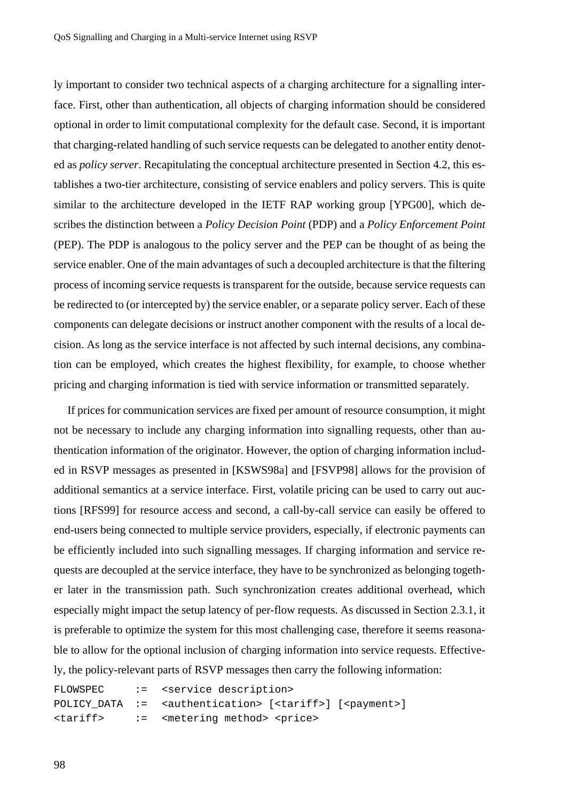ly important to consider two technical aspects of a charging architecture for a signalling interface. First, other than authentication, all objects of charging information should be considered optional in order to limit computational complexity for the default case. Second, it is important that charging-related handling of such service requests can be delegated to another entity denoted as *policy server*. Recapitulating the conceptual architecture presented in [Section 4.2](#page-40-0), this establishes a two-tier architecture, consisting of service enablers and policy servers. This is quite similar to the architecture developed in the IETF RAP working group [YPG00], which describes the distinction between a *Policy Decision Point* (PDP) and a *Policy Enforcement Point* (PEP). The PDP is analogous to the policy server and the PEP can be thought of as being the service enabler. One of the main advantages of such a decoupled architecture is that the filtering process of incoming service requests is transparent for the outside, because service requests can be redirected to (or intercepted by) the service enabler, or a separate policy server. Each of these components can delegate decisions or instruct another component with the results of a local decision. As long as the service interface is not affected by such internal decisions, any combination can be employed, which creates the highest flexibility, for example, to choose whether pricing and charging information is tied with service information or transmitted separately.

If prices for communication services are fixed per amount of resource consumption, it might not be necessary to include any charging information into signalling requests, other than authentication information of the originator. However, the option of charging information included in RSVP messages as presented in [KSWS98a] and [FSVP98] allows for the provision of additional semantics at a service interface. First, volatile pricing can be used to carry out auctions [RFS99] for resource access and second, a call-by-call service can easily be offered to end-users being connected to multiple service providers, especially, if electronic payments can be efficiently included into such signalling messages. If charging information and service requests are decoupled at the service interface, they have to be synchronized as belonging together later in the transmission path. Such synchronization creates additional overhead, which especially might impact the setup latency of per-flow requests. As discussed in [Section 2.3.1,](#page-19-0) it is preferable to optimize the system for this most challenging case, therefore it seems reasonable to allow for the optional inclusion of charging information into service requests. Effectively, the policy-relevant parts of RSVP messages then carry the following information:

| FLOWSPEC          | := <service description=""></service>                                                      |
|-------------------|--------------------------------------------------------------------------------------------|
|                   | POLICY DATA := <authentication> [<tariff>] [<payment>]</payment></tariff></authentication> |
| <tariff></tariff> | := <metering method=""> <price></price></metering>                                         |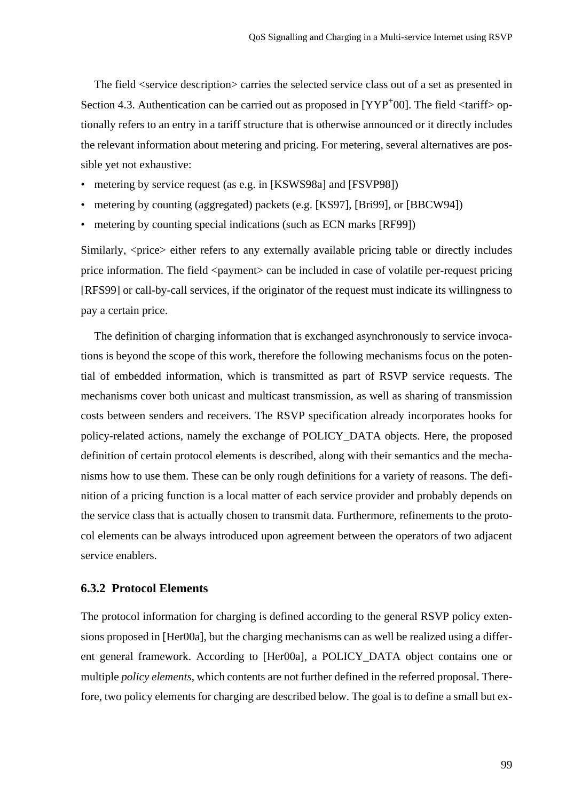<span id="page-112-0"></span>The field <service description> carries the selected service class out of a set as presented in [Section 4.3](#page-43-0). Authentication can be carried out as proposed in [ $YYP<sup>+</sup>00$ ]. The field  $\langle \text{tariff} \rangle$  optionally refers to an entry in a tariff structure that is otherwise announced or it directly includes the relevant information about metering and pricing. For metering, several alternatives are possible yet not exhaustive:

- metering by service request (as e.g. in [KSWS98a] and [FSVP98])
- metering by counting (aggregated) packets (e.g. [KS97], [Bri99], or [BBCW94])
- metering by counting special indications (such as ECN marks [RF99])

Similarly, <price> either refers to any externally available pricing table or directly includes price information. The field <payment> can be included in case of volatile per-request pricing [RFS99] or call-by-call services, if the originator of the request must indicate its willingness to pay a certain price.

The definition of charging information that is exchanged asynchronously to service invocations is beyond the scope of this work, therefore the following mechanisms focus on the potential of embedded information, which is transmitted as part of RSVP service requests. The mechanisms cover both unicast and multicast transmission, as well as sharing of transmission costs between senders and receivers. The RSVP specification already incorporates hooks for policy-related actions, namely the exchange of POLICY\_DATA objects. Here, the proposed definition of certain protocol elements is described, along with their semantics and the mechanisms how to use them. These can be only rough definitions for a variety of reasons. The definition of a pricing function is a local matter of each service provider and probably depends on the service class that is actually chosen to transmit data. Furthermore, refinements to the protocol elements can be always introduced upon agreement between the operators of two adjacent service enablers.

## **6.3.2 Protocol Elements**

The protocol information for charging is defined according to the general RSVP policy extensions proposed in [Her00a], but the charging mechanisms can as well be realized using a different general framework. According to [Her00a], a POLICY\_DATA object contains one or multiple *policy elements*, which contents are not further defined in the referred proposal. Therefore, two policy elements for charging are described below. The goal is to define a small but ex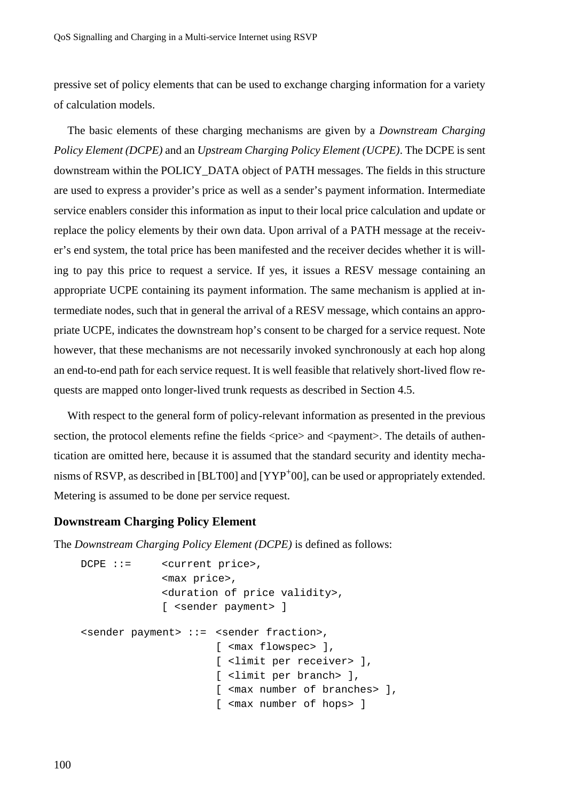pressive set of policy elements that can be used to exchange charging information for a variety of calculation models.

The basic elements of these charging mechanisms are given by a *Downstream Charging Policy Element (DCPE)* and an *Upstream Charging Policy Element (UCPE)*. The DCPE is sent downstream within the POLICY\_DATA object of PATH messages. The fields in this structure are used to express a provider's price as well as a sender's payment information. Intermediate service enablers consider this information as input to their local price calculation and update or replace the policy elements by their own data. Upon arrival of a PATH message at the receiver's end system, the total price has been manifested and the receiver decides whether it is willing to pay this price to request a service. If yes, it issues a RESV message containing an appropriate UCPE containing its payment information. The same mechanism is applied at intermediate nodes, such that in general the arrival of a RESV message, which contains an appropriate UCPE, indicates the downstream hop's consent to be charged for a service request. Note however, that these mechanisms are not necessarily invoked synchronously at each hop along an end-to-end path for each service request. It is well feasible that relatively short-lived flow requests are mapped onto longer-lived trunk requests as described in Sec[tion 4.5.](#page-49-0)

With respect to the general form of policy-relevant information as presented in the previous section, the protocol elements refine the fields  $\langle$ price $\rangle$  and  $\langle$ payment $\rangle$ . The details of authentication are omitted here, because it is assumed that the standard security and identity mechanisms of RSVP, as described in [BLT00] and [YYP+00], can be used or appropriately extended. Metering is assumed to be done per service request.

#### **Downstream Charging Policy Element**

The *Downstream Charging Policy Element (DCPE)* is defined as follows:

```
DCPE ::= <current price>,
             <max price>,
             <duration of price validity>,
             [ <sender payment> ]
<sender payment> ::= <sender fraction>,
                     [ <max flowspec> ],
                     [ <limit per receiver> ],
                     [ <limit per branch> ],
                      [ <max number of branches> ],
                     [ <max number of hops> ]
```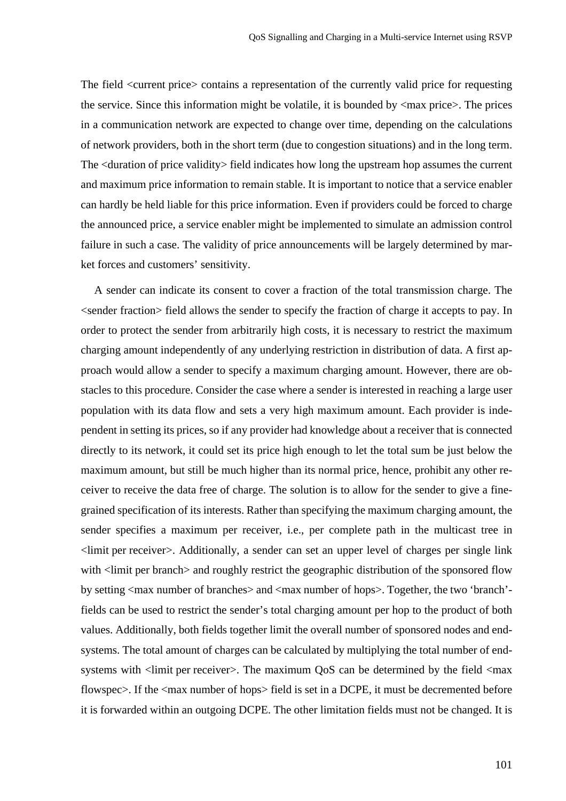The field <current price> contains a representation of the currently valid price for requesting the service. Since this information might be volatile, it is bounded by  $\langle \text{max price} \rangle$ . The prices in a communication network are expected to change over time, depending on the calculations of network providers, both in the short term (due to congestion situations) and in the long term. The <duration of price validity> field indicates how long the upstream hop assumes the current and maximum price information to remain stable. It is important to notice that a service enabler can hardly be held liable for this price information. Even if providers could be forced to charge the announced price, a service enabler might be implemented to simulate an admission control failure in such a case. The validity of price announcements will be largely determined by market forces and customers' sensitivity.

A sender can indicate its consent to cover a fraction of the total transmission charge. The <sender fraction> field allows the sender to specify the fraction of charge it accepts to pay. In order to protect the sender from arbitrarily high costs, it is necessary to restrict the maximum charging amount independently of any underlying restriction in distribution of data. A first approach would allow a sender to specify a maximum charging amount. However, there are obstacles to this procedure. Consider the case where a sender is interested in reaching a large user population with its data flow and sets a very high maximum amount. Each provider is independent in setting its prices, so if any provider had knowledge about a receiver that is connected directly to its network, it could set its price high enough to let the total sum be just below the maximum amount, but still be much higher than its normal price, hence, prohibit any other receiver to receive the data free of charge. The solution is to allow for the sender to give a finegrained specification of its interests. Rather than specifying the maximum charging amount, the sender specifies a maximum per receiver, i.e., per complete path in the multicast tree in <limit per receiver>. Additionally, a sender can set an upper level of charges per single link with  $\langle$ limit per branch $\rangle$  and roughly restrict the geographic distribution of the sponsored flow by setting <max number of branches> and <max number of hops>. Together, the two 'branch' fields can be used to restrict the sender's total charging amount per hop to the product of both values. Additionally, both fields together limit the overall number of sponsored nodes and endsystems. The total amount of charges can be calculated by multiplying the total number of endsystems with  $\langle$ limit per receiver>. The maximum QoS can be determined by the field  $\langle$ max flowspec>. If the <max number of hops> field is set in a DCPE, it must be decremented before it is forwarded within an outgoing DCPE. The other limitation fields must not be changed. It is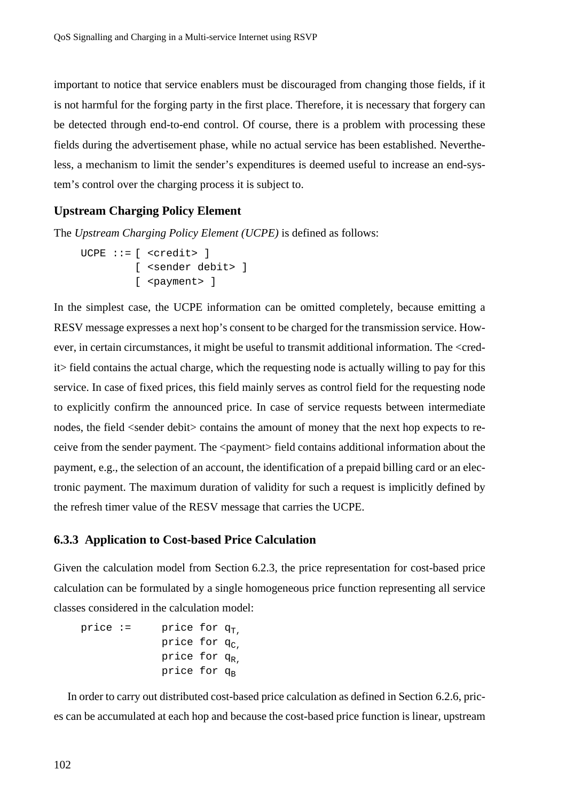<span id="page-115-0"></span>important to notice that service enablers must be discouraged from changing those fields, if it is not harmful for the forging party in the first place. Therefore, it is necessary that forgery can be detected through end-to-end control. Of course, there is a problem with processing these fields during the advertisement phase, while no actual service has been established. Nevertheless, a mechanism to limit the sender's expenditures is deemed useful to increase an end-system's control over the charging process it is subject to.

# **Upstream Charging Policy Element**

The *Upstream Charging Policy Element (UCPE)* is defined as follows:

UCPE  $::= [$  <credit>  $]$ [ <sender debit> ] [ <payment> ]

In the simplest case, the UCPE information can be omitted completely, because emitting a RESV message expresses a next hop's consent to be charged for the transmission service. However, in certain circumstances, it might be useful to transmit additional information. The <credit> field contains the actual charge, which the requesting node is actually willing to pay for this service. In case of fixed prices, this field mainly serves as control field for the requesting node to explicitly confirm the announced price. In case of service requests between intermediate nodes, the field  $\le$ sender debit $>$  contains the amount of money that the next hop expects to receive from the sender payment. The <payment> field contains additional information about the payment, e.g., the selection of an account, the identification of a prepaid billing card or an electronic payment. The maximum duration of validity for such a request is implicitly defined by the refresh timer value of the RESV message that carries the UCPE.

# **6.3.3 Application to Cost-based Price Calculation**

Given the calculation model fro[m Section 6.2.3](#page-100-0), the price representation for cost-based price calculation can be formulated by a single homogeneous price function representing all service classes considered in the calculation model:

```
price := price for q_Tprice for q_C,
             price for q_{R},
             price for q_B
```
In order to carry out distributed cost-based price calculation as defined in [Section 6.2.6](#page-107-0), prices can be accumulated at each hop and because the cost-based price function is linear, upstream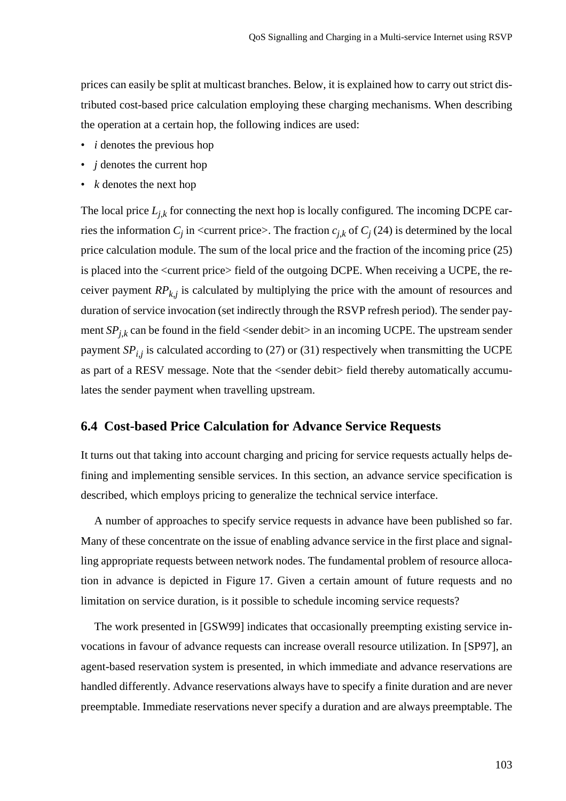prices can easily be split at multicast branches. Below, it is explained how to carry out strict distributed cost-based price calculation employing these charging mechanisms. When describing the operation at a certain hop, the following indices are used:

- *i* denotes the previous hop
- *j* denotes the current hop
- *k* denotes the next hop

The local price  $L_{i,k}$  for connecting the next hop is locally configured. The incoming DCPE carries the information  $C_j$  in <current price>. The fraction  $c_{j,k}$  of  $C_j$  [\(24\)](#page-108-0) is determined by the local price calculation module. The sum of the local price and the fraction of the incoming price [\(25\)](#page-108-0) is placed into the <current price> field of the outgoing DCPE. When receiving a UCPE, the receiver payment  $RP_{k,i}$  is calculated by multiplying the price with the amount of resources and duration of service invocation (set indirectly through the RSVP refresh period). The sender payment  $SP_{ik}$  can be found in the field <sender debit> in an incoming UCPE. The upstream sender payment  $SP_{i,j}$  is calculated according to [\(27\)](#page-109-0) or [\(31\)](#page-110-0) respectively when transmitting the UCPE as part of a RESV message. Note that the <sender debit> field thereby automatically accumulates the sender payment when travelling upstream.

# **6.4 Cost-based Price Calculation for Advance Service Requests**

It turns out that taking into account charging and pricing for service requests actually helps defining and implementing sensible services. In this section, an advance service specification is described, which employs pricing to generalize the technical service interface.

A number of approaches to specify service requests in advance have been published so far. Many of these concentrate on the issue of enabling advance service in the first place and signalling appropriate requests between network nodes. The fundamental problem of resource allocation in advance is depicted in [Figure 17.](#page-117-0) Given a certain amount of future requests and no limitation on service duration, is it possible to schedule incoming service requests?

The work presented in [GSW99] indicates that occasionally preempting existing service invocations in favour of advance requests can increase overall resource utilization. In [SP97], an agent-based reservation system is presented, in which immediate and advance reservations are handled differently. Advance reservations always have to specify a finite duration and are never preemptable. Immediate reservations never specify a duration and are always preemptable. The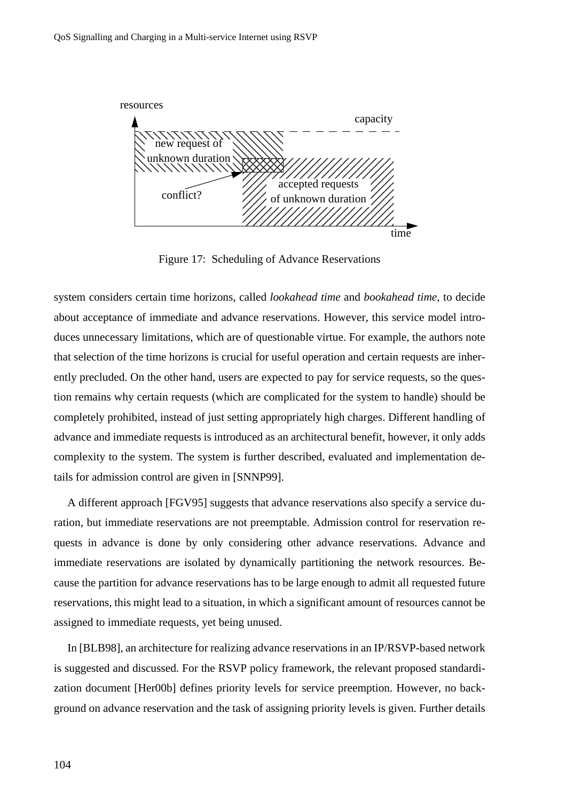<span id="page-117-0"></span>

Figure 17: Scheduling of Advance Reservations

system considers certain time horizons, called *lookahead time* and *bookahead time*, to decide about acceptance of immediate and advance reservations. However, this service model introduces unnecessary limitations, which are of questionable virtue. For example, the authors note that selection of the time horizons is crucial for useful operation and certain requests are inherently precluded. On the other hand, users are expected to pay for service requests, so the question remains why certain requests (which are complicated for the system to handle) should be completely prohibited, instead of just setting appropriately high charges. Different handling of advance and immediate requests is introduced as an architectural benefit, however, it only adds complexity to the system. The system is further described, evaluated and implementation details for admission control are given in [SNNP99].

A different approach [FGV95] suggests that advance reservations also specify a service duration, but immediate reservations are not preemptable. Admission control for reservation requests in advance is done by only considering other advance reservations. Advance and immediate reservations are isolated by dynamically partitioning the network resources. Because the partition for advance reservations has to be large enough to admit all requested future reservations, this might lead to a situation, in which a significant amount of resources cannot be assigned to immediate requests, yet being unused.

In [BLB98], an architecture for realizing advance reservations in an IP/RSVP-based network is suggested and discussed. For the RSVP policy framework, the relevant proposed standardization document [Her00b] defines priority levels for service preemption. However, no background on advance reservation and the task of assigning priority levels is given. Further details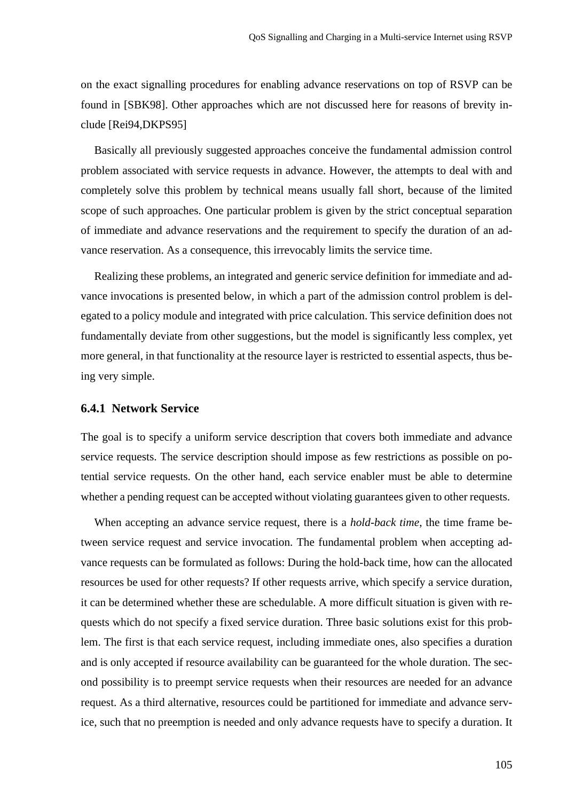<span id="page-118-0"></span>on the exact signalling procedures for enabling advance reservations on top of RSVP can be found in [SBK98]. Other approaches which are not discussed here for reasons of brevity include [Rei94,DKPS95]

Basically all previously suggested approaches conceive the fundamental admission control problem associated with service requests in advance. However, the attempts to deal with and completely solve this problem by technical means usually fall short, because of the limited scope of such approaches. One particular problem is given by the strict conceptual separation of immediate and advance reservations and the requirement to specify the duration of an advance reservation. As a consequence, this irrevocably limits the service time.

Realizing these problems, an integrated and generic service definition for immediate and advance invocations is presented below, in which a part of the admission control problem is delegated to a policy module and integrated with price calculation. This service definition does not fundamentally deviate from other suggestions, but the model is significantly less complex, yet more general, in that functionality at the resource layer is restricted to essential aspects, thus being very simple.

#### **6.4.1 Network Service**

The goal is to specify a uniform service description that covers both immediate and advance service requests. The service description should impose as few restrictions as possible on potential service requests. On the other hand, each service enabler must be able to determine whether a pending request can be accepted without violating guarantees given to other requests.

When accepting an advance service request, there is a *hold-back time*, the time frame between service request and service invocation. The fundamental problem when accepting advance requests can be formulated as follows: During the hold-back time, how can the allocated resources be used for other requests? If other requests arrive, which specify a service duration, it can be determined whether these are schedulable. A more difficult situation is given with requests which do not specify a fixed service duration. Three basic solutions exist for this problem. The first is that each service request, including immediate ones, also specifies a duration and is only accepted if resource availability can be guaranteed for the whole duration. The second possibility is to preempt service requests when their resources are needed for an advance request. As a third alternative, resources could be partitioned for immediate and advance service, such that no preemption is needed and only advance requests have to specify a duration. It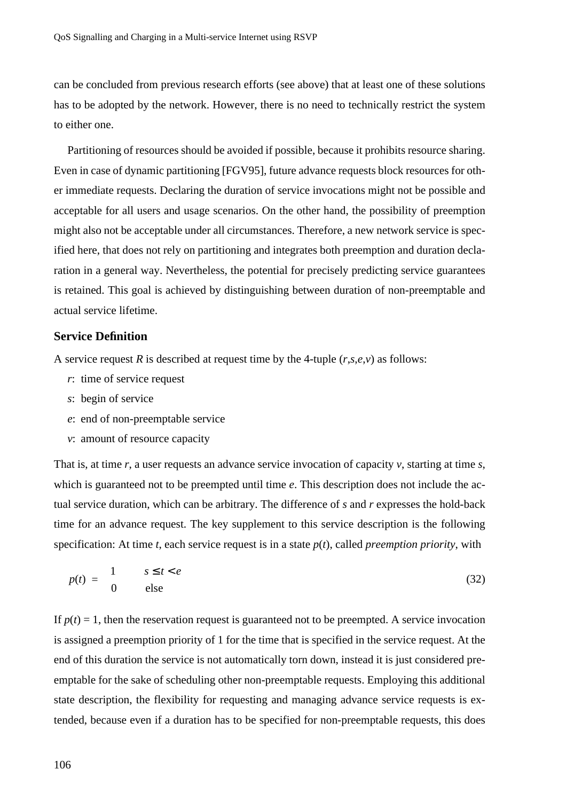can be concluded from previous research efforts (see above) that at least one of these solutions has to be adopted by the network. However, there is no need to technically restrict the system to either one.

Partitioning of resources should be avoided if possible, because it prohibits resource sharing. Even in case of dynamic partitioning [FGV95], future advance requests block resources for other immediate requests. Declaring the duration of service invocations might not be possible and acceptable for all users and usage scenarios. On the other hand, the possibility of preemption might also not be acceptable under all circumstances. Therefore, a new network service is specified here, that does not rely on partitioning and integrates both preemption and duration declaration in a general way. Nevertheless, the potential for precisely predicting service guarantees is retained. This goal is achieved by distinguishing between duration of non-preemptable and actual service lifetime.

## **Service Definition**

A service request *R* is described at request time by the 4-tuple  $(r, s, e, v)$  as follows:

- *r*: time of service request
- *s*: begin of service
- *e*: end of non-preemptable service
- *v*: amount of resource capacity

That is, at time *r*, a user requests an advance service invocation of capacity *v*, starting at time *s*, which is guaranteed not to be preempted until time *e*. This description does not include the actual service duration, which can be arbitrary. The difference of *s* and *r* expresses the hold-back time for an advance request. The key supplement to this service description is the following specification: At time *t*, each service request is in a state *p*(*t*), called *preemption priority*, with

$$
p(t) = \begin{cases} 1 & s \le t < e \\ 0 & \text{else} \end{cases}
$$
 (32)

If  $p(t) = 1$ , then the reservation request is guaranteed not to be preempted. A service invocation is assigned a preemption priority of 1 for the time that is specified in the service request. At the end of this duration the service is not automatically torn down, instead it is just considered preemptable for the sake of scheduling other non-preemptable requests. Employing this additional state description, the flexibility for requesting and managing advance service requests is extended, because even if a duration has to be specified for non-preemptable requests, this does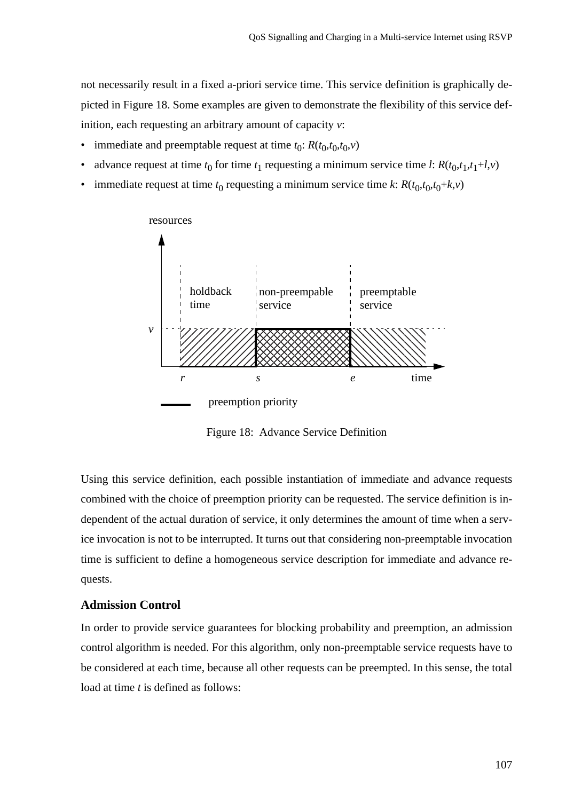not necessarily result in a fixed a-priori service time. This service definition is graphically depicted in Figure 18. Some examples are given to demonstrate the flexibility of this service definition, each requesting an arbitrary amount of capacity *v*:

- immediate and preemptable request at time  $t_0$ :  $R(t_0, t_0, t_0, v)$
- advance request at time  $t_0$  for time  $t_1$  requesting a minimum service time *l*:  $R(t_0, t_1, t_1 + l, v)$
- immediate request at time  $t_0$  requesting a minimum service time  $k$ :  $R(t_0, t_0, t_0+k, v)$



Figure 18: Advance Service Definition

Using this service definition, each possible instantiation of immediate and advance requests combined with the choice of preemption priority can be requested. The service definition is independent of the actual duration of service, it only determines the amount of time when a service invocation is not to be interrupted. It turns out that considering non-preemptable invocation time is sufficient to define a homogeneous service description for immediate and advance requests.

# **Admission Control**

In order to provide service guarantees for blocking probability and preemption, an admission control algorithm is needed. For this algorithm, only non-preemptable service requests have to be considered at each time, because all other requests can be preempted. In this sense, the total load at time *t* is defined as follows: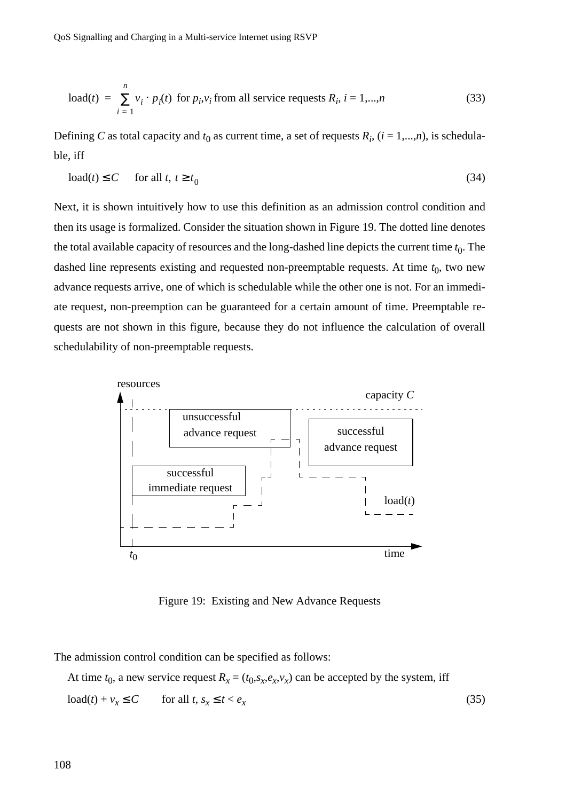load(*t*) = 
$$
\sum_{i=1}^{n} v_i \cdot p_i(t)
$$
 for  $p_i, v_i$  from all service requests  $R_i$ ,  $i = 1,...,n$  (33)

Defining *C* as total capacity and  $t_0$  as current time, a set of requests  $R_i$ ,  $(i = 1,...,n)$ , is schedulable, iff

$$
load(t) \le C \quad \text{for all } t, \ t \ge t_0 \tag{34}
$$

Next, it is shown intuitively how to use this definition as an admission control condition and then its usage is formalized. Consider the situation shown in Figure 19. The dotted line denotes the total available capacity of resources and the long-dashed line depicts the current time  $t_0$ . The dashed line represents existing and requested non-preemptable requests. At time  $t_0$ , two new advance requests arrive, one of which is schedulable while the other one is not. For an immediate request, non-preemption can be guaranteed for a certain amount of time. Preemptable requests are not shown in this figure, because they do not influence the calculation of overall schedulability of non-preemptable requests.



Figure 19: Existing and New Advance Requests

The admission control condition can be specified as follows:

At time  $t_0$ , a new service request  $R_x = (t_0, s_x, e_x, v_x)$  can be accepted by the system, iff

$$
load(t) + v_x \le C \qquad \text{for all } t, s_x \le t < e_x \tag{35}
$$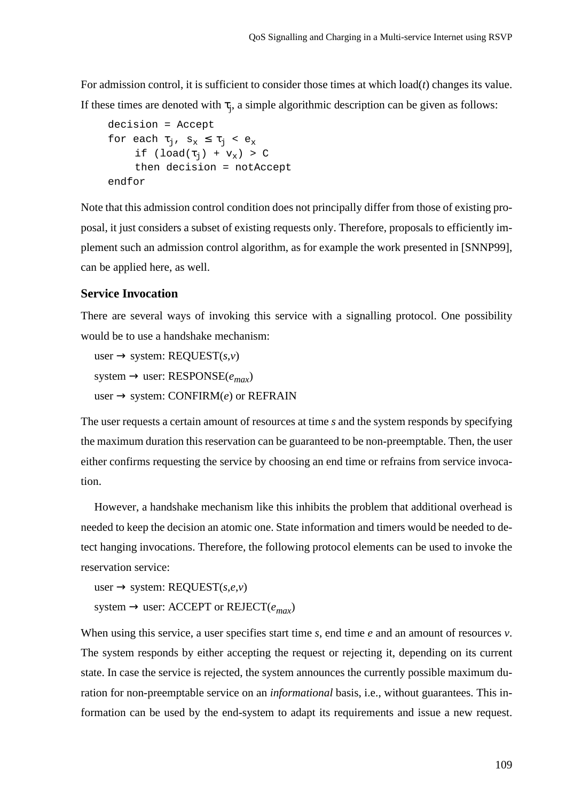For admission control, it is sufficient to consider those times at which load(*t*) changes its value. If these times are denoted with  $\tau_j$ , a simple algorithmic description can be given as follows:

```
decision = Accept
for each \tau_i, s_x \leq \tau_i < e_xif (\text{load}(\tau_i) + v_x) > Cthen decision = notAccept
endfor
```
Note that this admission control condition does not principally differ from those of existing proposal, it just considers a subset of existing requests only. Therefore, proposals to efficiently implement such an admission control algorithm, as for example the work presented in [SNNP99], can be applied here, as well.

### **Service Invocation**

There are several ways of invoking this service with a signalling protocol. One possibility would be to use a handshake mechanism:

user  $\rightarrow$  system: REQUEST( $s, v$ ) system  $\rightarrow$  user: RESPONSE( $e_{max}$ ) user → system: CONFIRM(*e*) or REFRAIN

The user requests a certain amount of resources at time *s* and the system responds by specifying the maximum duration this reservation can be guaranteed to be non-preemptable. Then, the user either confirms requesting the service by choosing an end time or refrains from service invocation.

However, a handshake mechanism like this inhibits the problem that additional overhead is needed to keep the decision an atomic one. State information and timers would be needed to detect hanging invocations. Therefore, the following protocol elements can be used to invoke the reservation service:

```
user \rightarrow system: REQUEST(s, e, v)
```
system  $\rightarrow$  user: ACCEPT or REJECT( $e_{max}$ )

When using this service, a user specifies start time *s*, end time *e* and an amount of resources *v*. The system responds by either accepting the request or rejecting it, depending on its current state. In case the service is rejected, the system announces the currently possible maximum duration for non-preemptable service on an *informational* basis, i.e., without guarantees. This information can be used by the end-system to adapt its requirements and issue a new request.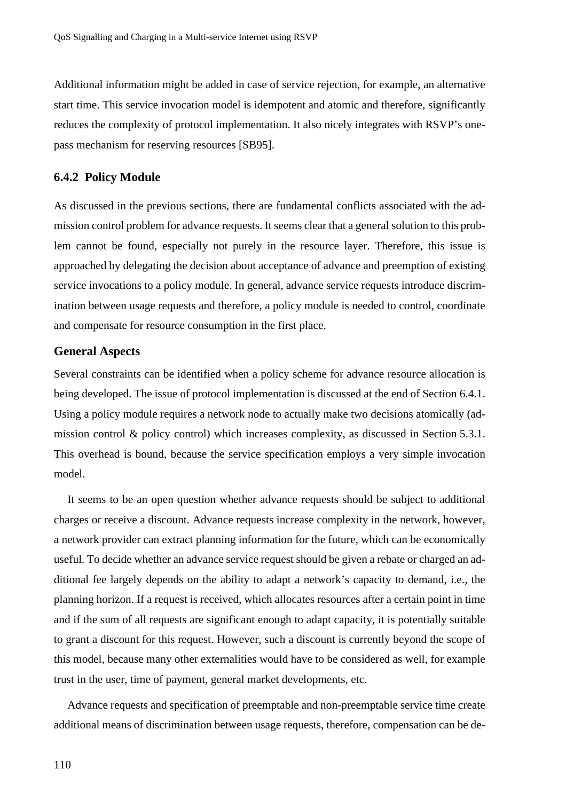Additional information might be added in case of service rejection, for example, an alternative start time. This service invocation model is idempotent and atomic and therefore, significantly reduces the complexity of protocol implementation. It also nicely integrates with RSVP's onepass mechanism for reserving resources [SB95].

#### **6.4.2 Policy Module**

As discussed in the previous sections, there are fundamental conflicts associated with the admission control problem for advance requests. It seems clear that a general solution to this problem cannot be found, especially not purely in the resource layer. Therefore, this issue is approached by delegating the decision about acceptance of advance and preemption of existing service invocations to a policy module. In general, advance service requests introduce discrimination between usage requests and therefore, a policy module is needed to control, coordinate and compensate for resource consumption in the first place.

## **General Aspects**

Several constraints can be identified when a policy scheme for advance resource allocation is being developed. The issue of protocol implementation is discussed at the end of [Section 6.4.1](#page-118-0). Using a policy module requires a network node to actually make two decisions atomically (admission control & policy control) which increases complexity, as discussed in [Section 5.3.1](#page-68-0). This overhead is bound, because the service specification employs a very simple invocation model.

It seems to be an open question whether advance requests should be subject to additional charges or receive a discount. Advance requests increase complexity in the network, however, a network provider can extract planning information for the future, which can be economically useful. To decide whether an advance service request should be given a rebate or charged an additional fee largely depends on the ability to adapt a network's capacity to demand, i.e., the planning horizon. If a request is received, which allocates resources after a certain point in time and if the sum of all requests are significant enough to adapt capacity, it is potentially suitable to grant a discount for this request. However, such a discount is currently beyond the scope of this model, because many other externalities would have to be considered as well, for example trust in the user, time of payment, general market developments, etc.

Advance requests and specification of preemptable and non-preemptable service time create additional means of discrimination between usage requests, therefore, compensation can be de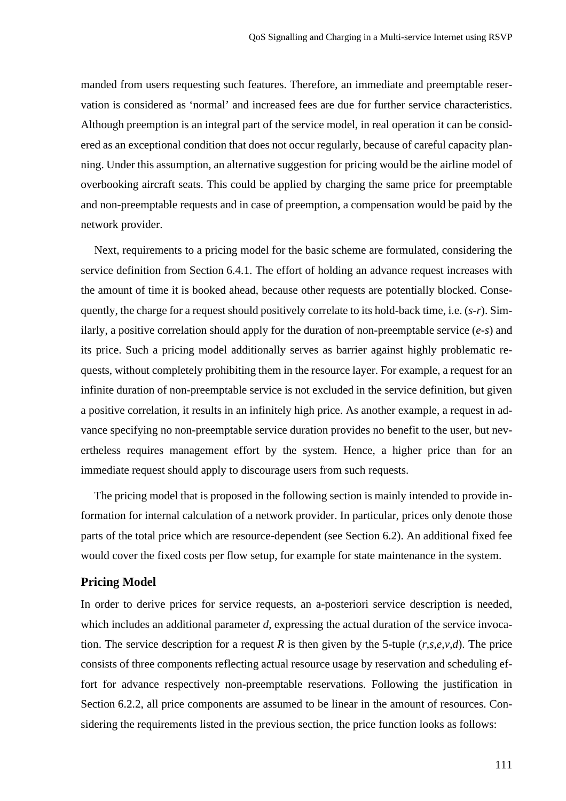manded from users requesting such features. Therefore, an immediate and preemptable reservation is considered as 'normal' and increased fees are due for further service characteristics. Although preemption is an integral part of the service model, in real operation it can be considered as an exceptional condition that does not occur regularly, because of careful capacity planning. Under this assumption, an alternative suggestion for pricing would be the airline model of overbooking aircraft seats. This could be applied by charging the same price for preemptable and non-preemptable requests and in case of preemption, a compensation would be paid by the network provider.

Next, requirements to a pricing model for the basic scheme are formulated, considering the service definition from [Section 6.4.1](#page-118-0). The effort of holding an advance request increases with the amount of time it is booked ahead, because other requests are potentially blocked. Consequently, the charge for a request should positively correlate to its hold-back time, i.e. (*s*-*r*). Similarly, a positive correlation should apply for the duration of non-preemptable service (*e*-*s*) and its price. Such a pricing model additionally serves as barrier against highly problematic requests, without completely prohibiting them in the resource layer. For example, a request for an infinite duration of non-preemptable service is not excluded in the service definition, but given a positive correlation, it results in an infinitely high price. As another example, a request in advance specifying no non-preemptable service duration provides no benefit to the user, but nevertheless requires management effort by the system. Hence, a higher price than for an immediate request should apply to discourage users from such requests.

The pricing model that is proposed in the following section is mainly intended to provide information for internal calculation of a network provider. In particular, prices only denote those parts of the total price which are resource-dependent (see [Section 6.2\)](#page-96-0). An additional fixed fee would cover the fixed costs per flow setup, for example for state maintenance in the system.

#### **Pricing Model**

In order to derive prices for service requests, an a-posteriori service description is needed, which includes an additional parameter *d*, expressing the actual duration of the service invocation. The service description for a request *R* is then given by the 5-tuple  $(r, s, e, v, d)$ . The price consists of three components reflecting actual resource usage by reservation and scheduling effort for advance respectively non-preemptable reservations. Following the justification in [Section 6.2.2,](#page-98-0) all price components are assumed to be linear in the amount of resources. Considering the requirements listed in the previous section, the price function looks as follows: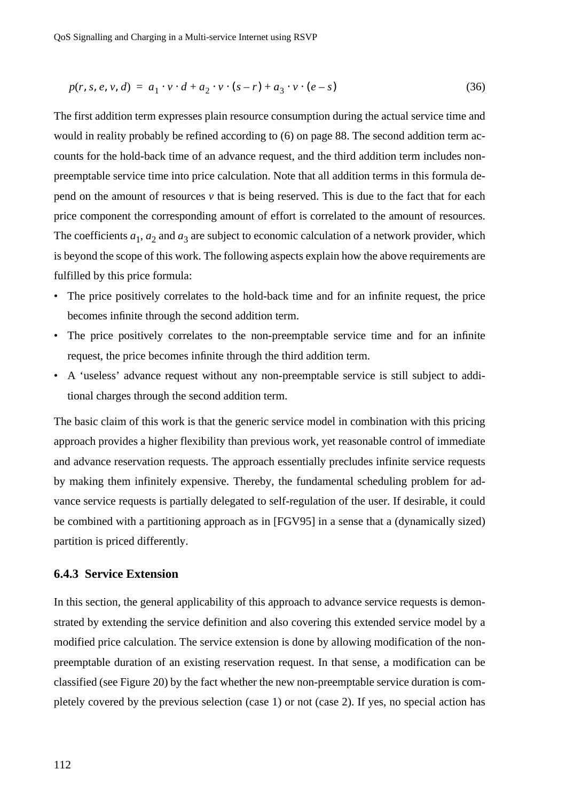<span id="page-125-0"></span>
$$
p(r, s, e, v, d) = a_1 \cdot v \cdot d + a_2 \cdot v \cdot (s - r) + a_3 \cdot v \cdot (e - s)
$$
\n(36)

The first addition term expresses plain resource consumption during the actual service time and would in reality probably be refined according to [\(6\)](#page-101-0) on [page 88](#page-101-0). The second addition term accounts for the hold-back time of an advance request, and the third addition term includes nonpreemptable service time into price calculation. Note that all addition terms in this formula depend on the amount of resources *v* that is being reserved. This is due to the fact that for each price component the corresponding amount of effort is correlated to the amount of resources. The coefficients  $a_1$ ,  $a_2$  and  $a_3$  are subject to economic calculation of a network provider, which is beyond the scope of this work. The following aspects explain how the above requirements are fulfilled by this price formula:

- The price positively correlates to the hold-back time and for an infinite request, the price becomes infinite through the second addition term.
- The price positively correlates to the non-preemptable service time and for an infinite request, the price becomes infinite through the third addition term.
- A 'useless' advance request without any non-preemptable service is still subject to additional charges through the second addition term.

The basic claim of this work is that the generic service model in combination with this pricing approach provides a higher flexibility than previous work, yet reasonable control of immediate and advance reservation requests. The approach essentially precludes infinite service requests by making them infinitely expensive. Thereby, the fundamental scheduling problem for advance service requests is partially delegated to self-regulation of the user. If desirable, it could be combined with a partitioning approach as in [FGV95] in a sense that a (dynamically sized) partition is priced differently.

#### **6.4.3 Service Extension**

In this section, the general applicability of this approach to advance service requests is demonstrated by extending the service definition and also covering this extended service model by a modified price calculation. The service extension is done by allowing modification of the nonpreemptable duration of an existing reservation request. In that sense, a modification can be classified (see [Figure 20\)](#page-126-0) by the fact whether the new non-preemptable service duration is completely covered by the previous selection (case 1) or not (case 2). If yes, no special action has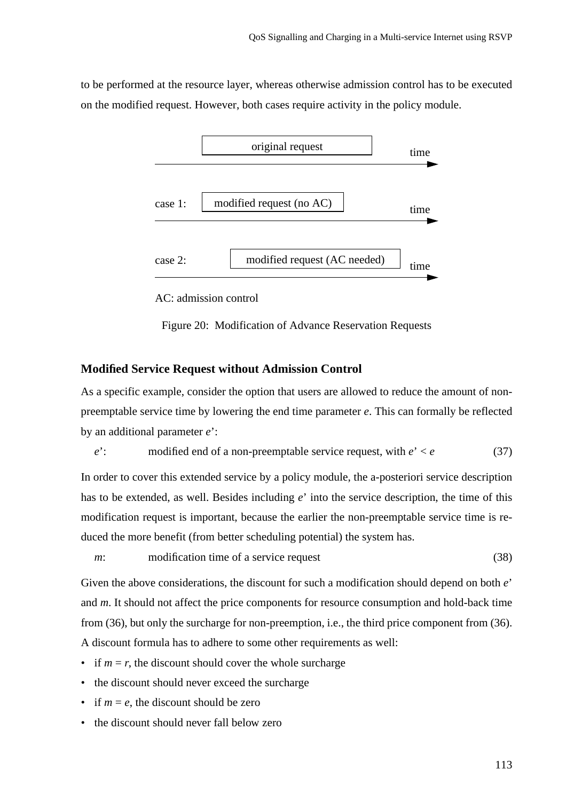<span id="page-126-0"></span>to be performed at the resource layer, whereas otherwise admission control has to be executed on the modified request. However, both cases require activity in the policy module.



AC: admission control

Figure 20: Modification of Advance Reservation Requests

# **Modified Service Request without Admission Control**

As a specific example, consider the option that users are allowed to reduce the amount of nonpreemptable service time by lowering the end time parameter *e*. This can formally be reflected by an additional parameter *e*':

*e*': modified end of a non-preemptable service request, with *e*' < *e* (37)

In order to cover this extended service by a policy module, the a-posteriori service description has to be extended, as well. Besides including *e*' into the service description, the time of this modification request is important, because the earlier the non-preemptable service time is reduced the more benefit (from better scheduling potential) the system has.

*m*: modification time of a service request (38)

Given the above considerations, the discount for such a modification should depend on both *e*' and *m*. It should not affect the price components for resource consumption and hold-back time from [\(36\)](#page-125-0), but only the surcharge for non-preemption, i.e., the third price component from [\(36\).](#page-125-0) A discount formula has to adhere to some other requirements as well:

- if  $m = r$ , the discount should cover the whole surcharge
- the discount should never exceed the surcharge
- if  $m = e$ , the discount should be zero
- the discount should never fall below zero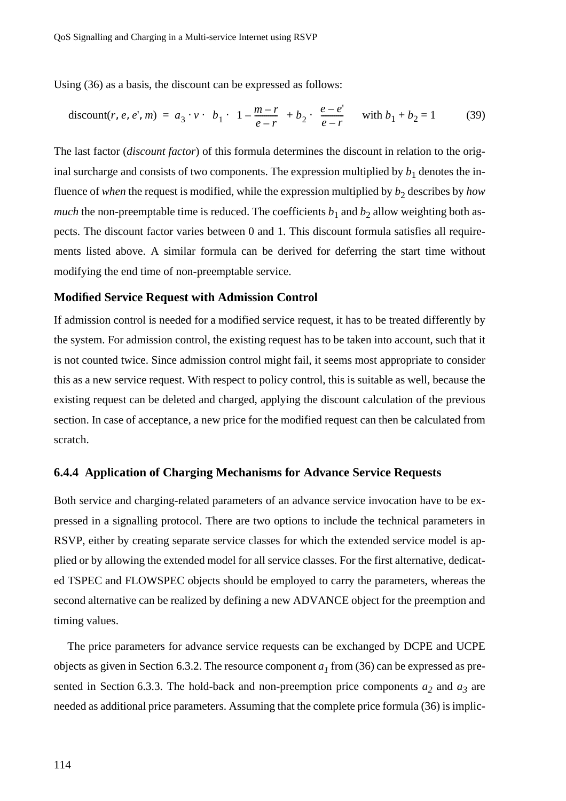Using [\(36\)](#page-125-0) as a basis, the discount can be expressed as follows:

$$
\text{discount}(r, e, e', m) = a_3 \cdot v \cdot \left( b_1 \cdot \left( 1 - \frac{m - r}{e - r} \right) + b_2 \cdot \left( \frac{e - e'}{e - r} \right) \right) \text{ with } b_1 + b_2 = 1 \tag{39}
$$

The last factor (*discount factor*) of this formula determines the discount in relation to the original surcharge and consists of two components. The expression multiplied by  $b_1$  denotes the influence of *when* the request is modified, while the expression multiplied by  $b_2$  describes by *how much* the non-preemptable time is reduced. The coefficients  $b_1$  and  $b_2$  allow weighting both aspects. The discount factor varies between 0 and 1. This discount formula satisfies all requirements listed above. A similar formula can be derived for deferring the start time without modifying the end time of non-preemptable service.

#### **Modified Service Request with Admission Control**

If admission control is needed for a modified service request, it has to be treated differently by the system. For admission control, the existing request has to be taken into account, such that it is not counted twice. Since admission control might fail, it seems most appropriate to consider this as a new service request. With respect to policy control, this is suitable as well, because the existing request can be deleted and charged, applying the discount calculation of the previous section. In case of acceptance, a new price for the modified request can then be calculated from scratch.

#### **6.4.4 Application of Charging Mechanisms for Advance Service Requests**

Both service and charging-related parameters of an advance service invocation have to be expressed in a signalling protocol. There are two options to include the technical parameters in RSVP, either by creating separate service classes for which the extended service model is applied or by allowing the extended model for all service classes. For the first alternative, dedicated TSPEC and FLOWSPEC objects should be employed to carry the parameters, whereas the second alternative can be realized by defining a new ADVANCE object for the preemption and timing values.

The price parameters for advance service requests can be exchanged by DCPE and UCPE objects as given in [Section 6.3.2](#page-112-0). The resource component  $a<sub>1</sub>$  fro[m \(36](#page-125-0)) can be expressed as pre-sented in [Section 6.3.3.](#page-115-0) The hold-back and non-preemption price components  $a_2$  and  $a_3$  are needed as additional price parameters. Assuming that the complete price formula [\(36\)](#page-125-0) is implic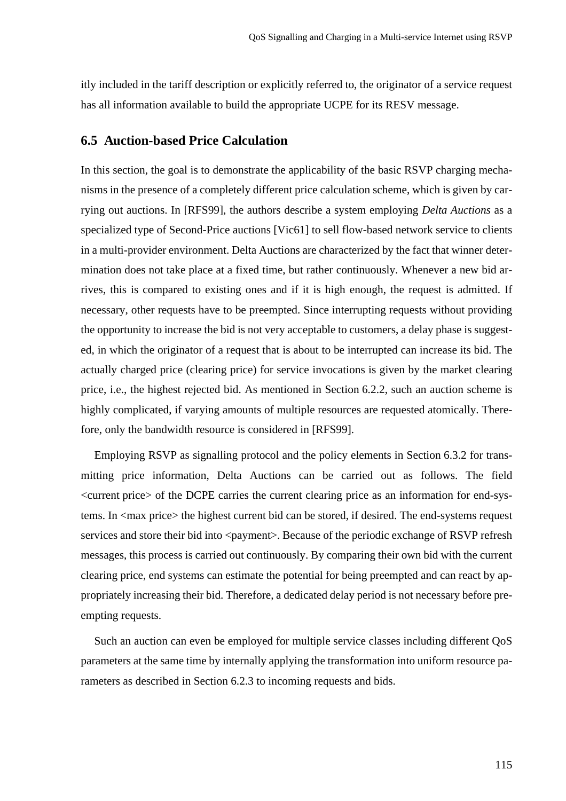itly included in the tariff description or explicitly referred to, the originator of a service request has all information available to build the appropriate UCPE for its RESV message.

# **6.5 Auction-based Price Calculation**

In this section, the goal is to demonstrate the applicability of the basic RSVP charging mechanisms in the presence of a completely different price calculation scheme, which is given by carrying out auctions. In [RFS99], the authors describe a system employing *Delta Auctions* as a specialized type of Second-Price auctions [Vic61] to sell flow-based network service to clients in a multi-provider environment. Delta Auctions are characterized by the fact that winner determination does not take place at a fixed time, but rather continuously. Whenever a new bid arrives, this is compared to existing ones and if it is high enough, the request is admitted. If necessary, other requests have to be preempted. Since interrupting requests without providing the opportunity to increase the bid is not very acceptable to customers, a delay phase is suggested, in which the originator of a request that is about to be interrupted can increase its bid. The actually charged price (clearing price) for service invocations is given by the market clearing price, i.e., the highest rejected bid. As mentioned in [Section 6.2.2,](#page-98-0) such an auction scheme is highly complicated, if varying amounts of multiple resources are requested atomically. Therefore, only the bandwidth resource is considered in [RFS99].

Employing RSVP as signalling protocol and the policy elements in [Section 6.3.2](#page-112-0) for transmitting price information, Delta Auctions can be carried out as follows. The field <current price> of the DCPE carries the current clearing price as an information for end-systems. In <max price> the highest current bid can be stored, if desired. The end-systems request services and store their bid into <payment>. Because of the periodic exchange of RSVP refresh messages, this process is carried out continuously. By comparing their own bid with the current clearing price, end systems can estimate the potential for being preempted and can react by appropriately increasing their bid. Therefore, a dedicated delay period is not necessary before preempting requests.

Such an auction can even be employed for multiple service classes including different QoS parameters at the same time by internally applying the transformation into uniform resource parameters as described in S[ection 6.2.3 to](#page-100-0) incoming requests and bids.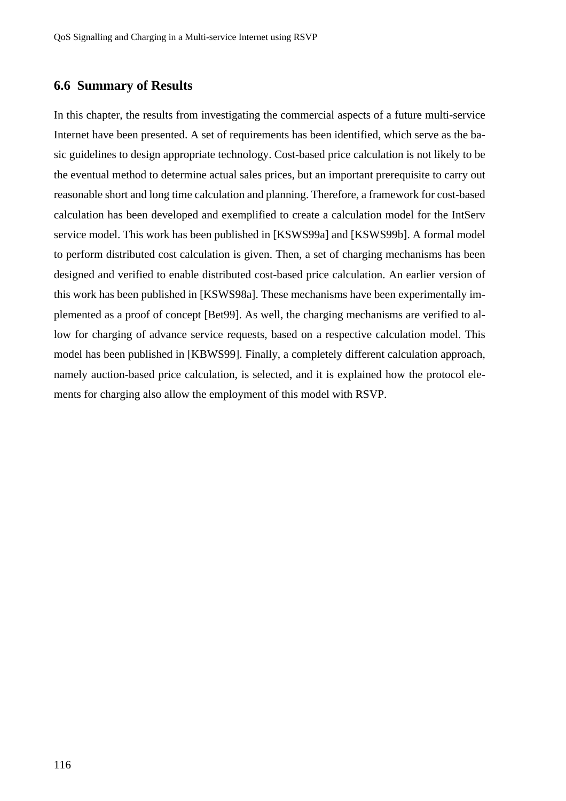# **6.6 Summary of Results**

In this chapter, the results from investigating the commercial aspects of a future multi-service Internet have been presented. A set of requirements has been identified, which serve as the basic guidelines to design appropriate technology. Cost-based price calculation is not likely to be the eventual method to determine actual sales prices, but an important prerequisite to carry out reasonable short and long time calculation and planning. Therefore, a framework for cost-based calculation has been developed and exemplified to create a calculation model for the IntServ service model. This work has been published in [KSWS99a] and [KSWS99b]. A formal model to perform distributed cost calculation is given. Then, a set of charging mechanisms has been designed and verified to enable distributed cost-based price calculation. An earlier version of this work has been published in [KSWS98a]. These mechanisms have been experimentally implemented as a proof of concept [Bet99]. As well, the charging mechanisms are verified to allow for charging of advance service requests, based on a respective calculation model. This model has been published in [KBWS99]. Finally, a completely different calculation approach, namely auction-based price calculation, is selected, and it is explained how the protocol elements for charging also allow the employment of this model with RSVP.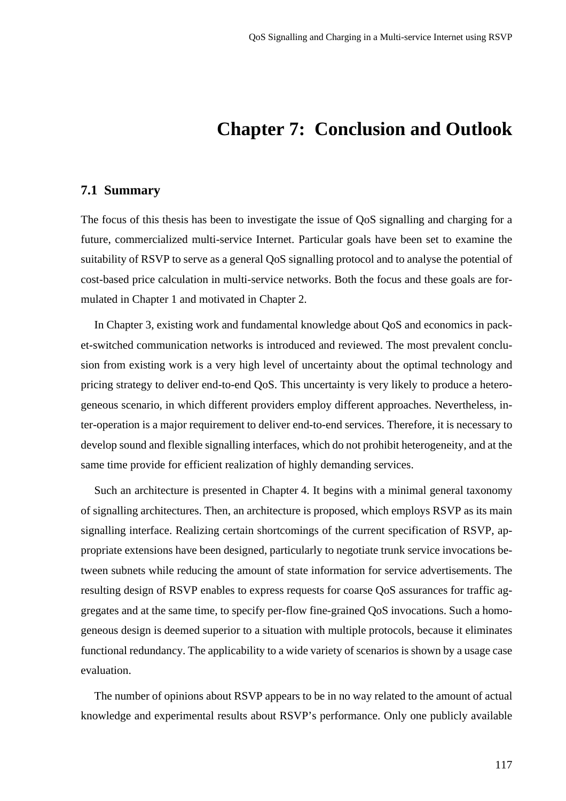# **Chapter 7: Conclusion and Outlook**

## **7.1 Summary**

The focus of this thesis has been to investigate the issue of QoS signalling and charging for a future, commercialized multi-service Internet. Particular goals have been set to examine the suitability of RSVP to serve as a general QoS signalling protocol and to analyse the potential of cost-based price calculation in multi-service networks. Both the focus and these goals are formulated in [Chapter 1](#page-14-0) and motivated in [Chapter 2.](#page-16-0)

In [Chapter 3,](#page-24-0) existing work and fundamental knowledge about QoS and economics in packet-switched communication networks is introduced and reviewed. The most prevalent conclusion from existing work is a very high level of uncertainty about the optimal technology and pricing strategy to deliver end-to-end QoS. This uncertainty is very likely to produce a heterogeneous scenario, in which different providers employ different approaches. Nevertheless, inter-operation is a major requirement to deliver end-to-end services. Therefore, it is necessary to develop sound and flexible signalling interfaces, which do not prohibit heterogeneity, and at the same time provide for efficient realization of highly demanding services.

Such an architecture is presented in [Chapter 4.](#page-38-0) It begins with a minimal general taxonomy of signalling architectures. Then, an architecture is proposed, which employs RSVP as its main signalling interface. Realizing certain shortcomings of the current specification of RSVP, appropriate extensions have been designed, particularly to negotiate trunk service invocations between subnets while reducing the amount of state information for service advertisements. The resulting design of RSVP enables to express requests for coarse QoS assurances for traffic aggregates and at the same time, to specify per-flow fine-grained QoS invocations. Such a homogeneous design is deemed superior to a situation with multiple protocols, because it eliminates functional redundancy. The applicability to a wide variety of scenarios is shown by a usage case evaluation.

The number of opinions about RSVP appears to be in no way related to the amount of actual knowledge and experimental results about RSVP's performance. Only one publicly available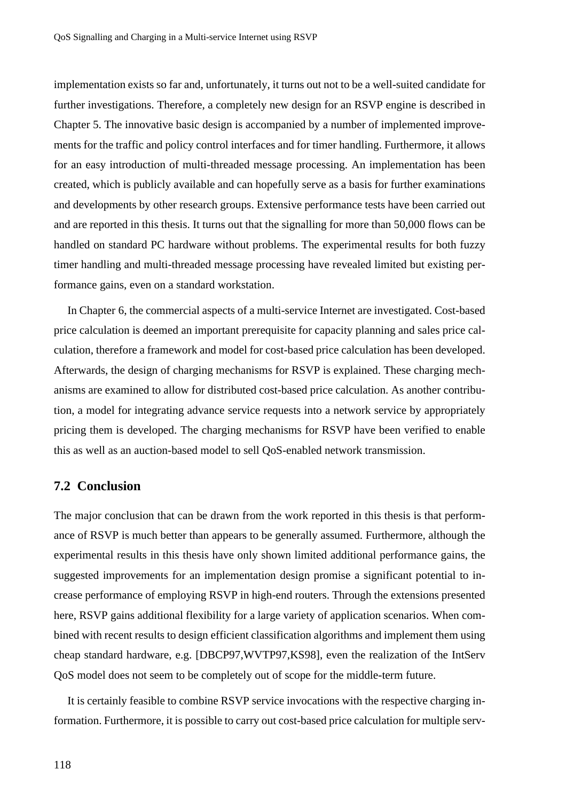implementation exists so far and, unfortunately, it turns out not to be a well-suited candidate for further investigations. Therefore, a completely new design for an RSVP engine is described in [Chapter 5.](#page-54-0) The innovative basic design is accompanied by a number of implemented improvements for the traffic and policy control interfaces and for timer handling. Furthermore, it allows for an easy introduction of multi-threaded message processing. An implementation has been created, which is publicly available and can hopefully serve as a basis for further examinations and developments by other research groups. Extensive performance tests have been carried out and are reported in this thesis. It turns out that the signalling for more than 50,000 flows can be handled on standard PC hardware without problems. The experimental results for both fuzzy timer handling and multi-threaded message processing have revealed limited but existing performance gains, even on a standard workstation.

In [Chapter 6](#page-92-0), the commercial aspects of a multi-service Internet are investigated. Cost-based price calculation is deemed an important prerequisite for capacity planning and sales price calculation, therefore a framework and model for cost-based price calculation has been developed. Afterwards, the design of charging mechanisms for RSVP is explained. These charging mechanisms are examined to allow for distributed cost-based price calculation. As another contribution, a model for integrating advance service requests into a network service by appropriately pricing them is developed. The charging mechanisms for RSVP have been verified to enable this as well as an auction-based model to sell QoS-enabled network transmission.

# **7.2 Conclusion**

The major conclusion that can be drawn from the work reported in this thesis is that performance of RSVP is much better than appears to be generally assumed. Furthermore, although the experimental results in this thesis have only shown limited additional performance gains, the suggested improvements for an implementation design promise a significant potential to increase performance of employing RSVP in high-end routers. Through the extensions presented here, RSVP gains additional flexibility for a large variety of application scenarios. When combined with recent results to design efficient classification algorithms and implement them using cheap standard hardware, e.g. [DBCP97,WVTP97,KS98], even the realization of the IntServ QoS model does not seem to be completely out of scope for the middle-term future.

It is certainly feasible to combine RSVP service invocations with the respective charging information. Furthermore, it is possible to carry out cost-based price calculation for multiple serv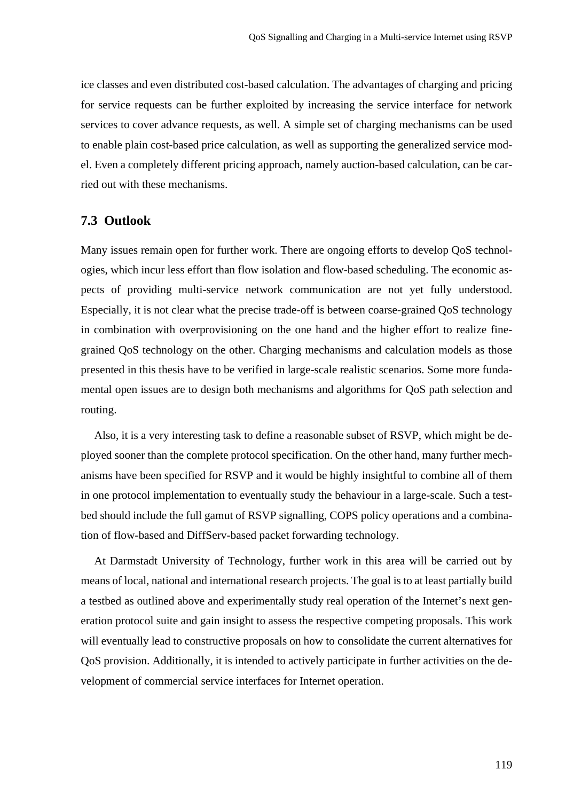ice classes and even distributed cost-based calculation. The advantages of charging and pricing for service requests can be further exploited by increasing the service interface for network services to cover advance requests, as well. A simple set of charging mechanisms can be used to enable plain cost-based price calculation, as well as supporting the generalized service model. Even a completely different pricing approach, namely auction-based calculation, can be carried out with these mechanisms.

# **7.3 Outlook**

Many issues remain open for further work. There are ongoing efforts to develop QoS technologies, which incur less effort than flow isolation and flow-based scheduling. The economic aspects of providing multi-service network communication are not yet fully understood. Especially, it is not clear what the precise trade-off is between coarse-grained QoS technology in combination with overprovisioning on the one hand and the higher effort to realize finegrained QoS technology on the other. Charging mechanisms and calculation models as those presented in this thesis have to be verified in large-scale realistic scenarios. Some more fundamental open issues are to design both mechanisms and algorithms for QoS path selection and routing.

Also, it is a very interesting task to define a reasonable subset of RSVP, which might be deployed sooner than the complete protocol specification. On the other hand, many further mechanisms have been specified for RSVP and it would be highly insightful to combine all of them in one protocol implementation to eventually study the behaviour in a large-scale. Such a testbed should include the full gamut of RSVP signalling, COPS policy operations and a combination of flow-based and DiffServ-based packet forwarding technology.

At Darmstadt University of Technology, further work in this area will be carried out by means of local, national and international research projects. The goal is to at least partially build a testbed as outlined above and experimentally study real operation of the Internet's next generation protocol suite and gain insight to assess the respective competing proposals. This work will eventually lead to constructive proposals on how to consolidate the current alternatives for QoS provision. Additionally, it is intended to actively participate in further activities on the development of commercial service interfaces for Internet operation.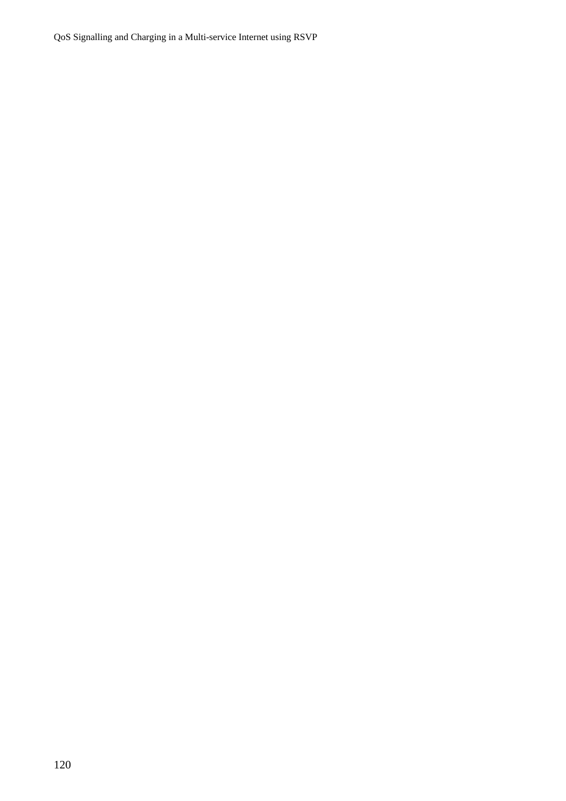[QoS Signalling and Charging in a Multi-service Internet using RSVP](#page-0-0)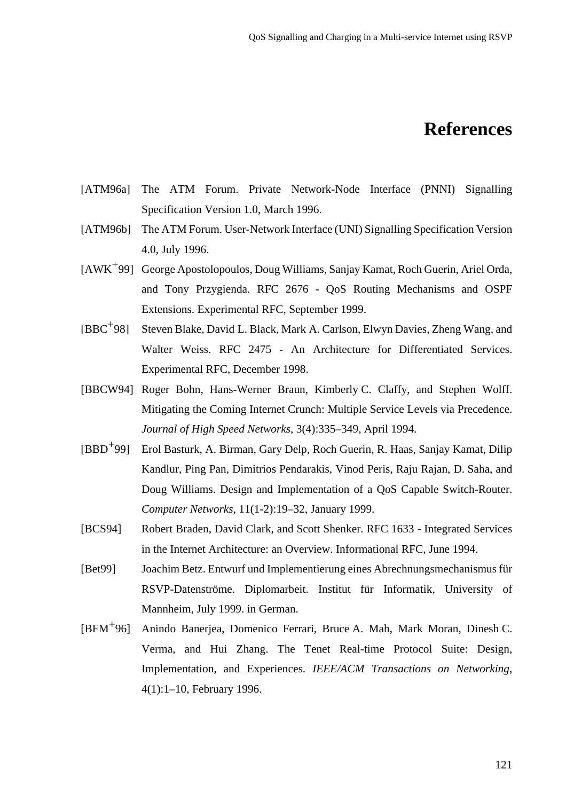# **References**

- [ATM96a] The ATM Forum. Private Network-Node Interface (PNNI) Signalling Specification Version 1.0, March 1996.
- [ATM96b] The ATM Forum. User-Network Interface (UNI) Signalling Specification Version 4.0, July 1996.
- [AWK<sup>+</sup>99] George Apostolopoulos, Doug Williams, Sanjay Kamat, Roch Guerin, Ariel Orda, and Tony Przygienda. RFC 2676 - QoS Routing Mechanisms and OSPF Extensions. Experimental RFC, September 1999.
- [BBC+98] Steven Blake, David L. Black, Mark A. Carlson, Elwyn Davies, Zheng Wang, and Walter Weiss. RFC 2475 - An Architecture for Differentiated Services. Experimental RFC, December 1998.
- [BBCW94] Roger Bohn, Hans-Werner Braun, Kimberly C. Claffy, and Stephen Wolff. Mitigating the Coming Internet Crunch: Multiple Service Levels via Precedence. *Journal of High Speed Networks*, 3(4):335–349, April 1994.
- [BBD<sup>+</sup>99] Erol Basturk, A. Birman, Gary Delp, Roch Guerin, R. Haas, Sanjay Kamat, Dilip Kandlur, Ping Pan, Dimitrios Pendarakis, Vinod Peris, Raju Rajan, D. Saha, and Doug Williams. Design and Implementation of a QoS Capable Switch-Router. *Computer Networks*, 11(1-2):19–32, January 1999.
- [BCS94] Robert Braden, David Clark, and Scott Shenker. RFC 1633 Integrated Services in the Internet Architecture: an Overview. Informational RFC, June 1994.
- [Bet99] Joachim Betz. Entwurf und Implementierung eines Abrechnungsmechanismus für RSVP-Datenströme. Diplomarbeit. Institut für Informatik, University of Mannheim, July 1999. in German.
- [BFM+96] Anindo Banerjea, Domenico Ferrari, Bruce A. Mah, Mark Moran, Dinesh C. Verma, and Hui Zhang. The Tenet Real-time Protocol Suite: Design, Implementation, and Experiences. *IEEE/ACM Transactions on Networking*, 4(1):1–10, February 1996.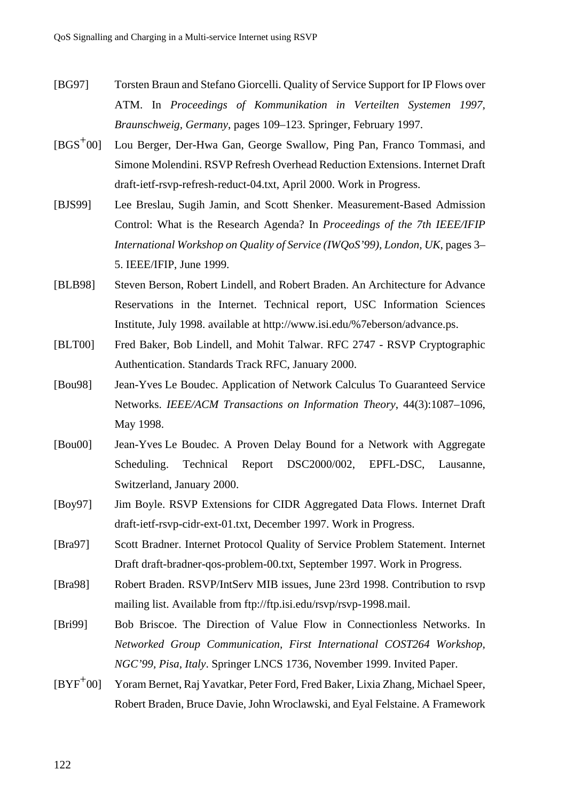- [BG97] Torsten Braun and Stefano Giorcelli. Quality of Service Support for IP Flows over ATM. In *Proceedings of Kommunikation in Verteilten Systemen 1997, Braunschweig, Germany*, pages 109–123. Springer, February 1997.
- [BGS+00] Lou Berger, Der-Hwa Gan, George Swallow, Ping Pan, Franco Tommasi, and Simone Molendini. RSVP Refresh Overhead Reduction Extensions. Internet Draft draft-ietf-rsvp-refresh-reduct-04.txt, April 2000. Work in Progress.
- [BJS99] Lee Breslau, Sugih Jamin, and Scott Shenker. Measurement-Based Admission Control: What is the Research Agenda? In *Proceedings of the 7th IEEE/IFIP International Workshop on Quality of Service (IWQoS'99), London, UK*, pages 3– 5. IEEE/IFIP, June 1999.
- [BLB98] Steven Berson, Robert Lindell, and Robert Braden. An Architecture for Advance Reservations in the Internet. Technical report, USC Information Sciences Institute, July 1998. available at http://www.isi.edu/%7eberson/advance.ps.
- [BLT00] Fred Baker, Bob Lindell, and Mohit Talwar. RFC 2747 RSVP Cryptographic Authentication. Standards Track RFC, January 2000.
- [Bou98] Jean-Yves Le Boudec. Application of Network Calculus To Guaranteed Service Networks. *IEEE/ACM Transactions on Information Theory*, 44(3):1087–1096, May 1998.
- [Bou00] Jean-Yves Le Boudec. A Proven Delay Bound for a Network with Aggregate Scheduling. Technical Report DSC2000/002, EPFL-DSC, Lausanne, Switzerland, January 2000.
- [Boy97] Jim Boyle. RSVP Extensions for CIDR Aggregated Data Flows. Internet Draft draft-ietf-rsvp-cidr-ext-01.txt, December 1997. Work in Progress.
- [Bra97] Scott Bradner. Internet Protocol Quality of Service Problem Statement. Internet Draft draft-bradner-qos-problem-00.txt, September 1997. Work in Progress.
- [Bra98] Robert Braden. RSVP/IntServ MIB issues, June 23rd 1998. Contribution to rsvp mailing list. Available from ftp://ftp.isi.edu/rsvp/rsvp-1998.mail.
- [Bri99] Bob Briscoe. The Direction of Value Flow in Connectionless Networks. In *Networked Group Communication, First International COST264 Workshop, NGC'99, Pisa, Italy*. Springer LNCS 1736, November 1999. Invited Paper.
- [BYF+00] Yoram Bernet, Raj Yavatkar, Peter Ford, Fred Baker, Lixia Zhang, Michael Speer, Robert Braden, Bruce Davie, John Wroclawski, and Eyal Felstaine. A Framework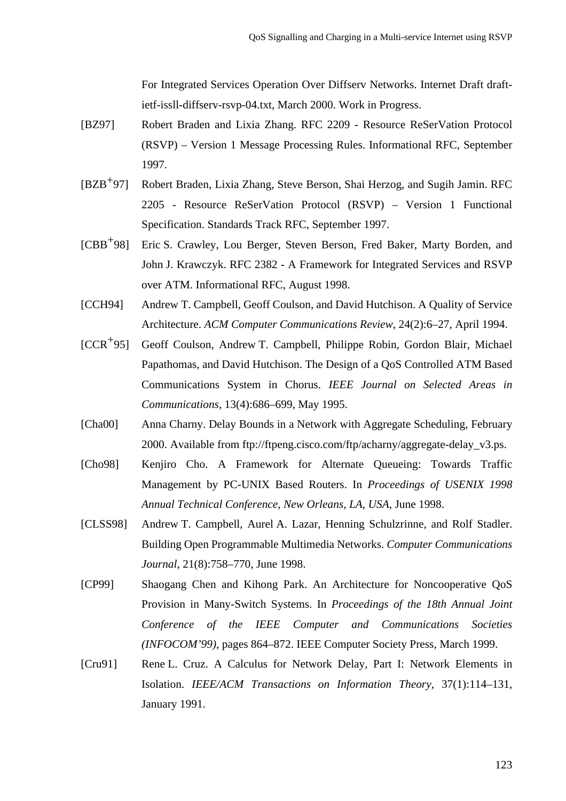For Integrated Services Operation Over Diffserv Networks. Internet Draft draftietf-issll-diffserv-rsvp-04.txt, March 2000. Work in Progress.

- [BZ97] Robert Braden and Lixia Zhang. RFC 2209 Resource ReSerVation Protocol (RSVP) – Version 1 Message Processing Rules. Informational RFC, September 1997.
- [BZB+97] Robert Braden, Lixia Zhang, Steve Berson, Shai Herzog, and Sugih Jamin. RFC 2205 - Resource ReSerVation Protocol (RSVP) – Version 1 Functional Specification. Standards Track RFC, September 1997.
- [CBB<sup>+</sup>98] Eric S. Crawley, Lou Berger, Steven Berson, Fred Baker, Marty Borden, and John J. Krawczyk. RFC 2382 - A Framework for Integrated Services and RSVP over ATM. Informational RFC, August 1998.
- [CCH94] Andrew T. Campbell, Geoff Coulson, and David Hutchison. A Quality of Service Architecture. *ACM Computer Communications Review*, 24(2):6–27, April 1994.
- [CCR<sup>+</sup>95] Geoff Coulson, Andrew T. Campbell, Philippe Robin, Gordon Blair, Michael Papathomas, and David Hutchison. The Design of a QoS Controlled ATM Based Communications System in Chorus. *IEEE Journal on Selected Areas in Communications*, 13(4):686–699, May 1995.
- [Cha00] Anna Charny. Delay Bounds in a Network with Aggregate Scheduling, February 2000. Available from ftp://ftpeng.cisco.com/ftp/acharny/aggregate-delay\_v3.ps.
- [Cho98] Kenjiro Cho. A Framework for Alternate Queueing: Towards Traffic Management by PC-UNIX Based Routers. In *Proceedings of USENIX 1998 Annual Technical Conference, New Orleans, LA, USA*, June 1998.
- [CLSS98] Andrew T. Campbell, Aurel A. Lazar, Henning Schulzrinne, and Rolf Stadler. Building Open Programmable Multimedia Networks. *Computer Communications Journal*, 21(8):758–770, June 1998.
- [CP99] Shaogang Chen and Kihong Park. An Architecture for Noncooperative QoS Provision in Many-Switch Systems. In *Proceedings of the 18th Annual Joint Conference of the IEEE Computer and Communications Societies (INFOCOM'99)*, pages 864–872. IEEE Computer Society Press, March 1999.
- [Cru91] Rene L. Cruz. A Calculus for Network Delay, Part I: Network Elements in Isolation. *IEEE/ACM Transactions on Information Theory*, 37(1):114–131, January 1991.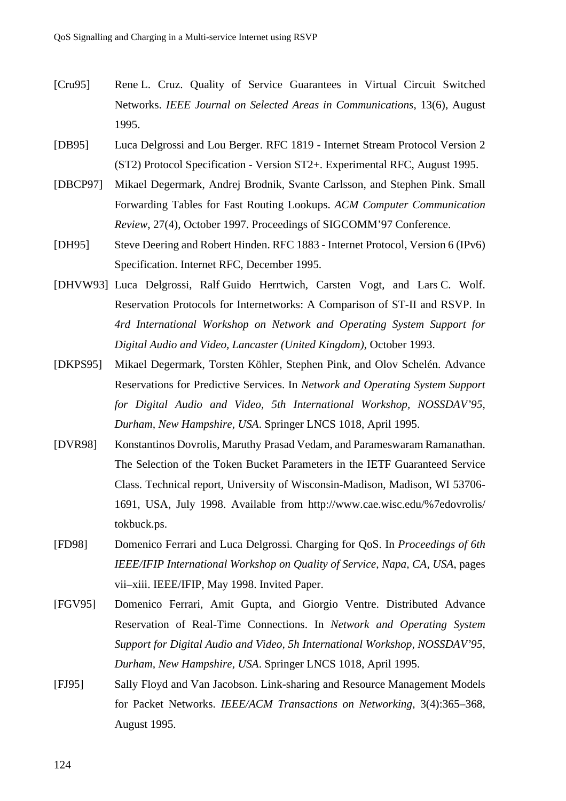- [Cru95] Rene L. Cruz. Quality of Service Guarantees in Virtual Circuit Switched Networks. *IEEE Journal on Selected Areas in Communications*, 13(6), August 1995.
- [DB95] Luca Delgrossi and Lou Berger. RFC 1819 Internet Stream Protocol Version 2 (ST2) Protocol Specification - Version ST2+. Experimental RFC, August 1995.
- [DBCP97] Mikael Degermark, Andrej Brodnik, Svante Carlsson, and Stephen Pink. Small Forwarding Tables for Fast Routing Lookups. *ACM Computer Communication Review*, 27(4), October 1997. Proceedings of SIGCOMM'97 Conference.
- [DH95] Steve Deering and Robert Hinden. RFC 1883 Internet Protocol, Version 6 (IPv6) Specification. Internet RFC, December 1995.
- [DHVW93] Luca Delgrossi, Ralf Guido Herrtwich, Carsten Vogt, and Lars C. Wolf. Reservation Protocols for Internetworks: A Comparison of ST-II and RSVP. In *4rd International Workshop on Network and Operating System Support for Digital Audio and Video, Lancaster (United Kingdom)*, October 1993.
- [DKPS95] Mikael Degermark, Torsten Köhler, Stephen Pink, and Olov Schelén. Advance Reservations for Predictive Services. In *Network and Operating System Support for Digital Audio and Video, 5th International Workshop, NOSSDAV'95, Durham, New Hampshire, USA*. Springer LNCS 1018, April 1995.
- [DVR98] Konstantinos Dovrolis, Maruthy Prasad Vedam, and Parameswaram Ramanathan. The Selection of the Token Bucket Parameters in the IETF Guaranteed Service Class. Technical report, University of Wisconsin-Madison, Madison, WI 53706- 1691, USA, July 1998. Available from http://www.cae.wisc.edu/%7edovrolis/ tokbuck.ps.
- [FD98] Domenico Ferrari and Luca Delgrossi. Charging for QoS. In *Proceedings of 6th IEEE/IFIP International Workshop on Quality of Service, Napa, CA, USA*, pages vii–xiii. IEEE/IFIP, May 1998. Invited Paper.
- [FGV95] Domenico Ferrari, Amit Gupta, and Giorgio Ventre. Distributed Advance Reservation of Real-Time Connections. In *Network and Operating System Support for Digital Audio and Video, 5h International Workshop, NOSSDAV'95, Durham, New Hampshire, USA*. Springer LNCS 1018, April 1995.
- [FJ95] Sally Floyd and Van Jacobson. Link-sharing and Resource Management Models for Packet Networks. *IEEE/ACM Transactions on Networking*, 3(4):365–368, August 1995.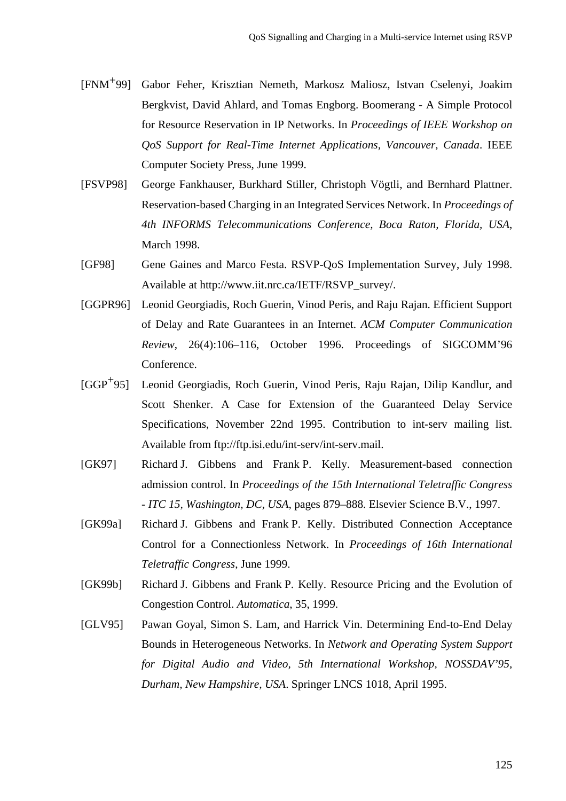- [FNM+99] Gabor Feher, Krisztian Nemeth, Markosz Maliosz, Istvan Cselenyi, Joakim Bergkvist, David Ahlard, and Tomas Engborg. Boomerang - A Simple Protocol for Resource Reservation in IP Networks. In *Proceedings of IEEE Workshop on QoS Support for Real-Time Internet Applications, Vancouver, Canada*. IEEE Computer Society Press, June 1999.
- [FSVP98] George Fankhauser, Burkhard Stiller, Christoph Vögtli, and Bernhard Plattner. Reservation-based Charging in an Integrated Services Network. In *Proceedings of 4th INFORMS Telecommunications Conference, Boca Raton, Florida, USA*, March 1998.
- [GF98] Gene Gaines and Marco Festa. RSVP-QoS Implementation Survey, July 1998. Available at http://www.iit.nrc.ca/IETF/RSVP\_survey/.
- [GGPR96] Leonid Georgiadis, Roch Guerin, Vinod Peris, and Raju Rajan. Efficient Support of Delay and Rate Guarantees in an Internet. *ACM Computer Communication Review*, 26(4):106–116, October 1996. Proceedings of SIGCOMM'96 Conference.
- [GGP+95] Leonid Georgiadis, Roch Guerin, Vinod Peris, Raju Rajan, Dilip Kandlur, and Scott Shenker. A Case for Extension of the Guaranteed Delay Service Specifications, November 22nd 1995. Contribution to int-serv mailing list. Available from ftp://ftp.isi.edu/int-serv/int-serv.mail.
- [GK97] Richard J. Gibbens and Frank P. Kelly. Measurement-based connection admission control. In *Proceedings of the 15th International Teletraffic Congress - ITC 15, Washington, DC, USA*, pages 879–888. Elsevier Science B.V., 1997.
- [GK99a] Richard J. Gibbens and Frank P. Kelly. Distributed Connection Acceptance Control for a Connectionless Network. In *Proceedings of 16th International Teletraffic Congress*, June 1999.
- [GK99b] Richard J. Gibbens and Frank P. Kelly. Resource Pricing and the Evolution of Congestion Control. *Automatica*, 35, 1999.
- [GLV95] Pawan Goyal, Simon S. Lam, and Harrick Vin. Determining End-to-End Delay Bounds in Heterogeneous Networks. In *Network and Operating System Support for Digital Audio and Video, 5th International Workshop, NOSSDAV'95, Durham, New Hampshire, USA*. Springer LNCS 1018, April 1995.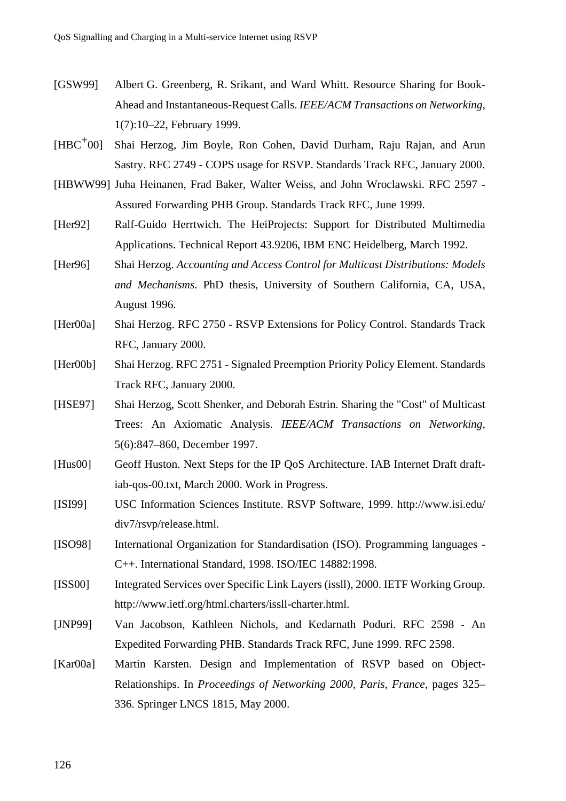- [GSW99] Albert G. Greenberg, R. Srikant, and Ward Whitt. Resource Sharing for Book-Ahead and Instantaneous-Request Calls. *IEEE/ACM Transactions on Networking*, 1(7):10–22, February 1999.
- $[HBC<sup>+</sup>00]$  Shai Herzog, Jim Boyle, Ron Cohen, David Durham, Raju Rajan, and Arun Sastry. RFC 2749 - COPS usage for RSVP. Standards Track RFC, January 2000.
- [HBWW99] Juha Heinanen, Frad Baker, Walter Weiss, and John Wroclawski. RFC 2597 Assured Forwarding PHB Group. Standards Track RFC, June 1999.
- [Her92] Ralf-Guido Herrtwich. The HeiProjects: Support for Distributed Multimedia Applications. Technical Report 43.9206, IBM ENC Heidelberg, March 1992.
- [Her96] Shai Herzog. *Accounting and Access Control for Multicast Distributions: Models and Mechanisms*. PhD thesis, University of Southern California, CA, USA, August 1996.
- [Her00a] Shai Herzog. RFC 2750 RSVP Extensions for Policy Control. Standards Track RFC, January 2000.
- [Her00b] Shai Herzog. RFC 2751 Signaled Preemption Priority Policy Element. Standards Track RFC, January 2000.
- [HSE97] Shai Herzog, Scott Shenker, and Deborah Estrin. Sharing the "Cost" of Multicast Trees: An Axiomatic Analysis. *IEEE/ACM Transactions on Networking*, 5(6):847–860, December 1997.
- [Hus00] Geoff Huston. Next Steps for the IP QoS Architecture. IAB Internet Draft draftiab-qos-00.txt, March 2000. Work in Progress.
- [ISI99] USC Information Sciences Institute. RSVP Software, 1999. http://www.isi.edu/ div7/rsvp/release.html.
- [ISO98] International Organization for Standardisation (ISO). Programming languages C++. International Standard, 1998. ISO/IEC 14882:1998.
- [ISS00] Integrated Services over Specific Link Layers (issll), 2000. IETF Working Group. http://www.ietf.org/html.charters/issll-charter.html.
- [JNP99] Van Jacobson, Kathleen Nichols, and Kedarnath Poduri. RFC 2598 An Expedited Forwarding PHB. Standards Track RFC, June 1999. RFC 2598.
- [Kar00a] Martin Karsten. Design and Implementation of RSVP based on Object-Relationships. In *Proceedings of Networking 2000, Paris, France*, pages 325– 336. Springer LNCS 1815, May 2000.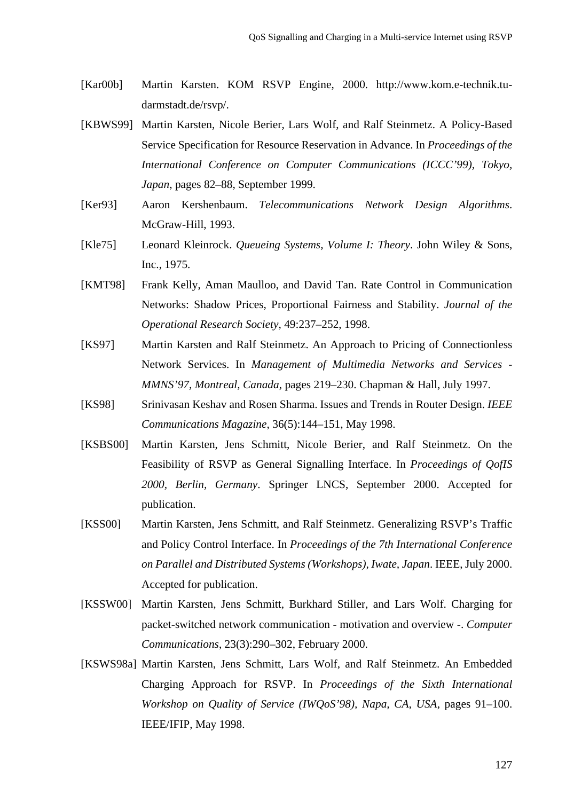- [Kar00b] Martin Karsten. KOM RSVP Engine, 2000. http://www.kom.e-technik.tudarmstadt.de/rsvp/.
- [KBWS99] Martin Karsten, Nicole Berier, Lars Wolf, and Ralf Steinmetz. A Policy-Based Service Specification for Resource Reservation in Advance. In *Proceedings of the International Conference on Computer Communications (ICCC'99), Tokyo, Japan*, pages 82–88, September 1999.
- [Ker93] Aaron Kershenbaum. *Telecommunications Network Design Algorithms*. McGraw-Hill, 1993.
- [Kle75] Leonard Kleinrock. *Queueing Systems, Volume I: Theory*. John Wiley & Sons, Inc., 1975.
- [KMT98] Frank Kelly, Aman Maulloo, and David Tan. Rate Control in Communication Networks: Shadow Prices, Proportional Fairness and Stability. *Journal of the Operational Research Society*, 49:237–252, 1998.
- [KS97] Martin Karsten and Ralf Steinmetz. An Approach to Pricing of Connectionless Network Services. In *Management of Multimedia Networks and Services - MMNS'97, Montreal, Canada*, pages 219–230. Chapman & Hall, July 1997.
- [KS98] Srinivasan Keshav and Rosen Sharma. Issues and Trends in Router Design. *IEEE Communications Magazine*, 36(5):144–151, May 1998.
- [KSBS00] Martin Karsten, Jens Schmitt, Nicole Berier, and Ralf Steinmetz. On the Feasibility of RSVP as General Signalling Interface. In *Proceedings of QofIS 2000, Berlin, Germany*. Springer LNCS, September 2000. Accepted for publication.
- [KSS00] Martin Karsten, Jens Schmitt, and Ralf Steinmetz. Generalizing RSVP's Traffic and Policy Control Interface. In *Proceedings of the 7th International Conference on Parallel and Distributed Systems (Workshops), Iwate, Japan*. IEEE, July 2000. Accepted for publication.
- [KSSW00] Martin Karsten, Jens Schmitt, Burkhard Stiller, and Lars Wolf. Charging for packet-switched network communication - motivation and overview -. *Computer Communications*, 23(3):290–302, February 2000.
- [KSWS98a] Martin Karsten, Jens Schmitt, Lars Wolf, and Ralf Steinmetz. An Embedded Charging Approach for RSVP. In *Proceedings of the Sixth International Workshop on Quality of Service (IWQoS'98), Napa, CA, USA*, pages 91–100. IEEE/IFIP, May 1998.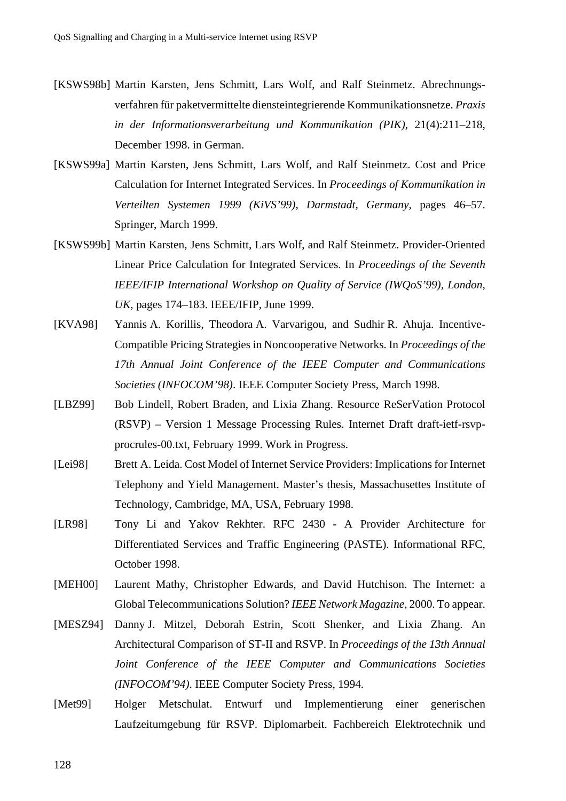- [KSWS98b] Martin Karsten, Jens Schmitt, Lars Wolf, and Ralf Steinmetz. Abrechnungsverfahren für paketvermittelte diensteintegrierende Kommunikationsnetze. *Praxis in der Informationsverarbeitung und Kommunikation (PIK)*, 21(4):211–218, December 1998. in German.
- [KSWS99a] Martin Karsten, Jens Schmitt, Lars Wolf, and Ralf Steinmetz. Cost and Price Calculation for Internet Integrated Services. In *Proceedings of Kommunikation in Verteilten Systemen 1999 (KiVS'99), Darmstadt, Germany*, pages 46–57. Springer, March 1999.
- [KSWS99b] Martin Karsten, Jens Schmitt, Lars Wolf, and Ralf Steinmetz. Provider-Oriented Linear Price Calculation for Integrated Services. In *Proceedings of the Seventh IEEE/IFIP International Workshop on Quality of Service (IWQoS'99), London, UK*, pages 174–183. IEEE/IFIP, June 1999.
- [KVA98] Yannis A. Korillis, Theodora A. Varvarigou, and Sudhir R. Ahuja. Incentive-Compatible Pricing Strategies in Noncooperative Networks. In *Proceedings of the 17th Annual Joint Conference of the IEEE Computer and Communications Societies (INFOCOM'98)*. IEEE Computer Society Press, March 1998.
- [LBZ99] Bob Lindell, Robert Braden, and Lixia Zhang. Resource ReSerVation Protocol (RSVP) – Version 1 Message Processing Rules. Internet Draft draft-ietf-rsvpprocrules-00.txt, February 1999. Work in Progress.
- [Lei98] Brett A. Leida. Cost Model of Internet Service Providers: Implications for Internet Telephony and Yield Management. Master's thesis, Massachusettes Institute of Technology, Cambridge, MA, USA, February 1998.
- [LR98] Tony Li and Yakov Rekhter. RFC 2430 A Provider Architecture for Differentiated Services and Traffic Engineering (PASTE). Informational RFC, October 1998.
- [MEH00] Laurent Mathy, Christopher Edwards, and David Hutchison. The Internet: a Global Telecommunications Solution? *IEEE Network Magazine*, 2000. To appear.
- [MESZ94] Danny J. Mitzel, Deborah Estrin, Scott Shenker, and Lixia Zhang. An Architectural Comparison of ST-II and RSVP. In *Proceedings of the 13th Annual Joint Conference of the IEEE Computer and Communications Societies (INFOCOM'94)*. IEEE Computer Society Press, 1994.
- [Met99] Holger Metschulat. Entwurf und Implementierung einer generischen Laufzeitumgebung für RSVP. Diplomarbeit. Fachbereich Elektrotechnik und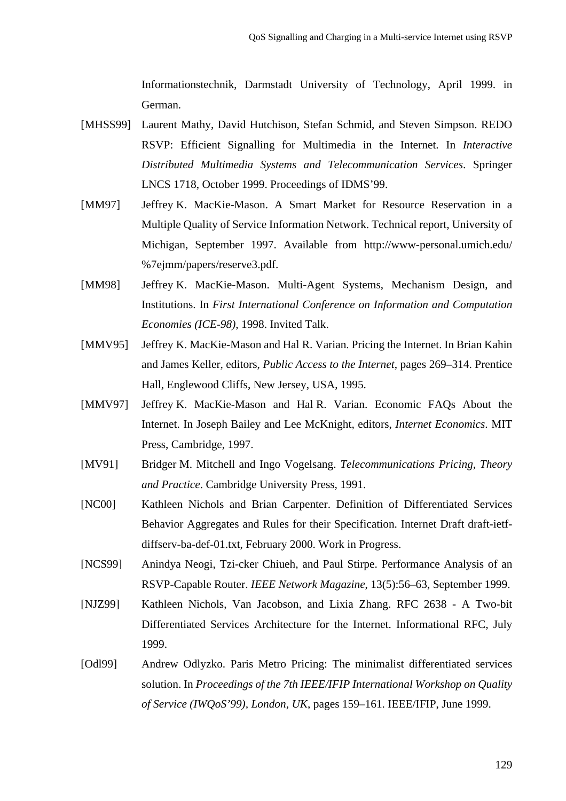Informationstechnik, Darmstadt University of Technology, April 1999. in German.

- [MHSS99] Laurent Mathy, David Hutchison, Stefan Schmid, and Steven Simpson. REDO RSVP: Efficient Signalling for Multimedia in the Internet. In *Interactive Distributed Multimedia Systems and Telecommunication Services*. Springer LNCS 1718, October 1999. Proceedings of IDMS'99.
- [MM97] Jeffrey K. MacKie-Mason. A Smart Market for Resource Reservation in a Multiple Quality of Service Information Network. Technical report, University of Michigan, September 1997. Available from http://www-personal.umich.edu/ %7ejmm/papers/reserve3.pdf.
- [MM98] Jeffrey K. MacKie-Mason. Multi-Agent Systems, Mechanism Design, and Institutions. In *First International Conference on Information and Computation Economies (ICE-98)*, 1998. Invited Talk.
- [MMV95] Jeffrey K. MacKie-Mason and Hal R. Varian. Pricing the Internet. In Brian Kahin and James Keller, editors, *Public Access to the Internet*, pages 269–314. Prentice Hall, Englewood Cliffs, New Jersey, USA, 1995.
- [MMV97] Jeffrey K. MacKie-Mason and Hal R. Varian. Economic FAQs About the Internet. In Joseph Bailey and Lee McKnight, editors, *Internet Economics*. MIT Press, Cambridge, 1997.
- [MV91] Bridger M. Mitchell and Ingo Vogelsang. *Telecommunications Pricing, Theory and Practice*. Cambridge University Press, 1991.
- [NC00] Kathleen Nichols and Brian Carpenter. Definition of Differentiated Services Behavior Aggregates and Rules for their Specification. Internet Draft draft-ietfdiffserv-ba-def-01.txt, February 2000. Work in Progress.
- [NCS99] Anindya Neogi, Tzi-cker Chiueh, and Paul Stirpe. Performance Analysis of an RSVP-Capable Router. *IEEE Network Magazine*, 13(5):56–63, September 1999.
- [NJZ99] Kathleen Nichols, Van Jacobson, and Lixia Zhang. RFC 2638 A Two-bit Differentiated Services Architecture for the Internet. Informational RFC, July 1999.
- [Odl99] Andrew Odlyzko. Paris Metro Pricing: The minimalist differentiated services solution. In *Proceedings of the 7th IEEE/IFIP International Workshop on Quality of Service (IWQoS'99), London, UK*, pages 159–161. IEEE/IFIP, June 1999.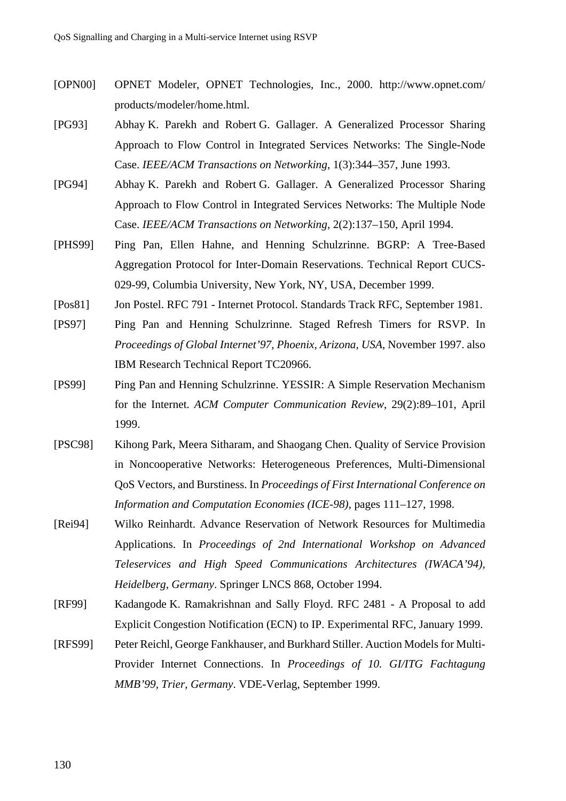- [OPN00] OPNET Modeler, OPNET Technologies, Inc., 2000. http://www.opnet.com/ products/modeler/home.html.
- [PG93] Abhay K. Parekh and Robert G. Gallager. A Generalized Processor Sharing Approach to Flow Control in Integrated Services Networks: The Single-Node Case. *IEEE/ACM Transactions on Networking*, 1(3):344–357, June 1993.
- [PG94] Abhay K. Parekh and Robert G. Gallager. A Generalized Processor Sharing Approach to Flow Control in Integrated Services Networks: The Multiple Node Case. *IEEE/ACM Transactions on Networking*, 2(2):137–150, April 1994.
- [PHS99] Ping Pan, Ellen Hahne, and Henning Schulzrinne. BGRP: A Tree-Based Aggregation Protocol for Inter-Domain Reservations. Technical Report CUCS-029-99, Columbia University, New York, NY, USA, December 1999.
- [Pos81] Jon Postel. RFC 791 Internet Protocol. Standards Track RFC, September 1981.
- [PS97] Ping Pan and Henning Schulzrinne. Staged Refresh Timers for RSVP. In *Proceedings of Global Internet'97, Phoenix, Arizona, USA*, November 1997. also IBM Research Technical Report TC20966.
- [PS99] Ping Pan and Henning Schulzrinne. YESSIR: A Simple Reservation Mechanism for the Internet. *ACM Computer Communication Review*, 29(2):89–101, April 1999.
- [PSC98] Kihong Park, Meera Sitharam, and Shaogang Chen. Quality of Service Provision in Noncooperative Networks: Heterogeneous Preferences, Multi-Dimensional QoS Vectors, and Burstiness. In *Proceedings of First International Conference on Information and Computation Economies (ICE-98)*, pages 111–127, 1998.
- [Rei94] Wilko Reinhardt. Advance Reservation of Network Resources for Multimedia Applications. In *Proceedings of 2nd International Workshop on Advanced Teleservices and High Speed Communications Architectures (IWACA'94), Heidelberg, Germany*. Springer LNCS 868, October 1994.
- [RF99] Kadangode K. Ramakrishnan and Sally Floyd. RFC 2481 A Proposal to add Explicit Congestion Notification (ECN) to IP. Experimental RFC, January 1999.
- [RFS99] Peter Reichl, George Fankhauser, and Burkhard Stiller. Auction Models for Multi-Provider Internet Connections. In *Proceedings of 10. GI/ITG Fachtagung MMB'99, Trier, Germany*. VDE-Verlag, September 1999.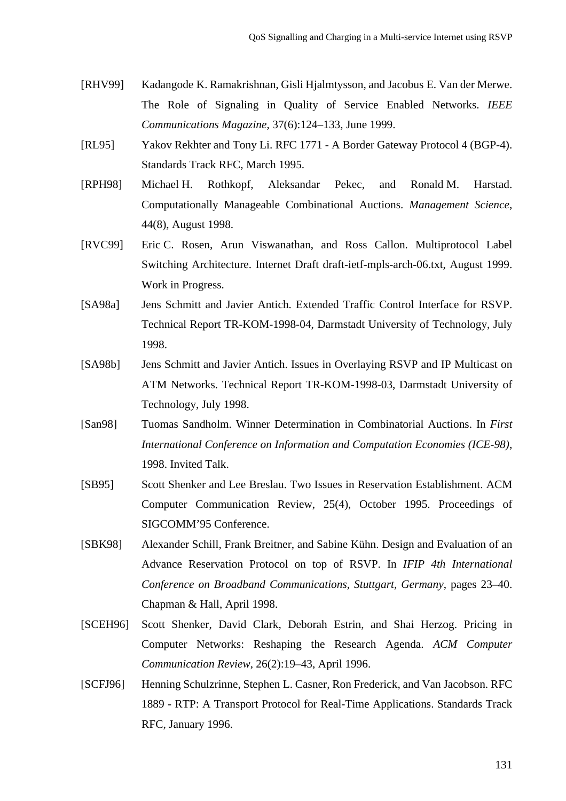- [RHV99] Kadangode K. Ramakrishnan, Gisli Hjalmtysson, and Jacobus E. Van der Merwe. The Role of Signaling in Quality of Service Enabled Networks. *IEEE Communications Magazine*, 37(6):124–133, June 1999.
- [RL95] Yakov Rekhter and Tony Li. RFC 1771 A Border Gateway Protocol 4 (BGP-4). Standards Track RFC, March 1995.
- [RPH98] Michael H. Rothkopf, Aleksandar Pekec, and Ronald M. Harstad. Computationally Manageable Combinational Auctions. *Management Science*, 44(8), August 1998.
- [RVC99] Eric C. Rosen, Arun Viswanathan, and Ross Callon. Multiprotocol Label Switching Architecture. Internet Draft draft-ietf-mpls-arch-06.txt, August 1999. Work in Progress.
- [SA98a] Jens Schmitt and Javier Antich. Extended Traffic Control Interface for RSVP. Technical Report TR-KOM-1998-04, Darmstadt University of Technology, July 1998.
- [SA98b] Jens Schmitt and Javier Antich. Issues in Overlaying RSVP and IP Multicast on ATM Networks. Technical Report TR-KOM-1998-03, Darmstadt University of Technology, July 1998.
- [San98] Tuomas Sandholm. Winner Determination in Combinatorial Auctions. In *First International Conference on Information and Computation Economies (ICE-98)*, 1998. Invited Talk.
- [SB95] Scott Shenker and Lee Breslau. Two Issues in Reservation Establishment. ACM Computer Communication Review, 25(4), October 1995. Proceedings of SIGCOMM'95 Conference.
- [SBK98] Alexander Schill, Frank Breitner, and Sabine Kühn. Design and Evaluation of an Advance Reservation Protocol on top of RSVP. In *IFIP 4th International Conference on Broadband Communications, Stuttgart, Germany*, pages 23–40. Chapman & Hall, April 1998.
- [SCEH96] Scott Shenker, David Clark, Deborah Estrin, and Shai Herzog. Pricing in Computer Networks: Reshaping the Research Agenda. *ACM Computer Communication Review*, 26(2):19–43, April 1996.
- [SCFJ96] Henning Schulzrinne, Stephen L. Casner, Ron Frederick, and Van Jacobson. RFC 1889 - RTP: A Transport Protocol for Real-Time Applications. Standards Track RFC, January 1996.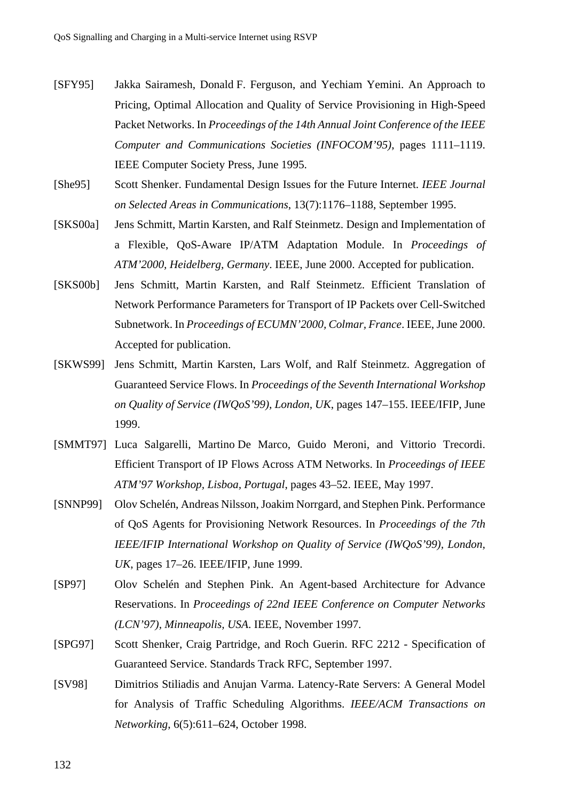- [SFY95] Jakka Sairamesh, Donald F. Ferguson, and Yechiam Yemini. An Approach to Pricing, Optimal Allocation and Quality of Service Provisioning in High-Speed Packet Networks. In *Proceedings of the 14th Annual Joint Conference of the IEEE Computer and Communications Societies (INFOCOM'95)*, pages 1111–1119. IEEE Computer Society Press, June 1995.
- [She95] Scott Shenker. Fundamental Design Issues for the Future Internet. *IEEE Journal on Selected Areas in Communications*, 13(7):1176–1188, September 1995.
- [SKS00a] Jens Schmitt, Martin Karsten, and Ralf Steinmetz. Design and Implementation of a Flexible, QoS-Aware IP/ATM Adaptation Module. In *Proceedings of ATM'2000, Heidelberg, Germany*. IEEE, June 2000. Accepted for publication.
- [SKS00b] Jens Schmitt, Martin Karsten, and Ralf Steinmetz. Efficient Translation of Network Performance Parameters for Transport of IP Packets over Cell-Switched Subnetwork. In *Proceedings of ECUMN'2000, Colmar, France*. IEEE, June 2000. Accepted for publication.
- [SKWS99] Jens Schmitt, Martin Karsten, Lars Wolf, and Ralf Steinmetz. Aggregation of Guaranteed Service Flows. In *Proceedings of the Seventh International Workshop on Quality of Service (IWQoS'99), London, UK*, pages 147–155. IEEE/IFIP, June 1999.
- [SMMT97] Luca Salgarelli, Martino De Marco, Guido Meroni, and Vittorio Trecordi. Efficient Transport of IP Flows Across ATM Networks. In *Proceedings of IEEE ATM'97 Workshop, Lisboa, Portugal*, pages 43–52. IEEE, May 1997.
- [SNNP99] Olov Schelén, Andreas Nilsson, Joakim Norrgard, and Stephen Pink. Performance of QoS Agents for Provisioning Network Resources. In *Proceedings of the 7th IEEE/IFIP International Workshop on Quality of Service (IWQoS'99), London, UK*, pages 17–26. IEEE/IFIP, June 1999.
- [SP97] Olov Schelén and Stephen Pink. An Agent-based Architecture for Advance Reservations. In *Proceedings of 22nd IEEE Conference on Computer Networks (LCN'97), Minneapolis, USA*. IEEE, November 1997.
- [SPG97] Scott Shenker, Craig Partridge, and Roch Guerin. RFC 2212 Specification of Guaranteed Service. Standards Track RFC, September 1997.
- [SV98] Dimitrios Stiliadis and Anujan Varma. Latency-Rate Servers: A General Model for Analysis of Traffic Scheduling Algorithms. *IEEE/ACM Transactions on Networking*, 6(5):611–624, October 1998.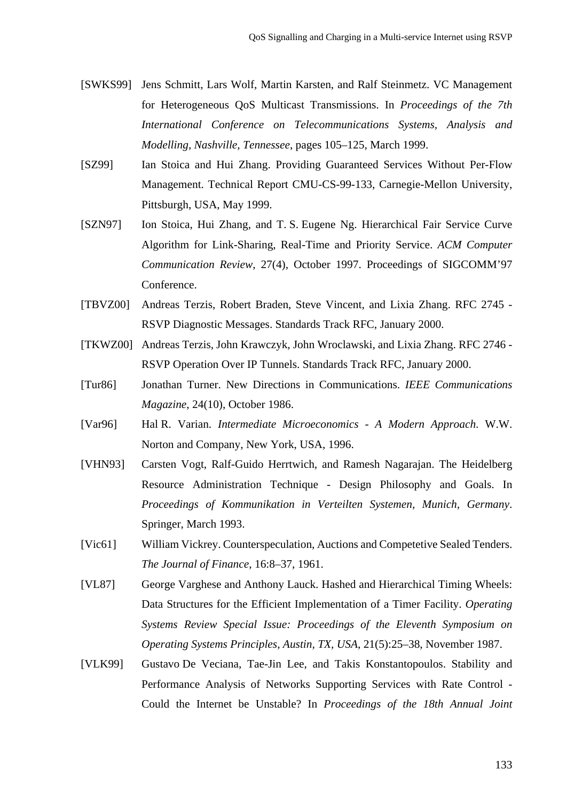- [SWKS99] Jens Schmitt, Lars Wolf, Martin Karsten, and Ralf Steinmetz. VC Management for Heterogeneous QoS Multicast Transmissions. In *Proceedings of the 7th International Conference on Telecommunications Systems, Analysis and Modelling, Nashville, Tennessee*, pages 105–125, March 1999.
- [SZ99] Ian Stoica and Hui Zhang. Providing Guaranteed Services Without Per-Flow Management. Technical Report CMU-CS-99-133, Carnegie-Mellon University, Pittsburgh, USA, May 1999.
- [SZN97] Ion Stoica, Hui Zhang, and T. S. Eugene Ng. Hierarchical Fair Service Curve Algorithm for Link-Sharing, Real-Time and Priority Service. *ACM Computer Communication Review*, 27(4), October 1997. Proceedings of SIGCOMM'97 Conference.
- [TBVZ00] Andreas Terzis, Robert Braden, Steve Vincent, and Lixia Zhang. RFC 2745 RSVP Diagnostic Messages. Standards Track RFC, January 2000.
- [TKWZ00] Andreas Terzis, John Krawczyk, John Wroclawski, and Lixia Zhang. RFC 2746 RSVP Operation Over IP Tunnels. Standards Track RFC, January 2000.
- [Tur86] Jonathan Turner. New Directions in Communications. *IEEE Communications Magazine*, 24(10), October 1986.
- [Var96] Hal R. Varian. *Intermediate Microeconomics A Modern Approach*. W.W. Norton and Company, New York, USA, 1996.
- [VHN93] Carsten Vogt, Ralf-Guido Herrtwich, and Ramesh Nagarajan. The Heidelberg Resource Administration Technique - Design Philosophy and Goals. In *Proceedings of Kommunikation in Verteilten Systemen, Munich, Germany*. Springer, March 1993.
- [Vic61] William Vickrey. Counterspeculation, Auctions and Competetive Sealed Tenders. *The Journal of Finance*, 16:8–37, 1961.
- [VL87] George Varghese and Anthony Lauck. Hashed and Hierarchical Timing Wheels: Data Structures for the Efficient Implementation of a Timer Facility. *Operating Systems Review Special Issue: Proceedings of the Eleventh Symposium on Operating Systems Principles, Austin, TX, USA*, 21(5):25–38, November 1987.
- [VLK99] Gustavo De Veciana, Tae-Jin Lee, and Takis Konstantopoulos. Stability and Performance Analysis of Networks Supporting Services with Rate Control - Could the Internet be Unstable? In *Proceedings of the 18th Annual Joint*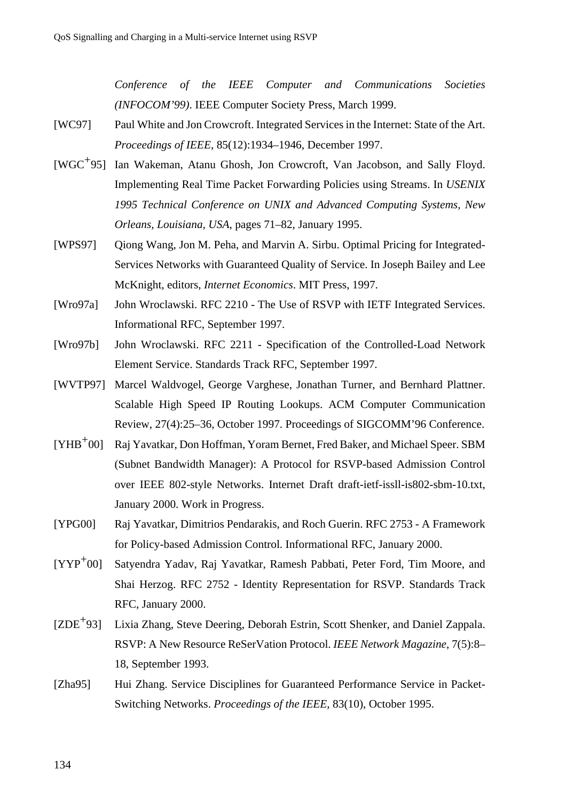*Conference of the IEEE Computer and Communications Societies (INFOCOM'99)*. IEEE Computer Society Press, March 1999.

- [WC97] Paul White and Jon Crowcroft. Integrated Services in the Internet: State of the Art. *Proceedings of IEEE*, 85(12):1934–1946, December 1997.
- $[WGC<sup>+</sup>95]$  Ian Wakeman, Atanu Ghosh, Jon Crowcroft, Van Jacobson, and Sally Floyd. Implementing Real Time Packet Forwarding Policies using Streams. In *USENIX 1995 Technical Conference on UNIX and Advanced Computing Systems, New Orleans, Louisiana, USA*, pages 71–82, January 1995.
- [WPS97] Qiong Wang, Jon M. Peha, and Marvin A. Sirbu. Optimal Pricing for Integrated-Services Networks with Guaranteed Quality of Service. In Joseph Bailey and Lee McKnight, editors, *Internet Economics*. MIT Press, 1997.
- [Wro97a] John Wroclawski. RFC 2210 The Use of RSVP with IETF Integrated Services. Informational RFC, September 1997.
- [Wro97b] John Wroclawski. RFC 2211 Specification of the Controlled-Load Network Element Service. Standards Track RFC, September 1997.
- [WVTP97] Marcel Waldvogel, George Varghese, Jonathan Turner, and Bernhard Plattner. Scalable High Speed IP Routing Lookups. ACM Computer Communication Review, 27(4):25–36, October 1997. Proceedings of SIGCOMM'96 Conference.
- [YHB<sup>+</sup>00] Raj Yavatkar, Don Hoffman, Yoram Bernet, Fred Baker, and Michael Speer. SBM (Subnet Bandwidth Manager): A Protocol for RSVP-based Admission Control over IEEE 802-style Networks. Internet Draft draft-ietf-issll-is802-sbm-10.txt, January 2000. Work in Progress.
- [YPG00] Raj Yavatkar, Dimitrios Pendarakis, and Roch Guerin. RFC 2753 A Framework for Policy-based Admission Control. Informational RFC, January 2000.
- [YYP+00] Satyendra Yadav, Raj Yavatkar, Ramesh Pabbati, Peter Ford, Tim Moore, and Shai Herzog. RFC 2752 - Identity Representation for RSVP. Standards Track RFC, January 2000.
- [ZDE<sup>+</sup>93] Lixia Zhang, Steve Deering, Deborah Estrin, Scott Shenker, and Daniel Zappala. RSVP: A New Resource ReSerVation Protocol. *IEEE Network Magazine*, 7(5):8– 18, September 1993.
- [Zha95] Hui Zhang. Service Disciplines for Guaranteed Performance Service in Packet-Switching Networks. *Proceedings of the IEEE*, 83(10), October 1995.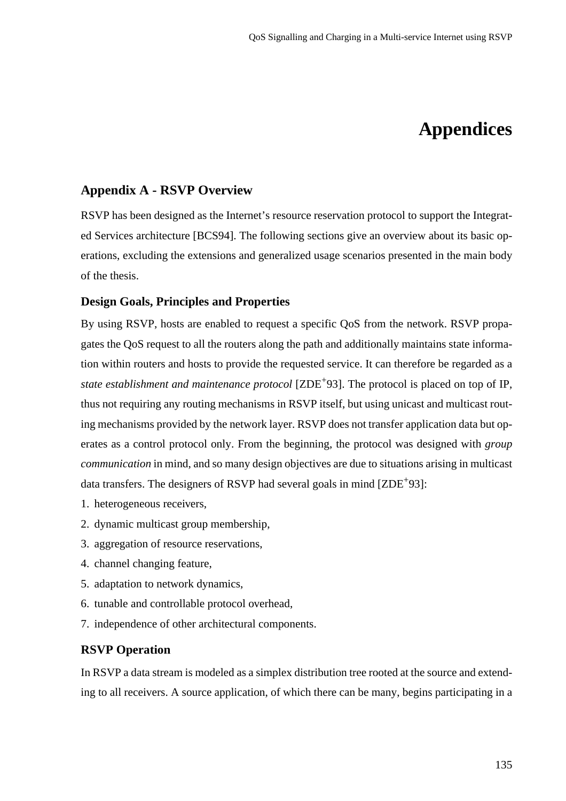# **Appendices**

### **Appendix A - RSVP Overview**

RSVP has been designed as the Internet's resource reservation protocol to support the Integrated Services architecture [BCS94]. The following sections give an overview about its basic operations, excluding the extensions and generalized usage scenarios presented in the main body of the thesis.

### **Design Goals, Principles and Properties**

By using RSVP, hosts are enabled to request a specific QoS from the network. RSVP propagates the QoS request to all the routers along the path and additionally maintains state information within routers and hosts to provide the requested service. It can therefore be regarded as a *state establishment and maintenance protocol* [ZDE<sup>+</sup>93]. The protocol is placed on top of IP, thus not requiring any routing mechanisms in RSVP itself, but using unicast and multicast routing mechanisms provided by the network layer. RSVP does not transfer application data but operates as a control protocol only. From the beginning, the protocol was designed with *group communication* in mind, and so many design objectives are due to situations arising in multicast data transfers. The designers of RSVP had several goals in mind [ZDE<sup>+</sup>93]:

- 1. heterogeneous receivers,
- 2. dynamic multicast group membership,
- 3. aggregation of resource reservations,
- 4. channel changing feature,
- 5. adaptation to network dynamics,
- 6. tunable and controllable protocol overhead,
- 7. independence of other architectural components.

### **RSVP Operation**

In RSVP a data stream is modeled as a simplex distribution tree rooted at the source and extending to all receivers. A source application, of which there can be many, begins participating in a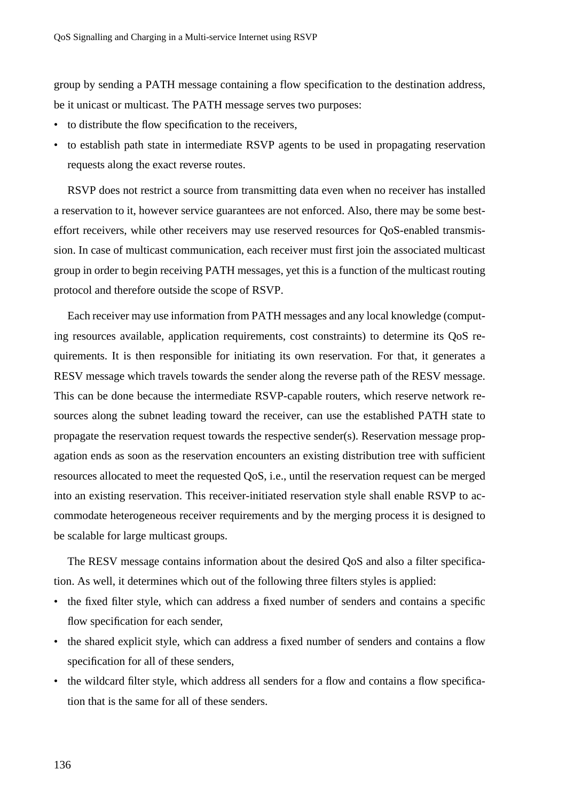group by sending a PATH message containing a flow specification to the destination address, be it unicast or multicast. The PATH message serves two purposes:

- to distribute the flow specification to the receivers,
- to establish path state in intermediate RSVP agents to be used in propagating reservation requests along the exact reverse routes.

RSVP does not restrict a source from transmitting data even when no receiver has installed a reservation to it, however service guarantees are not enforced. Also, there may be some besteffort receivers, while other receivers may use reserved resources for QoS-enabled transmission. In case of multicast communication, each receiver must first join the associated multicast group in order to begin receiving PATH messages, yet this is a function of the multicast routing protocol and therefore outside the scope of RSVP.

Each receiver may use information from PATH messages and any local knowledge (computing resources available, application requirements, cost constraints) to determine its QoS requirements. It is then responsible for initiating its own reservation. For that, it generates a RESV message which travels towards the sender along the reverse path of the RESV message. This can be done because the intermediate RSVP-capable routers, which reserve network resources along the subnet leading toward the receiver, can use the established PATH state to propagate the reservation request towards the respective sender(s). Reservation message propagation ends as soon as the reservation encounters an existing distribution tree with sufficient resources allocated to meet the requested QoS, i.e., until the reservation request can be merged into an existing reservation. This receiver-initiated reservation style shall enable RSVP to accommodate heterogeneous receiver requirements and by the merging process it is designed to be scalable for large multicast groups.

The RESV message contains information about the desired QoS and also a filter specification. As well, it determines which out of the following three filters styles is applied:

- the fixed filter style, which can address a fixed number of senders and contains a specific flow specification for each sender,
- the shared explicit style, which can address a fixed number of senders and contains a flow specification for all of these senders,
- the wildcard filter style, which address all senders for a flow and contains a flow specification that is the same for all of these senders.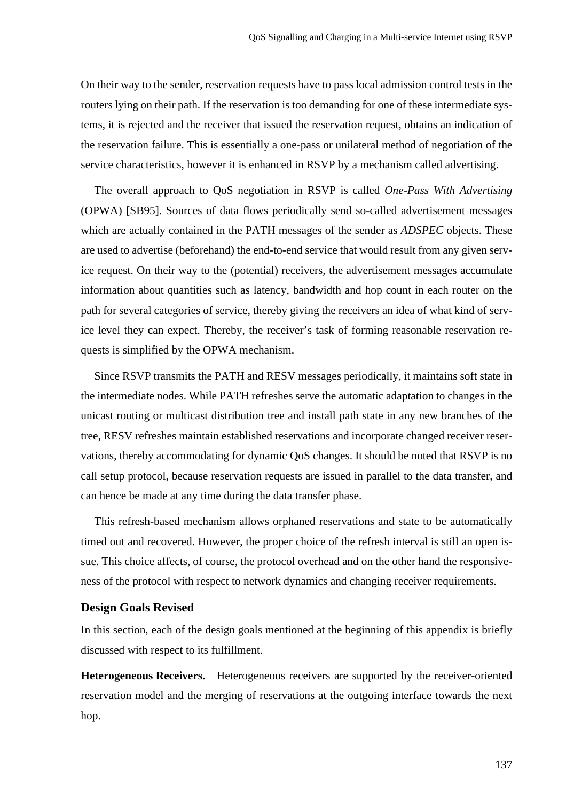On their way to the sender, reservation requests have to pass local admission control tests in the routers lying on their path. If the reservation is too demanding for one of these intermediate systems, it is rejected and the receiver that issued the reservation request, obtains an indication of the reservation failure. This is essentially a one-pass or unilateral method of negotiation of the service characteristics, however it is enhanced in RSVP by a mechanism called advertising.

The overall approach to QoS negotiation in RSVP is called *One-Pass With Advertising* (OPWA) [SB95]. Sources of data flows periodically send so-called advertisement messages which are actually contained in the PATH messages of the sender as *ADSPEC* objects. These are used to advertise (beforehand) the end-to-end service that would result from any given service request. On their way to the (potential) receivers, the advertisement messages accumulate information about quantities such as latency, bandwidth and hop count in each router on the path for several categories of service, thereby giving the receivers an idea of what kind of service level they can expect. Thereby, the receiver's task of forming reasonable reservation requests is simplified by the OPWA mechanism.

Since RSVP transmits the PATH and RESV messages periodically, it maintains soft state in the intermediate nodes. While PATH refreshes serve the automatic adaptation to changes in the unicast routing or multicast distribution tree and install path state in any new branches of the tree, RESV refreshes maintain established reservations and incorporate changed receiver reservations, thereby accommodating for dynamic QoS changes. It should be noted that RSVP is no call setup protocol, because reservation requests are issued in parallel to the data transfer, and can hence be made at any time during the data transfer phase.

This refresh-based mechanism allows orphaned reservations and state to be automatically timed out and recovered. However, the proper choice of the refresh interval is still an open issue. This choice affects, of course, the protocol overhead and on the other hand the responsiveness of the protocol with respect to network dynamics and changing receiver requirements.

#### **Design Goals Revised**

In this section, each of the design goals mentioned at the beginning of this appendix is briefly discussed with respect to its fulfillment.

**Heterogeneous Receivers.** Heterogeneous receivers are supported by the receiver-oriented reservation model and the merging of reservations at the outgoing interface towards the next hop.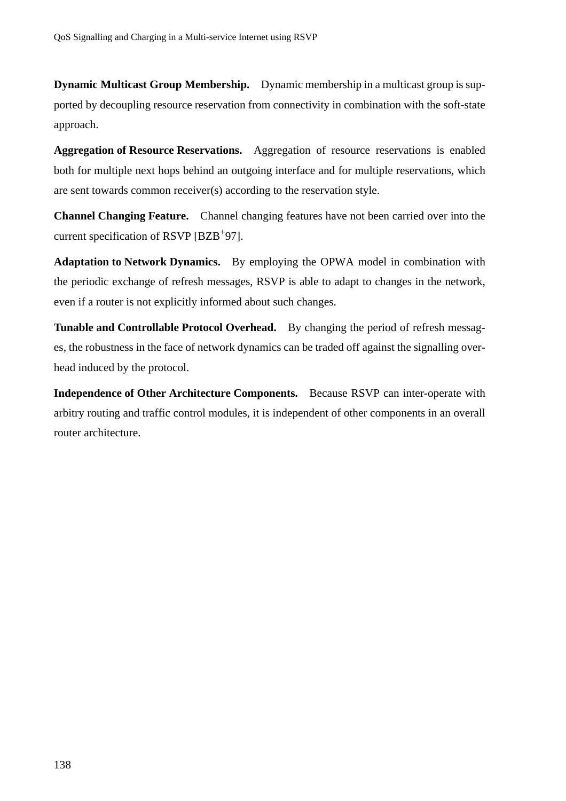**Dynamic Multicast Group Membership.** Dynamic membership in a multicast group is supported by decoupling resource reservation from connectivity in combination with the soft-state approach.

**Aggregation of Resource Reservations.** Aggregation of resource reservations is enabled both for multiple next hops behind an outgoing interface and for multiple reservations, which are sent towards common receiver(s) according to the reservation style.

**Channel Changing Feature.** Channel changing features have not been carried over into the current specification of RSVP [BZB<sup>+</sup>97].

**Adaptation to Network Dynamics.** By employing the OPWA model in combination with the periodic exchange of refresh messages, RSVP is able to adapt to changes in the network, even if a router is not explicitly informed about such changes.

**Tunable and Controllable Protocol Overhead.** By changing the period of refresh messages, the robustness in the face of network dynamics can be traded off against the signalling overhead induced by the protocol.

**Independence of Other Architecture Components.** Because RSVP can inter-operate with arbitry routing and traffic control modules, it is independent of other components in an overall router architecture.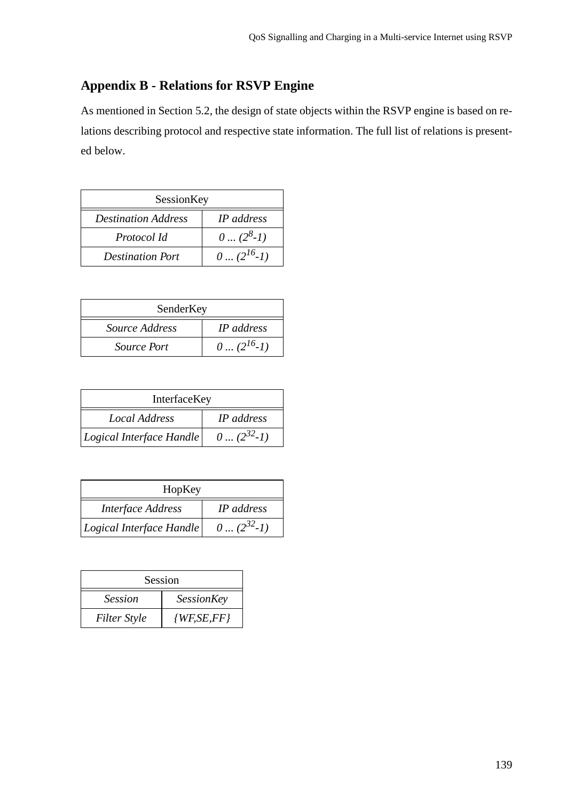## **Appendix B - Relations for RSVP Engine**

As mentioned in [Section 5.2](#page-56-0), the design of state objects within the RSVP engine is based on relations describing protocol and respective state information. The full list of relations is presented below.

| SessionKey                 |                      |
|----------------------------|----------------------|
| <b>Destination Address</b> | IP address           |
| Protocol Id                | $0 \dots (2^8-1)$    |
| <b>Destination Port</b>    | $0 \dots (2^{16}-1)$ |

| SenderKey             |                      |
|-----------------------|----------------------|
| <i>Source Address</i> | IP address           |
| <i>Source Port</i>    | $0 \dots (2^{16}-1)$ |

| InterfaceKey             |                        |
|--------------------------|------------------------|
| Local Address            | IP address             |
| Logical Interface Handle | $0 \dots (2^{32} - 1)$ |

| HopKey                   |                        |
|--------------------------|------------------------|
| <b>Interface Address</b> | IP address             |
| Logical Interface Handle | $0 \dots (2^{32} - 1)$ |

| Session        |                   |
|----------------|-------------------|
| <b>Session</b> | <b>SessionKey</b> |
| Filter Style   | $\{WF, SE, FF\}$  |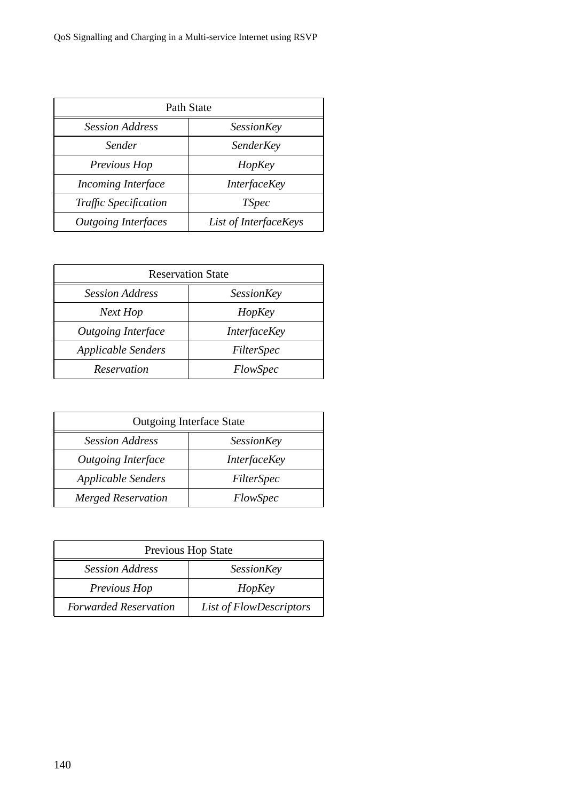| Path State                   |                       |
|------------------------------|-----------------------|
| <i>Session Address</i>       | <b>SessionKey</b>     |
| Sender                       | SenderKey             |
| Previous Hop                 | <b>HopKey</b>         |
| <b>Incoming Interface</b>    | <i>InterfaceKey</i>   |
| <b>Traffic Specification</b> | <i>TSpec</i>          |
| <b>Outgoing Interfaces</b>   | List of InterfaceKeys |

| <b>Reservation State</b>  |                     |
|---------------------------|---------------------|
| <b>Session Address</b>    | <b>SessionKey</b>   |
| Next Hop                  | HopKey              |
| <b>Outgoing Interface</b> | <i>InterfaceKey</i> |
| <b>Applicable Senders</b> | FilterSpec          |
| Reservation               | <i>FlowSpec</i>     |

| <b>Outgoing Interface State</b> |                     |
|---------------------------------|---------------------|
| <b>Session Address</b>          | <i>SessionKey</i>   |
| <b>Outgoing Interface</b>       | <i>InterfaceKey</i> |
| <b>Applicable Senders</b>       | <i>FilterSpec</i>   |
| <b>Merged Reservation</b>       | <i>FlowSpec</i>     |

| Previous Hop State           |                         |
|------------------------------|-------------------------|
| <b>Session Address</b>       | <b>SessionKey</b>       |
| Previous Hop                 | HopKey                  |
| <b>Forwarded Reservation</b> | List of FlowDescriptors |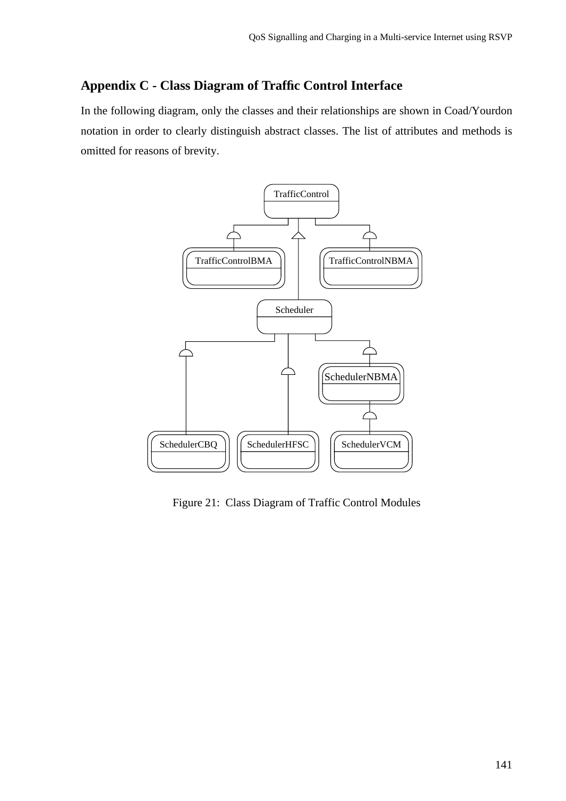## **Appendix C - Class Diagram of Traffic Control Interface**

In the following diagram, only the classes and their relationships are shown in Coad/Yourdon notation in order to clearly distinguish abstract classes. The list of attributes and methods is omitted for reasons of brevity.



Figure 21: Class Diagram of Traffic Control Modules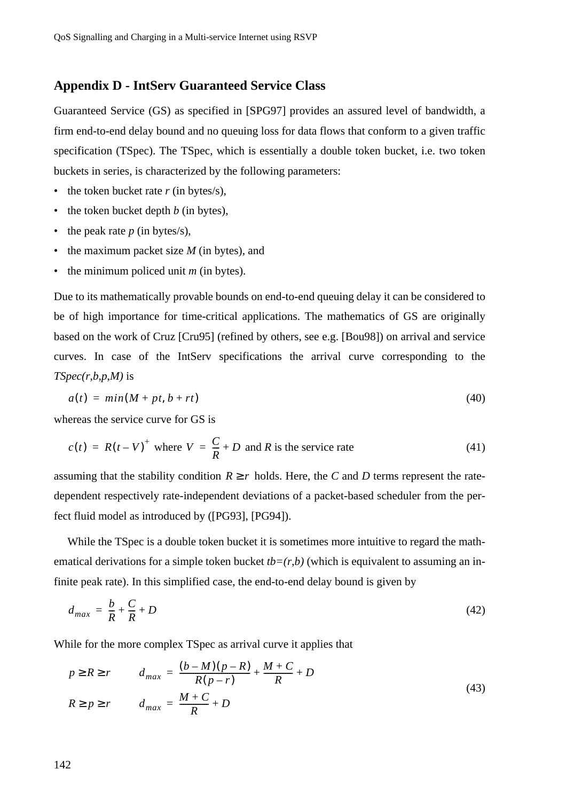#### <span id="page-155-0"></span>**Appendix D - IntServ Guaranteed Service Class**

Guaranteed Service (GS) as specified in [SPG97] provides an assured level of bandwidth, a firm end-to-end delay bound and no queuing loss for data flows that conform to a given traffic specification (TSpec). The TSpec, which is essentially a double token bucket, i.e. two token buckets in series, is characterized by the following parameters:

- the token bucket rate  $r$  (in bytes/s),
- the token bucket depth *b* (in bytes),
- the peak rate  $p$  (in bytes/s),
- the maximum packet size *M* (in bytes), and
- the minimum policed unit *m* (in bytes).

Due to its mathematically provable bounds on end-to-end queuing delay it can be considered to be of high importance for time-critical applications. The mathematics of GS are originally based on the work of Cruz [Cru95] (refined by others, see e.g. [Bou98]) on arrival and service curves. In case of the IntServ specifications the arrival curve corresponding to the *TSpec(r,b,p,M)* is

$$
a(t) = min(M + pt, b + rt) \tag{40}
$$

whereas the service curve for GS is

$$
c(t) = R(t - V)^{+} \text{ where } V = \frac{C}{R} + D \text{ and } R \text{ is the service rate}
$$
 (41)

assuming that the stability condition  $R \ge r$  holds. Here, the *C* and *D* terms represent the ratedependent respectively rate-independent deviations of a packet-based scheduler from the perfect fluid model as introduced by ([PG93], [PG94]).

While the TSpec is a double token bucket it is sometimes more intuitive to regard the mathematical derivations for a simple token bucket  $tb = (r,b)$  (which is equivalent to assuming an infinite peak rate). In this simplified case, the end-to-end delay bound is given by

$$
d_{max} = \frac{b}{R} + \frac{C}{R} + D \tag{42}
$$

While for the more complex TSpec as arrival curve it applies that

$$
p \ge R \ge r \qquad d_{max} = \frac{(b-M)(p-R)}{R(p-r)} + \frac{M+C}{R} + D
$$
  

$$
R \ge p \ge r \qquad d_{max} = \frac{M+C}{R} + D
$$
 (43)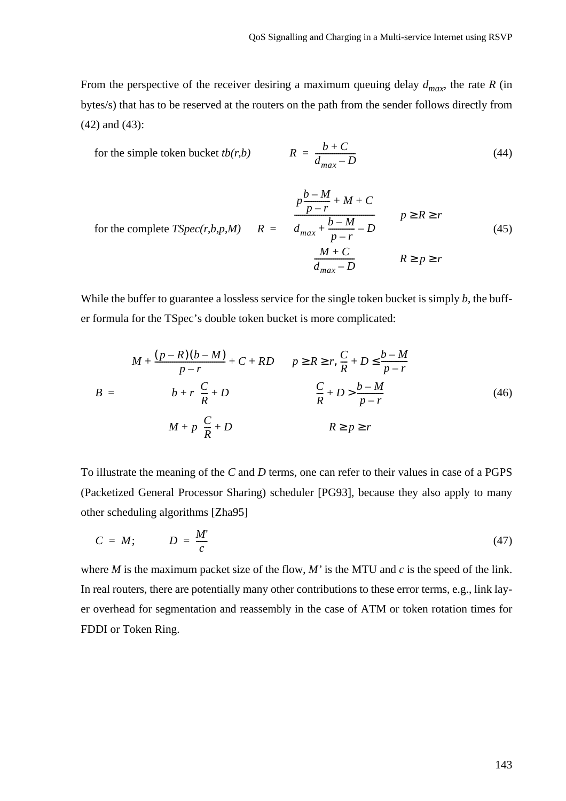From the perspective of the receiver desiring a maximum queuing delay  $d_{max}$ , the rate *R* (in bytes/s) that has to be reserved at the routers on the path from the sender follows directly from [\(42\)](#page-155-0) and [\(43\):](#page-155-0)

for the simple token bucket 
$$
tb(r,b)
$$
 
$$
R = \frac{b+C}{d_{max}-D}
$$
 (44)

for the complete *TSpec(r,b,p,M)* 
$$
R = \begin{cases} p\frac{b-M}{p-r} + M + C & p \ge R \ge r\\ d_{max} + \frac{b-M}{p-r} - D & R \ge p \ge r\\ \frac{M+C}{d_{max}-D} & R \ge p \ge r \end{cases} \tag{45}
$$

While the buffer to guarantee a lossless service for the single token bucket is simply *b*, the buffer formula for the TSpec's double token bucket is more complicated:

$$
B = \begin{cases} M + \frac{(p-R)(b-M)}{p-r} + C + RD & p \ge R \ge r, \frac{C}{R} + D \le \frac{b-M}{p-r} \\ b + r\left(\frac{C}{R} + D\right) & \frac{C}{R} + D > \frac{b-M}{p-r} \\ M + p\left(\frac{C}{R} + D\right) & R \ge p \ge r \end{cases} \tag{46}
$$

To illustrate the meaning of the *C* and *D* terms, one can refer to their values in case of a PGPS (Packetized General Processor Sharing) scheduler [PG93], because they also apply to many other scheduling algorithms [Zha95]

$$
C = M; \qquad D = \frac{M'}{c} \tag{47}
$$

where  $M$  is the maximum packet size of the flow,  $M'$  is the MTU and  $c$  is the speed of the link. In real routers, there are potentially many other contributions to these error terms, e.g., link layer overhead for segmentation and reassembly in the case of ATM or token rotation times for FDDI or Token Ring.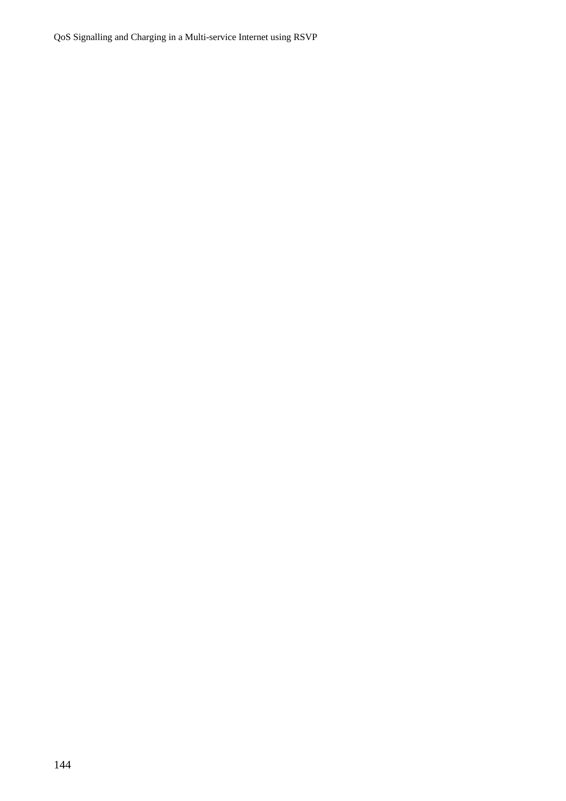[QoS Signalling and Charging in a Multi-service Internet using RSVP](#page-0-0)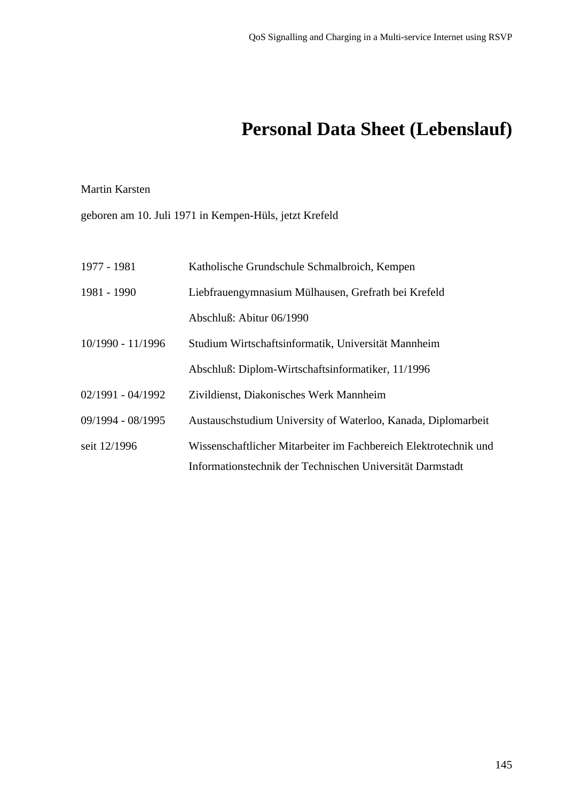# **Personal Data Sheet (Lebenslauf)**

### Martin Karsten

geboren am 10. Juli 1971 in Kempen-Hüls, jetzt Krefeld

| 1977 - 1981         | Katholische Grundschule Schmalbroich, Kempen                     |
|---------------------|------------------------------------------------------------------|
| 1981 - 1990         | Liebfrauengymnasium Mülhausen, Grefrath bei Krefeld              |
|                     | Abschluß: Abitur 06/1990                                         |
| $10/1990 - 11/1996$ | Studium Wirtschaftsinformatik, Universität Mannheim              |
|                     | Abschluß: Diplom-Wirtschaftsinformatiker, 11/1996                |
| 02/1991 - 04/1992   | Zivildienst, Diakonisches Werk Mannheim                          |
| 09/1994 - 08/1995   | Austauschstudium University of Waterloo, Kanada, Diplomarbeit    |
| seit 12/1996        | Wissenschaftlicher Mitarbeiter im Fachbereich Elektrotechnik und |
|                     | Informationstechnik der Technischen Universität Darmstadt        |